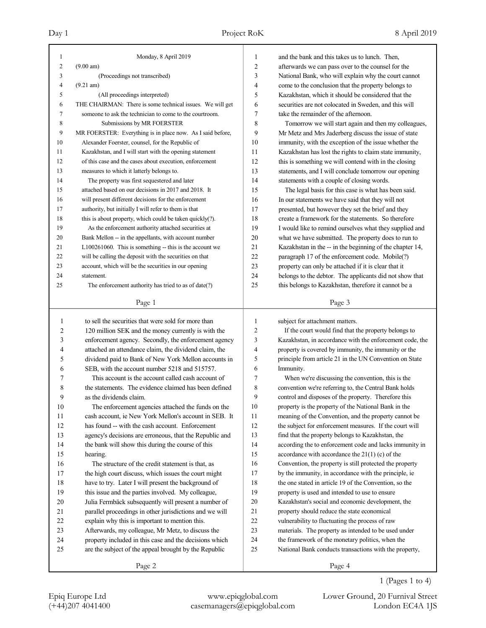| 1              | Monday, 8 April 2019                                                                                      | 1              | and the bank and this takes us to lunch. Then,                                                                    |
|----------------|-----------------------------------------------------------------------------------------------------------|----------------|-------------------------------------------------------------------------------------------------------------------|
| $\overline{c}$ | (9.00 am)                                                                                                 | $\overline{c}$ | afterwards we can pass over to the counsel for the                                                                |
| 3              | (Proceedings not transcribed)                                                                             | 3              | National Bank, who will explain why the court cannot                                                              |
| $\overline{4}$ | $(9.21 \text{ am})$                                                                                       | 4              | come to the conclusion that the property belongs to                                                               |
| 5              | (All proceedings interpreted)                                                                             | 5              | Kazakhstan, which it should be considered that the                                                                |
| 6              | THE CHAIRMAN: There is some technical issues. We will get                                                 | 6              | securities are not colocated in Sweden, and this will                                                             |
| 7              | someone to ask the technician to come to the courtroom.                                                   | 7              | take the remainder of the afternoon.                                                                              |
| 8              | Submissions by MR FOERSTER                                                                                | 8              | Tomorrow we will start again and then my colleagues,                                                              |
| 9              | MR FOERSTER: Everything is in place now. As I said before,                                                | 9              | Mr Metz and Mrs Jaderberg discuss the issue of state                                                              |
| 10             | Alexander Foerster, counsel, for the Republic of                                                          | 10             | immunity, with the exception of the issue whether the                                                             |
| 11             | Kazakhstan, and I will start with the opening statement                                                   | 11             | Kazakhstan has lost the rights to claim state immunity,                                                           |
| 12             | of this case and the cases about execution, enforcement                                                   | 12             | this is something we will contend with in the closing                                                             |
| 13             | measures to which it latterly belongs to.                                                                 | 13             | statements, and I will conclude tomorrow our opening                                                              |
| 14             | The property was first sequestered and later                                                              | 14             | statements with a couple of closing words.                                                                        |
| 15             | attached based on our decisions in 2017 and 2018. It                                                      | 15             | The legal basis for this case is what has been said.                                                              |
| 16             | will present different decisions for the enforcement                                                      | 16             | In our statements we have said that they will not                                                                 |
| 17             | authority, but initially I will refer to them is that                                                     | 17             | presented, but however they set the brief and they                                                                |
| 18             | this is about property, which could be taken quickly(?).                                                  | 18             | create a framework for the statements. So therefore                                                               |
| 19             | As the enforcement authority attached securities at                                                       | 19             | I would like to remind ourselves what they supplied and                                                           |
| 20             | Bank Mellon -- in the appellants, with account number                                                     | 20             | what we have submitted. The property does to run to                                                               |
| 21             | L100261060. This is something -- this is the account we                                                   | 21             | Kazakhstan in the -- in the beginning of the chapter 14,                                                          |
| 22             | will be calling the deposit with the securities on that                                                   | 22             | paragraph 17 of the enforcement code. Mobile(?)                                                                   |
| 23             | account, which will be the securities in our opening                                                      | 23             | property can only be attached if it is clear that it                                                              |
| 24             | statement.                                                                                                | 24             | belongs to the debtor. The applicants did not show that                                                           |
| 25             | The enforcement authority has tried to as of date(?)                                                      | 25             | this belongs to Kazakhstan, therefore it cannot be a                                                              |
|                |                                                                                                           |                |                                                                                                                   |
|                | Page 1                                                                                                    |                | Page 3                                                                                                            |
|                |                                                                                                           |                |                                                                                                                   |
|                |                                                                                                           | 1              |                                                                                                                   |
| 1              | to sell the securities that were sold for more than                                                       | $\overline{2}$ | subject for attachment matters.                                                                                   |
| 2              | 120 million SEK and the money currently is with the                                                       |                | If the court would find that the property belongs to                                                              |
| 3<br>4         | enforcement agency. Secondly, the enforcement agency                                                      | 3<br>4         | Kazakhstan, in accordance with the enforcement code, the                                                          |
| 5              | attached an attendance claim, the dividend claim, the                                                     | 5              | property is covered by immunity, the immunity or the                                                              |
| 6              | dividend paid to Bank of New York Mellon accounts in                                                      | 6              | principle from article 21 in the UN Convention on State<br>Immunity.                                              |
| 7              | SEB, with the account number 5218 and 515757.<br>This account is the account called cash account of       | 7              | When we're discussing the convention, this is the                                                                 |
| 8              | the statements. The evidence claimed has been defined                                                     | 8              |                                                                                                                   |
| 9              | as the dividends claim.                                                                                   | 9              | convention we're referring to, the Central Bank holds                                                             |
|                |                                                                                                           |                | control and disposes of the property. Therefore this                                                              |
| 10<br>11       | The enforcement agencies attached the funds on the                                                        | 10<br>11       | property is the property of the National Bank in the                                                              |
| 12             | cash account, ie New York Mellon's account in SEB. It<br>has found -- with the cash account. Enforcement  | 12             | meaning of the Convention, and the property cannot be<br>the subject for enforcement measures. If the court will  |
| 13             |                                                                                                           | 13             |                                                                                                                   |
| 14             | agency's decisions are erroneous, that the Republic and                                                   | 14             | find that the property belongs to Kazakhstan, the                                                                 |
| 15             | the bank will show this during the course of this<br>hearing.                                             | 15             | according the to enforcement code and lacks immunity in<br>accordance with accordance the $21(1)$ (c) of the      |
|                |                                                                                                           | 16             |                                                                                                                   |
| 16<br>17       | The structure of the credit statement is that, as<br>the high court discuss, which issues the court might | 17             | Convention, the property is still protected the property<br>by the immunity, in accordance with the principle, ie |
| $18\,$         |                                                                                                           | 18             | the one stated in article 19 of the Convention, so the                                                            |
| 19             | have to try. Later I will present the background of<br>this issue and the parties involved. My colleague, | 19             | property is used and intended to use to ensure                                                                    |
| $20\,$         | Julia Fermbäck subsequently will present a number of                                                      | $20\,$         | Kazakhstan's social and economic development, the                                                                 |
| 21             |                                                                                                           | $21\,$         | property should reduce the state economical                                                                       |
| $22\,$         | parallel proceedings in other jurisdictions and we will                                                   | 22             |                                                                                                                   |
| 23             | explain why this is important to mention this.<br>Afterwards, my colleague, Mr Metz, to discuss the       | 23             | vulnerability to fluctuating the process of raw<br>materials. The property as intended to be used under           |
| 24             | property included in this case and the decisions which                                                    | 24             | the framework of the monetary politics, when the                                                                  |
| 25             | are the subject of the appeal brought by the Republic                                                     | 25             | National Bank conducts transactions with the property,                                                            |
|                | Page 2                                                                                                    |                | Page 4                                                                                                            |

1 (Pages 1 to 4)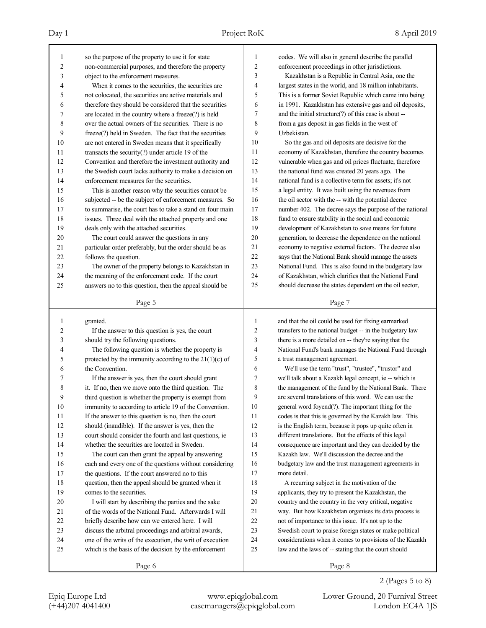(+44)207 4041400 casemanagers@epiqglobal.com London EC4A 1JS

Epiq Europe Ltd www.epiqglobal.com Lower Ground, 20 Furnival Street

Page 8

2 (Pages 5 to 8)

| Day 1 |                                                    | Project RoK | 8 April 2019                                         |
|-------|----------------------------------------------------|-------------|------------------------------------------------------|
|       | so the purpose of the property to use it for state |             | codes. We will also in general describe the parallel |

| $\mathbf{1}$                   | so the purpose of the property to use it for state                                                            | 1              | codes. We will also in general describe the parallel                                                             |
|--------------------------------|---------------------------------------------------------------------------------------------------------------|----------------|------------------------------------------------------------------------------------------------------------------|
| 2                              | non-commercial purposes, and therefore the property                                                           | 2              | enforcement proceedings in other jurisdictions.                                                                  |
| 3                              | object to the enforcement measures.                                                                           | 3              | Kazakhstan is a Republic in Central Asia, one the                                                                |
| 4                              | When it comes to the securities, the securities are                                                           | 4              | largest states in the world, and 18 million inhabitants.                                                         |
| 5                              | not colocated, the securities are active materials and                                                        | 5              | This is a former Soviet Republic which came into being                                                           |
| 6                              | therefore they should be considered that the securities                                                       | 6              | in 1991. Kazakhstan has extensive gas and oil deposits,                                                          |
| 7                              | are located in the country where a freeze(?) is held                                                          | 7              | and the initial structure(?) of this case is about --                                                            |
| 8                              | over the actual owners of the securities. There is no                                                         | 8              | from a gas deposit in gas fields in the west of                                                                  |
| 9                              | freeze(?) held in Sweden. The fact that the securities                                                        | 9              | Uzbekistan.                                                                                                      |
| 10                             | are not entered in Sweden means that it specifically                                                          | 10             | So the gas and oil deposits are decisive for the                                                                 |
| 11                             | transacts the security $(?)$ under article 19 of the                                                          | 11             | economy of Kazakhstan, therefore the country becomes                                                             |
| 12                             | Convention and therefore the investment authority and                                                         | 12             | vulnerable when gas and oil prices fluctuate, therefore                                                          |
| 13                             | the Swedish court lacks authority to make a decision on                                                       | 13             | the national fund was created 20 years ago. The                                                                  |
| 14                             | enforcement measures for the securities.                                                                      | 14             | national fund is a collective term for assets; it's not                                                          |
| 15                             | This is another reason why the securities cannot be                                                           | 15             | a legal entity. It was built using the revenues from                                                             |
| 16                             | subjected -- be the subject of enforcement measures. So                                                       | 16             | the oil sector with the -- with the potential decree                                                             |
| 17                             | to summarise, the court has to take a stand on four main                                                      | 17             | number 402. The decree says the purpose of the national                                                          |
| 18                             | issues. Three deal with the attached property and one                                                         | 18             | fund to ensure stability in the social and economic                                                              |
| 19                             | deals only with the attached securities.                                                                      | 19             | development of Kazakhstan to save means for future                                                               |
| 20                             | The court could answer the questions in any                                                                   | 20             | generation, to decrease the dependence on the national                                                           |
| 21                             | particular order preferably, but the order should be as                                                       | 21             | economy to negative external factors. The decree also                                                            |
| 22                             | follows the question.                                                                                         | 22             | says that the National Bank should manage the assets                                                             |
| 23                             | The owner of the property belongs to Kazakhstan in                                                            | 23             | National Fund. This is also found in the budgetary law                                                           |
| 24                             | the meaning of the enforcement code. If the court                                                             | 24             | of Kazakhstan, which clarifies that the National Fund                                                            |
| 25                             | answers no to this question, then the appeal should be                                                        | 25             | should decrease the states dependent on the oil sector,                                                          |
|                                |                                                                                                               |                |                                                                                                                  |
|                                | Page 5                                                                                                        |                | Page 7                                                                                                           |
|                                |                                                                                                               |                |                                                                                                                  |
|                                |                                                                                                               | 1              |                                                                                                                  |
| $\mathbf{1}$<br>$\overline{2}$ | granted.                                                                                                      | $\overline{c}$ | and that the oil could be used for fixing earmarked                                                              |
| 3                              | If the answer to this question is yes, the court                                                              | 3              | transfers to the national budget -- in the budgetary law                                                         |
| 4                              | should try the following questions.                                                                           | 4              | there is a more detailed on -- they're saying that the<br>National Fund's bank manages the National Fund through |
| 5                              | The following question is whether the property is<br>protected by the immunity according to the $21(1)(c)$ of | 5              | a trust management agreement.                                                                                    |
| 6                              | the Convention.                                                                                               | 6              | We'll use the term "trust", "trustee", "trustor" and                                                             |
| 7                              | If the answer is yes, then the court should grant                                                             | 7              | we'll talk about a Kazakh legal concept, ie -- which is                                                          |
| 8                              | it. If no, then we move onto the third question. The                                                          | 8              | the management of the fund by the National Bank. There                                                           |
| 9                              | third question is whether the property is exempt from                                                         | 9              | are several translations of this word. We can use the                                                            |
| 10                             | immunity to according to article 19 of the Convention.                                                        | 10             | general word foyend(?). The important thing for the                                                              |
|                                | If the answer to this question is no, then the court                                                          | 11             | codes is that this is governed by the Kazakh law. This                                                           |
|                                | should (inaudible). If the answer is yes, then the                                                            | 12             | is the English term, because it pops up quite often in                                                           |
| 11<br>12<br>13                 | court should consider the fourth and last questions, ie                                                       | 13             | different translations. But the effects of this legal                                                            |
| 14                             | whether the securities are located in Sweden.                                                                 | 14             | consequence are important and they can decided by the                                                            |
| 15                             | The court can then grant the appeal by answering                                                              | 15             | Kazakh law. We'll discussion the decree and the                                                                  |
| 16                             | each and every one of the questions without considering                                                       | 16             | budgetary law and the trust management agreements in                                                             |
| 17                             | the questions. If the court answered no to this                                                               | 17             | more detail.                                                                                                     |
| 18                             | question, then the appeal should be granted when it                                                           | 18             | A recurring subject in the motivation of the                                                                     |
| 19                             | comes to the securities.                                                                                      | 19             | applicants, they try to present the Kazakhstan, the                                                              |
| 20                             | I will start by describing the parties and the sake                                                           | $20\,$         | country and the country in the very critical, negative                                                           |
| 21                             | of the words of the National Fund. Afterwards I will                                                          | 21             | way. But how Kazakhstan organises its data process is                                                            |
| 22                             | briefly describe how can we entered here. I will                                                              | 22             | not of importance to this issue. It's not up to the                                                              |
| 23                             | discuss the arbitral proceedings and arbitral awards,                                                         | 23             | Swedish court to praise foreign states or make political                                                         |
| 24                             | one of the writs of the execution, the writ of execution                                                      | 24             | considerations when it comes to provisions of the Kazakh                                                         |
| 25                             | which is the basis of the decision by the enforcement                                                         | 25             | law and the laws of -- stating that the court should                                                             |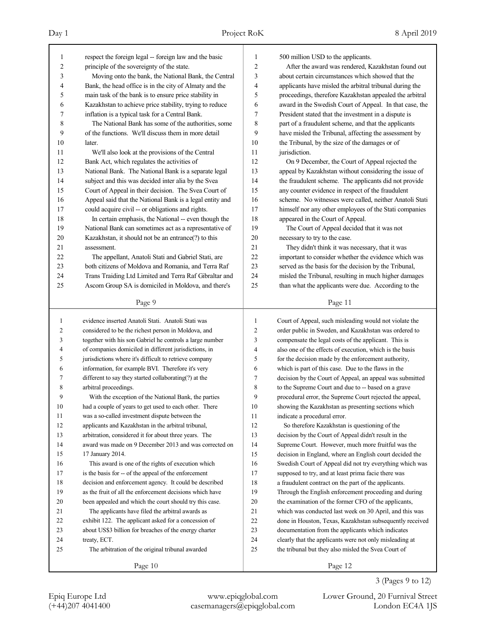| 1              | respect the foreign legal -- foreign law and the basic   | $\mathbf{1}$   | 500 million USD to the applicants.                       |
|----------------|----------------------------------------------------------|----------------|----------------------------------------------------------|
| 2              | principle of the sovereignty of the state.               | $\overline{2}$ | After the award was rendered, Kazakhstan found out       |
| 3              | Moving onto the bank, the National Bank, the Central     | 3              | about certain circumstances which showed that the        |
| 4              | Bank, the head office is in the city of Almaty and the   | 4              | applicants have misled the arbitral tribunal during the  |
| 5              | main task of the bank is to ensure price stability in    | 5              | proceedings, therefore Kazakhstan appealed the arbitral  |
| 6              | Kazakhstan to achieve price stability, trying to reduce  | 6              | award in the Swedish Court of Appeal. In that case, the  |
| 7              | inflation is a typical task for a Central Bank.          | $\tau$         | President stated that the investment in a dispute is     |
| 8              | The National Bank has some of the authorities, some      | 8              | part of a fraudulent scheme, and that the applicants     |
| 9              | of the functions. We'll discuss them in more detail      | 9              | have misled the Tribunal, affecting the assessment by    |
| 10             | later.                                                   | 10             | the Tribunal, by the size of the damages or of           |
| 11             | We'll also look at the provisions of the Central         | 11             | jurisdiction.                                            |
| 12             | Bank Act, which regulates the activities of              | 12             | On 9 December, the Court of Appeal rejected the          |
| 13             | National Bank. The National Bank is a separate legal     | 13             | appeal by Kazakhstan without considering the issue of    |
| 14             | subject and this was decided inter alia by the Svea      | 14             | the fraudulent scheme. The applicants did not provide    |
| 15             | Court of Appeal in their decision. The Svea Court of     | 15             | any counter evidence in respect of the fraudulent        |
| 16             | Appeal said that the National Bank is a legal entity and | 16             | scheme. No witnesses were called, neither Anatoli Stati  |
| 17             | could acquire civil -- or obligations and rights.        | 17             | himself nor any other employees of the Stati companies   |
| 18             | In certain emphasis, the National -- even though the     | 18             | appeared in the Court of Appeal.                         |
| 19             | National Bank can sometimes act as a representative of   | 19             | The Court of Appeal decided that it was not              |
| 20             | Kazakhstan, it should not be an entrance(?) to this      | 20             | necessary to try to the case.                            |
| 21             | assessment.                                              | 21             | They didn't think it was necessary, that it was          |
| 22             | The appellant, Anatoli Stati and Gabriel Stati, are      | 22             | important to consider whether the evidence which was     |
| 23             | both citizens of Moldova and Romania, and Terra Raf      | 23             | served as the basis for the decision by the Tribunal,    |
| 24             | Trans Traiding Ltd Limited and Terra Raf Gibraltar and   | 24             | misled the Tribunal, resulting in much higher damages    |
| 25             | Ascom Group SA is domiciled in Moldova, and there's      | 25             | than what the applicants were due. According to the      |
|                |                                                          |                |                                                          |
|                | Page 9                                                   |                | Page 11                                                  |
|                |                                                          |                |                                                          |
|                |                                                          |                |                                                          |
| 1              | evidence inserted Anatoli Stati. Anatoli Stati was       | 1              | Court of Appeal, such misleading would not violate the   |
| $\overline{c}$ | considered to be the richest person in Moldova, and      | 2              | order public in Sweden, and Kazakhstan was ordered to    |
| 3              | together with his son Gabriel he controls a large number | 3              | compensate the legal costs of the applicant. This is     |
| 4              | of companies domiciled in different jurisdictions, in    | 4              | also one of the effects of execution, which is the basis |
| 5              | jurisdictions where it's difficult to retrieve company   | 5              | for the decision made by the enforcement authority,      |
| 6              | information, for example BVI. Therefore it's very        | 6              | which is part of this case. Due to the flaws in the      |
| 7              | different to say they started collaborating(?) at the    | 7              | decision by the Court of Appeal, an appeal was submitted |
| 8              | arbitral proceedings.                                    | 8              | to the Supreme Court and due to -- based on a grave      |
| 9              | With the exception of the National Bank, the parties     | 9              | procedural error, the Supreme Court rejected the appeal, |
| 10             | had a couple of years to get used to each other. There   | 10             | showing the Kazakhstan as presenting sections which      |
| 11             | was a so-called investment dispute between the           | 11             | indicate a procedural error.                             |
| 12             | applicants and Kazakhstan in the arbitral tribunal,      | 12             | So therefore Kazakhstan is questioning of the            |
| 13             | arbitration, considered it for about three years. The    | 13             | decision by the Court of Appeal didn't result in the     |
| 14             | award was made on 9 December 2013 and was corrected on   | 14             | Supreme Court. However, much more fruitful was the       |
| 15             | 17 January 2014.                                         | 15             | decision in England, where an English court decided the  |
| 16             | This award is one of the rights of execution which       | 16             | Swedish Court of Appeal did not try everything which was |
| 17             | is the basis for -- of the appeal of the enforcement     | 17             | supposed to try, and at least prima facie there was      |
| 18             | decision and enforcement agency. It could be described   | 18             | a fraudulent contract on the part of the applicants.     |
| 19             | as the fruit of all the enforcement decisions which have | 19             | Through the English enforcement proceeding and during    |
| 20             | been appealed and which the court should try this case.  | 20             | the examination of the former CFO of the applicants,     |
| 21             | The applicants have filed the arbitral awards as         | 21             | which was conducted last week on 30 April, and this was  |
| 22             | exhibit 122. The applicant asked for a concession of     | 22             | done in Houston, Texas, Kazakhstan subsequently received |
| 23             | about US\$3 billion for breaches of the energy charter   | 23             | documentation from the applicants which indicates        |
| 24             | treaty, ECT.                                             | 24             | clearly that the applicants were not only misleading at  |
| 25             | The arbitration of the original tribunal awarded         | 25             | the tribunal but they also misled the Svea Court of      |

3 (Pages 9 to 12)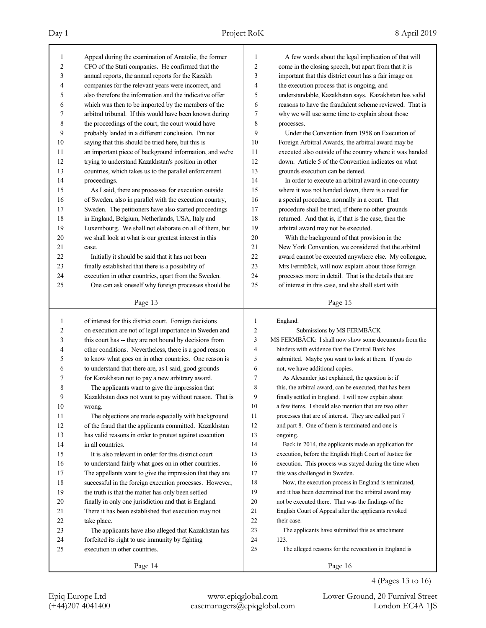# Day 1 Project RoK 8 April 2019

| 1  | Appeal during the examination of Anatolie, the former                                                            | 1              | A few words about the legal implication of that will     |
|----|------------------------------------------------------------------------------------------------------------------|----------------|----------------------------------------------------------|
| 2  | CFO of the Stati companies. He confirmed that the                                                                | $\overline{c}$ | come in the closing speech, but apart from that it is    |
| 3  | annual reports, the annual reports for the Kazakh                                                                | 3              | important that this district court has a fair image on   |
| 4  | companies for the relevant years were incorrect, and                                                             | 4              | the execution process that is ongoing, and               |
| 5  | also therefore the information and the indicative offer                                                          | 5              | understandable, Kazakhstan says. Kazakhstan has valid    |
| 6  | which was then to be imported by the members of the                                                              | 6              | reasons to have the fraudulent scheme reviewed. That is  |
| 7  | arbitral tribunal. If this would have been known during                                                          | 7              | why we will use some time to explain about those         |
| 8  | the proceedings of the court, the court would have                                                               | 8              | processes.                                               |
| 9  | probably landed in a different conclusion. I'm not                                                               | 9              | Under the Convention from 1958 on Execution of           |
| 10 | saying that this should be tried here, but this is                                                               | 10             | Foreign Arbitral Awards, the arbitral award may be       |
| 11 | an important piece of background information, and we're                                                          | 11             | executed also outside of the country where it was handed |
| 12 | trying to understand Kazakhstan's position in other                                                              | 12             | down. Article 5 of the Convention indicates on what      |
| 13 | countries, which takes us to the parallel enforcement                                                            | 13             | grounds execution can be denied.                         |
| 14 | proceedings.                                                                                                     | 14             | In order to execute an arbitral award in one country     |
| 15 | As I said, there are processes for execution outside                                                             | 15             | where it was not handed down, there is a need for        |
| 16 | of Sweden, also in parallel with the execution country,                                                          | 16             | a special procedure, normally in a court. That           |
| 17 | Sweden. The petitioners have also started proceedings                                                            | 17             | procedure shall be tried, if there no other grounds      |
| 18 | in England, Belgium, Netherlands, USA, Italy and                                                                 | 18             | returned. And that is, if that is the case, then the     |
| 19 | Luxembourg. We shall not elaborate on all of them, but                                                           | 19             | arbitral award may not be executed.                      |
| 20 | we shall look at what is our greatest interest in this                                                           | 20             | With the background of that provision in the             |
| 21 | case.                                                                                                            | 21             | New York Convention, we considered that the arbitral     |
| 22 | Initially it should be said that it has not been                                                                 | 22             | award cannot be executed anywhere else. My colleague,    |
| 23 | finally established that there is a possibility of                                                               | 23             | Mrs Fermbäck, will now explain about those foreign       |
| 24 | execution in other countries, apart from the Sweden.                                                             | 24             | processes more in detail. That is the details that are   |
| 25 | One can ask oneself why foreign processes should be                                                              | 25             | of interest in this case, and she shall start with       |
|    |                                                                                                                  |                |                                                          |
|    | Page 13                                                                                                          |                | Page 15                                                  |
|    |                                                                                                                  |                |                                                          |
| 1  | of interest for this district court. Foreign decisions                                                           | 1              | England.                                                 |
| 2  |                                                                                                                  | 2              | Submissions by MS FERMBÄCK                               |
| 3  | on execution are not of legal importance in Sweden and                                                           | 3              | MS FERMBÄCK: I shall now show some documents from the    |
| 4  | this court has -- they are not bound by decisions from<br>other conditions. Nevertheless, there is a good reason | 4              | binders with evidence that the Central Bank has          |
| 5  | to know what goes on in other countries. One reason is                                                           | 5              | submitted. Maybe you want to look at them. If you do     |
| 6  | to understand that there are, as I said, good grounds                                                            | 6              | not, we have additional copies.                          |
| 7  | for Kazakhstan not to pay a new arbitrary award.                                                                 | 7              | As Alexander just explained, the question is: if         |
| 8  | The applicants want to give the impression that                                                                  | 8              | this, the arbitral award, can be executed, that has been |
| 9  | Kazakhstan does not want to pay without reason. That is                                                          | 9              | finally settled in England. I will now explain about     |
| 10 | wrong.                                                                                                           | 10             | a few items. I should also mention that are two other    |
| 11 | The objections are made especially with background                                                               | 11             | processes that are of interest. They are called part 7   |
| 12 | of the fraud that the applicants committed. Kazakhstan                                                           | 12             | and part 8. One of them is terminated and one is         |
| 13 | has valid reasons in order to protest against execution                                                          | 13             | ongoing.                                                 |
| 14 | in all countries.                                                                                                | 14             | Back in 2014, the applicants made an application for     |
| 15 | It is also relevant in order for this district court                                                             | 15             | execution, before the English High Court of Justice for  |
| 16 | to understand fairly what goes on in other countries.                                                            | 16             | execution. This process was stayed during the time when  |
| 17 | The appellants want to give the impression that they are                                                         | 17             | this was challenged in Sweden.                           |
| 18 | successful in the foreign execution processes. However,                                                          | 18             | Now, the execution process in England is terminated,     |
| 19 | the truth is that the matter has only been settled                                                               | 19             | and it has been determined that the arbitral award may   |
| 20 | finally in only one jurisdiction and that is England.                                                            | 20             | not be executed there. That was the findings of the      |
| 21 | There it has been established that execution may not                                                             | 21             | English Court of Appeal after the applicants revoked     |
| 22 | take place.                                                                                                      | 22             | their case.                                              |
| 23 | The applicants have also alleged that Kazakhstan has                                                             | 23             | The applicants have submitted this as attachment         |
| 24 | forfeited its right to use immunity by fighting                                                                  | 24             | 123.                                                     |
| 25 | execution in other countries.                                                                                    | 25             | The alleged reasons for the revocation in England is     |
|    | Page 14                                                                                                          |                | Page 16                                                  |

4 (Pages 13 to 16)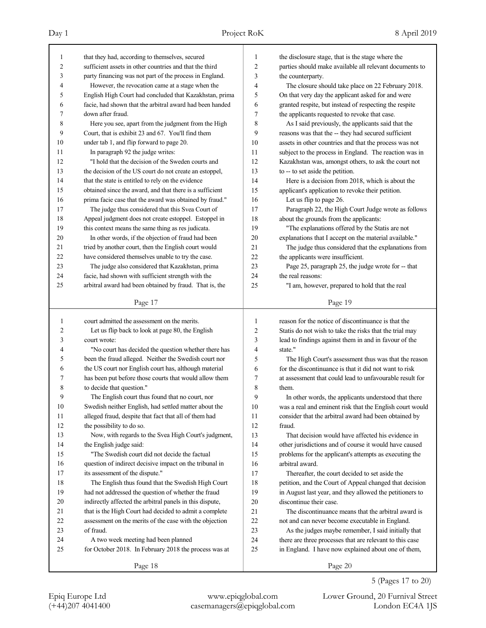(+44)207 4041400 casemanagers@epiqglobal.com London EC4A 1JS

Epiq Europe Ltd www.epiqglobal.com Lower Ground, 20 Furnival Street

5 (Pages 17 to 20)

| $\mathbf{1}$   | that they had, according to themselves, secured          | $\mathbf{1}$            | the disclosure stage, that is the stage where the        |
|----------------|----------------------------------------------------------|-------------------------|----------------------------------------------------------|
| $\overline{c}$ | sufficient assets in other countries and that the third  | $\overline{c}$          | parties should make available all relevant documents to  |
| 3              | party financing was not part of the process in England.  | 3                       | the counterparty.                                        |
| 4              | However, the revocation came at a stage when the         | $\overline{4}$          | The closure should take place on 22 February 2018.       |
| 5              | English High Court had concluded that Kazakhstan, prima  | 5                       | On that very day the applicant asked for and were        |
| 6              | facie, had shown that the arbitral award had been handed | 6                       | granted respite, but instead of respecting the respite   |
| 7              | down after fraud.                                        | $\boldsymbol{7}$        | the applicants requested to revoke that case.            |
| 8              | Here you see, apart from the judgment from the High      | 8                       | As I said previously, the applicants said that the       |
| 9              | Court, that is exhibit 23 and 67. You'll find them       | 9                       | reasons was that the -- they had secured sufficient      |
| 10             | under tab 1, and flip forward to page 20.                | 10                      | assets in other countries and that the process was not   |
| 11             | In paragraph 92 the judge writes:                        | 11                      | subject to the process in England. The reaction was in   |
| 12             | "I hold that the decision of the Sweden courts and       | 12                      | Kazakhstan was, amongst others, to ask the court not     |
| 13             | the decision of the US court do not create an estoppel,  | 13                      | to -- to set aside the petition.                         |
| 14             | that the state is entitled to rely on the evidence       | 14                      | Here is a decision from 2018, which is about the         |
| 15             | obtained since the award, and that there is a sufficient | 15                      | applicant's application to revoke their petition.        |
| 16             | prima facie case that the award was obtained by fraud."  | 16                      | Let us flip to page 26.                                  |
| 17             | The judge thus considered that this Svea Court of        | 17                      | Paragraph 22, the High Court Judge wrote as follows      |
| 18             | Appeal judgment does not create estoppel. Estoppel in    | 18                      | about the grounds from the applicants:                   |
| 19             | this context means the same thing as res judicata.       | 19                      | "The explanations offered by the Statis are not          |
| 20             | In other words, if the objection of fraud had been       | 20                      | explanations that I accept on the material available."   |
| 21             | tried by another court, then the English court would     | 21                      | The judge thus considered that the explanations from     |
| 22             | have considered themselves unable to try the case.       | 22                      | the applicants were insufficient.                        |
| 23             | The judge also considered that Kazakhstan, prima         | 23                      | Page 25, paragraph 25, the judge wrote for -- that       |
| 24             | facie, had shown with sufficient strength with the       | 24                      | the real reasons:                                        |
| 25             | arbitral award had been obtained by fraud. That is, the  | 25                      | "I am, however, prepared to hold that the real           |
|                |                                                          |                         |                                                          |
|                | Page 17                                                  |                         | Page 19                                                  |
|                |                                                          |                         |                                                          |
| 1              | court admitted the assessment on the merits.             | 1                       | reason for the notice of discontinuance is that the      |
| 2              | Let us flip back to look at page 80, the English         | $\overline{\mathbf{c}}$ | Statis do not wish to take the risks that the trial may  |
| 3              | court wrote:                                             | 3                       | lead to findings against them in and in favour of the    |
| 4              | "No court has decided the question whether there has     | 4                       | state."                                                  |
| 5              | been the fraud alleged. Neither the Swedish court nor    | 5                       | The High Court's assessment thus was that the reason     |
| 6              | the US court nor English court has, although material    | 6                       | for the discontinuance is that it did not want to risk   |
| 7              | has been put before those courts that would allow them   | $\boldsymbol{7}$        | at assessment that could lead to unfavourable result for |
| 8              | to decide that question."                                | 8                       | them.                                                    |
| 9              | The English court thus found that no court, nor          | 9                       | In other words, the applicants understood that there     |
| 10             | Swedish neither English, had settled matter about the    | $10\,$                  | was a real and eminent risk that the English court would |
| 11             | alleged fraud, despite that fact that all of them had    | 11                      | consider that the arbitral award had been obtained by    |
| 12             | the possibility to do so.                                | 12                      | fraud.                                                   |
| 13             | Now, with regards to the Svea High Court's judgment,     | 13                      | That decision would have affected his evidence in        |
| 14             | the English judge said:                                  | 14                      | other jurisdictions and of course it would have caused   |
| 15             | "The Swedish court did not decide the factual            | 15                      | problems for the applicant's attempts as executing the   |
| 16             | question of indirect decisive impact on the tribunal in  | 16                      | arbitral award.                                          |
| 17             | its assessment of the dispute."                          | 17                      | Thereafter, the court decided to set aside the           |
| 18             | The English thus found that the Swedish High Court       | $18\,$                  | petition, and the Court of Appeal changed that decision  |
| 19             | had not addressed the question of whether the fraud      | 19                      | in August last year, and they allowed the petitioners to |
| 20             | indirectly affected the arbitral panels in this dispute, | 20                      | discontinue their case.                                  |
| 21             | that is the High Court had decided to admit a complete   | 21                      | The discontinuance means that the arbitral award is      |
| 22             | assessment on the merits of the case with the objection  | 22                      | not and can never become executable in England.          |
| 23             | of fraud.                                                | 23                      | As the judges maybe remember, I said initially that      |
|                | A two week meeting had been planned                      | 24                      | there are three processes that are relevant to this case |
| 24<br>25       | for October 2018. In February 2018 the process was at    | 25                      | in England. I have now explained about one of them,      |
|                | Page 18                                                  |                         | Page 20                                                  |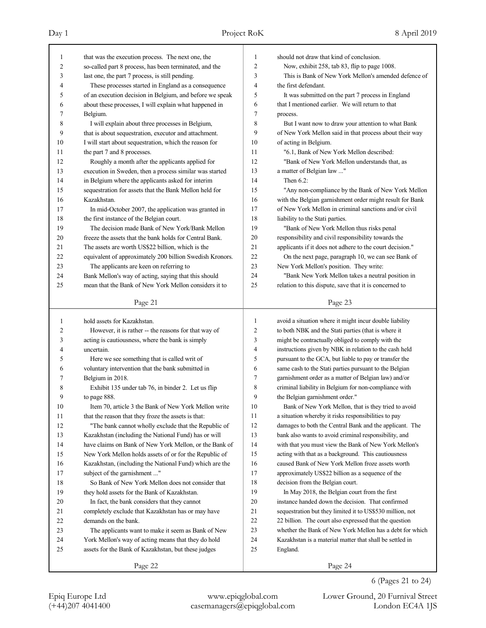| 1  | that was the execution process. The next one, the        | $\mathbf{1}$ | should not draw that kind of conclusion.                  |
|----|----------------------------------------------------------|--------------|-----------------------------------------------------------|
| 2  | so-called part 8 process, has been terminated, and the   | 2            | Now, exhibit 258, tab 83, flip to page 1008.              |
| 3  | last one, the part 7 process, is still pending.          | 3            | This is Bank of New York Mellon's amended defence of      |
| 4  | These processes started in England as a consequence      | 4            | the first defendant.                                      |
| 5  | of an execution decision in Belgium, and before we speak | 5            | It was submitted on the part 7 process in England         |
| 6  | about these processes, I will explain what happened in   | 6            | that I mentioned earlier. We will return to that          |
| 7  | Belgium.                                                 | 7            | process.                                                  |
| 8  | I will explain about three processes in Belgium,         | 8            | But I want now to draw your attention to what Bank        |
| 9  | that is about sequestration, executor and attachment.    | 9            | of New York Mellon said in that process about their way   |
| 10 | I will start about sequestration, which the reason for   | 10           | of acting in Belgium.                                     |
| 11 | the part 7 and 8 processes.                              | 11           | "6.1, Bank of New York Mellon described:                  |
| 12 | Roughly a month after the applicants applied for         | 12           | "Bank of New York Mellon understands that, as             |
| 13 | execution in Sweden, then a process similar was started  | 13           | a matter of Belgian law "                                 |
| 14 | in Belgium where the applicants asked for interim        | 14           | Then $6.2$ :                                              |
| 15 | sequestration for assets that the Bank Mellon held for   | 15           | "Any non-compliance by the Bank of New York Mellon        |
| 16 | Kazakhstan.                                              | 16           | with the Belgian garnishment order might result for Bank  |
| 17 | In mid-October 2007, the application was granted in      | 17           | of New York Mellon in criminal sanctions and/or civil     |
| 18 | the first instance of the Belgian court.                 | 18           | liability to the Stati parties.                           |
| 19 | The decision made Bank of New York/Bank Mellon           | 19           | "Bank of New York Mellon thus risks penal                 |
| 20 | freeze the assets that the bank holds for Central Bank.  | 20           | responsibility and civil responsibility towards the       |
| 21 | The assets are worth US\$22 billion, which is the        | 21           | applicants if it does not adhere to the court decision."  |
| 22 | equivalent of approximately 200 billion Swedish Kronors. | 22           | On the next page, paragraph 10, we can see Bank of        |
| 23 | The applicants are keen on referring to                  | 23           | New York Mellon's position. They write:                   |
| 24 | Bank Mellon's way of acting, saying that this should     | 24           | "Bank New York Mellon takes a neutral position in         |
| 25 | mean that the Bank of New York Mellon considers it to    | 25           | relation to this dispute, save that it is concerned to    |
|    |                                                          |              |                                                           |
|    | Page 21                                                  |              | Page 23                                                   |
|    |                                                          |              |                                                           |
|    |                                                          |              |                                                           |
| 1  | hold assets for Kazakhstan.                              | 1            | avoid a situation where it might incur double liability   |
| 2  | However, it is rather -- the reasons for that way of     | 2            | to both NBK and the Stati parties (that is where it       |
| 3  | acting is cautiousness, where the bank is simply         | 3            | might be contractually obliged to comply with the         |
| 4  | uncertain.                                               | 4            | instructions given by NBK in relation to the cash held    |
| 5  | Here we see something that is called writ of             | 5            | pursuant to the GCA, but liable to pay or transfer the    |
| 6  | voluntary intervention that the bank submitted in        | 6            | same cash to the Stati parties pursuant to the Belgian    |
| 7  | Belgium in 2018.                                         | 7            | garnishment order as a matter of Belgian law) and/or      |
| 8  | Exhibit 135 under tab 76, in binder 2. Let us flip       | 8            | criminal liability in Belgium for non-compliance with     |
| 9  | to page 888.                                             | 9            | the Belgian garnishment order."                           |
| 10 | Item 70, article 3 the Bank of New York Mellon write     | 10           | Bank of New York Mellon, that is they tried to avoid      |
| 11 | that the reason that they froze the assets is that:      | 11           | a situation whereby it risks responsibilities to pay      |
| 12 | "The bank cannot wholly exclude that the Republic of     | 12           | damages to both the Central Bank and the applicant. The   |
| 13 | Kazakhstan (including the National Fund) has or will     | 13           | bank also wants to avoid criminal responsibility, and     |
| 14 | have claims on Bank of New York Mellon, or the Bank of   | 14           | with that you must view the Bank of New York Mellon's     |
| 15 | New York Mellon holds assets of or for the Republic of   | 15           | acting with that as a background. This cautiousness       |
| 16 | Kazakhstan, (including the National Fund) which are the  | 16           | caused Bank of New York Mellon froze assets worth         |
| 17 | subject of the garnishment "                             | 17           | approximately US\$22 billion as a sequence of the         |
| 18 | So Bank of New York Mellon does not consider that        | 18           | decision from the Belgian court.                          |
| 19 | they hold assets for the Bank of Kazakhstan.             | 19           | In May 2018, the Belgian court from the first             |
| 20 | In fact, the bank considers that they cannot             | 20           | instance handed down the decision. That confirmed         |
| 21 | completely exclude that Kazakhstan has or may have       | 21           | sequestration but they limited it to US\$530 million, not |
| 22 | demands on the bank.                                     | 22           | 22 billion. The court also expressed that the question    |
| 23 | The applicants want to make it seem as Bank of New       | 23           | whether the Bank of New York Mellon has a debt for which  |
| 24 | York Mellon's way of acting means that they do hold      | 24           | Kazakhstan is a material matter that shall be settled in  |
| 25 | assets for the Bank of Kazakhstan, but these judges      | 25           | England.                                                  |
|    | Page 22                                                  |              | Page 24                                                   |

6 (Pages 21 to 24)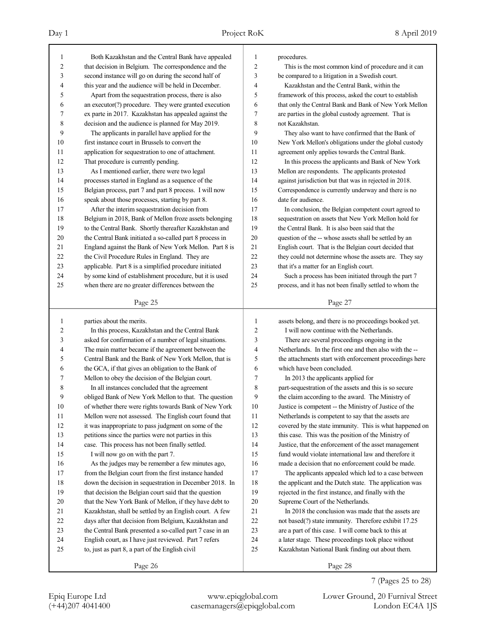24 English court, as I have just reviewed. Part 7 refers 25 to, just as part 8, a part of the English civil

(+44)207 4041400 casemanagers@epiqglobal.com London EC4A 1JS

Epiq Europe Ltd www.epiqglobal.com Lower Ground, 20 Furnival Street

Page 28

24 a later stage. These proceedings took place without 25 Kazakhstan National Bank finding out about them.

7 (Pages 25 to 28)

| $\mathbf{1}$   | Both Kazakhstan and the Central Bank have appealed       | 1              | procedures.                                              |
|----------------|----------------------------------------------------------|----------------|----------------------------------------------------------|
| $\overline{c}$ | that decision in Belgium. The correspondence and the     | $\overline{c}$ | This is the most common kind of procedure and it can     |
| 3              | second instance will go on during the second half of     | 3              | be compared to a litigation in a Swedish court.          |
| 4              | this year and the audience will be held in December.     | 4              | Kazakhstan and the Central Bank, within the              |
| 5              | Apart from the sequestration process, there is also      | 5              | framework of this process, asked the court to establish  |
| 6              | an executor(?) procedure. They were granted execution    | 6              | that only the Central Bank and Bank of New York Mellon   |
| 7              | ex parte in 2017. Kazakhstan has appealed against the    | 7              | are parties in the global custody agreement. That is     |
| 8              | decision and the audience is planned for May 2019.       | 8              | not Kazakhstan.                                          |
| 9              | The applicants in parallel have applied for the          | 9              | They also want to have confirmed that the Bank of        |
| 10             | first instance court in Brussels to convert the          | 10             | New York Mellon's obligations under the global custody   |
| 11             | application for sequestration to one of attachment.      | 11             | agreement only applies towards the Central Bank.         |
| 12             | That procedure is currently pending.                     | 12             | In this process the applicants and Bank of New York      |
| 13             | As I mentioned earlier, there were two legal             | 13             | Mellon are respondents. The applicants protested         |
| 14             | processes started in England as a sequence of the        | 14             | against jurisdiction but that was in rejected in 2018.   |
| 15             | Belgian process, part 7 and part 8 process. I will now   | 15             | Correspondence is currently underway and there is no     |
| 16             | speak about those processes, starting by part 8.         | 16             | date for audience.                                       |
| 17             | After the interim sequestration decision from            | 17             | In conclusion, the Belgian competent court agreed to     |
| 18             | Belgium in 2018, Bank of Mellon froze assets belonging   | 18             | sequestration on assets that New York Mellon hold for    |
| 19             | to the Central Bank. Shortly thereafter Kazakhstan and   | 19             | the Central Bank. It is also been said that the          |
| 20             | the Central Bank initiated a so-called part 8 process in | 20             | question of the -- whose assets shall be settled by an   |
| 21             | England against the Bank of New York Mellon. Part 8 is   | 21             | English court. That is the Belgian court decided that    |
| 22             | the Civil Procedure Rules in England. They are           | 22             | they could not determine whose the assets are. They say  |
| 23             | applicable. Part 8 is a simplified procedure initiated   | 23             | that it's a matter for an English court.                 |
| 24             | by some kind of establishment procedure, but it is used  | 24             | Such a process has been initiated through the part 7     |
| 25             | when there are no greater differences between the        | 25             | process, and it has not been finally settled to whom the |
|                | Page 25                                                  |                | Page 27                                                  |
| $\mathbf{1}$   | parties about the merits.                                | $\mathbf{1}$   | assets belong, and there is no proceedings booked yet.   |
| 2              | In this process, Kazakhstan and the Central Bank         | 2              | I will now continue with the Netherlands.                |
| 3              | asked for confirmation of a number of legal situations.  | 3              | There are several proceedings ongoing in the             |
| 4              | The main matter became if the agreement between the      | 4              | Netherlands. In the first one and then also with the --  |
| 5              | Central Bank and the Bank of New York Mellon, that is    | 5              | the attachments start with enforcement proceedings here  |
| 6              | the GCA, if that gives an obligation to the Bank of      | 6              | which have been concluded.                               |
| 7              | Mellon to obey the decision of the Belgian court.        | 7              | In 2013 the applicants applied for                       |
| 8              | In all instances concluded that the agreement            | 8              | part-sequestration of the assets and this is so secure   |
| 9              | obliged Bank of New York Mellon to that. The question    | 9              | the claim according to the award. The Ministry of        |
| 10             | of whether there were rights towards Bank of New York    | 10             | Justice is competent -- the Ministry of Justice of the   |
| 11             | Mellon were not assessed. The English court found that   | 11             | Netherlands is competent to say that the assets are      |
| 12             | it was inappropriate to pass judgment on some of the     | 12             | covered by the state immunity. This is what happened on  |
| 13             | petitions since the parties were not parties in this     | 13             | this case. This was the position of the Ministry of      |
| 14             | case. This process has not been finally settled.         | 14             | Justice, that the enforcement of the asset management    |
| 15             | I will now go on with the part 7.                        | 15             | fund would violate international law and therefore it    |
| 16             | As the judges may be remember a few minutes ago,         | 16             | made a decision that no enforcement could be made.       |
| 17             | from the Belgian court from the first instance handed    | 17             | The applicants appealed which led to a case between      |
| 18             | down the decision in sequestration in December 2018. In  | 18             | the applicant and the Dutch state. The application was   |
| 19             | that decision the Belgian court said that the question   | 19             | rejected in the first instance, and finally with the     |
| 20             | that the New York Bank of Mellon, if they have debt to   | 20             | Supreme Court of the Netherlands.                        |
| 21             | Kazakhstan, shall be settled by an English court. A few  | 21             | In 2018 the conclusion was made that the assets are      |
| 22<br>23       | days after that decision from Belgium, Kazakhstan and    | 22             | not based(?) state immunity. Therefore exhibit 17.25     |
|                | the Central Bank presented a so-called part 7 case in an | 23             | are a part of this case. I will come back to this at     |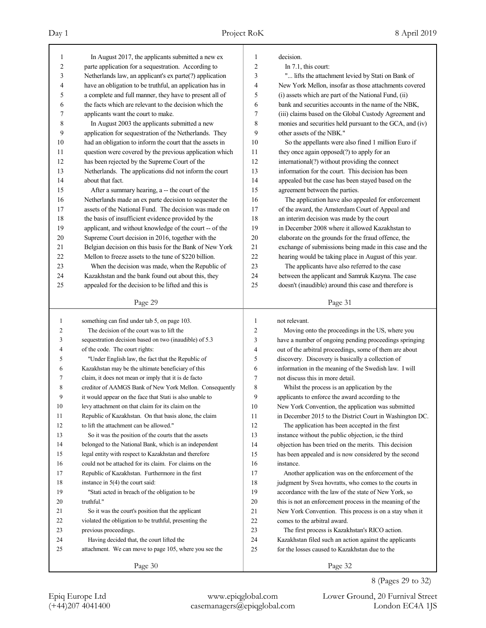(+44)207 4041400 casemanagers@epiqglobal.com London EC4A 1JS

Epiq Europe Ltd www.epiqglobal.com Lower Ground, 20 Furnival Street

8 (Pages 29 to 32)

| Day 1 |                                                                                                          | Project RoK   |                                     | 8 April 2019 |
|-------|----------------------------------------------------------------------------------------------------------|---------------|-------------------------------------|--------------|
|       | In August 2017, the applicants submitted a new ex<br>parte application for a sequestration. According to | $\mathcal{L}$ | decision.<br>In $7.1$ , this court: |              |

| 1              | In August 2017, the applicants submitted a new ex        | $\mathbf{1}$             | decision.                                                |
|----------------|----------------------------------------------------------|--------------------------|----------------------------------------------------------|
| $\overline{c}$ | parte application for a sequestration. According to      | $\overline{c}$           | In $7.1$ , this court:                                   |
| 3              | Netherlands law, an applicant's ex parte(?) application  | 3                        | " lifts the attachment levied by Stati on Bank of        |
| 4              | have an obligation to be truthful, an application has in | $\overline{\mathcal{L}}$ | New York Mellon, insofar as those attachments covered    |
| 5              | a complete and full manner, they have to present all of  | 5                        | (i) assets which are part of the National Fund, (ii)     |
| 6              | the facts which are relevant to the decision which the   | 6                        | bank and securities accounts in the name of the NBK,     |
| 7              | applicants want the court to make.                       | $\boldsymbol{7}$         | (iii) claims based on the Global Custody Agreement and   |
| 8              | In August 2003 the applicants submitted a new            | 8                        | monies and securities held pursuant to the GCA, and (iv) |
| 9              | application for sequestration of the Netherlands. They   | 9                        | other assets of the NBK."                                |
| 10             | had an obligation to inform the court that the assets in | 10                       | So the appellants were also fined 1 million Euro if      |
| 11             | question were covered by the previous application which  | 11                       | they once again opposed(?) to apply for an               |
| 12             | has been rejected by the Supreme Court of the            | 12                       | international(?) without providing the connect           |
| 13             | Netherlands. The applications did not inform the court   | 13                       | information for the court. This decision has been        |
| 14             | about that fact.                                         | 14                       | appealed but the case has been stayed based on the       |
| 15             | After a summary hearing, a -- the court of the           | 15                       | agreement between the parties.                           |
| 16             | Netherlands made an ex parte decision to sequester the   | 16                       | The application have also appealed for enforcement       |
| 17             | assets of the National Fund. The decision was made on    | 17                       | of the award, the Amsterdam Court of Appeal and          |
| 18             | the basis of insufficient evidence provided by the       | 18                       | an interim decision was made by the court                |
| 19             | applicant, and without knowledge of the court -- of the  | 19                       | in December 2008 where it allowed Kazakhstan to          |
| 20             | Supreme Court decision in 2016, together with the        | 20                       | elaborate on the grounds for the fraud offence, the      |
| 21             | Belgian decision on this basis for the Bank of New York  | 21                       | exchange of submissions being made in this case and the  |
| 22             | Mellon to freeze assets to the tune of \$220 billion.    | 22                       | hearing would be taking place in August of this year.    |
| 23             | When the decision was made, when the Republic of         | 23                       | The applicants have also referred to the case            |
| 24             | Kazakhstan and the bank found out about this, they       | 24                       | between the applicant and Samruk Kazyna. The case        |
| 25             | appealed for the decision to be lifted and this is       | 25                       | doesn't (inaudible) around this case and therefore is    |
|                |                                                          |                          |                                                          |
|                | Page 29                                                  |                          | Page 31                                                  |
|                |                                                          |                          |                                                          |
|                |                                                          |                          |                                                          |
| 1              | something can find under tab 5, on page 103.             | 1                        | not relevant.                                            |
| 2              | The decision of the court was to lift the                | $\overline{c}$           | Moving onto the proceedings in the US, where you         |
| 3              | sequestration decision based on two (inaudible) of 5.3   | 3                        | have a number of ongoing pending proceedings springing   |
| 4              | of the code. The court rights:                           | $\overline{4}$           | out of the arbitral proceedings, some of them are about  |
| 5              | "Under English law, the fact that the Republic of        | 5                        | discovery. Discovery is basically a collection of        |
| 6              | Kazakhstan may be the ultimate beneficiary of this       | 6                        | information in the meaning of the Swedish law. I will    |
| 7              | claim, it does not mean or imply that it is de facto     | $\boldsymbol{7}$         | not discuss this in more detail.                         |
| 8              | creditor of AAMGS Bank of New York Mellon. Consequently  | $\,$ 8 $\,$              | Whilst the process is an application by the              |
| 9              | it would appear on the face that Stati is also unable to | 9                        | applicants to enforce the award according to the         |
| 10             | levy attachment on that claim for its claim on the       | 10                       | New York Convention, the application was submitted       |
| 11             | Republic of Kazakhstan. On that basis alone, the claim   | 11                       | in December 2015 to the District Court in Washington DC. |
| 12             | to lift the attachment can be allowed."                  | 12                       | The application has been accepted in the first           |
| 13             | So it was the position of the courts that the assets     | 13                       | instance without the public objection, ie the third      |
| 14             | belonged to the National Bank, which is an independent   | 14                       | objection has been tried on the merits. This decision    |
| 15             | legal entity with respect to Kazakhstan and therefore    | 15                       | has been appealed and is now considered by the second    |
| 16             | could not be attached for its claim. For claims on the   | 16                       | instance.                                                |
| 17             | Republic of Kazakhstan. Furthermore in the first         | 17                       | Another application was on the enforcement of the        |
| 18             | instance in $5(4)$ the court said:                       | 18                       | judgment by Svea hovratts, who comes to the courts in    |
| 19             | "Stati acted in breach of the obligation to be           | 19                       | accordance with the law of the state of New York, so     |
| 20             | truthful."                                               | 20                       | this is not an enforcement process in the meaning of the |
| 21             | So it was the court's position that the applicant        | 21                       | New York Convention. This process is on a stay when it   |
| 22             | violated the obligation to be truthful, presenting the   | 22                       | comes to the arbitral award.                             |
| 23             | previous proceedings.                                    | 23                       | The first process is Kazakhstan's RICO action.           |
| 24             | Having decided that, the court lifted the                | 24                       | Kazakhstan filed such an action against the applicants   |
| 25             | attachment. We can move to page 105, where you see the   | 25                       | for the losses caused to Kazakhstan due to the           |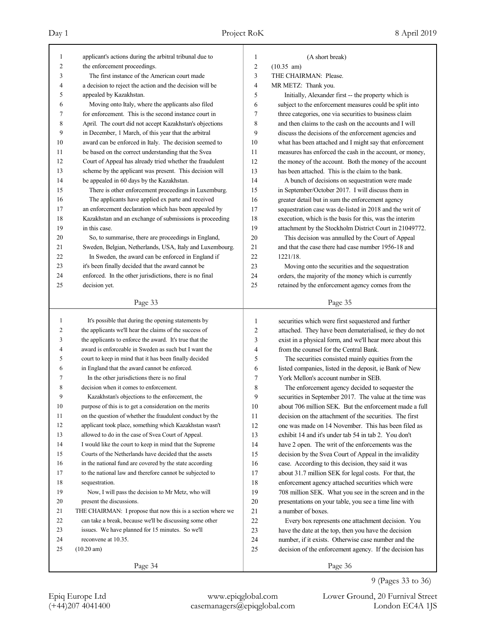| $\mathbf{1}$ | applicant's actions during the arbitral tribunal due to     | 1                | (A short break)                                          |
|--------------|-------------------------------------------------------------|------------------|----------------------------------------------------------|
| 2            | the enforcement proceedings.                                | $\overline{c}$   | $(10.35 \text{ am})$                                     |
| 3            | The first instance of the American court made               | 3                | THE CHAIRMAN: Please.                                    |
| 4            | a decision to reject the action and the decision will be    | $\overline{4}$   | MR METZ: Thank you.                                      |
| 5            | appealed by Kazakhstan.                                     | 5                | Initially, Alexander first -- the property which is      |
| 6            | Moving onto Italy, where the applicants also filed          | 6                | subject to the enforcement measures could be split into  |
| 7            | for enforcement. This is the second instance court in       | 7                | three categories, one via securities to business claim   |
| 8            | April. The court did not accept Kazakhstan's objections     | 8                | and then claims to the cash on the accounts and I will   |
| 9            | in December, 1 March, of this year that the arbitral        | 9                | discuss the decisions of the enforcement agencies and    |
| 10           | award can be enforced in Italy. The decision seemed to      | 10               | what has been attached and I might say that enforcement  |
| 11           | be based on the correct understanding that the Svea         | 11               | measures has enforced the cash in the account, or money, |
| 12           | Court of Appeal has already tried whether the fraudulent    | 12               | the money of the account. Both the money of the account  |
| 13           | scheme by the applicant was present. This decision will     | 13               | has been attached. This is the claim to the bank.        |
| 14           | be appealed in 60 days by the Kazakhstan.                   | 14               | A bunch of decisions on sequestration were made          |
| 15           | There is other enforcement proceedings in Luxemburg.        | 15               | in September/October 2017. I will discuss them in        |
| 16           | The applicants have applied ex parte and received           | 16               | greater detail but in sum the enforcement agency         |
| 17           | an enforcement declaration which has been appealed by       | 17               | sequestration case was de-listed in 2018 and the writ of |
| 18           | Kazakhstan and an exchange of submissions is proceeding     | 18               | execution, which is the basis for this, was the interim  |
| 19           | in this case.                                               | 19               | attachment by the Stockholm District Court in 21049772.  |
| 20           | So, to summarise, there are proceedings in England,         | 20               | This decision was annulled by the Court of Appeal        |
| 21           | Sweden, Belgian, Netherlands, USA, Italy and Luxembourg.    | 21               | and that the case there had case number 1956-18 and      |
| 22           | In Sweden, the award can be enforced in England if          | 22               | 1221/18.                                                 |
| 23           | it's been finally decided that the award cannot be          | 23               | Moving onto the securities and the sequestration         |
| 24           | enforced. In the other jurisdictions, there is no final     | 24               | orders, the majority of the money which is currently     |
| 25           | decision yet.                                               | 25               | retained by the enforcement agency comes from the        |
|              |                                                             |                  |                                                          |
|              | Page 33                                                     |                  | Page 35                                                  |
|              |                                                             |                  |                                                          |
| $\mathbf{1}$ | It's possible that during the opening statements by         | $\mathbf{1}$     | securities which were first sequestered and further      |
| 2            | the applicants we'll hear the claims of the success of      | $\boldsymbol{2}$ | attached. They have been dematerialised, ie they do not  |
| 3            | the applicants to enforce the award. It's true that the     | 3                | exist in a physical form, and we'll hear more about this |
| 4            | award is enforceable in Sweden as such but I want the       | $\overline{4}$   | from the counsel for the Central Bank.                   |
| 5            | court to keep in mind that it has been finally decided      | 5                | The securities consisted mainly equities from the        |
| 6            | in England that the award cannot be enforced.               | 6                | listed companies, listed in the deposit, ie Bank of New  |
| 7            | In the other jurisdictions there is no final                | 7                | York Mellon's account number in SEB.                     |
| 8            | decision when it comes to enforcement.                      | 8                | The enforcement agency decided to sequester the          |
| 9            | Kazakhstan's objections to the enforcement, the             | 9                | securities in September 2017. The value at the time was  |
| 10           | purpose of this is to get a consideration on the merits     | $10\,$           | about 706 million SEK. But the enforcement made a full   |
| 11           | on the question of whether the fraudulent conduct by the    | 11               | decision on the attachment of the securities. The first  |
| 12           | applicant took place, something which Kazakhstan wasn't     | 12               | one was made on 14 November. This has been filed as      |
| 13           | allowed to do in the case of Svea Court of Appeal.          | 13               | exhibit 14 and it's under tab 54 in tab 2. You don't     |
| 14           | I would like the court to keep in mind that the Supreme     | 14               | have 2 open. The writ of the enforcements was the        |
| 15           | Courts of the Netherlands have decided that the assets      | 15               | decision by the Svea Court of Appeal in the invalidity   |
| 16           | in the national fund are covered by the state according     | 16               | case. According to this decision, they said it was       |
| 17           | to the national law and therefore cannot be subjected to    | $17\,$           | about 31.7 million SEK for legal costs. For that, the    |
| 18           | sequestration.                                              | $18\,$           | enforcement agency attached securities which were        |
| 19           | Now, I will pass the decision to Mr Metz, who will          | 19               | 708 million SEK. What you see in the screen and in the   |
| 20           | present the discussions.                                    | $20\,$           | presentations on your table, you see a time line with    |
| 21           | THE CHAIRMAN: I propose that now this is a section where we | 21               | a number of boxes.                                       |
| 22           | can take a break, because we'll be discussing some other    | 22               | Every box represents one attachment decision. You        |
| 23           | issues. We have planned for 15 minutes. So we'll            | 23               | have the date at the top, then you have the decision     |
| 24           | reconvene at 10.35.                                         | 24               | number, if it exists. Otherwise case number and the      |
| 25           | $(10.20 \text{ am})$                                        | 25               | decision of the enforcement agency. If the decision has  |

9 (Pages 33 to 36)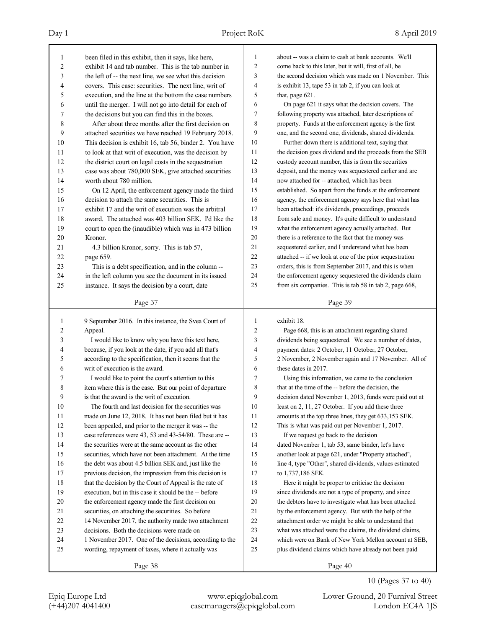| 1      | been filed in this exhibit, then it says, like here,    | 1              | about -- was a claim to cash at bank accounts. We'll     |
|--------|---------------------------------------------------------|----------------|----------------------------------------------------------|
| 2      | exhibit 14 and tab number. This is the tab number in    | $\overline{c}$ | come back to this later, but it will, first of all, be   |
| 3      | the left of -- the next line, we see what this decision | 3              | the second decision which was made on 1 November. This   |
| 4      | covers. This case: securities. The next line, writ of   | $\overline{4}$ | is exhibit 13, tape 53 in tab 2, if you can look at      |
| 5      | execution, and the line at the bottom the case numbers  | 5              | that, page 621.                                          |
| 6      | until the merger. I will not go into detail for each of | 6              | On page 621 it says what the decision covers. The        |
| 7      | the decisions but you can find this in the boxes.       | 7              | following property was attached, later descriptions of   |
| 8      | After about three months after the first decision on    | 8              | property. Funds at the enforcement agency is the first   |
| 9      | attached securities we have reached 19 February 2018.   | 9              | one, and the second one, dividends, shared dividends.    |
| 10     | This decision is exhibit 16, tab 56, binder 2. You have | 10             | Further down there is additional text, saying that       |
| 11     | to look at that writ of execution, was the decision by  | 11             | the decision goes dividend and the proceeds from the SEB |
| 12     | the district court on legal costs in the sequestration  | 12             | custody account number, this is from the securities      |
| 13     | case was about 780,000 SEK, give attached securities    | 13             | deposit, and the money was sequestered earlier and are   |
| 14     | worth about 780 million.                                | 14             | now attached for -- attached, which has been             |
| 15     | On 12 April, the enforcement agency made the third      | 15             | established. So apart from the funds at the enforcement  |
| 16     | decision to attach the same securities. This is         | 16             | agency, the enforcement agency says here that what has   |
| 17     | exhibit 17 and the writ of execution was the arbitral   | 17             | been attached: it's dividends, proceedings, proceeds     |
| 18     | award. The attached was 403 billion SEK. I'd like the   | 18             | from sale and money. It's quite difficult to understand  |
| 19     | court to open the (inaudible) which was in 473 billion  | 19             | what the enforcement agency actually attached. But       |
| 20     | Kronor.                                                 | 20             | there is a reference to the fact that the money was      |
| 21     | 4.3 billion Kronor, sorry. This is tab 57,              | 21             | sequestered earlier, and I understand what has been      |
| 22     | page 659.                                               | 22             | attached -- if we look at one of the prior sequestration |
| 23     | This is a debt specification, and in the column --      | 23             | orders, this is from September 2017, and this is when    |
| 24     | in the left column you see the document in its issued   | 24             | the enforcement agency sequestered the dividends claim   |
| 25     | instance. It says the decision by a court, date         | 25             | from six companies. This is tab 58 in tab 2, page 668,   |
|        |                                                         |                |                                                          |
|        | Page 37                                                 |                | Page 39                                                  |
|        |                                                         |                |                                                          |
|        |                                                         |                |                                                          |
| 1      | 9 September 2016. In this instance, the Svea Court of   | 1              | exhibit 18.                                              |
| 2      | Appeal.                                                 | $\overline{c}$ | Page 668, this is an attachment regarding shared         |
| 3      | I would like to know why you have this text here,       | 3              | dividends being sequestered. We see a number of dates,   |
| 4      | because, if you look at the date, if you add all that's | 4              | payment dates: 2 October, 11 October, 27 October,        |
| 5      | according to the specification, then it seems that the  | 5              | 2 November, 2 November again and 17 November. All of     |
| 6      | writ of execution is the award.                         | 6              | these dates in 2017.                                     |
| 7      | I would like to point the court's attention to this     | 7              | Using this information, we came to the conclusion        |
| 8      | item where this is the case. But our point of departure | 8              | that at the time of the -- before the decision, the      |
| 9      | is that the award is the writ of execution.             | 9              | decision dated November 1, 2013, funds were paid out at  |
| $10\,$ | The fourth and last decision for the securities was     | 10             | least on 2, 11, 27 October. If you add these three       |
| 11     | made on June 12, 2018. It has not been filed but it has | 11             | amounts at the top three lines, they get 633,153 SEK.    |
| 12     | been appealed, and prior to the merger it was -- the    | 12             | This is what was paid out per November 1, 2017.          |
| 13     | case references were 43, 53 and 43-54/80. These are --  | 13             | If we request go back to the decision                    |
| 14     | the securities were at the same account as the other    | 14             | dated November 1, tab 53, same binder, let's have        |
| 15     | securities, which have not been attachment. At the time | 15             | another look at page 621, under "Property attached",     |
| 16     | the debt was about 4.5 billion SEK and, just like the   | 16             | line 4, type "Other", shared dividends, values estimated |
| $17\,$ | previous decision, the impression from this decision is | 17             | to 1,737,186 SEK.                                        |
| 18     | that the decision by the Court of Appeal is the rate of | 18             | Here it might be proper to criticise the decision        |
| 19     | execution, but in this case it should be the -- before  | 19             | since dividends are not a type of property, and since    |
| 20     | the enforcement agency made the first decision on       | 20             | the debtors have to investigate what has been attached   |
| 21     | securities, on attaching the securities. So before      | 21             | by the enforcement agency. But with the help of the      |
| 22     | 14 November 2017, the authority made two attachment     | 22             | attachment order we might be able to understand that     |
| 23     | decisions. Both the decisions were made on              | 23             | what was attached were the claims, the dividend claims,  |
| 24     | 1 November 2017. One of the decisions, according to the | 24             | which were on Bank of New York Mellon account at SEB,    |
| 25     | wording, repayment of taxes, where it actually was      | 25             | plus dividend claims which have already not been paid    |
|        | Page 38                                                 |                | Page 40                                                  |

Epiq Europe Ltd www.epiqglobal.com Lower Ground, 20 Furnival Street

10 (Pages 37 to 40)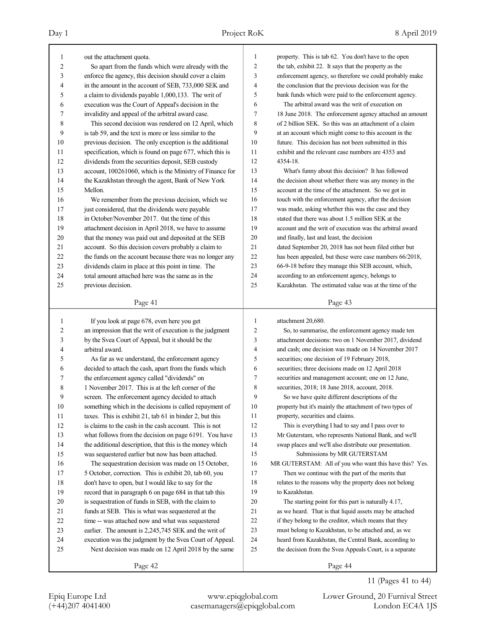| 1      | out the attachment quota.                                | 1              | property. This is tab 62. You don't have to the open     |
|--------|----------------------------------------------------------|----------------|----------------------------------------------------------|
| 2      | So apart from the funds which were already with the      | $\overline{c}$ | the tab, exhibit 22. It says that the property as the    |
| 3      | enforce the agency, this decision should cover a claim   | 3              | enforcement agency, so therefore we could probably make  |
| 4      | in the amount in the account of SEB, 733,000 SEK and     | $\overline{4}$ | the conclusion that the previous decision was for the    |
| 5      | a claim to dividends payable 1,000,133. The writ of      | 5              | bank funds which were paid to the enforcement agency.    |
| 6      | execution was the Court of Appeal's decision in the      | 6              | The arbitral award was the writ of execution on          |
| 7      | invalidity and appeal of the arbitral award case.        | $\overline{7}$ | 18 June 2018. The enforcement agency attached an amount  |
| 8      | This second decision was rendered on 12 April, which     | 8              | of 2 billion SEK. So this was an attachment of a claim   |
| 9      | is tab 59, and the text is more or less similar to the   | 9              | at an account which might come to this account in the    |
| 10     | previous decision. The only exception is the additional  | 10             | future. This decision has not been submitted in this     |
| 11     | specification, which is found on page 677, which this is | 11             | exhibit and the relevant case numbers are 4353 and       |
| 12     | dividends from the securities deposit, SEB custody       | 12             | 4354-18.                                                 |
| 13     | account, 100261060, which is the Ministry of Finance for | 13             | What's funny about this decision? It has followed        |
| 14     | the Kazakhstan through the agent, Bank of New York       | 14             | the decision about whether there was any money in the    |
| 15     | Mellon.                                                  | 15             | account at the time of the attachment. So we got in      |
| 16     | We remember from the previous decision, which we         | 16             | touch with the enforcement agency, after the decision    |
| 17     | just considered, that the dividends were payable         | 17             | was made, asking whether this was the case and they      |
| 18     | in October/November 2017. Oat the time of this           | 18             | stated that there was about 1.5 million SEK at the       |
| 19     | attachment decision in April 2018, we have to assume     | 19             | account and the writ of execution was the arbitral award |
| 20     | that the money was paid out and deposited at the SEB     | 20             | and finally, last and least, the decision                |
| 21     | account. So this decision covers probably a claim to     | 21             | dated September 20, 2018 has not been filed either but   |
| 22     | the funds on the account because there was no longer any | 22             | has been appealed, but these were case numbers 66/2018,  |
| 23     | dividends claim in place at this point in time. The      | 23             | 66-9-18 before they manage this SEB account, which,      |
| 24     | total amount attached here was the same as in the        | 24             | according to an enforcement agency, belongs to           |
| 25     | previous decision.                                       | 25             | Kazakhstan. The estimated value was at the time of the   |
|        |                                                          |                |                                                          |
|        | Page 41                                                  |                | Page 43                                                  |
|        |                                                          |                |                                                          |
|        |                                                          |                |                                                          |
| 1      | If you look at page 678, even here you get               | 1              | attachment 20,680.                                       |
| 2      | an impression that the writ of execution is the judgment | 2              | So, to summarise, the enforcement agency made ten        |
| 3      | by the Svea Court of Appeal, but it should be the        | 3              | attachment decisions: two on 1 November 2017, dividend   |
| 4      | arbitral award.                                          | $\overline{4}$ | and cash; one decision was made on 14 November 2017      |
| 5      | As far as we understand, the enforcement agency          | 5              | securities; one decision of 19 February 2018,            |
| 6      | decided to attach the cash, apart from the funds which   | 6              | securities; three decisions made on 12 April 2018        |
| 7      | the enforcement agency called "dividends" on             | 7              | securities and management account; one on 12 June,       |
| 8      | 1 November 2017. This is at the left corner of the       | 8              | securities, 2018; 18 June 2018, account, 2018.           |
| 9      | screen. The enforcement agency decided to attach         | 9              | So we have quite different descriptions of the           |
| $10\,$ | something which in the decisions is called repayment of  | $10\,$         | property but it's mainly the attachment of two types of  |
| 11     | taxes. This is exhibit 21, tab 61 in binder 2, but this  | 11             | property, securities and claims.                         |
| 12     | is claims to the cash in the cash account. This is not   | 12             | This is everything I had to say and I pass over to       |
| 13     | what follows from the decision on page 6191. You have    | 13             | Mr Guterstam, who represents National Bank, and we'll    |
| 14     | the additional description, that this is the money which | 14             | swap places and we'll also distribute our presentation.  |
| 15     | was sequestered earlier but now has been attached.       | 15             | Submissions by MR GUTERSTAM                              |
| 16     | The sequestration decision was made on 15 October,       | 16             | MR GUTERSTAM: All of you who want this have this? Yes.   |
| 17     | 5 October, correction. This is exhibit 20, tab 60, you   | 17             | Then we continue with the part of the merits that        |
| 18     | don't have to open, but I would like to say for the      | 18             | relates to the reasons why the property does not belong  |
| 19     | record that in paragraph 6 on page 684 in that tab this  | 19             | to Kazakhstan.                                           |
| 20     | is sequestration of funds in SEB, with the claim to      | 20             | The starting point for this part is naturally 4.17,      |
| 21     | funds at SEB. This is what was sequestered at the        | 21             | as we heard. That is that liquid assets may be attached  |
| 22     | time -- was attached now and what was sequestered        | 22             | if they belong to the creditor, which means that they    |
| 23     | earlier. The amount is 2,245,745 SEK and the writ of     | 23             | must belong to Kazakhstan, to be attached and, as we     |
| 24     | execution was the judgment by the Svea Court of Appeal.  | 24             | heard from Kazakhstan, the Central Bank, according to    |
| 25     | Next decision was made on 12 April 2018 by the same      | 25             | the decision from the Svea Appeals Court, is a separate  |

11 (Pages 41 to 44)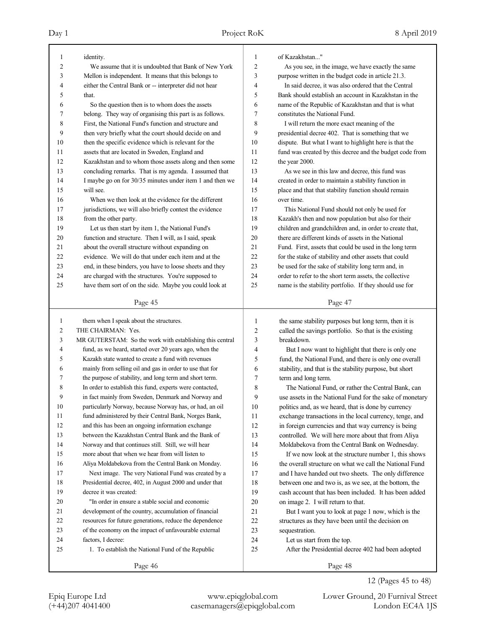| 1              | identity.                                                | 1              | of Kazakhstan"                                           |
|----------------|----------------------------------------------------------|----------------|----------------------------------------------------------|
| $\overline{c}$ | We assume that it is undoubted that Bank of New York     | $\overline{c}$ | As you see, in the image, we have exactly the same       |
| 3              | Mellon is independent. It means that this belongs to     | 3              | purpose written in the budget code in article 21.3.      |
| 4              | either the Central Bank or -- interpreter did not hear   | 4              | In said decree, it was also ordered that the Central     |
| 5              | that.                                                    | 5              | Bank should establish an account in Kazakhstan in the    |
| 6              | So the question then is to whom does the assets          | 6              | name of the Republic of Kazakhstan and that is what      |
| 7              | belong. They way of organising this part is as follows.  | 7              | constitutes the National Fund.                           |
| 8              | First, the National Fund's function and structure and    | 8              | I will return the more exact meaning of the              |
| 9              | then very briefly what the court should decide on and    | 9              | presidential decree 402. That is something that we       |
| 10             | then the specific evidence which is relevant for the     | 10             | dispute. But what I want to highlight here is that the   |
| 11             | assets that are located in Sweden, England and           | 11             | fund was created by this decree and the budget code from |
| 12             | Kazakhstan and to whom those assets along and then some  | 12             | the year 2000.                                           |
| 13             |                                                          | 13             |                                                          |
|                | concluding remarks. That is my agenda. I assumed that    |                | As we see in this law and decree, this fund was          |
| 14             | I maybe go on for 30/35 minutes under item 1 and then we | 14             | created in order to maintain a stability function in     |
| 15             | will see.                                                | 15             | place and that that stability function should remain     |
| 16             | When we then look at the evidence for the different      | 16             | over time.                                               |
| 17             | jurisdictions, we will also briefly contest the evidence | 17             | This National Fund should not only be used for           |
| 18             | from the other party.                                    | 18             | Kazakh's then and now population but also for their      |
| 19             | Let us then start by item 1, the National Fund's         | 19             | children and grandchildren and, in order to create that, |
| 20             | function and structure. Then I will, as I said, speak    | 20             | there are different kinds of assets in the National      |
| 21             | about the overall structure without expanding on         | 21             | Fund. First, assets that could be used in the long term  |
| 22             | evidence. We will do that under each item and at the     | 22             | for the stake of stability and other assets that could   |
| 23             | end, in these binders, you have to loose sheets and they | 23             | be used for the sake of stability long term and, in      |
| 24             | are charged with the structures. You're supposed to      | 24             | order to refer to the short term assets, the collective  |
| 25             | have them sort of on the side. Maybe you could look at   | 25             | name is the stability portfolio. If they should use for  |
|                |                                                          |                |                                                          |
|                | Page 45                                                  |                | Page 47                                                  |
|                |                                                          |                |                                                          |
|                |                                                          |                |                                                          |
| $\mathbf{1}$   | them when I speak about the structures.                  | 1              | the same stability purposes but long term, then it is    |
| $\overline{c}$ | THE CHAIRMAN: Yes.                                       | 2              | called the savings portfolio. So that is the existing    |
| 3              | MR GUTERSTAM: So the work with establishing this central | 3              | breakdown.                                               |
| 4              | fund, as we heard, started over 20 years ago, when the   | 4              | But I now want to highlight that there is only one       |
| 5              | Kazakh state wanted to create a fund with revenues       | 5              | fund, the National Fund, and there is only one overall   |
| 6              | mainly from selling oil and gas in order to use that for | 6              | stability, and that is the stability purpose, but short  |
| 7              | the purpose of stability, and long term and short term.  | 7              | term and long term.                                      |
| 8              | In order to establish this fund, experts were contacted, | 8              | The National Fund, or rather the Central Bank, can       |
| 9              | in fact mainly from Sweden, Denmark and Norway and       | 9              | use assets in the National Fund for the sake of monetary |
| 10             | particularly Norway, because Norway has, or had, an oil  | 10             | politics and, as we heard, that is done by currency      |
| 11             | fund administered by their Central Bank, Norges Bank,    | 11             | exchange transactions in the local currency, tenge, and  |
| 12             | and this has been an ongoing information exchange        | 12             | in foreign currencies and that way currency is being     |
| 13             | between the Kazakhstan Central Bank and the Bank of      | 13             |                                                          |
| 14             |                                                          |                | controlled. We will here more about that from Aliya      |
|                | Norway and that continues still. Still, we will hear     | 14             | Moldabekova from the Central Bank on Wednesday.          |
| 15             | more about that when we hear from will listen to         | 15             | If we now look at the structure number 1, this shows     |
| 16             | Aliya Moldabekova from the Central Bank on Monday.       | 16             | the overall structure on what we call the National Fund  |
| 17             | Next image. The very National Fund was created by a      | 17             | and I have handed out two sheets. The only difference    |
| 18             | Presidential decree, 402, in August 2000 and under that  | 18             | between one and two is, as we see, at the bottom, the    |
| 19             | decree it was created:                                   | 19             | cash account that has been included. It has been added   |
| 20             | "In order in ensure a stable social and economic         | 20             | on image 2. I will return to that.                       |
| 21             | development of the country, accumulation of financial    | 21             | But I want you to look at page 1 now, which is the       |
| 22             | resources for future generations, reduce the dependence  | 22             | structures as they have been until the decision on       |
| 23             | of the economy on the impact of unfavourable external    | 23             | sequestration.                                           |
| 24             | factors, I decree:                                       | 24             | Let us start from the top.                               |
| 25             | 1. To establish the National Fund of the Republic        | 25             | After the Presidential decree 402 had been adopted       |
|                | Page 46                                                  |                | Page 48                                                  |

12 (Pages 45 to 48)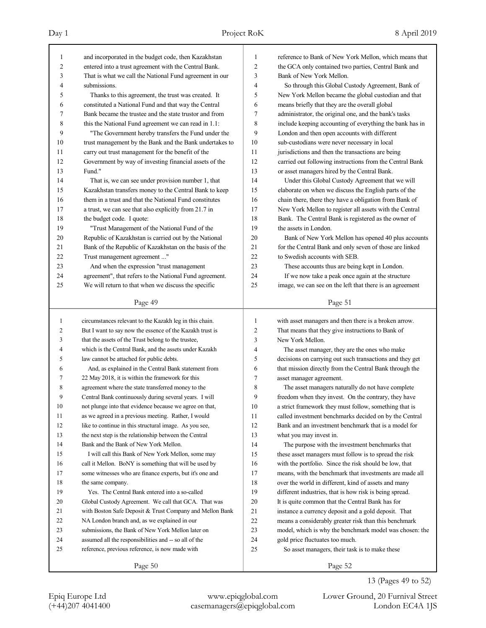| 1              | and incorporated in the budget code, then Kazakhstan       | 1        | reference to Bank of New York Mellon, which means that    |
|----------------|------------------------------------------------------------|----------|-----------------------------------------------------------|
| $\overline{c}$ | entered into a trust agreement with the Central Bank.      | 2        | the GCA only contained two parties, Central Bank and      |
| 3              | That is what we call the National Fund agreement in our    | 3        | Bank of New York Mellon.                                  |
| 4              | submissions.                                               | 4        | So through this Global Custody Agreement, Bank of         |
| 5              | Thanks to this agreement, the trust was created. It        | 5        | New York Mellon became the global custodian and that      |
| 6              | constituted a National Fund and that way the Central       | 6        | means briefly that they are the overall global            |
| 7              | Bank became the trustee and the state trustor and from     | 7        | administrator, the original one, and the bank's tasks     |
| 8              | this the National Fund agreement we can read in 1.1:       | 8        | include keeping accounting of everything the bank has in  |
| 9              | "The Government hereby transfers the Fund under the        | 9        | London and then open accounts with different              |
| 10             | trust management by the Bank and the Bank undertakes to    | 10       | sub-custodians were never necessary in local              |
| 11             | carry out trust management for the benefit of the          | 11       | jurisdictions and then the transactions are being         |
| 12             | Government by way of investing financial assets of the     | 12       | carried out following instructions from the Central Bank  |
| 13             | Fund."                                                     | 13       | or asset managers hired by the Central Bank.              |
| 14             | That is, we can see under provision number 1, that         | 14       | Under this Global Custody Agreement that we will          |
| 15             | Kazakhstan transfers money to the Central Bank to keep     | 15       | elaborate on when we discuss the English parts of the     |
| 16             | them in a trust and that the National Fund constitutes     | 16       | chain there, there they have a obligation from Bank of    |
| 17             | a trust, we can see that also explicitly from 21.7 in      | 17       | New York Mellon to register all assets with the Central   |
| 18             | the budget code. I quote:                                  | 18       | Bank. The Central Bank is registered as the owner of      |
| 19             | "Trust Management of the National Fund of the              | 19       | the assets in London.                                     |
| 20             | Republic of Kazakhstan is carried out by the National      | 20       | Bank of New York Mellon has opened 40 plus accounts       |
| 21             | Bank of the Republic of Kazakhstan on the basis of the     | 21       | for the Central Bank and only seven of those are linked   |
| 22             | Trust management agreement "                               | 22       | to Swedish accounts with SEB.                             |
| 23             | And when the expression "trust management                  | 23       | These accounts thus are being kept in London.             |
| 24             | agreement", that refers to the National Fund agreement.    | 24       | If we now take a peak once again at the structure         |
| 25             | We will return to that when we discuss the specific        | 25       | image, we can see on the left that there is an agreement  |
|                | Page 49                                                    |          | Page 51                                                   |
|                |                                                            |          |                                                           |
|                |                                                            |          |                                                           |
| 1              | circumstances relevant to the Kazakh leg in this chain.    | 1        | with asset managers and then there is a broken arrow.     |
| 2              | But I want to say now the essence of the Kazakh trust is   | 2        | That means that they give instructions to Bank of         |
| 3              | that the assets of the Trust belong to the trustee,        | 3        | New York Mellon.                                          |
| 4              | which is the Central Bank, and the assets under Kazakh     | 4        | The asset manager, they are the ones who make             |
| 5              | law cannot be attached for public debts.                   | 5        | decisions on carrying out such transactions and they get  |
| 6              | And, as explained in the Central Bank statement from       | 6        | that mission directly from the Central Bank through the   |
| 7              | 22 May 2018, it is within the framework for this           | 7        | asset manager agreement.                                  |
| 8              | agreement where the state transferred money to the         | 8        | The asset managers naturally do not have complete         |
| 9              | Central Bank continuously during several years. I will     | 9        | freedom when they invest. On the contrary, they have      |
| 10             | not plunge into that evidence because we agree on that,    | 10       | a strict framework they must follow, something that is    |
| 11             | as we agreed in a previous meeting. Rather, I would        | 11       | called investment benchmarks decided on by the Central    |
| 12             | like to continue in this structural image. As you see,     | 12       | Bank and an investment benchmark that is a model for      |
| 13             | the next step is the relationship between the Central      | 13       | what you may invest in.                                   |
| 14             | Bank and the Bank of New York Mellon.                      | 14       | The purpose with the investment benchmarks that           |
| 15             | I will call this Bank of New York Mellon, some may         | 15       | these asset managers must follow is to spread the risk    |
| 16             | call it Mellon. BoNY is something that will be used by     | 16       | with the portfolio. Since the risk should be low, that    |
| 17             | some witnesses who are finance experts, but it's one and   | 17       | means, with the benchmark that investments are made all   |
| 18             | the same company.                                          | 18       | over the world in different, kind of assets and many      |
| 19             | Yes. The Central Bank entered into a so-called             | 19       | different industries, that is how risk is being spread.   |
| 20             | Global Custody Agreement. We call that GCA. That was       | 20       | It is quite common that the Central Bank has for          |
| 21             | with Boston Safe Deposit & Trust Company and Mellon Bank   | 21       | instance a currency deposit and a gold deposit. That      |
| 22             | NA London branch and, as we explained in our               | $22\,$   | means a considerably greater risk than this benchmark     |
| 23             | submissions, the Bank of New York Mellon later on          | 23       | model, which is why the benchmark model was chosen: the   |
| 24<br>25       | assumed all the responsibilities and -- so all of the      | 24<br>25 | gold price fluctuates too much.                           |
|                | reference, previous reference, is now made with<br>Page 50 |          | So asset managers, their task is to make these<br>Page 52 |

13 (Pages 49 to 52)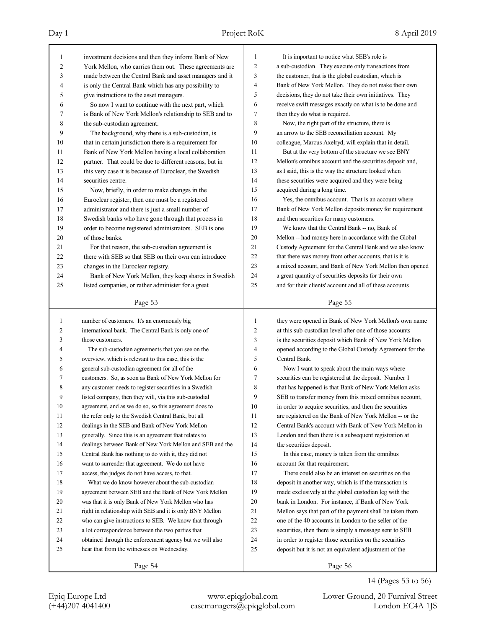| 1            | investment decisions and then they inform Bank of New    | 1            | It is important to notice what SEB's role is             |
|--------------|----------------------------------------------------------|--------------|----------------------------------------------------------|
| 2            | York Mellon, who carries them out. These agreements are  | 2            | a sub-custodian. They execute only transactions from     |
| 3            | made between the Central Bank and asset managers and it  | 3            | the customer, that is the global custodian, which is     |
| 4            | is only the Central Bank which has any possibility to    | 4            | Bank of New York Mellon. They do not make their own      |
| 5            | give instructions to the asset managers.                 | 5            | decisions, they do not take their own initiatives. They  |
| 6            | So now I want to continue with the next part, which      | 6            | receive swift messages exactly on what is to be done and |
| 7            | is Bank of New York Mellon's relationship to SEB and to  | 7            | then they do what is required.                           |
| 8            | the sub-custodian agreement.                             | 8            | Now, the right part of the structure, there is           |
| 9            | The background, why there is a sub-custodian, is         | 9            | an arrow to the SEB reconciliation account. My           |
| 10           | that in certain jurisdiction there is a requirement for  | 10           | colleague, Marcus Axelryd, will explain that in detail.  |
| 11           | Bank of New York Mellon having a local collaboration     | 11           | But at the very bottom of the structure we see BNY       |
| 12           | partner. That could be due to different reasons, but in  | 12           | Mellon's omnibus account and the securities deposit and, |
| 13           | this very case it is because of Euroclear, the Swedish   | 13           | as I said, this is the way the structure looked when     |
| 14           | securities centre.                                       | 14           | these securities were acquired and they were being       |
| 15           | Now, briefly, in order to make changes in the            | 15           | acquired during a long time.                             |
| 16           | Euroclear register, then one must be a registered        | 16           | Yes, the omnibus account. That is an account where       |
| 17           | administrator and there is just a small number of        | 17           | Bank of New York Mellon deposits money for requirement   |
| 18           | Swedish banks who have gone through that process in      | 18           | and then securities for many customers.                  |
| 19           | order to become registered administrators. SEB is one    | 19           | We know that the Central Bank -- no, Bank of             |
| 20           | of those banks.                                          | 20           | Mellon -- had money here in accordance with the Global   |
| 21           | For that reason, the sub-custodian agreement is          | 21           | Custody Agreement for the Central Bank and we also know  |
| 22           | there with SEB so that SEB on their own can introduce    | 22           | that there was money from other accounts, that is it is  |
| 23           | changes in the Euroclear registry.                       | 23           | a mixed account, and Bank of New York Mellon then opened |
| 24           | Bank of New York Mellon, they keep shares in Swedish     | 24           | a great quantity of securities deposits for their own    |
| 25           | listed companies, or rather administer for a great       | 25           | and for their clients' account and all of these accounts |
|              | Page 53                                                  |              | Page 55                                                  |
|              |                                                          |              |                                                          |
|              |                                                          |              |                                                          |
| $\mathbf{1}$ | number of customers. It's an enormously big              | $\mathbf{1}$ | they were opened in Bank of New York Mellon's own name   |
| 2            | international bank. The Central Bank is only one of      | 2            | at this sub-custodian level after one of those accounts  |
| 3            | those customers.                                         | 3            | is the securities deposit which Bank of New York Mellon  |
| 4            | The sub-custodian agreements that you see on the         | 4            | opened according to the Global Custody Agreement for the |
| 5            | overview, which is relevant to this case, this is the    | 5            | Central Bank.                                            |
| 6            | general sub-custodian agreement for all of the           | 6            | Now I want to speak about the main ways where            |
| 7            | customers. So, as soon as Bank of New York Mellon for    | 7            | securities can be registered at the deposit. Number 1    |
| 8            | any customer needs to register securities in a Swedish   | 8            | that has happened is that Bank of New York Mellon asks   |
| 9            | listed company, then they will, via this sub-custodial   | 9            | SEB to transfer money from this mixed omnibus account,   |
| 10           | agreement, and as we do so, so this agreement does to    | 10           | in order to acquire securities, and then the securities  |
| 11           | the refer only to the Swedish Central Bank, but all      | 11           | are registered on the Bank of New York Mellon -- or the  |
| 12           | dealings in the SEB and Bank of New York Mellon          | 12           | Central Bank's account with Bank of New York Mellon in   |
| 13           | generally. Since this is an agreement that relates to    | 13           | London and then there is a subsequent registration at    |
| 14           | dealings between Bank of New York Mellon and SEB and the | 14           | the securities deposit.                                  |
| 15           | Central Bank has nothing to do with it, they did not     | 15           | In this case, money is taken from the omnibus            |
| 16           | want to surrender that agreement. We do not have         | 16           | account for that requirement.                            |
| 17           | access, the judges do not have access, to that.          | 17           | There could also be an interest on securities on the     |
| 18           | What we do know however about the sub-custodian          | 18           | deposit in another way, which is if the transaction is   |
| 19           | agreement between SEB and the Bank of New York Mellon    | 19           | made exclusively at the global custodian leg with the    |
| 20           | was that it is only Bank of New York Mellon who has      | 20           | bank in London. For instance, if Bank of New York        |
| 21           | right in relationship with SEB and it is only BNY Mellon | 21           | Mellon says that part of the payment shall be taken from |
| 22           | who can give instructions to SEB. We know that through   | 22           | one of the 40 accounts in London to the seller of the    |
| 23           | a lot correspondence between the two parties that        | 23           | securities, then there is simply a message sent to SEB   |
| 24           | obtained through the enforcement agency but we will also | 24           | in order to register those securities on the securities  |
| 25           | hear that from the witnesses on Wednesday.               | 25           | deposit but it is not an equivalent adjustment of the    |

14 (Pages 53 to 56)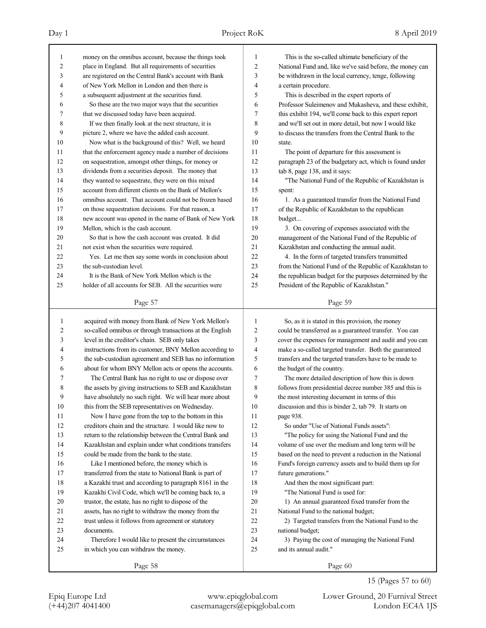| 1              | money on the omnibus account, because the things took                                                           | 1              | This is the so-called ultimate beneficiary of the                                                            |
|----------------|-----------------------------------------------------------------------------------------------------------------|----------------|--------------------------------------------------------------------------------------------------------------|
| $\overline{2}$ | place in England. But all requirements of securities                                                            | $\overline{c}$ | National Fund and, like we've said before, the money can                                                     |
| 3              | are registered on the Central Bank's account with Bank                                                          | 3              | be withdrawn in the local currency, tenge, following                                                         |
| 4              | of New York Mellon in London and then there is                                                                  | 4              | a certain procedure.                                                                                         |
| 5              | a subsequent adjustment at the securities fund.                                                                 | 5              | This is described in the expert reports of                                                                   |
| 6              | So these are the two major ways that the securities                                                             | 6              | Professor Suleimenov and Mukasheva, and these exhibit,                                                       |
| 7              | that we discussed today have been acquired.                                                                     | 7              | this exhibit 194, we'll come back to this expert report                                                      |
| 8              | If we then finally look at the next structure, it is                                                            | 8              | and we'll set out in more detail, but now I would like                                                       |
| 9              | picture 2, where we have the added cash account.                                                                | 9              | to discuss the transfers from the Central Bank to the                                                        |
| 10             | Now what is the background of this? Well, we heard                                                              | 10             | state.                                                                                                       |
| 11             | that the enforcement agency made a number of decisions                                                          | 11             | The point of departure for this assessment is                                                                |
| 12             | on sequestration, amongst other things, for money or                                                            | 12             | paragraph 23 of the budgetary act, which is found under                                                      |
| 13             | dividends from a securities deposit. The money that                                                             | 13             | tab 8, page 138, and it says:                                                                                |
| 14             | they wanted to sequestrate, they were on this mixed                                                             | 14             | "The National Fund of the Republic of Kazakhstan is                                                          |
| 15             | account from different clients on the Bank of Mellon's                                                          | 15             | spent:                                                                                                       |
| 16             | omnibus account. That account could not be frozen based                                                         | 16             | 1. As a guaranteed transfer from the National Fund                                                           |
| 17             | on those sequestration decisions. For that reason, a                                                            | 17             | of the Republic of Kazakhstan to the republican                                                              |
| 18             | new account was opened in the name of Bank of New York                                                          | 18             | budget                                                                                                       |
| 19             | Mellon, which is the cash account.                                                                              | 19             | 3. On covering of expenses associated with the                                                               |
| 20             | So that is how the cash account was created. It did                                                             | 20             | management of the National Fund of the Republic of                                                           |
| 21             | not exist when the securities were required.                                                                    | 21             | Kazakhstan and conducting the annual audit.                                                                  |
| 22             | Yes. Let me then say some words in conclusion about                                                             | 22             | 4. In the form of targeted transfers transmitted                                                             |
| 23             | the sub-custodian level.                                                                                        | 23             | from the National Fund of the Republic of Kazakhstan to                                                      |
| 24             | It is the Bank of New York Mellon which is the                                                                  | 24             | the republican budget for the purposes determined by the                                                     |
| 25             | holder of all accounts for SEB. All the securities were                                                         | 25             | President of the Republic of Kazakhstan."                                                                    |
|                | Page 57                                                                                                         |                | Page 59                                                                                                      |
|                |                                                                                                                 |                |                                                                                                              |
|                |                                                                                                                 |                |                                                                                                              |
| 1              |                                                                                                                 | $\mathbf{1}$   |                                                                                                              |
| 2              | acquired with money from Bank of New York Mellon's<br>so-called omnibus or through transactions at the English  | $\overline{c}$ | So, as it is stated in this provision, the money                                                             |
| 3              | level in the creditor's chain. SEB only takes                                                                   | 3              | could be transferred as a guaranteed transfer. You can                                                       |
| 4              |                                                                                                                 | 4              | cover the expenses for management and audit and you can                                                      |
| 5              | instructions from its customer, BNY Mellon according to                                                         | 5              | make a so-called targeted transfer. Both the guaranteed                                                      |
| 6              | the sub-custodian agreement and SEB has no information<br>about for whom BNY Mellon acts or opens the accounts. | 6              | transfers and the targeted transfers have to be made to<br>the budget of the country.                        |
| 7              |                                                                                                                 | 7              |                                                                                                              |
| 8              | The Central Bank has no right to use or dispose over<br>the assets by giving instructions to SEB and Kazakhstan | 8              | The more detailed description of how this is down<br>follows from presidential decree number 385 and this is |
| 9              |                                                                                                                 | 9              | the most interesting document in terms of this                                                               |
| 10             | have absolutely no such right. We will hear more about<br>this from the SEB representatives on Wednesday.       | 10             | discussion and this is binder 2, tab 79. It starts on                                                        |
| 11             | Now I have gone from the top to the bottom in this                                                              | 11             | page 938.                                                                                                    |
| 12             | creditors chain and the structure. I would like now to                                                          | 12             | So under "Use of National Funds assets":                                                                     |
| 13             |                                                                                                                 | 13             |                                                                                                              |
| 14             | return to the relationship between the Central Bank and                                                         | 14             | "The policy for using the National Fund and the<br>volume of use over the medium and long term will be       |
| 15             | Kazakhstan and explain under what conditions transfers<br>could be made from the bank to the state.             | 15             |                                                                                                              |
| 16             |                                                                                                                 | 16             | based on the need to prevent a reduction in the National                                                     |
| 17             | Like I mentioned before, the money which is<br>transferred from the state to National Bank is part of           | 17             | Fund's foreign currency assets and to build them up for                                                      |
| 18             |                                                                                                                 | 18             | future generations."<br>And then the most significant part:                                                  |
| 19             | a Kazakhi trust and according to paragraph 8161 in the<br>Kazakhi Civil Code, which we'll be coming back to, a  | 19             | "The National Fund is used for:                                                                              |
| 20             |                                                                                                                 | 20             |                                                                                                              |
| 21             | trustor, the estate, has no right to dispose of the<br>assets, has no right to withdraw the money from the      | 21             | 1) An annual guaranteed fixed transfer from the<br>National Fund to the national budget;                     |
| 22             | trust unless it follows from agreement or statutory                                                             | 22             | 2) Targeted transfers from the National Fund to the                                                          |
| 23             | documents.                                                                                                      | 23             | national budget;                                                                                             |
| 24             | Therefore I would like to present the circumstances                                                             | 24             | 3) Paying the cost of managing the National Fund                                                             |
| 25             | in which you can withdraw the money.                                                                            | 25             | and its annual audit."                                                                                       |
|                | Page 58                                                                                                         |                | Page 60                                                                                                      |

15 (Pages 57 to 60)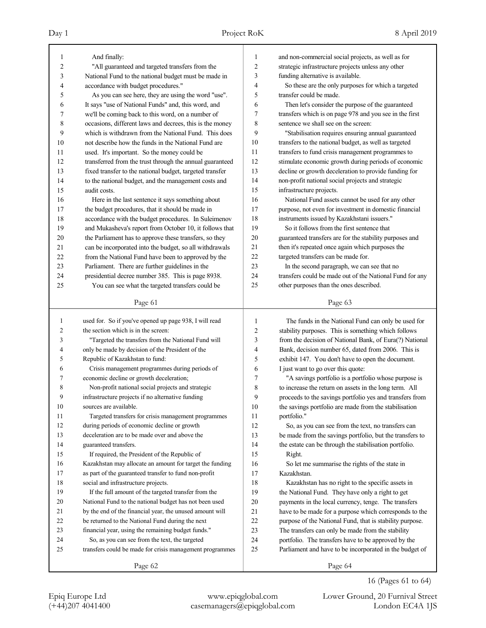| 1  | And finally:                                             | 1              | and non-commercial social projects, as well as for       |
|----|----------------------------------------------------------|----------------|----------------------------------------------------------|
| 2  | "All guaranteed and targeted transfers from the          | $\overline{2}$ | strategic infrastructure projects unless any other       |
| 3  | National Fund to the national budget must be made in     | 3              | funding alternative is available.                        |
| 4  | accordance with budget procedures."                      | 4              | So these are the only purposes for which a targeted      |
| 5  | As you can see here, they are using the word "use".      | 5              | transfer could be made.                                  |
| 6  | It says "use of National Funds" and, this word, and      | 6              | Then let's consider the purpose of the guaranteed        |
| 7  | we'll be coming back to this word, on a number of        | 7              | transfers which is on page 978 and you see in the first  |
| 8  | occasions, different laws and decrees, this is the money | 8              | sentence we shall see on the screen:                     |
| 9  | which is withdrawn from the National Fund. This does     | 9              | "Stabilisation requires ensuring annual guaranteed       |
| 10 | not describe how the funds in the National Fund are      | 10             | transfers to the national budget, as well as targeted    |
| 11 | used. It's important. So the money could be              | 11             | transfers to fund crisis management programmes to        |
| 12 | transferred from the trust through the annual guaranteed | 12             | stimulate economic growth during periods of economic     |
| 13 | fixed transfer to the national budget, targeted transfer | 13             | decline or growth deceleration to provide funding for    |
| 14 | to the national budget, and the management costs and     | 14             | non-profit national social projects and strategic        |
| 15 | audit costs.                                             | 15             | infrastructure projects.                                 |
| 16 | Here in the last sentence it says something about        | 16             | National Fund assets cannot be used for any other        |
| 17 | the budget procedures, that it should be made in         | 17             | purpose, not even for investment in domestic financial   |
| 18 | accordance with the budget procedures. In Suleimenov     | 18             | instruments issued by Kazakhstani issuers."              |
| 19 | and Mukasheva's report from October 10, it follows that  | 19             | So it follows from the first sentence that               |
| 20 | the Parliament has to approve these transfers, so they   | 20             | guaranteed transfers are for the stability purposes and  |
| 21 | can be incorporated into the budget, so all withdrawals  | 21             | then it's repeated once again which purposes the         |
| 22 | from the National Fund have been to approved by the      | 22             | targeted transfers can be made for.                      |
| 23 | Parliament. There are further guidelines in the          | 23             | In the second paragraph, we can see that no              |
| 24 | presidential decree number 385. This is page 8938.       | 24             | transfers could be made out of the National Fund for any |
| 25 | You can see what the targeted transfers could be         | 25             | other purposes than the ones described.                  |
|    |                                                          |                |                                                          |
|    | Page 61                                                  |                | Page 63                                                  |
|    |                                                          |                |                                                          |
|    |                                                          |                |                                                          |
| 1  | used for. So if you've opened up page 938, I will read   | 1              | The funds in the National Fund can only be used for      |
| 2  | the section which is in the screen:                      | 2              | stability purposes. This is something which follows      |
| 3  | "Targeted the transfers from the National Fund will      | 3              | from the decision of National Bank, of Eura(?) National  |
| 4  | only be made by decision of the President of the         | 4              | Bank, decision number 65, dated from 2006. This is       |
| 5  | Republic of Kazakhstan to fund:                          | 5              | exhibit 147. You don't have to open the document.        |
| 6  | Crisis management programmes during periods of           | 6              | I just want to go over this quote:                       |
| 7  | economic decline or growth deceleration;                 | 7              | "A savings portfolio is a portfolio whose purpose is     |
| 8  | Non-profit national social projects and strategic        | 8              | to increase the return on assets in the long term. All   |
| 9  | infrastructure projects if no alternative funding        | 9              | proceeds to the savings portfolio yes and transfers from |
| 10 | sources are available.                                   | 10             | the savings portfolio are made from the stabilisation    |
| 11 | Targeted transfers for crisis management programmes      | 11             | portfolio."                                              |
| 12 | during periods of economic decline or growth             | 12             | So, as you can see from the text, no transfers can       |
| 13 | deceleration are to be made over and above the           | 13             | be made from the savings portfolio, but the transfers to |
| 14 | guaranteed transfers.                                    | 14             | the estate can be through the stabilisation portfolio.   |
| 15 | If required, the President of the Republic of            | 15             | Right.                                                   |
| 16 | Kazakhstan may allocate an amount for target the funding | 16             | So let me summarise the rights of the state in           |
| 17 | as part of the guaranteed transfer to fund non-profit    | 17             | Kazakhstan.                                              |
| 18 | social and infrastructure projects.                      | 18             | Kazakhstan has no right to the specific assets in        |
| 19 | If the full amount of the targeted transfer from the     | 19             | the National Fund. They have only a right to get         |
| 20 | National Fund to the national budget has not been used   | 20             | payments in the local currency, tenge. The transfers     |
| 21 | by the end of the financial year, the unused amount will | 21             | have to be made for a purpose which corresponds to the   |
| 22 | be returned to the National Fund during the next         | 22             | purpose of the National Fund, that is stability purpose. |
| 23 | financial year, using the remaining budget funds."       | 23             | The transfers can only be made from the stability        |
| 24 | So, as you can see from the text, the targeted           | 24             | portfolio. The transfers have to be approved by the      |
| 25 | transfers could be made for crisis management programmes | 25             | Parliament and have to be incorporated in the budget of  |
|    | Page 62                                                  |                | Page 64                                                  |

16 (Pages 61 to 64)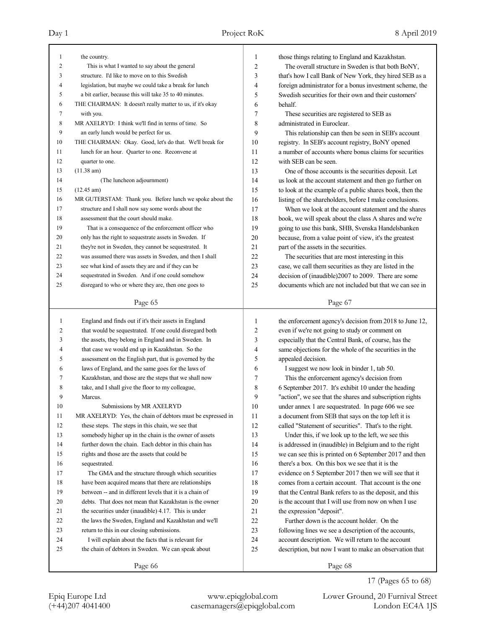| $\mathbf{1}$ | the country.                                               | 1              | those things relating to England and Kazakhstan.         |
|--------------|------------------------------------------------------------|----------------|----------------------------------------------------------|
| 2            | This is what I wanted to say about the general             | $\overline{c}$ | The overall structure in Sweden is that both BoNY,       |
| 3            | structure. I'd like to move on to this Swedish             | 3              | that's how I call Bank of New York, they hired SEB as a  |
| 4            | legislation, but maybe we could take a break for lunch     | 4              | foreign administrator for a bonus investment scheme, the |
| 5            | a bit earlier, because this will take 35 to 40 minutes.    | 5              | Swedish securities for their own and their customers'    |
| 6            | THE CHAIRMAN: It doesn't really matter to us, if it's okay | 6              | behalf.                                                  |
| 7            | with you.                                                  | 7              | These securities are registered to SEB as                |
| 8            | MR AXELRYD: I think we'll find in terms of time. So        | 8              | administrated in Euroclear.                              |
| 9            | an early lunch would be perfect for us.                    | 9              | This relationship can then be seen in SEB's account      |
| 10           | THE CHAIRMAN: Okay. Good, let's do that. We'll break for   | 10             | registry. In SEB's account registry, BoNY opened         |
| 11           | lunch for an hour. Quarter to one. Reconvene at            | 11             | a number of accounts where bonus claims for securities   |
| 12           | quarter to one.                                            | 12             | with SEB can be seen.                                    |
| 13           | (11.38 am)                                                 | 13             | One of those accounts is the securities deposit. Let     |
| 14           | (The luncheon adjournment)                                 | 14             | us look at the account statement and then go further on  |
| 15           | $(12.45 \text{ am})$                                       | 15             | to look at the example of a public shares book, then the |
| 16           | MR GUTERSTAM: Thank you. Before lunch we spoke about the   | 16             | listing of the shareholders, before I make conclusions.  |
| 17           | structure and I shall now say some words about the         | 17             | When we look at the account statement and the shares     |
| 18           | assessment that the court should make.                     | 18             | book, we will speak about the class A shares and we're   |
| 19           | That is a consequence of the enforcement officer who       | 19             | going to use this bank, SHB, Svenska Handelsbanken       |
| 20           | only has the right to sequestrate assets in Sweden. If     | 20             | because, from a value point of view, it's the greatest   |
| 21           | they're not in Sweden, they cannot be sequestrated. It     | 21             | part of the assets in the securities.                    |
| 22           | was assumed there was assets in Sweden, and then I shall   | 22             | The securities that are most interesting in this         |
| 23           | see what kind of assets they are and if they can be        | 23             | case, we call them securities as they are listed in the  |
| 24           | sequestrated in Sweden. And if one could somehow           | 24             | decision of (inaudible)2007 to 2009. There are some      |
| 25           | disregard to who or where they are, then one goes to       | 25             | documents which are not included but that we can see in  |
|              |                                                            |                |                                                          |
|              | Page 65                                                    |                | Page 67                                                  |
|              |                                                            |                |                                                          |
|              |                                                            |                |                                                          |
| $\mathbf{1}$ | England and finds out if it's their assets in England      | 1              | the enforcement agency's decision from 2018 to June 12,  |
| 2            | that would be sequestrated. If one could disregard both    | $\overline{c}$ | even if we're not going to study or comment on           |
| 3            | the assets, they belong in England and in Sweden. In       | 3              | especially that the Central Bank, of course, has the     |
| 4            | that case we would end up in Kazakhstan. So the            | 4              | same objections for the whole of the securities in the   |
| 5            | assessment on the English part, that is governed by the    | 5              | appealed decision.                                       |
| 6            | laws of England, and the same goes for the laws of         | 6              | I suggest we now look in binder 1, tab 50.               |
| 7            | Kazakhstan, and those are the steps that we shall now      | 7              | This the enforcement agency's decision from              |
| 8            | take, and I shall give the floor to my colleague,          | 8              | 6 September 2017. It's exhibit 10 under the heading      |
| 9            | Marcus.                                                    | 9              | "action", we see that the shares and subscription rights |
| $10\,$       | Submissions by MR AXELRYD                                  | 10             | under annex 1 are sequestrated. In page 606 we see       |
| 11           | MR AXELRYD: Yes, the chain of debtors must be expressed in | 11             | a document from SEB that says on the top left it is      |
| 12           | these steps. The steps in this chain, we see that          | 12             | called "Statement of securities". That's to the right.   |
| 13           | somebody higher up in the chain is the owner of assets     | 13             | Under this, if we look up to the left, we see this       |
| 14           | further down the chain. Each debtor in this chain has      | 14             | is addressed in (inaudible) in Belgium and to the right  |
| 15           | rights and those are the assets that could be              | 15             | we can see this is printed on 6 September 2017 and then  |
| 16           | sequestrated.                                              | 16             | there's a box. On this box we see that it is the         |
| 17           | The GMA and the structure through which securities         | 17             | evidence on 5 September 2017 then we will see that it    |
| 18           | have been acquired means that there are relationships      | 18             | comes from a certain account. That account is the one    |
| 19           | between -- and in different levels that it is a chain of   | 19             | that the Central Bank refers to as the deposit, and this |
| 20           | debts. That does not mean that Kazakhstan is the owner     | 20             | is the account that I will use from now on when I use    |
| 21           | the securities under (inaudible) 4.17. This is under       | 21             | the expression "deposit".                                |
| 22           | the laws the Sweden, England and Kazakhstan and we'll      | 22             | Further down is the account holder. On the               |
| 23           | return to this in our closing submissions.                 | 23             | following lines we see a description of the accounts,    |
| 24           | I will explain about the facts that is relevant for        | 24             | account description. We will return to the account       |
| 25           | the chain of debtors in Sweden. We can speak about         | 25             | description, but now I want to make an observation that  |

17 (Pages 65 to 68)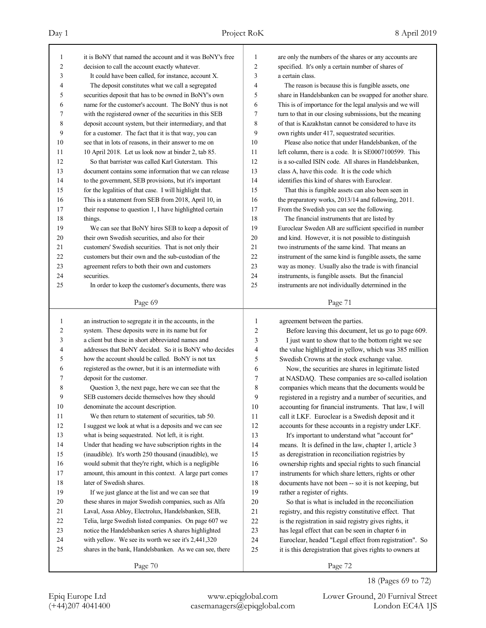| 1              | it is BoNY that named the account and it was BoNY's free | 1              | are only the numbers of the shares or any accounts are   |
|----------------|----------------------------------------------------------|----------------|----------------------------------------------------------|
| $\overline{c}$ | decision to call the account exactly whatever.           | $\overline{c}$ | specified. It's only a certain number of shares of       |
| 3              | It could have been called, for instance, account X.      | 3              | a certain class.                                         |
| 4              | The deposit constitutes what we call a segregated        | 4              | The reason is because this is fungible assets, one       |
| 5              | securities deposit that has to be owned in BoNY's own    | 5              | share in Handelsbanken can be swapped for another share. |
| 6              | name for the customer's account. The BoNY thus is not    | 6              | This is of importance for the legal analysis and we will |
| 7              | with the registered owner of the securities in this SEB  | 7              | turn to that in our closing submissions, but the meaning |
| 8              | deposit account system, but their intermediary, and that | 8              | of that is Kazakhstan cannot be considered to have its   |
| 9              | for a customer. The fact that it is that way, you can    | 9              | own rights under 417, sequestrated securities.           |
| 10             | see that in lots of reasons, in their answer to me on    | 10             | Please also notice that under Handelsbanken, of the      |
| 11             | 10 April 2018. Let us look now at binder 2, tab 85.      | 11             | left column, there is a code. It is SE0007100599. This   |
| 12             | So that barrister was called Karl Guterstam. This        | 12             | is a so-called ISIN code. All shares in Handelsbanken,   |
| 13             | document contains some information that we can release   | 13             | class A, have this code. It is the code which            |
| 14             | to the government, SEB provisions, but it's important    | 14             | identifies this kind of shares with Euroclear.           |
| 15             | for the legalities of that case. I will highlight that.  | 15             | That this is fungible assets can also been seen in       |
| 16             | This is a statement from SEB from 2018, April 10, in     | 16             | the preparatory works, 2013/14 and following, 2011.      |
| 17             | their response to question 1, I have highlighted certain | 17             | From the Swedish you can see the following.              |
| 18             | things.                                                  | 18             | The financial instruments that are listed by             |
| 19             | We can see that BoNY hires SEB to keep a deposit of      | 19             | Euroclear Sweden AB are sufficient specified in number   |
| 20             | their own Swedish securities, and also for their         | 20             | and kind. However, it is not possible to distinguish     |
| 21             | customers' Swedish securities. That is not only their    | 21             | two instruments of the same kind. That means an          |
| 22             | customers but their own and the sub-custodian of the     | 22             | instrument of the same kind is fungible assets, the same |
| 23             | agreement refers to both their own and customers         | 23             | way as money. Usually also the trade is with financial   |
| 24             | securities.                                              | 24             | instruments, is fungible assets. But the financial       |
| 25             | In order to keep the customer's documents, there was     | 25             | instruments are not individually determined in the       |
|                |                                                          |                |                                                          |
|                | Page 69                                                  |                | Page 71                                                  |
|                |                                                          |                |                                                          |
|                |                                                          |                |                                                          |
| $\mathbf{1}$   | an instruction to segregate it in the accounts, in the   | 1              | agreement between the parties.                           |
| 2              | system. These deposits were in its name but for          | 2              | Before leaving this document, let us go to page 609.     |
| 3              | a client but these in short abbreviated names and        | 3              | I just want to show that to the bottom right we see      |
| 4              | addresses that BoNY decided. So it is BoNY who decides   | 4              | the value highlighted in yellow, which was 385 million   |
| 5              | how the account should be called. BoNY is not tax        | 5              | Swedish Crowns at the stock exchange value.              |
| 6              | registered as the owner, but it is an intermediate with  | 6              | Now, the securities are shares in legitimate listed      |
| 7              | deposit for the customer.                                | 7              | at NASDAQ. These companies are so-called isolation       |
| 8              | Question 3, the next page, here we can see that the      | 8              | companies which means that the documents would be        |
| 9              | SEB customers decide themselves how they should          | 9              | registered in a registry and a number of securities, and |
| 10             | denominate the account description.                      | 10             | accounting for financial instruments. That law, I will   |
| 11             | We then return to statement of securities, tab 50.       | 11             | call it LKF. Euroclear is a Swedish deposit and it       |
| 12             | I suggest we look at what is a deposits and we can see   | 12             | accounts for these accounts in a registry under LKF.     |
| 13             | what is being sequestrated. Not left, it is right.       | 13             | It's important to understand what "account for"          |
| 14             | Under that heading we have subscription rights in the    | 14             | means. It is defined in the law, chapter 1, article 3    |
| 15             | (inaudible). It's worth 250 thousand (inaudible), we     | 15             | as deregistration in reconciliation registries by        |
| 16             | would submit that they're right, which is a negligible   | 16             | ownership rights and special rights to such financial    |
| 17             | amount, this amount in this context. A large part comes  | 17             | instruments for which share letters, rights or other     |
| $18\,$         | later of Swedish shares.                                 | $18\,$         | documents have not been -- so it is not keeping, but     |
| 19             | If we just glance at the list and we can see that        | 19             | rather a register of rights.                             |
| $20\,$         | these shares in major Swedish companies, such as Alfa    | $20\,$         | So that is what is included in the reconciliation        |
| 21             | Laval, Assa Abloy, Electrolux, Handelsbanken, SEB,       | 21             | registry, and this registry constitutive effect. That    |
| $22\,$         | Telia, large Swedish listed companies. On page 607 we    | $22\,$         | is the registration in said registry gives rights, it    |
| 23             | notice the Handelsbanken series A shares highlighted     | 23             | has legal effect that can be seen in chapter 6 in        |
| 24             | with yellow. We see its worth we see it's 2,441,320      | 24             | Euroclear, headed "Legal effect from registration". So   |
| 25             | shares in the bank, Handelsbanken. As we can see, there  | 25             | it is this deregistration that gives rights to owners at |
|                | Page 70                                                  |                | Page 72                                                  |

18 (Pages 69 to 72)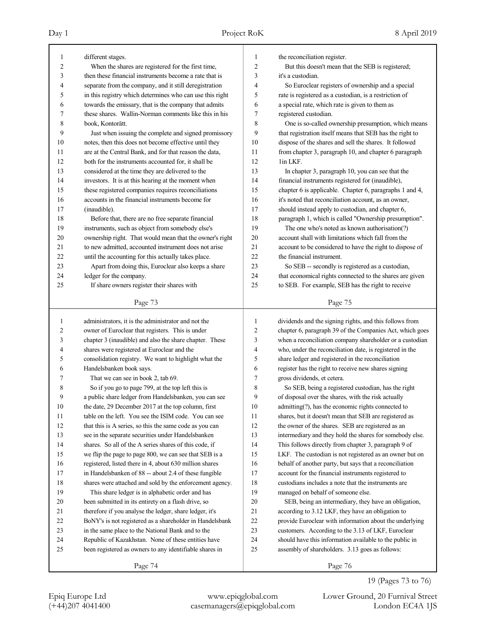| 1              | different stages.                                                                                                 | 1                       | the reconciliation register.                                                                                   |
|----------------|-------------------------------------------------------------------------------------------------------------------|-------------------------|----------------------------------------------------------------------------------------------------------------|
| $\overline{c}$ | When the shares are registered for the first time,                                                                | $\boldsymbol{2}$        | But this doesn't mean that the SEB is registered;                                                              |
| 3              | then these financial instruments become a rate that is                                                            | 3                       | it's a custodian.                                                                                              |
| 4              | separate from the company, and it still deregistration                                                            | 4                       | So Euroclear registers of ownership and a special                                                              |
| 5              | in this registry which determines who can use this right                                                          | 5                       | rate is registered as a custodian, is a restriction of                                                         |
| 6              | towards the emissary, that is the company that admits                                                             | 6                       | a special rate, which rate is given to them as                                                                 |
| 7              | these shares. Wallin-Norman comments like this in his                                                             | $\boldsymbol{7}$        | registered custodian.                                                                                          |
| 8              | book, Kontorätt.                                                                                                  | 8                       | One is so-called ownership presumption, which means                                                            |
| 9              | Just when issuing the complete and signed promissory                                                              | 9                       | that registration itself means that SEB has the right to                                                       |
| 10             | notes, then this does not become effective until they                                                             | 10                      | dispose of the shares and sell the shares. It followed                                                         |
| 11             | are at the Central Bank, and for that reason the data,                                                            | 11                      | from chapter 3, paragraph 10, and chapter 6 paragraph                                                          |
| 12             | both for the instruments accounted for, it shall be                                                               | 12                      | 1in LKF.                                                                                                       |
| 13             | considered at the time they are delivered to the                                                                  | 13                      | In chapter 3, paragraph 10, you can see that the                                                               |
| 14             | investors. It is at this hearing at the moment when                                                               | 14                      | financial instruments registered for (inaudible),                                                              |
| 15             | these registered companies requires reconciliations                                                               | 15                      | chapter 6 is applicable. Chapter 6, paragraphs 1 and 4,                                                        |
| 16             | accounts in the financial instruments become for                                                                  | 16                      | it's noted that reconciliation account, as an owner,                                                           |
| 17             | (inaudible).                                                                                                      | 17                      | should instead apply to custodian, and chapter 6,                                                              |
| 18             | Before that, there are no free separate financial                                                                 | 18                      | paragraph 1, which is called "Ownership presumption".                                                          |
| 19             | instruments, such as object from somebody else's                                                                  | 19                      | The one who's noted as known authorisation(?)                                                                  |
| 20             | ownership right. That would mean that the owner's right                                                           | 20                      | account shall with limitations which fall from the                                                             |
| 21             | to new admitted, accounted instrument does not arise                                                              | 21                      | account to be considered to have the right to dispose of                                                       |
| 22             | until the accounting for this actually takes place.                                                               | 22                      | the financial instrument.                                                                                      |
| 23             | Apart from doing this, Euroclear also keeps a share                                                               | 23                      | So SEB -- secondly is registered as a custodian,                                                               |
| 24             | ledger for the company.                                                                                           | 24                      | that economical rights connected to the shares are given                                                       |
| 25             | If share owners register their shares with                                                                        | 25                      | to SEB. For example, SEB has the right to receive                                                              |
|                | Page 73                                                                                                           |                         | Page 75                                                                                                        |
|                |                                                                                                                   |                         |                                                                                                                |
|                |                                                                                                                   |                         |                                                                                                                |
| $\mathbf{1}$   | administrators, it is the administrator and not the                                                               | $\mathbf{1}$            | dividends and the signing rights, and this follows from                                                        |
| $\overline{c}$ | owner of Euroclear that registers. This is under                                                                  | $\sqrt{2}$              | chapter 6, paragraph 39 of the Companies Act, which goes                                                       |
| 3              | chapter 3 (inaudible) and also the share chapter. These                                                           | $\overline{\mathbf{3}}$ | when a reconciliation company shareholder or a custodian                                                       |
| 4              | shares were registered at Euroclear and the                                                                       | $\overline{4}$          | who, under the reconciliation date, is registered in the                                                       |
| 5              | consolidation registry. We want to highlight what the                                                             | 5                       | share ledger and registered in the reconciliation                                                              |
| 6              | Handelsbanken book says.                                                                                          | 6                       | register has the right to receive new shares signing                                                           |
| 7              | That we can see in book 2, tab 69.                                                                                | $\boldsymbol{7}$        | gross dividends, et cetera.                                                                                    |
| 8              | So if you go to page 799, at the top left this is                                                                 | $\,$ 8 $\,$             | So SEB, being a registered custodian, has the right                                                            |
| 9              | a public share ledger from Handelsbanken, you can see                                                             | 9                       | of disposal over the shares, with the risk actually                                                            |
| 10             | the date, 29 December 2017 at the top column, first                                                               | 10                      | admitting(?), has the economic rights connected to                                                             |
| 11             | table on the left. You see the ISIM code. You can see                                                             | 11                      | shares, but it doesn't mean that SEB are registered as                                                         |
| 12             | that this is A series, so this the same code as you can                                                           | 12                      | the owner of the shares. SEB are registered as an                                                              |
| 13             | see in the separate securities under Handelsbanken                                                                | 13                      |                                                                                                                |
| 14             |                                                                                                                   | 14                      | intermediary and they hold the shares for somebody else.                                                       |
| 15             | shares. So all of the A series shares of this code, if<br>we flip the page to page 800, we can see that SEB is a  | 15                      | This follows directly from chapter 3, paragraph 9 of                                                           |
| 16             |                                                                                                                   | 16                      | LKF. The custodian is not registered as an owner but on                                                        |
| 17             | registered, listed there in 4, about 630 million shares                                                           | 17                      | behalf of another party, but says that a reconciliation<br>account for the financial instruments registered to |
| 18             | in Handelsbanken of 88 -- about 2.4 of these fungible<br>shares were attached and sold by the enforcement agency. | 18                      | custodians includes a note that the instruments are                                                            |
| 19             | This share ledger is in alphabetic order and has                                                                  | 19                      | managed on behalf of someone else.                                                                             |
| 20             | been submitted in its entirety on a flash drive, so                                                               | 20                      | SEB, being an intermediary, they have an obligation,                                                           |
| 21             | therefore if you analyse the ledger, share ledger, it's                                                           | 21                      | according to 3.12 LKF, they have an obligation to                                                              |
| 22             | BoNY's is not registered as a shareholder in Handelsbank                                                          | 22                      | provide Euroclear with information about the underlying                                                        |
| 23             | in the same place to the National Bank and to the                                                                 | 23                      | customers. According to the 3.13 of LKF, Euroclear                                                             |
| 24             | Republic of Kazakhstan. None of these entities have                                                               | 24                      | should have this information available to the public in                                                        |
| 25             | been registered as owners to any identifiable shares in                                                           | 25                      | assembly of shareholders. 3.13 goes as follows:                                                                |
|                | Page 74                                                                                                           |                         | Page 76                                                                                                        |

19 (Pages 73 to 76)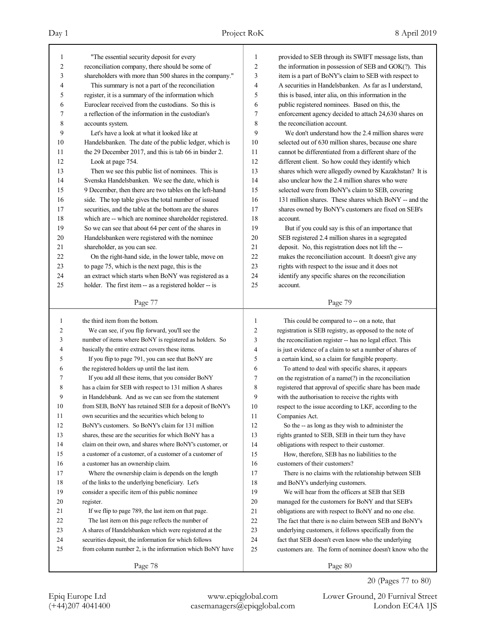| 1            | "The essential security deposit for every                | 1            | provided to SEB through its SWIFT message lists, than    |
|--------------|----------------------------------------------------------|--------------|----------------------------------------------------------|
| 2            | reconciliation company, there should be some of          | 2            | the information in possession of SEB and GOK(?). This    |
| 3            | shareholders with more than 500 shares in the company."  | 3            | item is a part of BoNY's claim to SEB with respect to    |
| 4            | This summary is not a part of the reconciliation         | 4            | A securities in Handelsbanken. As far as I understand,   |
| 5            | register, it is a summary of the information which       | 5            | this is based, inter alia, on this information in the    |
| 6            | Euroclear received from the custodians. So this is       | 6            | public registered nominees. Based on this, the           |
| 7            | a reflection of the information in the custodian's       | $\tau$       | enforcement agency decided to attach 24,630 shares on    |
| 8            | accounts system.                                         | 8            | the reconciliation account.                              |
| 9            | Let's have a look at what it looked like at              | 9            | We don't understand how the 2.4 million shares were      |
| 10           | Handelsbanken. The date of the public ledger, which is   | 10           | selected out of 630 million shares, because one share    |
| 11           | the 29 December 2017, and this is tab 66 in binder 2.    | 11           | cannot be differentiated from a different share of the   |
| 12           | Look at page 754.                                        | 12           | different client. So how could they identify which       |
| 13           | Then we see this public list of nominees. This is        | 13           | shares which were allegedly owned by Kazakhstan? It is   |
| 14           | Svenska Handelsbanken. We see the date, which is         | 14           | also unclear how the 2.4 million shares who were         |
| 15           | 9 December, then there are two tables on the left-hand   | 15           | selected were from BoNY's claim to SEB, covering         |
| 16           | side. The top table gives the total number of issued     | 16           | 131 million shares. These shares which BoNY -- and the   |
| 17           | securities, and the table at the bottom are the shares   | 17           | shares owned by BoNY's customers are fixed on SEB's      |
| 18           | which are -- which are nominee shareholder registered.   | 18           | account.                                                 |
| 19           | So we can see that about 64 per cent of the shares in    | 19           | But if you could say is this of an importance that       |
| 20           | Handelsbanken were registered with the nominee           | 20           | SEB registered 2.4 million shares in a segregated        |
| 21           | shareholder, as you can see.                             | 21           | deposit. No, this registration does not lift the --      |
| 22           | On the right-hand side, in the lower table, move on      | 22           | makes the reconciliation account. It doesn't give any    |
| 23           | to page 75, which is the next page, this is the          | 23           | rights with respect to the issue and it does not         |
| 24           | an extract which starts when BoNY was registered as a    | 24           | identify any specific shares on the reconciliation       |
| 25           | holder. The first item -- as a registered holder -- is   | 25           | account.                                                 |
|              | Page 77                                                  |              | Page 79                                                  |
|              |                                                          |              |                                                          |
|              |                                                          |              |                                                          |
| $\mathbf{1}$ | the third item from the bottom.                          | $\mathbf{1}$ | This could be compared to -- on a note, that             |
| 2            | We can see, if you flip forward, you'll see the          | 2            | registration is SEB registry, as opposed to the note of  |
| 3            | number of items where BoNY is registered as holders. So  | 3            | the reconciliation register -- has no legal effect. This |
| 4            | basically the entire extract covers these items.         | 4            | is just evidence of a claim to set a number of shares of |
| 5            | If you flip to page 791, you can see that BoNY are       | 5            | a certain kind, so a claim for fungible property.        |
| 6            | the registered holders up until the last item.           | 6            | To attend to deal with specific shares, it appears       |
| 7            | If you add all these items, that you consider BoNY       | 7            | on the registration of a name(?) in the reconciliation   |
| 8            | has a claim for SEB with respect to 131 million A shares | 8            | registered that approval of specific share has been made |
| 9            | in Handelsbank. And as we can see from the statement     | 9            | with the authorisation to receive the rights with        |
| $10\,$       | from SEB, BoNY has retained SEB for a deposit of BoNY's  | 10           | respect to the issue according to LKF, according to the  |
| 11           | own securities and the securities which belong to        | 11           | Companies Act.                                           |
| 12           | BoNY's customers. So BoNY's claim for 131 million        | 12           | So the -- as long as they wish to administer the         |
| 13           | shares, these are the securities for which BoNY has a    | 13           | rights granted to SEB, SEB in their turn they have       |
| 14           | claim on their own, and shares where BoNY's customer, or | 14           | obligations with respect to their customer.              |
| 15           | a customer of a customer, of a customer of a customer of | 15           | How, therefore, SEB has no liabilities to the            |
| 16           | a customer has an ownership claim.                       | 16           | customers of their customers?                            |
| 17           | Where the ownership claim is depends on the length       | 17           | There is no claims with the relationship between SEB     |
| 18           | of the links to the underlying beneficiary. Let's        | $18\,$       | and BoNY's underlying customers.                         |
| 19           | consider a specific item of this public nominee          | 19           | We will hear from the officers at SEB that SEB           |
| 20           | register.                                                | $20\,$       | managed for the customers for BoNY and that SEB's        |
| 21           | If we flip to page 789, the last item on that page.      | 21           | obligations are with respect to BoNY and no one else.    |
| 22           | The last item on this page reflects the number of        | $22\,$       | The fact that there is no claim between SEB and BoNY's   |
| 23           | A shares of Handelsbanken which were registered at the   | 23           | underlying customers, it follows specifically from the   |
| 24           | securities deposit, the information for which follows    | 24           | fact that SEB doesn't even know who the underlying       |
| 25           | from column number 2, is the information which BoNY have | 25           | customers are. The form of nominee doesn't know who the  |
|              | Page 78                                                  |              | Page 80                                                  |

20 (Pages 77 to 80)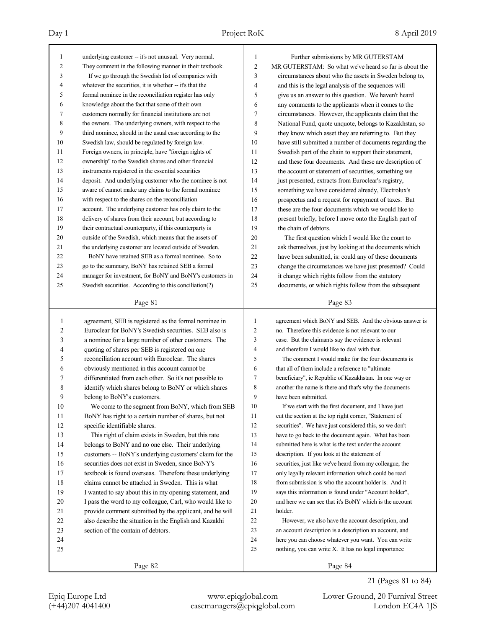| 1              | underlying customer -- it's not unusual. Very normal.    | 1              | Further submissions by MR GUTERSTAM                      |
|----------------|----------------------------------------------------------|----------------|----------------------------------------------------------|
| $\overline{c}$ | They comment in the following manner in their textbook.  | $\overline{c}$ | MR GUTERSTAM: So what we've heard so far is about the    |
| 3              | If we go through the Swedish list of companies with      | 3              | circumstances about who the assets in Sweden belong to,  |
| 4              | whatever the securities, it is whether -- it's that the  | 4              | and this is the legal analysis of the sequences will     |
| 5              | formal nominee in the reconciliation register has only   | 5              | give us an answer to this question. We haven't heard     |
| 6              | knowledge about the fact that some of their own          | 6              | any comments to the applicants when it comes to the      |
| 7              | customers normally for financial institutions are not    | 7              | circumstances. However, the applicants claim that the    |
| 8              | the owners. The underlying owners, with respect to the   | 8              | National Fund, quote unquote, belongs to Kazakhstan, so  |
| 9              | third nominee, should in the usual case according to the | 9              | they know which asset they are referring to. But they    |
| 10             | Swedish law, should be regulated by foreign law.         | 10             | have still submitted a number of documents regarding the |
| 11             | Foreign owners, in principle, have "foreign rights of    | 11             | Swedish part of the chain to support their statement,    |
| 12             | ownership" to the Swedish shares and other financial     | 12             | and these four documents. And these are description of   |
| 13             | instruments registered in the essential securities       | 13             | the account or statement of securities, something we     |
| 14             | deposit. And underlying customer who the nominee is not  | 14             | just presented, extracts from Euroclear's registry,      |
| 15             | aware of cannot make any claims to the formal nominee    | 15             | something we have considered already, Electrolux's       |
| 16             | with respect to the shares on the reconciliation         | 16             | prospectus and a request for repayment of taxes. But     |
| 17             | account. The underlying customer has only claim to the   | 17             | these are the four documents which we would like to      |
| 18             | delivery of shares from their account, but according to  | 18             | present briefly, before I move onto the English part of  |
| 19             | their contractual counterparty, if this counterparty is  | 19             | the chain of debtors.                                    |
| 20             | outside of the Swedish, which means that the assets of   | 20             | The first question which I would like the court to       |
| 21             | the underlying customer are located outside of Sweden.   | 21             | ask themselves, just by looking at the documents which   |
| 22             | BoNY have retained SEB as a formal nominee. So to        | 22             | have been submitted, is: could any of these documents    |
| 23             | go to the summary, BoNY has retained SEB a formal        | 23             | change the circumstances we have just presented? Could   |
| 24             | manager for investment, for BoNY and BoNY's customers in | 24             | it change which rights follow from the statutory         |
| 25             | Swedish securities. According to this conciliation(?)    | 25             | documents, or which rights follow from the subsequent    |
|                |                                                          |                |                                                          |
|                | Page 81                                                  |                | Page 83                                                  |
|                |                                                          |                |                                                          |
|                |                                                          |                |                                                          |
| 1              | agreement, SEB is registered as the formal nominee in    | $\mathbf{1}$   | agreement which BoNY and SEB. And the obvious answer is  |
| $\overline{c}$ | Euroclear for BoNY's Swedish securities. SEB also is     | $\overline{c}$ | no. Therefore this evidence is not relevant to our       |
| 3              | a nominee for a large number of other customers. The     | 3              | case. But the claimants say the evidence is relevant     |
| 4              | quoting of shares per SEB is registered on one           | $\overline{4}$ | and therefore I would like to deal with that.            |
| 5              | reconciliation account with Euroclear. The shares        | 5              | The comment I would make for the four documents is       |
| 6              | obviously mentioned in this account cannot be            | 6              | that all of them include a reference to "ultimate"       |
| 7              | differentiated from each other. So it's not possible to  | 7              | beneficiary", ie Republic of Kazakhstan. In one way or   |
| 8              | identify which shares belong to BoNY or which shares     | 8              | another the name is there and that's why the documents   |
| 9              | belong to BoNY's customers.                              | 9              | have been submitted.                                     |
| 10             | We come to the segment from BoNY, which from SEB         | 10             | If we start with the first document, and I have just     |
| 11             | BoNY has right to a certain number of shares, but not    | 11             | cut the section at the top right corner, "Statement of   |
| 12             | specific identifiable shares.                            | 12             | securities". We have just considered this, so we don't   |
| 13             | This right of claim exists in Sweden, but this rate      | 13             | have to go back to the document again. What has been     |
| 14             | belongs to BoNY and no one else. Their underlying        | 14             | submitted here is what is the text under the account     |
| 15             | customers -- BoNY's underlying customers' claim for the  | 15             | description. If you look at the statement of             |
| 16             | securities does not exist in Sweden, since BoNY's        | 16             | securities, just like we've heard from my colleague, the |
| 17             | textbook is found overseas. Therefore these underlying   | 17             | only legally relevant information which could be read    |
| $18\,$         | claims cannot be attached in Sweden. This is what        | 18             | from submission is who the account holder is. And it     |
| 19             | I wanted to say about this in my opening statement, and  | 19             | says this information is found under "Account holder",   |
| 20             | I pass the word to my colleague, Carl, who would like to | 20             | and here we can see that it's BoNY which is the account  |
| 21             | provide comment submitted by the applicant, and he will  | 21             | holder.                                                  |
| 22             | also describe the situation in the English and Kazakhi   | $22\,$         | However, we also have the account description, and       |
| 23             | section of the contain of debtors.                       | 23             | an account description is a description an account, and  |
| 24             |                                                          | 24             | here you can choose whatever you want. You can write     |
| 25             |                                                          | 25             | nothing, you can write X. It has no legal importance     |
|                | Page 82                                                  |                | Page 84                                                  |

21 (Pages 81 to 84)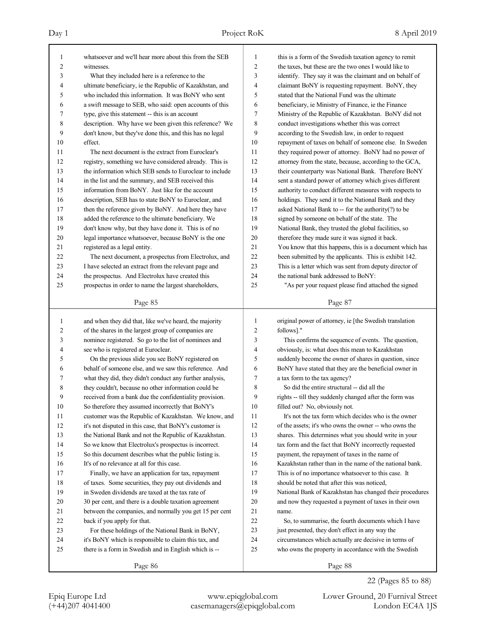| 1                       | whatsoever and we'll hear more about this from the SEB                                                    | 1                | this is a form of the Swedish taxation agency to remit                                                        |
|-------------------------|-----------------------------------------------------------------------------------------------------------|------------------|---------------------------------------------------------------------------------------------------------------|
| 2                       | witnesses.                                                                                                | $\overline{c}$   | the taxes, but these are the two ones I would like to                                                         |
| 3                       | What they included here is a reference to the                                                             | 3                | identify. They say it was the claimant and on behalf of                                                       |
| 4                       | ultimate beneficiary, ie the Republic of Kazakhstan, and                                                  | 4                | claimant BoNY is requesting repayment. BoNY, they                                                             |
| 5                       | who included this information. It was BoNY who sent                                                       | 5                | stated that the National Fund was the ultimate                                                                |
| 6                       | a swift message to SEB, who said: open accounts of this                                                   | 6                | beneficiary, ie Ministry of Finance, ie the Finance                                                           |
| 7                       | type, give this statement -- this is an account                                                           | 7                | Ministry of the Republic of Kazakhstan. BoNY did not                                                          |
| 8                       | description. Why have we been given this reference? We                                                    | 8                | conduct investigations whether this was correct                                                               |
| 9                       | don't know, but they've done this, and this has no legal                                                  | 9                | according to the Swedish law, in order to request                                                             |
| 10                      | effect.                                                                                                   | 10               | repayment of taxes on behalf of someone else. In Sweden                                                       |
| 11                      | The next document is the extract from Euroclear's                                                         | 11               | they required power of attorney. BoNY had no power of                                                         |
| 12                      | registry, something we have considered already. This is                                                   | 12               | attorney from the state, because, according to the GCA,                                                       |
| 13                      | the information which SEB sends to Euroclear to include                                                   | 13               | their counterparty was National Bank. Therefore BoNY                                                          |
| 14                      | in the list and the summary, and SEB received this                                                        | 14               | sent a standard power of attorney which gives different                                                       |
| 15                      | information from BoNY. Just like for the account                                                          | 15               | authority to conduct different measures with respects to                                                      |
| 16                      | description, SEB has to state BoNY to Euroclear, and                                                      | 16               | holdings. They send it to the National Bank and they                                                          |
| 17                      | then the reference given by BoNY. And here they have                                                      | 17               | asked National Bank to -- for the authority(?) to be                                                          |
| 18                      | added the reference to the ultimate beneficiary. We                                                       | 18               | signed by someone on behalf of the state. The                                                                 |
| 19                      | don't know why, but they have done it. This is of no                                                      | 19               | National Bank, they trusted the global facilities, so                                                         |
| 20                      | legal importance whatsoever, because BoNY is the one                                                      | 20               | therefore they made sure it was signed it back.                                                               |
| 21                      | registered as a legal entity.                                                                             | 21               | You know that this happens, this is a document which has                                                      |
| 22                      | The next document, a prospectus from Electrolux, and                                                      | 22               | been submitted by the applicants. This is exhibit 142.                                                        |
| 23                      | I have selected an extract from the relevant page and                                                     | 23               | This is a letter which was sent from deputy director of                                                       |
| 24                      | the prospectus. And Electrolux have created this                                                          | 24               | the national bank addressed to BoNY:                                                                          |
| 25                      | prospectus in order to name the largest shareholders,                                                     | 25               | "As per your request please find attached the signed                                                          |
|                         | Page 85                                                                                                   |                  | Page 87                                                                                                       |
|                         |                                                                                                           |                  |                                                                                                               |
| $\mathbf{1}$            | and when they did that, like we've heard, the majority                                                    | 1                | original power of attorney, ie [the Swedish translation                                                       |
| $\overline{\mathbf{c}}$ | of the shares in the largest group of companies are                                                       | $\boldsymbol{2}$ | follows]."                                                                                                    |
| 3                       | nominee registered. So go to the list of nominees and                                                     | 3                | This confirms the sequence of events. The question,                                                           |
| 4                       | see who is registered at Euroclear.                                                                       | $\overline{4}$   | obviously, is: what does this mean to Kazakhstan                                                              |
| 5                       | On the previous slide you see BoNY registered on                                                          | 5                | suddenly become the owner of shares in question, since                                                        |
| 6                       | behalf of someone else, and we saw this reference. And                                                    | 6                | BoNY have stated that they are the beneficial owner in                                                        |
| 7                       | what they did, they didn't conduct any further analysis,                                                  | 7                | a tax form to the tax agency?                                                                                 |
| 8                       | they couldn't, because no other information could be                                                      | 8                | So did the entire structural -- did all the                                                                   |
| 9                       | received from a bank due the confidentiality provision.                                                   | 9                | rights -- till they suddenly changed after the form was                                                       |
| $10\,$                  | So therefore they assumed incorrectly that BoNY's                                                         | $10$             | filled out? No, obviously not.                                                                                |
| 11                      | customer was the Republic of Kazakhstan. We know, and                                                     | 11               | It's not the tax form which decides who is the owner                                                          |
| 12                      | it's not disputed in this case, that BoNY's customer is                                                   | 12               | of the assets; it's who owns the owner -- who owns the                                                        |
| 13                      | the National Bank and not the Republic of Kazakhstan.                                                     | 13               | shares. This determines what you should write in your                                                         |
| 14                      | So we know that Electrolux's prospectus is incorrect.                                                     | 14               | tax form and the fact that BoNY incorrectly requested                                                         |
| 15                      | So this document describes what the public listing is.                                                    | 15               | payment, the repayment of taxes in the name of                                                                |
| 16                      | It's of no relevance at all for this case.                                                                | 16               | Kazakhstan rather than in the name of the national bank.                                                      |
| 17                      | Finally, we have an application for tax, repayment                                                        | 17               | This is of no importance whatsoever to this case. It                                                          |
| $18\,$                  | of taxes. Some securities, they pay out dividends and                                                     | 18               | should be noted that after this was noticed,                                                                  |
| 19                      | in Sweden dividends are taxed at the tax rate of                                                          | 19               | National Bank of Kazakhstan has changed their procedures                                                      |
| 20                      | 30 per cent, and there is a double taxation agreement                                                     | $20\,$           | and now they requested a payment of taxes in their own                                                        |
| 21                      | between the companies, and normally you get 15 per cent                                                   | 21               | name.                                                                                                         |
| 22                      |                                                                                                           | 22               |                                                                                                               |
| 23                      | back if you apply for that.                                                                               | 23               | So, to summarise, the fourth documents which I have                                                           |
| 24                      | For these holdings of the National Bank in BoNY,<br>it's BoNY which is responsible to claim this tax, and | 24               | just presented, they don't effect in any way the                                                              |
| 25                      | there is a form in Swedish and in English which is --                                                     | 25               | circumstances which actually are decisive in terms of<br>who owns the property in accordance with the Swedish |

22 (Pages 85 to 88)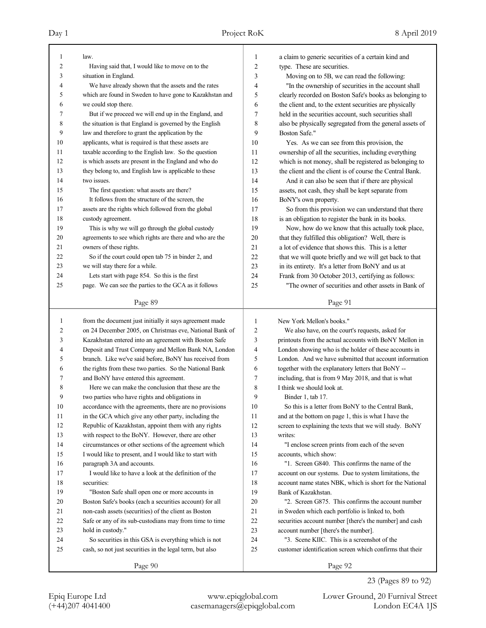| 1        | law.                                                     | 1  | a claim to generic securities of a certain kind and                             |
|----------|----------------------------------------------------------|----|---------------------------------------------------------------------------------|
| 2        | Having said that, I would like to move on to the         | 2  | type. These are securities.                                                     |
| 3        | situation in England.                                    | 3  | Moving on to 5B, we can read the following:                                     |
| 4        | We have already shown that the assets and the rates      | 4  | "In the ownership of securities in the account shall                            |
| 5        | which are found in Sweden to have gone to Kazakhstan and | 5  | clearly recorded on Boston Safe's books as belonging to                         |
| 6        | we could stop there.                                     | 6  | the client and, to the extent securities are physically                         |
| 7        | But if we proceed we will end up in the England, and     | 7  | held in the securities account, such securities shall                           |
| 8        | the situation is that England is governed by the English | 8  | also be physically segregated from the general assets of                        |
| 9        | law and therefore to grant the application by the        | 9  | Boston Safe."                                                                   |
| 10       | applicants, what is required is that these assets are    | 10 | Yes. As we can see from this provision, the                                     |
| 11       | taxable according to the English law. So the question    | 11 | ownership of all the securities, including everything                           |
| 12       | is which assets are present in the England and who do    | 12 | which is not money, shall be registered as belonging to                         |
| 13       | they belong to, and English law is applicable to these   | 13 | the client and the client is of course the Central Bank.                        |
| 14       | two issues.                                              | 14 | And it can also be seen that if there are physical                              |
| 15       | The first question: what assets are there?               | 15 | assets, not cash, they shall be kept separate from                              |
| 16       | It follows from the structure of the screen, the         | 16 | BoNY's own property.                                                            |
| 17       | assets are the rights which followed from the global     | 17 | So from this provision we can understand that there                             |
| 18       | custody agreement.                                       | 18 | is an obligation to register the bank in its books.                             |
| 19       | This is why we will go through the global custody        | 19 | Now, how do we know that this actually took place,                              |
| 20       | agreements to see which rights are there and who are the | 20 | that they fulfilled this obligation? Well, there is                             |
| 21       | owners of these rights.                                  | 21 | a lot of evidence that shows this. This is a letter                             |
| 22       | So if the court could open tab 75 in binder 2, and       | 22 | that we will quote briefly and we will get back to that                         |
| 23       | we will stay there for a while.                          | 23 | in its entirety. It's a letter from BoNY and us at                              |
| 24       | Lets start with page 854. So this is the first           | 24 | Frank from 30 October 2013, certifying as follows:                              |
| 25       | page. We can see the parties to the GCA as it follows    | 25 | "The owner of securities and other assets in Bank of                            |
|          |                                                          |    |                                                                                 |
|          | Page 89                                                  |    | Page 91                                                                         |
|          |                                                          |    |                                                                                 |
|          |                                                          |    |                                                                                 |
| 1        | from the document just initially it says agreement made  | 1  | New York Mellon's books."                                                       |
| 2        | on 24 December 2005, on Christmas eve, National Bank of  | 2  | We also have, on the court's requests, asked for                                |
| 3        | Kazakhstan entered into an agreement with Boston Safe    | 3  | printouts from the actual accounts with BoNY Mellon in                          |
| 4        | Deposit and Trust Company and Mellon Bank NA, London     | 4  | London showing who is the holder of these accounts in                           |
| 5        | branch. Like we've said before, BoNY has received from   | 5  | London. And we have submitted that account information                          |
| 6        | the rights from these two parties. So the National Bank  | 6  | together with the explanatory letters that BoNY --                              |
| 7        | and BoNY have entered this agreement.                    | 7  | including, that is from 9 May 2018, and that is what                            |
| 8        | Here we can make the conclusion that these are the       | 8  | I think we should look at.                                                      |
| 9        | two parties who have rights and obligations in           | 9  | Binder 1, tab 17.                                                               |
| 10       | accordance with the agreements, there are no provisions  | 10 | So this is a letter from BoNY to the Central Bank,                              |
| 11       | in the GCA which give any other party, including the     | 11 | and at the bottom on page 1, this is what I have the                            |
| 12       | Republic of Kazakhstan, appoint them with any rights     | 12 | screen to explaining the texts that we will study. BoNY                         |
| 13       | with respect to the BoNY. However, there are other       | 13 | writes:                                                                         |
| 14       | circumstances or other sections of the agreement which   | 14 | "I enclose screen prints from each of the seven                                 |
| 15       | I would like to present, and I would like to start with  | 15 | accounts, which show:                                                           |
| 16       | paragraph 3A and accounts.                               | 16 | "1. Screen G840. This confirms the name of the                                  |
| 17       | I would like to have a look at the definition of the     | 17 |                                                                                 |
| 18       | securities:                                              | 18 | account on our systems. Due to system limitations, the                          |
| 19       | "Boston Safe shall open one or more accounts in          | 19 | account name states NBK, which is short for the National<br>Bank of Kazakhstan. |
| 20       |                                                          | 20 | "2. Screen G875. This confirms the account number                               |
|          | Boston Safe's books (each a securities account) for all  | 21 |                                                                                 |
| 21<br>22 | non-cash assets (securities) of the client as Boston     |    | in Sweden which each portfolio is linked to, both                               |
|          | Safe or any of its sub-custodians may from time to time  | 22 | securities account number [there's the number] and cash                         |
| 23       | hold in custody."                                        | 23 | account number [there's the number].                                            |
| 24       | So securities in this GSA is everything which is not     | 24 | "3. Scene KIIC. This is a screenshot of the                                     |
| 25       | cash, so not just securities in the legal term, but also | 25 | customer identification screen which confirms that their                        |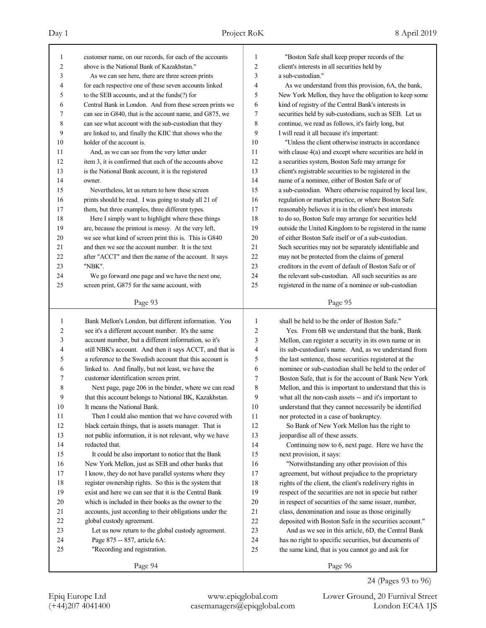| 1                       | customer name, on our records, for each of the accounts | 1      | "Boston Safe shall keep proper records of the            |
|-------------------------|---------------------------------------------------------|--------|----------------------------------------------------------|
| $\overline{c}$          | above is the National Bank of Kazakhstan."              | 2      | client's interests in all securities held by             |
| 3                       | As we can see here, there are three screen prints       | 3      | a sub-custodian."                                        |
| 4                       | for each respective one of these seven accounts linked  | 4      | As we understand from this provision, 6A, the bank,      |
| 5                       | to the SEB accounts, and at the funds(?) for            | 5      | New York Mellon, they have the obligation to keep some   |
| 6                       | Central Bank in London. And from these screen prints we | 6      | kind of registry of the Central Bank's interests in      |
| 7                       | can see in G840, that is the account name, and G875, we | 7      | securities held by sub-custodians, such as SEB. Let us   |
| 8                       | can see what account with the sub-custodian that they   | 8      | continue, we read as follows, it's fairly long, but      |
| 9                       | are linked to, and finally the KIIC that shows who the  | 9      | I will read it all because it's important:               |
| 10                      | holder of the account is.                               | 10     | "Unless the client otherwise instructs in accordance     |
| 11                      | And, as we can see from the very letter under           | 11     | with clause 4(a) and except where securities are held in |
| 12                      | item 3, it is confirmed that each of the accounts above | 12     | a securities system, Boston Safe may arrange for         |
| 13                      | is the National Bank account, it is the registered      | 13     | client's registrable securities to be registered in the  |
| 14                      | owner.                                                  | 14     | name of a nominee, either of Boston Safe or of           |
| 15                      | Nevertheless, let us return to how these screen         | 15     | a sub-custodian. Where otherwise required by local law,  |
| 16                      | prints should be read. I was going to study all 21 of   | 16     | regulation or market practice, or where Boston Safe      |
| 17                      | them, but three examples, three different types.        | 17     | reasonably believes it is in the client's best interests |
| 18                      | Here I simply want to highlight where these things      | 18     | to do so, Boston Safe may arrange for securities held    |
| 19                      | are, because the printout is messy. At the very left,   | 19     | outside the United Kingdom to be registered in the name  |
| 20                      | we see what kind of screen print this is. This is G840  | 20     | of either Boston Safe itself or of a sub-custodian.      |
| 21                      | and then we see the account number. It is the text      | 21     | Such securities may not be separately identifiable and   |
| 22                      | after "ACCT" and then the name of the account. It says  | 22     | may not be protected from the claims of general          |
| 23                      | "NBK".                                                  | 23     | creditors in the event of default of Boston Safe or of   |
| 24                      | We go forward one page and we have the next one,        | 24     | the relevant sub-custodian. All such securities as are   |
| 25                      | screen print, G875 for the same account, with           | 25     | registered in the name of a nominee or sub-custodian     |
|                         | Page 93                                                 |        | Page 95                                                  |
|                         |                                                         |        |                                                          |
|                         |                                                         |        |                                                          |
| 1                       | Bank Mellon's London, but different information. You    | 1      | shall be held to be the order of Boston Safe."           |
| $\overline{\mathbf{c}}$ | see it's a different account number. It's the same      | 2      | Yes. From 6B we understand that the bank, Bank           |
| 3                       | account number, but a different information, so it's    | 3      | Mellon, can register a security in its own name or in    |
| 4                       | still NBK's account. And then it says ACCT, and that is | 4      | its sub-custodian's name. And, as we understand from     |
| 5                       | a reference to the Swedish account that this account is | 5      | the last sentence, those securities registered at the    |
| 6                       | linked to. And finally, but not least, we have the      | 6      | nominee or sub-custodian shall be held to the order of   |
| 7                       | customer identification screen print.                   | 7      | Boston Safe, that is for the account of Bank New York    |
| 8                       | Next page, page 206 in the binder, where we can read    | 8      | Mellon, and this is important to understand that this is |
| 9                       | that this account belongs to National BK, Kazakhstan.   | 9      | what all the non-cash assets -- and it's important to    |
| 10                      | It means the National Bank.                             | 10     | understand that they cannot necessarily be identified    |
| 11                      | Then I could also mention that we have covered with     | 11     | nor protected in a case of bankruptcy.                   |
| 12                      | black certain things, that is assets manager. That is   | 12     | So Bank of New York Mellon has the right to              |
| 13                      | not public information, it is not relevant, why we have | 13     | jeopardise all of these assets.                          |
| 14                      | redacted that.                                          | 14     | Continuing now to 6, next page. Here we have the         |
| 15                      | It could be also important to notice that the Bank      | 15     | next provision, it says:                                 |
| 16                      | New York Mellon, just as SEB and other banks that       | 16     | "Notwithstanding any other provision of this             |
| 17                      | I know, they do not have parallel systems where they    | 17     | agreement, but without prejudice to the proprietary      |
| 18                      | register ownership rights. So this is the system that   | 18     | rights of the client, the client's redelivery rights in  |
| 19                      | exist and here we can see that it is the Central Bank   | 19     | respect of the securities are not in specie but rather   |
| 20                      | which is included in their books as the owner to the    | 20     | in respect of securities of the same issuer, number,     |
| 21                      | accounts, just according to their obligations under the | 21     | class, denomination and issue as those originally        |
| 22                      | global custody agreement.                               | $22\,$ | deposited with Boston Safe in the securities account."   |
| 23                      | Let us now return to the global custody agreement.      | 23     | And as we see in this article, 6D, the Central Bank      |
| 24                      | Page 875 -- 857, article 6A:                            | 24     | has no right to specific securities, but documents of    |
| 25                      | "Recording and registration.                            | 25     | the same kind, that is you cannot go and ask for         |

24 (Pages 93 to 96)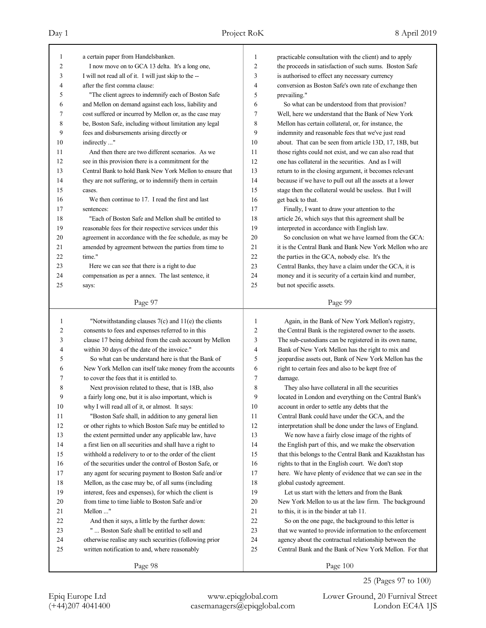| 1              | a certain paper from Handelsbanken.                      | $\mathbf{1}$   | practicable consultation with the client) and to apply   |
|----------------|----------------------------------------------------------|----------------|----------------------------------------------------------|
| $\overline{2}$ | I now move on to GCA 13 delta. It's a long one,          | $\overline{2}$ | the proceeds in satisfaction of such sums. Boston Safe   |
| 3              | I will not read all of it. I will just skip to the --    | 3              | is authorised to effect any necessary currency           |
| 4              | after the first comma clause:                            | $\overline{4}$ | conversion as Boston Safe's own rate of exchange then    |
| 5              | "The client agrees to indemnify each of Boston Safe      | 5              | prevailing."                                             |
| 6              | and Mellon on demand against each loss, liability and    | 6              | So what can be understood from that provision?           |
| 7              | cost suffered or incurred by Mellon or, as the case may  | $\overline{7}$ | Well, here we understand that the Bank of New York       |
| 8              | be, Boston Safe, including without limitation any legal  | 8              | Mellon has certain collateral, or, for instance, the     |
| 9              | fees and disbursements arising directly or               | 9              | indemnity and reasonable fees that we've just read       |
| 10             | indirectly "                                             | 10             | about. That can be seen from article 13D, 17, 18B, but   |
| 11             | And then there are two different scenarios. As we        | 11             | those rights could not exist, and we can also read that  |
| 12             | see in this provision there is a commitment for the      | 12             | one has collateral in the securities. And as I will      |
| 13             | Central Bank to hold Bank New York Mellon to ensure that | 13             | return to in the closing argument, it becomes relevant   |
| 14             | they are not suffering, or to indemnify them in certain  | 14             | because if we have to pull out all the assets at a lower |
| 15             | cases.                                                   | 15             | stage then the collateral would be useless. But I will   |
| 16             | We then continue to 17. I read the first and last        | 16             | get back to that.                                        |
| 17             | sentences:                                               | 17             | Finally, I want to draw your attention to the            |
| 18             | "Each of Boston Safe and Mellon shall be entitled to     | 18             | article 26, which says that this agreement shall be      |
| 19             | reasonable fees for their respective services under this | 19             | interpreted in accordance with English law.              |
| 20             | agreement in accordance with the fee schedule, as may be | 20             | So conclusion on what we have learned from the GCA:      |
| 21             | amended by agreement between the parties from time to    | 21             | it is the Central Bank and Bank New York Mellon who are  |
| 22             | time."                                                   | 22             | the parties in the GCA, nobody else. It's the            |
| 23             | Here we can see that there is a right to due             | 23             | Central Banks, they have a claim under the GCA, it is    |
| 24             | compensation as per a annex. The last sentence, it       | 24             | money and it is security of a certain kind and number,   |
| 25             | says:                                                    | 25             | but not specific assets.                                 |
|                |                                                          |                |                                                          |
|                | Page 97                                                  |                | Page 99                                                  |
|                |                                                          |                |                                                          |
|                |                                                          |                |                                                          |
| 1              | "Notwithstanding clauses $7(c)$ and $11(e)$ the clients  | $\mathbf{1}$   | Again, in the Bank of New York Mellon's registry,        |
| 2              | consents to fees and expenses referred to in this        | $\overline{2}$ | the Central Bank is the registered owner to the assets.  |
| 3              | clause 17 being debited from the cash account by Mellon  | 3              | The sub-custodians can be registered in its own name,    |
| 4              | within 30 days of the date of the invoice."              | $\overline{4}$ | Bank of New York Mellon has the right to mix and         |
| 5              | So what can be understand here is that the Bank of       | 5              | jeopardise assets out, Bank of New York Mellon has the   |
| 6              | New York Mellon can itself take money from the accounts  | 6              | right to certain fees and also to be kept free of        |
| 7              | to cover the fees that it is entitled to.                | 7              | damage.                                                  |
| 8              | Next provision related to these, that is 18B, also       | 8              | They also have collateral in all the securities          |
| 9              | a fairly long one, but it is also important, which is    | 9              | located in London and everything on the Central Bank's   |
| $10\,$         | why I will read all of it, or almost. It says:           | $10\,$         | account in order to settle any debts that the            |
| 11             | "Boston Safe shall, in addition to any general lien      | 11             | Central Bank could have under the GCA, and the           |
| 12             | or other rights to which Boston Safe may be entitled to  | 12             | interpretation shall be done under the laws of England.  |
| 13             | the extent permitted under any applicable law, have      | 13             | We now have a fairly close image of the rights of        |
| 14             | a first lien on all securities and shall have a right to | 14             | the English part of this, and we make the observation    |
| 15             | withhold a redelivery to or to the order of the client   | 15             | that this belongs to the Central Bank and Kazakhstan has |
| 16             | of the securities under the control of Boston Safe, or   | 16             | rights to that in the English court. We don't stop       |
| 17             | any agent for securing payment to Boston Safe and/or     | 17             | here. We have plenty of evidence that we can see in the  |
| $18\,$         | Mellon, as the case may be, of all sums (including       | 18             | global custody agreement.                                |
| 19             | interest, fees and expenses), for which the client is    | 19             | Let us start with the letters and from the Bank          |
| $20\,$         | from time to time liable to Boston Safe and/or           | 20             | New York Mellon to us at the law firm. The background    |
| 21             | Mellon "                                                 | 21             | to this, it is in the binder at tab 11.                  |
| $22\,$         | And then it says, a little by the further down:          | 22             | So on the one page, the background to this letter is     |
| 23             | "  Boston Safe shall be entitled to sell and             | 23             | that we wanted to provide information to the enforcement |
| 24             | otherwise realise any such securities (following prior   | 24             | agency about the contractual relationship between the    |
| 25             | written notification to and, where reasonably            | 25             | Central Bank and the Bank of New York Mellon. For that   |

25 (Pages 97 to 100)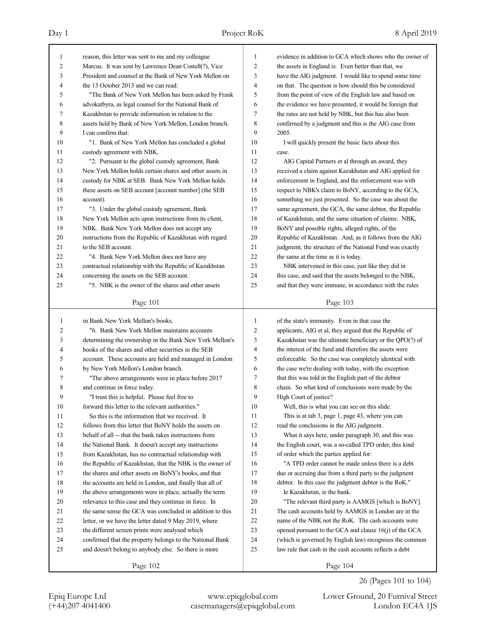| 1              | reason, this letter was sent to me and my colleague                                                            | 1              | evidence in addition to GCA which shows who the owner of                                                            |
|----------------|----------------------------------------------------------------------------------------------------------------|----------------|---------------------------------------------------------------------------------------------------------------------|
| $\overline{2}$ | Marcus. It was sent by Lawrence Dean Costell(?), Vice                                                          | 2              | the assets in England is. Even better than that, we                                                                 |
| 3              | President and counsel at the Bank of New York Mellon on                                                        | 3              | have the AIG judgment. I would like to spend some time                                                              |
| $\overline{4}$ | the 13 October 2013 and we can read:                                                                           | $\overline{4}$ | on that. The question is how should this be considered                                                              |
| 5              | "The Bank of New York Mellon has been asked by Frank                                                           | 5              | from the point of view of the English law and based on                                                              |
| 6              | advokatbyra, as legal counsel for the National Bank of                                                         | 6              | the evidence we have presented, it would be foreign that                                                            |
| 7              | Kazakhstan to provide information in relation to the                                                           | 7              | the rates are not held by NBK, but this has also been                                                               |
| 8              | assets held by Bank of New York Mellon, London branch.                                                         | 8              | confirmed by a judgment and this is the AIG case from                                                               |
| 9              | I can confirm that:                                                                                            | 9              | 2005.                                                                                                               |
| 10             | "1. Bank of New York Mellon has concluded a global                                                             | 10             | I will quickly present the basic facts about this                                                                   |
| 11             | custody agreement with NBK.                                                                                    | 11             | case.                                                                                                               |
| 12             | "2. Pursuant to the global custody agreement, Bank                                                             | 12             | AIG Capital Partners et al through an award, they                                                                   |
| 13             | New York Mellon holds certain shares and other assets in                                                       | 13             | received a claim against Kazakhstan and AIG applied for                                                             |
| 14             | custody for NBK at SEB. Bank New York Mellon holds                                                             | 14             | enforcement in England, and the enforcement was with                                                                |
| 15             | these assets on SEB account [account number] (the SEB                                                          | 15             | respect to NBK's claim to BoNY, according to the GCA,                                                               |
| 16             | account).                                                                                                      | 16             | something we just presented. So the case was about the                                                              |
| 17             | "3. Under the global custody agreement, Bank                                                                   | 17             | same agreement, the GCA, the same debtor, the Republic                                                              |
| 18             | New York Mellon acts upon instructions from its client,                                                        | 18             | of Kazakhstan, and the same situation of claims: NBK,                                                               |
| 19             | NBK. Bank New York Mellon does not accept any                                                                  | 19             | BoNY and possible rights, alleged rights, of the                                                                    |
| 20             | instructions from the Republic of Kazakhstan with regard                                                       | 20             | Republic of Kazakhstan. And, as it follows from the AIG                                                             |
| 21             | to the SEB account.                                                                                            | 21             | judgment, the structure of the National Fund was exactly                                                            |
| 22             | "4. Bank New York Mellon does not have any                                                                     | 22             | the same at the time as it is today.                                                                                |
| 23             | contractual relationship with the Republic of Kazakhstan                                                       | 23             | NBK intervened in this case, just like they did in                                                                  |
| 24             | concerning the assets on the SEB account.                                                                      | 24             | this case, and said that the assets belonged to the NBK,                                                            |
| 25             | "5. NBK is the owner of the shares and other assets                                                            | 25             | and that they were immune, in accordance with the rules                                                             |
|                | Page 101                                                                                                       |                | Page 103                                                                                                            |
|                |                                                                                                                |                |                                                                                                                     |
|                |                                                                                                                |                |                                                                                                                     |
| $\mathbf{1}$   | in Bank New York Mellon's books.                                                                               | 1              | of the state's immunity. Even in that case the                                                                      |
| 2              | "6. Bank New York Mellon maintains accounts                                                                    | 2              | applicants, AIG et al, they argued that the Republic of                                                             |
| 3              |                                                                                                                | 3              | Kazakhstan was the ultimate beneficiary or the QPO(?) of                                                            |
| 4              | determining the ownership in the Bank New York Mellon's<br>books of the shares and other securities in the SEB | 4              | the interest of the fund and therefore the assets were                                                              |
| 5              | account. These accounts are held and managed in London                                                         | 5              | enforceable. So the case was completely identical with                                                              |
| 6              | by New York Mellon's London branch.                                                                            | 6              | the case we're dealing with today, with the exception                                                               |
| 7              | "The above arrangements were in place before 2017                                                              | 7              | that this was told in the English part of the debtor                                                                |
| 8              |                                                                                                                | 8              | chain. So what kind of conclusions were made by the                                                                 |
| 9              | and continue in force today.                                                                                   | 9              | High Court of justice?                                                                                              |
|                | "I trust this is helpful. Please feel free to                                                                  | 10             | Well, this is what you can see on this slide.                                                                       |
| 10             | forward this letter to the relevant authorities."<br>So this is the information that we received. It           | 11             | This is at tab 3, page 1, page 43, where you can                                                                    |
| 11<br>12       |                                                                                                                | 12             | read the conclusions in the AIG judgment.                                                                           |
| 13             | follows from this letter that BoNY holds the assets on                                                         | 13             |                                                                                                                     |
| 14             | behalf of all -- that the bank takes instructions from                                                         | 14             | What it says here, under paragraph 30, and this was<br>the English court, was a so-called TPD order, this kind      |
| 15             | the National Bank. It doesn't accept any instructions                                                          | 15             |                                                                                                                     |
| 16             | from Kazakhstan, has no contractual relationship with                                                          | 16             | of order which the parties applied for:                                                                             |
| 17             | the Republic of Kazakhstan, that the NBK is the owner of                                                       | 17             | "A TPD order cannot be made unless there is a debt                                                                  |
|                | the shares and other assets on BoNY's books, and that                                                          | 18             | due or accruing due from a third party to the judgment                                                              |
| 18<br>19       | the accounts are held in London, and finally that all of                                                       | 19             | debtor. In this case the judgment debtor is the RoK."<br>Ie Kazakhstan, ie the bank.                                |
|                | the above arrangements were in place, actually the term                                                        | 20             | "The relevant third party is AAMGS [which is BoNY].                                                                 |
| $20\,$         | relevance to this case and they continue in force. In                                                          | 21             | The cash accounts held by AAMGS in London are in the                                                                |
| $21\,$         | the same sense the GCA was concluded in addition to this                                                       |                |                                                                                                                     |
| $22\,$         | letter, or we have the letter dated 9 May 2019, where                                                          | $22\,$         | name of the NBK not the RoK. The cash accounts were                                                                 |
| 23             | the different screen prints were analysed which                                                                | $23\,$<br>24   | opened pursuant to the GCA and clause 16(j) of the GCA                                                              |
| 24<br>25       | confirmed that the property belongs to the National Bank                                                       | 25             | (which is governed by English law) recognises the common<br>law rule that cash in the cash accounts reflects a debt |
|                | and doesn't belong to anybody else. So there is more<br>Page 102                                               |                | Page 104                                                                                                            |

26 (Pages 101 to 104)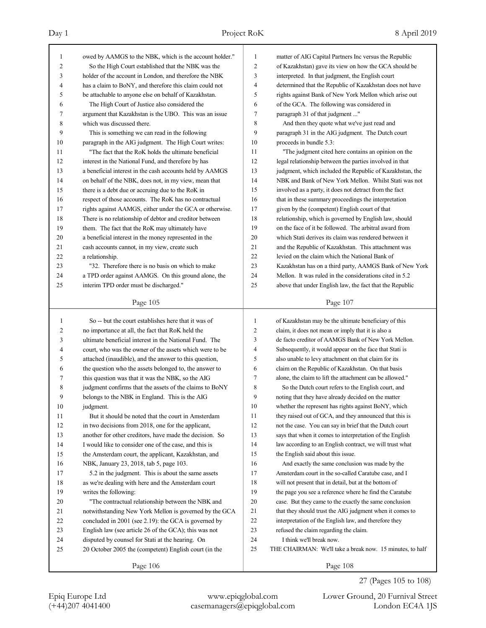# Day 1 Project RoK 8 April 2019

| 1            | owed by AAMGS to the NBK, which is the account holder."                                                          | 1        | matter of AIG Capital Partners Inc versus the Republic                                                           |
|--------------|------------------------------------------------------------------------------------------------------------------|----------|------------------------------------------------------------------------------------------------------------------|
| 2            | So the High Court established that the NBK was the                                                               | 2        | of Kazakhstan) gave its view on how the GCA should be                                                            |
| 3            | holder of the account in London, and therefore the NBK                                                           | 3        | interpreted. In that judgment, the English court                                                                 |
| 4            | has a claim to BoNY, and therefore this claim could not                                                          | 4        | determined that the Republic of Kazakhstan does not have                                                         |
| 5            | be attachable to anyone else on behalf of Kazakhstan.                                                            | 5        | rights against Bank of New York Mellon which arise out                                                           |
| 6            | The High Court of Justice also considered the                                                                    | 6        | of the GCA. The following was considered in                                                                      |
| 7            | argument that Kazakhstan is the UBO. This was an issue                                                           | 7        | paragraph 31 of that judgment "                                                                                  |
| 8            | which was discussed there.                                                                                       | 8        | And then they quote what we've just read and                                                                     |
| 9            | This is something we can read in the following                                                                   | 9        | paragraph 31 in the AIG judgment. The Dutch court                                                                |
| 10           | paragraph in the AIG judgment. The High Court writes:                                                            | 10       | proceeds in bundle 5.3:                                                                                          |
| 11           | "The fact that the RoK holds the ultimate beneficial"                                                            | 11       | "The judgment cited here contains an opinion on the                                                              |
| 12           | interest in the National Fund, and therefore by has                                                              | 12       | legal relationship between the parties involved in that                                                          |
| 13           | a beneficial interest in the cash accounts held by AAMGS                                                         | 13       | judgment, which included the Republic of Kazakhstan, the                                                         |
| 14           | on behalf of the NBK, does not, in my view, mean that                                                            | 14       | NBK and Bank of New York Mellon. Whilst Stati was not                                                            |
| 15           | there is a debt due or accruing due to the RoK in                                                                | 15       | involved as a party, it does not detract from the fact                                                           |
| 16           | respect of those accounts. The RoK has no contractual                                                            | 16       | that in these summary proceedings the interpretation                                                             |
| 17           | rights against AAMGS, either under the GCA or otherwise.                                                         | 17       | given by the (competent) English court of that                                                                   |
| 18           | There is no relationship of debtor and creditor between                                                          | 18       | relationship, which is governed by English law, should                                                           |
| 19           | them. The fact that the RoK may ultimately have                                                                  | 19       | on the face of it be followed. The arbitral award from                                                           |
| 20           | a beneficial interest in the money represented in the                                                            | 20       | which Stati derives its claim was rendered between it                                                            |
| 21           | cash accounts cannot, in my view, create such                                                                    | 21       | and the Republic of Kazakhstan. This attachment was                                                              |
| 22           | a relationship.                                                                                                  | 22       | levied on the claim which the National Bank of                                                                   |
| 23           | "32. Therefore there is no basis on which to make                                                                | 23       | Kazakhstan has on a third party, AAMGS Bank of New York                                                          |
| 24           | a TPD order against AAMGS. On this ground alone, the                                                             | 24       | Mellon. It was ruled in the considerations cited in 5.2                                                          |
| 25           | interim TPD order must be discharged."                                                                           | 25       | above that under English law, the fact that the Republic                                                         |
|              |                                                                                                                  |          |                                                                                                                  |
|              | Page 105                                                                                                         |          | Page 107                                                                                                         |
|              |                                                                                                                  |          |                                                                                                                  |
| $\mathbf{1}$ |                                                                                                                  | 1        |                                                                                                                  |
| 2            | So -- but the court establishes here that it was of                                                              | 2        | of Kazakhstan may be the ultimate beneficiary of this<br>claim, it does not mean or imply that it is also a      |
| 3            | no importance at all, the fact that RoK held the<br>ultimate beneficial interest in the National Fund. The       | 3        | de facto creditor of AAMGS Bank of New York Mellon.                                                              |
| 4            | court, who was the owner of the assets which were to be                                                          | 4        |                                                                                                                  |
| 5            |                                                                                                                  | 5        | Subsequently, it would appear on the face that Stati is<br>also unable to levy attachment on that claim for its  |
| 6            | attached (inaudible), and the answer to this question,<br>the question who the assets belonged to, the answer to | 6        | claim on the Republic of Kazakhstan. On that basis                                                               |
| 7            | this question was that it was the NBK, so the AIG                                                                | 7        | alone, the claim to lift the attachment can be allowed."                                                         |
| 8            | judgment confirms that the assets of the claims to BoNY                                                          | 8        | So the Dutch court refers to the English court, and                                                              |
| 9            |                                                                                                                  | 9        | noting that they have already decided on the matter                                                              |
|              | belongs to the NBK in England. This is the AIG                                                                   |          | whether the represent has rights against BoNY, which                                                             |
| 10           | judgment.                                                                                                        | $10\,$   | they raised out of GCA, and they announced that this is                                                          |
| 11           | But it should be noted that the court in Amsterdam                                                               | 11<br>12 | not the case. You can say in brief that the Dutch court                                                          |
| 12           | in two decisions from 2018, one for the applicant,                                                               | 13       | says that when it comes to interpretation of the English                                                         |
| 13           | another for other creditors, have made the decision. So                                                          | 14       |                                                                                                                  |
| 14           | I would like to consider one of the case, and this is                                                            | 15       | law according to an English contract, we will trust what                                                         |
| 15           | the Amsterdam court, the applicant, Kazakhstan, and                                                              |          | the English said about this issue.                                                                               |
| 16           | NBK, January 23, 2018, tab 5, page 103.                                                                          | 16       | And exactly the same conclusion was made by the                                                                  |
| 17           | 5.2 in the judgment. This is about the same assets                                                               | 17       | Amsterdam court in the so-called Caratube case, and I                                                            |
| 18           | as we're dealing with here and the Amsterdam court                                                               | 18<br>19 | will not present that in detail, but at the bottom of<br>the page you see a reference where he find the Caratube |
| 19           | writes the following:                                                                                            |          |                                                                                                                  |
| 20           | "The contractual relationship between the NBK and                                                                | 20       | case. But they came to the exactly the same conclusion                                                           |
| 21           | notwithstanding New York Mellon is governed by the GCA                                                           | 21       | that they should trust the AIG judgment when it comes to                                                         |
| 22           | concluded in 2001 (see 2.19): the GCA is governed by                                                             | 22       | interpretation of the English law, and therefore they                                                            |
| 23           | English law (see article 26 of the GCA); this was not                                                            | 23       | refused the claim regarding the claim.                                                                           |
| 24           | disputed by counsel for Stati at the hearing. On                                                                 | 24<br>25 | I think we'll break now.                                                                                         |
| 25           | 20 October 2005 the (competent) English court (in the<br>Page 106                                                |          | THE CHAIRMAN: We'll take a break now. 15 minutes, to half<br>Page 108                                            |

Epiq Europe Ltd www.epiqglobal.com Lower Ground, 20 Furnival Street

27 (Pages 105 to 108)

(+44)207 4041400 casemanagers@epiqglobal.com London EC4A 1JS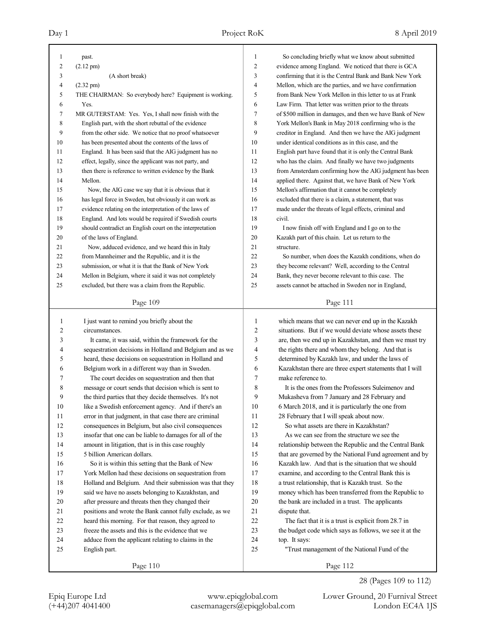| 1              | past.                                                    | 1              | So concluding briefly what we know about submitted                             |
|----------------|----------------------------------------------------------|----------------|--------------------------------------------------------------------------------|
| $\overline{c}$ | $(2.12 \text{ pm})$                                      | 2              | evidence among England. We noticed that there is GCA                           |
| 3              | (A short break)                                          | 3              | confirming that it is the Central Bank and Bank New York                       |
| 4              | $(2.32 \text{ pm})$                                      | 4              | Mellon, which are the parties, and we have confirmation                        |
| 5              | THE CHAIRMAN: So everybody here? Equipment is working.   | 5              | from Bank New York Mellon in this letter to us at Frank                        |
| 6              | Yes.                                                     | 6              | Law Firm. That letter was written prior to the threats                         |
| 7              | MR GUTERSTAM: Yes. Yes, I shall now finish with the      | 7              | of \$500 million in damages, and then we have Bank of New                      |
| 8              | English part, with the short rebuttal of the evidence    | 8              | York Mellon's Bank in May 2018 confirming who is the                           |
| 9              | from the other side. We notice that no proof whatsoever  | 9              | creditor in England. And then we have the AIG judgment                         |
| 10             | has been presented about the contents of the laws of     | 10             | under identical conditions as in this case, and the                            |
| 11             | England. It has been said that the AIG judgment has no   | 11             | English part have found that it is only the Central Bank                       |
| 12             | effect, legally, since the applicant was not party, and  | 12             | who has the claim. And finally we have two judgments                           |
| 13             | then there is reference to written evidence by the Bank  | 13             | from Amsterdam confirming how the AIG judgment has been                        |
| 14             | Mellon.                                                  | 14             | applied there. Against that, we have Bank of New York                          |
| 15             | Now, the AIG case we say that it is obvious that it      | 15             | Mellon's affirmation that it cannot be completely                              |
| 16             | has legal force in Sweden, but obviously it can work as  | 16             | excluded that there is a claim, a statement, that was                          |
| 17             | evidence relating on the interpretation of the laws of   | 17             | made under the threats of legal effects, criminal and                          |
| 18             | England. And lots would be required if Swedish courts    | 18             | civil.                                                                         |
| 19             | should contradict an English court on the interpretation | 19             | I now finish off with England and I go on to the                               |
| 20             | of the laws of England.                                  | 20             | Kazakh part of this chain. Let us return to the                                |
| 21             | Now, adduced evidence, and we heard this in Italy        | 21             | structure.                                                                     |
| 22             | from Mannheimer and the Republic, and it is the          | 22             | So number, when does the Kazakh conditions, when do                            |
| 23             | submission, or what it is that the Bank of New York      | 23             | they become relevant? Well, according to the Central                           |
| 24             | Mellon in Belgium, where it said it was not completely   | 24             | Bank, they never become relevant to this case. The                             |
| 25             | excluded, but there was a claim from the Republic.       | 25             | assets cannot be attached in Sweden nor in England,                            |
|                |                                                          |                |                                                                                |
|                | Page 109                                                 |                | Page 111                                                                       |
|                |                                                          |                |                                                                                |
| $\mathbf{1}$   | I just want to remind you briefly about the              | $\mathbf{1}$   | which means that we can never end up in the Kazakh                             |
| $\overline{c}$ | circumstances.                                           | $\overline{c}$ | situations. But if we would deviate whose assets these                         |
| 3              | It came, it was said, within the framework for the       | 3              | are, then we end up in Kazakhstan, and then we must try                        |
| 4              | sequestration decisions in Holland and Belgium and as we | 4              | the rights there and whom they belong. And that is                             |
| 5              | heard, these decisions on sequestration in Holland and   | 5              | determined by Kazakh law, and under the laws of                                |
| 6              | Belgium work in a different way than in Sweden.          | 6              |                                                                                |
| 7              | The court decides on sequestration and then that         | 7              | Kazakhstan there are three expert statements that I will<br>make reference to. |
| 8              | message or court sends that decision which is sent to    | 8              | It is the ones from the Professors Suleimenov and                              |
| 9              | the third parties that they decide themselves. It's not  | 9              | Mukasheva from 7 January and 28 February and                                   |
| $10\,$         | like a Swedish enforcement agency. And if there's an     | 10             | 6 March 2018, and it is particularly the one from                              |
| 11             | error in that judgment, in that case there are criminal  | 11             | 28 February that I will speak about now.                                       |
| 12             | consequences in Belgium, but also civil consequences     | 12             | So what assets are there in Kazakhstan?                                        |
|                |                                                          | 13             | As we can see from the structure we see the                                    |
| 13             | insofar that one can be liable to damages for all of the |                |                                                                                |
| 14             | amount in litigation, that is in this case roughly       | 14             | relationship between the Republic and the Central Bank                         |
| 15             | 5 billion American dollars.                              | 15             | that are governed by the National Fund agreement and by                        |
| 16             | So it is within this setting that the Bank of New        | 16             | Kazakh law. And that is the situation that we should                           |
| 17             | York Mellon had these decisions on sequestration from    | $17\,$         | examine, and according to the Central Bank this is                             |
| $18\,$         | Holland and Belgium. And their submission was that they  | $18\,$         | a trust relationship, that is Kazakh trust. So the                             |
| 19             | said we have no assets belonging to Kazakhstan, and      | 19             | money which has been transferred from the Republic to                          |
| $20\,$         | after pressure and threats then they changed their       | $20\,$         | the bank are included in a trust. The applicants                               |
| 21             | positions and wrote the Bank cannot fully exclude, as we | 21             | dispute that.                                                                  |
| 22             | heard this morning. For that reason, they agreed to      | $22\,$         | The fact that it is a trust is explicit from 28.7 in                           |
| 23             | freeze the assets and this is the evidence that we       | 23             | the budget code which says as follows, we see it at the                        |
| 24             | adduce from the applicant relating to claims in the      | 24             | top. It says:                                                                  |
| 25             | English part.                                            | 25             | "Trust management of the National Fund of the                                  |

28 (Pages 109 to 112)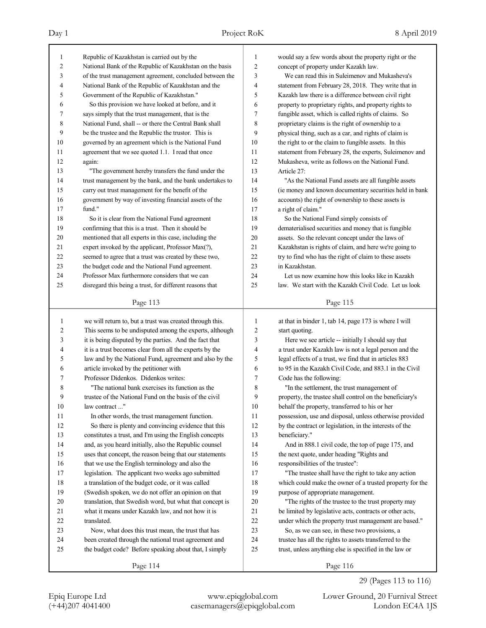| 1              | Republic of Kazakhstan is carried out by the             | 1              | would say a few words about the property right or the    |
|----------------|----------------------------------------------------------|----------------|----------------------------------------------------------|
| 2              | National Bank of the Republic of Kazakhstan on the basis | $\overline{c}$ | concept of property under Kazakh law.                    |
| 3              | of the trust management agreement, concluded between the | 3              | We can read this in Suleimenov and Mukasheva's           |
| 4              | National Bank of the Republic of Kazakhstan and the      | 4              | statement from February 28, 2018. They write that in     |
| 5              | Government of the Republic of Kazakhstan."               | 5              | Kazakh law there is a difference between civil right     |
| 6              | So this provision we have looked at before, and it       | 6              | property to proprietary rights, and property rights to   |
| 7              | says simply that the trust management, that is the       | 7              | fungible asset, which is called rights of claims. So     |
| 8              | National Fund, shall -- or there the Central Bank shall  | 8              | proprietary claims is the right of ownership to a        |
| 9              | be the trustee and the Republic the trustor. This is     | 9              | physical thing, such as a car, and rights of claim is    |
| 10             | governed by an agreement which is the National Fund      | 10             | the right to or the claim to fungible assets. In this    |
| 11             | agreement that we see quoted 1.1. I read that once       | 11             | statement from February 28, the experts, Suleimenov and  |
| 12             | again:                                                   | 12             | Mukasheva, write as follows on the National Fund.        |
| 13             | "The government hereby transfers the fund under the      | 13             | Article 27:                                              |
| 14             | trust management by the bank, and the bank undertakes to | 14             | "As the National Fund assets are all fungible assets     |
| 15             | carry out trust management for the benefit of the        | 15             | (ie money and known documentary securities held in bank  |
| 16             | government by way of investing financial assets of the   | 16             | accounts) the right of ownership to these assets is      |
| 17             | fund."                                                   | 17             | a right of claim."                                       |
| 18             | So it is clear from the National Fund agreement          | 18             | So the National Fund simply consists of                  |
| 19             | confirming that this is a trust. Then it should be       | 19             | dematerialised securities and money that is fungible     |
| 20             | mentioned that all experts in this case, including the   | 20             | assets. So the relevant concept under the laws of        |
| 21             | expert invoked by the applicant, Professor Max(?),       | 21             | Kazakhstan is rights of claim, and here we're going to   |
| 22             | seemed to agree that a trust was created by these two,   | 22             | try to find who has the right of claim to these assets   |
| 23             | the budget code and the National Fund agreement.         | 23             | in Kazakhstan.                                           |
| 24             | Professor Max furthermore considers that we can          | 24             | Let us now examine how this looks like in Kazakh         |
| 25             | disregard this being a trust, for different reasons that | 25             | law. We start with the Kazakh Civil Code. Let us look    |
|                |                                                          |                |                                                          |
|                | Page 113                                                 |                | Page 115                                                 |
|                |                                                          |                |                                                          |
|                |                                                          |                |                                                          |
| 1              | we will return to, but a trust was created through this. | 1              | at that in binder 1, tab 14, page 173 is where I will    |
| $\overline{c}$ | This seems to be undisputed among the experts, although  | $\overline{c}$ | start quoting.                                           |
| 3              | it is being disputed by the parties. And the fact that   | 3              | Here we see article -- initially I should say that       |
| 4              | it is a trust becomes clear from all the experts by the  | 4              | a trust under Kazakh law is not a legal person and the   |
| 5              | law and by the National Fund, agreement and also by the  | 5              | legal effects of a trust, we find that in articles 883   |
| 6              | article invoked by the petitioner with                   | 6              | to 95 in the Kazakh Civil Code, and 883.1 in the Civil   |
| 7              | Professor Didenkos. Didenkos writes:                     | 7              | Code has the following:                                  |
| 8              | "The national bank exercises its function as the         | 8              | "In the settlement, the trust management of              |
| 9              | trustee of the National Fund on the basis of the civil   | 9              | property, the trustee shall control on the beneficiary's |
| 10             | law contract "                                           | 10             | behalf the property, transferred to his or her           |
| 11             | In other words, the trust management function.           | 11             | possession, use and disposal, unless otherwise provided  |
| 12             | So there is plenty and convincing evidence that this     | 12             | by the contract or legislation, in the interests of the  |
| 13             | constitutes a trust, and I'm using the English concepts  | 13             | beneficiary."                                            |
| 14             | and, as you heard initially, also the Republic counsel   | 14             | And in 888.1 civil code, the top of page 175, and        |
| 15             | uses that concept, the reason being that our statements  | 15             | the next quote, under heading "Rights and                |
| 16             | that we use the English terminology and also the         | 16             | responsibilities of the trustee":                        |
| 17             | legislation. The applicant two weeks ago submitted       | 17             | "The trustee shall have the right to take any action     |
| $18\,$         | a translation of the budget code, or it was called       | 18             | which could make the owner of a trusted property for the |
| 19             | (Swedish spoken, we do not offer an opinion on that      | 19             | purpose of appropriate management.                       |
| $20\,$         | translation, that Swedish word, but what that concept is | 20             | "The rights of the trustee to the trust property may     |
| 21             | what it means under Kazakh law, and not how it is        | 21             | be limited by legislative acts, contracts or other acts, |
| 22             | translated.                                              | $22\,$         | under which the property trust management are based."    |
| 23             | Now, what does this trust mean, the trust that has       | 23             | So, as we can see, in these two provisions, a            |
| 24             | been created through the national trust agreement and    | 24             | trustee has all the rights to assets transferred to the  |
| 25             | the budget code? Before speaking about that, I simply    | 25             | trust, unless anything else is specified in the law or   |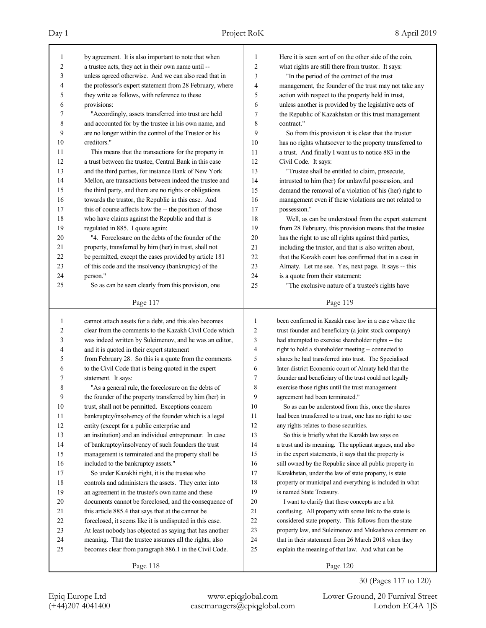| 1              | by agreement. It is also important to note that when     | $\mathbf{1}$   | Here it is seen sort of on the other side of the coin,   |
|----------------|----------------------------------------------------------|----------------|----------------------------------------------------------|
| 2              | a trustee acts, they act in their own name until --      | $\overline{c}$ | what rights are still there from trustor. It says:       |
| 3              | unless agreed otherwise. And we can also read that in    | 3              | "In the period of the contract of the trust              |
| 4              | the professor's expert statement from 28 February, where | 4              | management, the founder of the trust may not take any    |
| 5              | they write as follows, with reference to these           | 5              | action with respect to the property held in trust,       |
| 6              | provisions:                                              | 6              | unless another is provided by the legislative acts of    |
| 7              | "Accordingly, assets transferred into trust are held     | 7              | the Republic of Kazakhstan or this trust management      |
| 8              | and accounted for by the trustee in his own name, and    | 8              | contract."                                               |
| 9              | are no longer within the control of the Trustor or his   | 9              | So from this provision it is clear that the trustor      |
| 10             | creditors."                                              | 10             | has no rights whatsoever to the property transferred to  |
| 11             | This means that the transactions for the property in     | 11             | a trust. And finally I want us to notice 883 in the      |
| 12             | a trust between the trustee, Central Bank in this case   | 12             | Civil Code. It says:                                     |
| 13             | and the third parties, for instance Bank of New York     | 13             | "Trustee shall be entitled to claim, prosecute,          |
| 14             | Mellon, are transactions between indeed the trustee and  | 14             | intrusted to him (her) for unlawful possession, and      |
| 15             | the third party, and there are no rights or obligations  | 15             | demand the removal of a violation of his (her) right to  |
| 16             | towards the trustor, the Republic in this case. And      | 16             | management even if these violations are not related to   |
| 17             | this of course affects how the -- the position of those  | 17             | possession."                                             |
| 18             | who have claims against the Republic and that is         | 18             | Well, as can be understood from the expert statement     |
| 19             | regulated in 885. I quote again:                         | 19             | from 28 February, this provision means that the trustee  |
| 20             | "4. Foreclosure on the debts of the founder of the       | 20             | has the right to use all rights against third parties,   |
| 21             | property, transferred by him (her) in trust, shall not   | 21             | including the trustor, and that is also written about,   |
| 22             | be permitted, except the cases provided by article 181   | 22             | that the Kazakh court has confirmed that in a case in    |
| 23             | of this code and the insolvency (bankruptcy) of the      | 23             | Almaty. Let me see. Yes, next page. It says -- this      |
| 24             | person."                                                 | 24             | is a quote from their statement:                         |
| 25             | So as can be seen clearly from this provision, one       | 25             | "The exclusive nature of a trustee's rights have         |
|                |                                                          |                |                                                          |
|                | Page 117                                                 |                | Page 119                                                 |
| 1              | cannot attach assets for a debt, and this also becomes   | $\mathbf{1}$   | been confirmed in Kazakh case law in a case where the    |
| $\overline{c}$ | clear from the comments to the Kazakh Civil Code which   | $\overline{2}$ | trust founder and beneficiary (a joint stock company)    |
| 3              | was indeed written by Suleimenov, and he was an editor,  | 3              | had attempted to exercise shareholder rights -- the      |
| 4              | and it is quoted in their expert statement               | 4              | right to hold a shareholder meeting -- connected to      |
| 5              | from February 28. So this is a quote from the comments   | 5              | shares he had transferred into trust. The Specialised    |
| 6              | to the Civil Code that is being quoted in the expert     | 6              | Inter-district Economic court of Almaty held that the    |
| 7              | statement. It says:                                      | 7              | founder and beneficiary of the trust could not legally   |
| 8              | "As a general rule, the foreclosure on the debts of      | 8              | exercise those rights until the trust management         |
| 9              | the founder of the property transferred by him (her) in  | 9              | agreement had been terminated."                          |
| $10\,$         | trust, shall not be permitted. Exceptions concern        | 10             | So as can be understood from this, once the shares       |
|                | bankruptcy/insolvency of the founder which is a legal    |                | had been transferred to a trust, one has no right to use |
| 11             |                                                          | 11<br>12       | any rights relates to those securities.                  |
| 12             | entity (except for a public enterprise and               | 13             | So this is briefly what the Kazakh law says on           |
| 13             | an institution) and an individual entrepreneur. In case  |                |                                                          |
| 14             | of bankruptcy/insolvency of such founders the trust      | 14             | a trust and its meaning. The applicant argues, and also  |
| 15             | management is terminated and the property shall be       | 15             | in the expert statements, it says that the property is   |
| 16             | included to the bankruptcy assets."                      | 16             | still owned by the Republic since all public property in |
| 17             | So under Kazakhi right, it is the trustee who            | 17             | Kazakhstan, under the law of state property, is state    |
| 18             | controls and administers the assets. They enter into     | 18             | property or municipal and everything is included in what |
| 19             | an agreement in the trustee's own name and these         | 19             | is named State Treasury.                                 |
| $20\,$         | documents cannot be foreclosed, and the consequence of   | 20             | I want to clarify that these concepts are a bit          |
| 21             | this article 885.4 that says that at the cannot be       | 21             | confusing. All property with some link to the state is   |
| 22             | foreclosed, it seems like it is undisputed in this case. | $22\,$         | considered state property. This follows from the state   |
| 23             | At least nobody has objected as saying that has another  | $23\,$         | property law, and Suleimenov and Mukasheva comment on    |
|                |                                                          |                |                                                          |
| 24             | meaning. That the trustee assumes all the rights, also   | 24             | that in their statement from 26 March 2018 when they     |
| 25             | becomes clear from paragraph 886.1 in the Civil Code.    | 25             | explain the meaning of that law. And what can be         |

30 (Pages 117 to 120)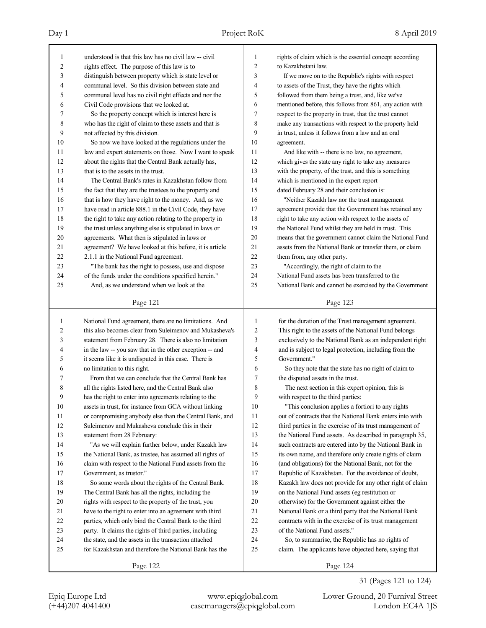| 1            | understood is that this law has no civil law -- civil    | 1              | rights of claim which is the essential concept according |
|--------------|----------------------------------------------------------|----------------|----------------------------------------------------------|
| 2            | rights effect. The purpose of this law is to             | $\overline{2}$ | to Kazakhstani law.                                      |
| 3            | distinguish between property which is state level or     | 3              | If we move on to the Republic's rights with respect      |
| 4            | communal level. So this division between state and       | $\overline{4}$ | to assets of the Trust, they have the rights which       |
| 5            | communal level has no civil right effects and nor the    | 5              | followed from them being a trust, and, like we've        |
| 6            | Civil Code provisions that we looked at.                 | 6              | mentioned before, this follows from 861, any action with |
| 7            | So the property concept which is interest here is        | $\tau$         | respect to the property in trust, that the trust cannot  |
| 8            | who has the right of claim to these assets and that is   | 8              | make any transactions with respect to the property held  |
| 9            | not affected by this division.                           | 9              | in trust, unless it follows from a law and an oral       |
| 10           | So now we have looked at the regulations under the       | 10             | agreement.                                               |
| 11           | law and expert statements on those. Now I want to speak  | 11             | And like with -- there is no law, no agreement,          |
| 12           | about the rights that the Central Bank actually has,     | 12             | which gives the state any right to take any measures     |
| 13           | that is to the assets in the trust.                      | 13             | with the property, of the trust, and this is something   |
| 14           | The Central Bank's rates in Kazakhstan follow from       | 14             | which is mentioned in the expert report                  |
| 15           | the fact that they are the trustees to the property and  | 15             | dated February 28 and their conclusion is:               |
| 16           | that is how they have right to the money. And, as we     | 16             | "Neither Kazakh law nor the trust management             |
| 17           | have read in article 888.1 in the Civil Code, they have  | 17             | agreement provide that the Government has retained any   |
| 18           | the right to take any action relating to the property in | 18             | right to take any action with respect to the assets of   |
| 19           | the trust unless anything else is stipulated in laws or  | 19             | the National Fund whilst they are held in trust. This    |
| 20           | agreements. What then is stipulated in laws or           | 20             | means that the government cannot claim the National Fund |
| 21           | agreement? We have looked at this before, it is article  | 21             | assets from the National Bank or transfer them, or claim |
| 22           | 2.1.1 in the National Fund agreement.                    | 22             | them from, any other party.                              |
| 23           | "The bank has the right to possess, use and dispose      | 23             | "Accordingly, the right of claim to the                  |
| 24           | of the funds under the conditions specified herein."     | 24             | National Fund assets has been transferred to the         |
| 25           | And, as we understand when we look at the                | 25             | National Bank and cannot be exercised by the Government  |
|              | Page 121                                                 |                | Page 123                                                 |
|              |                                                          |                |                                                          |
|              |                                                          |                |                                                          |
| $\mathbf{1}$ | National Fund agreement, there are no limitations. And   | 1              | for the duration of the Trust management agreement.      |
| 2            | this also becomes clear from Suleimenov and Mukasheva's  | $\overline{c}$ | This right to the assets of the National Fund belongs    |
| 3            | statement from February 28. There is also no limitation  | 3              | exclusively to the National Bank as an independent right |
| 4            | in the law -- you saw that in the other exception -- and | 4              | and is subject to legal protection, including from the   |
| 5            | it seems like it is undisputed in this case. There is    | 5              | Government."                                             |
| 6            | no limitation to this right.                             | 6              | So they note that the state has no right of claim to     |
| 7            | From that we can conclude that the Central Bank has      | 7              | the disputed assets in the trust.                        |
| 8            | all the rights listed here, and the Central Bank also    | 8              | The next section in this expert opinion, this is         |
| 9            | has the right to enter into agreements relating to the   | 9              | with respect to the third parties:                       |
| $10\,$       | assets in trust, for instance from GCA without linking   | 10             | "This conclusion applies a fortiori to any rights        |
| 11           | or compromising anybody else than the Central Bank, and  | 11             | out of contracts that the National Bank enters into with |
| 12           | Suleimenov and Mukasheva conclude this in their          | 12             | third parties in the exercise of its trust management of |
| 13           | statement from 28 February:                              | 13             | the National Fund assets. As described in paragraph 35,  |
| 14           | "As we will explain further below, under Kazakh law      | 14             | such contracts are entered into by the National Bank in  |
| 15           | the National Bank, as trustee, has assumed all rights of | 15             | its own name, and therefore only create rights of claim  |
| 16           | claim with respect to the National Fund assets from the  | 16             | (and obligations) for the National Bank, not for the     |
| 17           | Government, as trustor."                                 | 17             | Republic of Kazakhstan. For the avoidance of doubt,      |
| 18           | So some words about the rights of the Central Bank.      | 18             | Kazakh law does not provide for any other right of claim |
| 19           | The Central Bank has all the rights, including the       | 19             | on the National Fund assets (eg restitution or           |
| 20           | rights with respect to the property of the trust, you    | 20             | otherwise) for the Government against either the         |
| 21           | have to the right to enter into an agreement with third  | $21\,$         | National Bank or a third party that the National Bank    |
| $22\,$       | parties, which only bind the Central Bank to the third   | $22\,$         | contracts with in the exercise of its trust management   |
| 23           | party. It claims the rights of third parties, including  | 23             | of the National Fund assets."                            |
| 24           | the state, and the assets in the transaction attached    | 24             | So, to summarise, the Republic has no rights of          |
| 25           | for Kazakhstan and therefore the National Bank has the   | 25             | claim. The applicants have objected here, saying that    |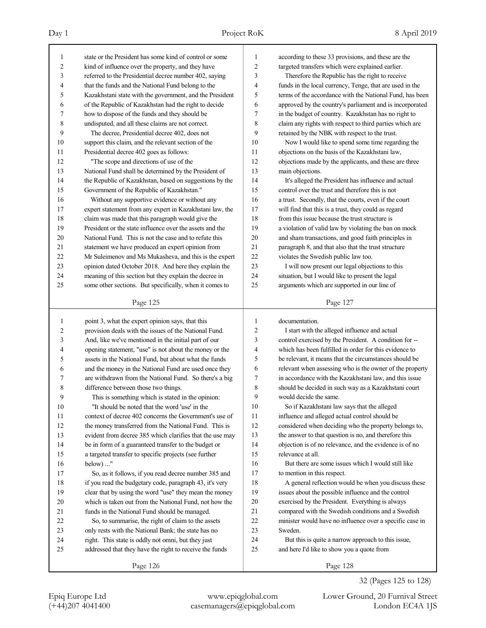| 1                       | state or the President has some kind of control or some  | 1              | according to these 33 provisions, and these are the      |
|-------------------------|----------------------------------------------------------|----------------|----------------------------------------------------------|
| $\overline{\mathbf{c}}$ | kind of influence over the property, and they have       | $\overline{c}$ | targeted transfers which were explained earlier.         |
| 3                       | referred to the Presidential decree number 402, saying   | 3              | Therefore the Republic has the right to receive          |
| 4                       | that the funds and the National Fund belong to the       | 4              | funds in the local currency, Tenge, that are used in the |
| 5                       | Kazakhstani state with the government, and the President | 5              | terms of the accordance with the National Fund, has been |
| 6                       | of the Republic of Kazakhstan had the right to decide    | 6              | approved by the country's parliament and is incorporated |
| 7                       | how to dispose of the funds and they should be           | 7              | in the budget of country. Kazakhstan has no right to     |
| 8                       | undisputed, and all these claims are not correct.        | 8              | claim any rights with respect to third parties which are |
| 9                       | The decree, Presidential decree 402, does not            | 9              | retained by the NBK with respect to the trust.           |
| 10                      | support this claim, and the relevant section of the      | 10             | Now I would like to spend some time regarding the        |
| 11                      | Presidential decree 402 goes as follows:                 | 11             | objections on the basis of the Kazakhstani law,          |
| 12                      | "The scope and directions of use of the                  | 12             | objections made by the applicants, and these are three   |
| 13                      | National Fund shall be determined by the President of    | 13             | main objections.                                         |
| 14                      | the Republic of Kazakhstan, based on suggestions by the  | 14             | It's alleged the President has influence and actual      |
| 15                      | Government of the Republic of Kazakhstan."               | 15             | control over the trust and therefore this is not         |
| 16                      | Without any supportive evidence or without any           | 16             | a trust. Secondly, that the courts, even if the court    |
| 17                      | expert statement from any expert in Kazakhstani law, the | 17             | will find that this is a trust, they could as regard     |
| 18                      | claim was made that this paragraph would give the        | 18             | from this issue because the trust structure is           |
| 19                      | President or the state influence over the assets and the | 19             | a violation of valid law by violating the ban on mock    |
| 20                      | National Fund. This is not the case and to refute this   | 20             | and sham transactions, and good faith principles in      |
| 21                      | statement we have produced an expert opinion from        | 21             | paragraph 8, and that also that the trust structure      |
| 22                      | Mr Suleimenov and Ms Mukasheva, and this is the expert   | 22             | violates the Swedish public law too.                     |
| 23                      |                                                          | 23             | I will now present our legal objections to this          |
|                         | opinion dated October 2018. And here they explain the    |                |                                                          |
| 24                      | meaning of this section but they explain the decree in   | 24             | situation, but I would like to present the legal         |
| 25                      | some other sections. But specifically, when it comes to  | 25             | arguments which are supported in our line of             |
|                         | Page 125                                                 |                | Page 127                                                 |
|                         |                                                          |                |                                                          |
|                         |                                                          |                |                                                          |
| 1                       | point 3, what the expert opinion says, that this         | 1              | documentation.                                           |
| 2                       | provision deals with the issues of the National Fund.    | $\overline{c}$ | I start with the alleged influence and actual            |
| 3                       | And, like we've mentioned in the initial part of our     | 3              | control exercised by the President. A condition for --   |
| 4                       | opening statement, "use" is not about the money or the   | 4              | which has been fulfilled in order for this evidence to   |
| 5                       | assets in the National Fund, but about what the funds    | 5              | be relevant, it means that the circumstances should be   |
| 6                       | and the money in the National Fund are used once they    | 6              | relevant when assessing who is the owner of the property |
| 7                       | are withdrawn from the National Fund. So there's a big   | 7              | in accordance with the Kazakhstani law, and this issue   |
| 8                       | difference between those two things.                     | 8              | should be decided in such way as a Kazakhstani court     |
| 9                       | This is something which is stated in the opinion:        | 9              | would decide the same.                                   |
| 10                      | "It should be noted that the word 'use' in the           | 10             | So if Kazakhstani law says that the alleged              |
| 11                      | context of decree 402 concerns the Government's use of   | 11             | influence and alleged actual control should be           |
| 12                      | the money transferred from the National Fund. This is    | 12             | considered when deciding who the property belongs to,    |
| 13                      | evident from decree 385 which clarifies that the use may | 13             | the answer to that question is no, and therefore this    |
| 14                      |                                                          | 14             | objection is of no relevance, and the evidence is of no  |
|                         | be in form of a guaranteed transfer to the budget or     | 15             | relevance at all.                                        |
| 15                      | a targeted transfer to specific projects (see further    |                | But there are some issues which I would still like       |
| 16                      | below) "                                                 | 16             |                                                          |
| 17                      | So, as it follows, if you read decree number 385 and     | 17             | to mention in this respect.                              |
| 18                      | if you read the budgetary code, paragraph 43, it's very  | 18             | A general reflection would be when you discuss these     |
| 19                      | clear that by using the word "use" they mean the money   | 19             | issues about the possible influence and the control      |
| $20\,$                  | which is taken out from the National Fund, not how the   | $20\,$         | exercised by the President. Everything is always         |
| 21                      | funds in the National Fund should be managed.            | 21             | compared with the Swedish conditions and a Swedish       |
| 22                      | So, to summarise, the right of claim to the assets       | $22\,$         | minister would have no influence over a specific case in |
| 23                      | only rests with the National Bank; the state has no      | 23             | Sweden.                                                  |
| 24                      | right. This state is oddly not omni, but they just       | 24             | But this is quite a narrow approach to this issue,       |
| 25                      | addressed that they have the right to receive the funds  | 25             | and here I'd like to show you a quote from               |

32 (Pages 125 to 128)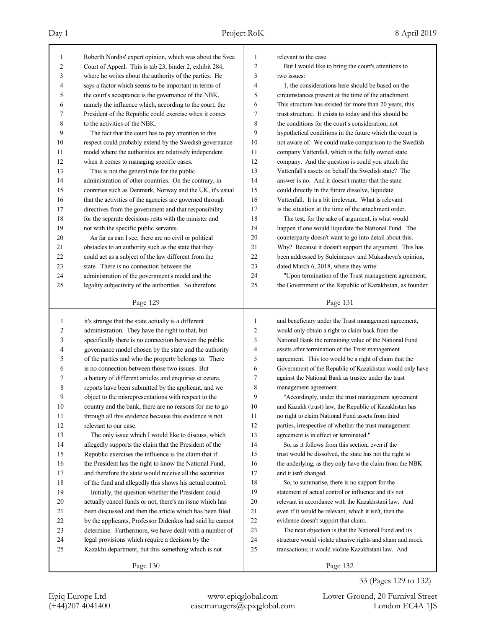### Day 1 Project RoK 8 April 2019

| 1<br>$\overline{c}$ | Roberth Nordhs' expert opinion, which was about the Svea<br>Court of Appeal. This is tab 23, binder 2, exhibit 284, | 1<br>$\overline{c}$ | relevant to the case.<br>But I would like to bring the court's attentions to |
|---------------------|---------------------------------------------------------------------------------------------------------------------|---------------------|------------------------------------------------------------------------------|
| 3                   | where he writes about the authority of the parties. He                                                              | 3                   | two issues:                                                                  |
| 4                   | says a factor which seems to be important in terms of                                                               | 4                   | 1, the considerations here should be based on the                            |
| 5                   | the court's acceptance is the governance of the NBK,                                                                | 5                   | circumstances present at the time of the attachment.                         |
| 6                   | namely the influence which, according to the court, the                                                             | 6                   | This structure has existed for more than 20 years, this                      |
| 7                   | President of the Republic could exercise when it comes                                                              | 7                   | trust structure. It exists to today and this should be                       |
| 8                   | to the activities of the NBK.                                                                                       | 8                   | the conditions for the court's consideration, not                            |
| 9                   | The fact that the court has to pay attention to this                                                                | 9                   | hypothetical conditions in the future which the court is                     |
| 10                  | respect could probably extend by the Swedish governance                                                             | 10                  | not aware of. We could make comparison to the Swedish                        |
| 11                  | model where the authorities are relatively independent                                                              | 11                  | company Vattenfall, which is the fully owned state                           |
| 12                  | when it comes to managing specific cases.                                                                           | 12                  | company. And the question is could you attach the                            |
| 13                  | This is not the general rule for the public                                                                         | 13                  | Vattenfall's assets on behalf the Swedish state? The                         |
| 14                  |                                                                                                                     | 14                  | answer is no. And it doesn't matter that the state                           |
| 15                  | administration of other countries. On the contrary, in                                                              | 15                  |                                                                              |
|                     | countries such as Denmark, Norway and the UK, it's usual                                                            |                     | could directly in the future dissolve, liquidate                             |
| 16                  | that the activities of the agencies are governed through                                                            | 16                  | Vattenfall. It is a bit irrelevant. What is relevant                         |
| 17                  | directives from the government and that responsibility                                                              | 17                  | is the situation at the time of the attachment order.                        |
| 18                  | for the separate decisions rests with the minister and                                                              | 18                  | The test, for the sake of argument, is what would                            |
| 19                  | not with the specific public servants.                                                                              | 19                  | happen if one would liquidate the National Fund. The                         |
| 20                  | As far as can I see, there are no civil or political                                                                | 20                  | counterparty doesn't want to go into detail about this.                      |
| 21                  | obstacles to an authority such as the state that they                                                               | 21                  | Why? Because it doesn't support the argument. This has                       |
| 22                  | could act as a subject of the law different from the                                                                | 22                  | been addressed by Suleimenov and Mukasheva's opinion,                        |
| 23                  | state. There is no connection between the                                                                           | 23                  | dated March 6, 2018, where they write:                                       |
| 24                  | administration of the government's model and the                                                                    | 24                  | "Upon termination of the Trust management agreement,                         |
| 25                  | legality subjectivity of the authorities. So therefore                                                              | 25                  | the Government of the Republic of Kazakhstan, as founder                     |
|                     | Page 129                                                                                                            |                     | Page 131                                                                     |
|                     |                                                                                                                     |                     |                                                                              |
| 1                   | it's strange that the state actually is a different                                                                 | $\mathbf{1}$        | and beneficiary under the Trust management agreement,                        |
| 2                   | administration. They have the right to that, but                                                                    | $\sqrt{2}$          | would only obtain a right to claim back from the                             |
| 3                   | specifically there is no connection between the public                                                              | 3                   | National Bank the remaining value of the National Fund                       |
| 4                   | governance model chosen by the state and the authority                                                              | $\overline{4}$      | assets after termination of the Trust management                             |
| 5                   | of the parties and who the property belongs to. There                                                               | 5                   | agreement. This too would be a right of claim that the                       |
| 6                   | is no connection between those two issues. But                                                                      | 6                   | Government of the Republic of Kazakhstan would only have                     |
| 7                   | a battery of different articles and enquiries et cetera,                                                            | $\tau$              | against the National Bank as trustee under the trust                         |
| 8                   | reports have been submitted by the applicant, and we                                                                | 8                   | management agreement.                                                        |
| 9                   | object to the misrepresentations with respect to the                                                                | 9                   | "Accordingly, under the trust management agreement                           |
| $10\,$              | country and the bank, there are no reasons for me to go                                                             | $10$                | and Kazakh (trust) law, the Republic of Kazakhstan has                       |
| 11                  | through all this evidence because this evidence is not                                                              | 11                  | no right to claim National Fund assets from third                            |
| 12                  | relevant to our case.                                                                                               | 12                  | parties, irrespective of whether the trust management                        |
| 13                  | The only issue which I would like to discuss, which                                                                 | 13                  | agreement is in effect or terminated."                                       |
| 14                  | allegedly supports the claim that the President of the                                                              | 14                  | So, as it follows from this section, even if the                             |
| 15                  | Republic exercises the influence is the claim that if                                                               | 15                  | trust would be dissolved, the state has not the right to                     |
| 16                  | the President has the right to know the National Fund,                                                              | 16                  | the underlying, as they only have the claim from the NBK                     |
| 17                  | and therefore the state would receive all the securities                                                            | 17                  | and it isn't changed.                                                        |
| 18                  | of the fund and allegedly this shows his actual control.                                                            | 18                  | So, to summarise, there is no support for the                                |
| 19                  | Initially, the question whether the President could                                                                 | 19                  | statement of actual control or influence and it's not                        |
| $20\,$              | actually cancel funds or not, there's an issue which has                                                            | $20\,$              | relevant in accordance with the Kazakhstani law. And                         |
| 21                  | been discussed and then the article which has been filed                                                            | 21                  | even if it would be relevant, which it isn't, then the                       |
| 22                  | by the applicants, Professor Didenkos had said he cannot                                                            | 22                  | evidence doesn't support that claim.                                         |
| 23                  | determine. Furthermore, we have dealt with a number of                                                              | 23                  | The next objection is that the National Fund and its                         |
| 24                  | legal provisions which require a decision by the                                                                    | 24                  | structure would violate abusive rights and sham and mock                     |
| 25                  | Kazakhi department, but this something which is not                                                                 | 25                  | transactions; it would violate Kazakhstani law. And                          |

33 (Pages 129 to 132)

Epiq Europe Ltd www.epiqglobal.com Lower Ground, 20 Furnival Street

(+44)207 4041400 casemanagers@epiqglobal.com London EC4A 1JS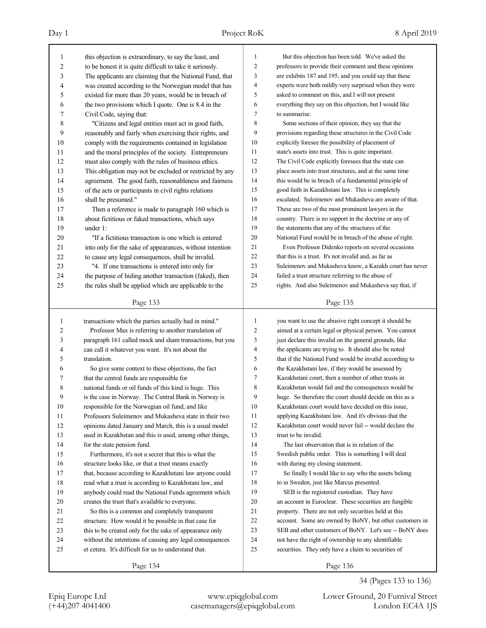| 1              | this objection is extraordinary, to say the least, and   | 1              | But this objection has been told. We've asked the        |
|----------------|----------------------------------------------------------|----------------|----------------------------------------------------------|
| $\overline{c}$ | to be honest it is quite difficult to take it seriously. | $\overline{c}$ | professors to provide their comment and these opinions   |
| 3              | The applicants are claiming that the National Fund, that | 3              | are exhibits 187 and 195, and you could say that these   |
| 4              | was created according to the Norwegian model that has    | 4              | experts were both mildly very surprised when they were   |
| 5              | existed for more than 20 years, would be in breach of    | 5              | asked to comment on this, and I will not present         |
| 6              | the two provisions which I quote. One is 8.4 in the      | 6              | everything they say on this objection, but I would like  |
| 7              | Civil Code, saying that:                                 | 7              | to summarise.                                            |
| 8              | "Citizens and legal entities must act in good faith,     | 8              | Some sections of their opinion, they say that the        |
| 9              | reasonably and fairly when exercising their rights, and  | 9              | provisions regarding these structures in the Civil Code  |
| 10             | comply with the requirements contained in legislation    | 10             | explicitly foresee the possibility of placement of       |
| 11             | and the moral principles of the society. Entrepreneurs   | 11             | state's assets into trust. This is quite important.      |
| 12             | must also comply with the rules of business ethics.      | 12             | The Civil Code explicitly foresees that the state can    |
| 13             | This obligation may not be excluded or restricted by any | 13             | place assets into trust structures, and at the same time |
| 14             | agreement. The good faith, reasonableness and fairness   | 14             | this would be in breach of a fundamental principle of    |
| 15             | of the acts or participants in civil rights relations    | 15             | good faith in Kazakhstani law. This is completely        |
| 16             | shall be presumed."                                      | 16             | escalated. Suleimenov and Mukasheva are aware of that.   |
| 17             | Then a reference is made to paragraph 160 which is       | 17             | These are two of the most prominent lawyers in the       |
| 18             | about fictitious or faked transactions, which says       | 18             | country. There is no support in the doctrine or any of   |
| 19             | under 1:                                                 | 19             | the statements that any of the structures of the         |
| 20             | "If a fictitious transaction is one which is entered     | 20             | National Fund would be in breach of the abuse of right.  |
| 21             | into only for the sake of appearances, without intention | 21             | Even Professor Didenko reports on several occasions      |
| 22             | to cause any legal consequences, shall be invalid.       | 22             | that this is a trust. It's not invalid and, as far as    |
| 23             | "4. If one transactions is entered into only for         | 23             | Suleimenov and Mukasheva know, a Kazakh court has never  |
| 24             | the purpose of hiding another transaction (faked), then  | 24             | failed a trust structure referring to the abuse of       |
| 25             | the rules shall be applied which are applicable to the   | 25             | rights. And also Suleimenov and Mukasheva say that, if   |
|                | Page 133                                                 |                | Page 135                                                 |
|                |                                                          |                |                                                          |
|                |                                                          |                |                                                          |
| 1              | transactions which the parties actually had in mind."    | 1              | you want to use the abusive right concept it should be   |
| $\overline{c}$ | Professor Max is referring to another translation of     | 2              | aimed at a certain legal or physical person. You cannot  |
| 3              | paragraph 161 called mock and sham transactions, but you | 3              | just declare this invalid on the general grounds, like   |
| 4              | can call it whatever you want. It's not about the        | 4              | the applicants are trying to. It should also be noted    |
| 5              | translation.                                             | 5              | that if the National Fund would be invalid according to  |
| 6              | So give some context to these objections, the fact       | 6              | the Kazakhstani law, if they would be assessed by        |
| 7              | that the central funds are responsible for               | 7              | Kazakhstani court, then a number of other trusts in      |
| 8              | national funds or oil funds of this kind is huge. This   | 8              | Kazakhstan would fail and the consequences would be      |
| 9              | is the case in Norway. The Central Bank in Norway is     | 9              | huge. So therefore the court should decide on this as a  |
| $10\,$         | responsible for the Norwegian oil fund, and like         | 10             | Kazakhstani court would have decided on this issue,      |
| 11             | Professors Suleimenov and Mukasheva state in their two   | 11             | applying Kazakhstani law. And it's obvious that the      |
| 12             | opinions dated January and March, this is a usual model  | 12             | Kazakhstan court would never fail -- would declare the   |
| 13             | used in Kazakhstan and this is used, among other things, | 13             | trust to be invalid.                                     |
| 14             | for the state pension fund.                              | 14             | The last observation that is in relation of the          |
| 15             | Furthermore, it's not a secret that this is what the     | 15             | Swedish public order. This is something I will deal      |
| 16             | structure looks like, or that a trust means exactly      | 16             | with during my closing statement.                        |
| 17             | that, because according to Kazakhstani law anyone could  | 17             | So finally I would like to say who the assets belong     |
| 18             | read what a trust is according to Kazakhstani law, and   | 18             | to in Sweden, just like Marcus presented.                |
| 19             | anybody could read the National Funds agreement which    | 19             | SEB is the registered custodian. They have               |
| $20\,$         | creates the trust that's available to everyone.          | 20             | an account in Euroclear. These securities are fungible   |
| 21             | So this is a common and completely transparent           | 21             | property. There are not only securities held at this     |
| $22\,$         | structure. How would it be possible in that case for     | 22             | account. Some are owned by BoNY, but other customers in  |
| 23             | this to be created only for the sake of appearance only  | 23             | SEB and other customers of BoNY. Let's see -- BoNY does  |
| 24             | without the intentions of causing any legal consequences | 24             | not have the right of ownership to any identifiable      |
| 25             | et cetera. It's difficult for us to understand that.     | 25             | securities. They only have a claim to securities of      |

34 (Pages 133 to 136)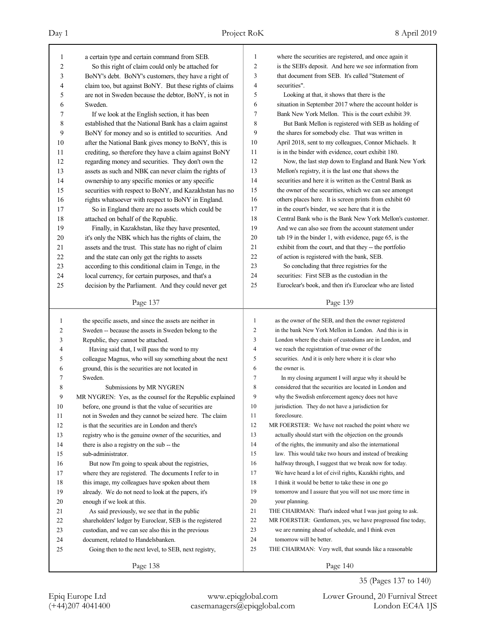| 1  | a certain type and certain command from SEB.              | 1              | where the securities are registered, and once again it      |
|----|-----------------------------------------------------------|----------------|-------------------------------------------------------------|
| 2  | So this right of claim could only be attached for         | $\overline{c}$ | is the SEB's deposit. And here we see information from      |
| 3  | BoNY's debt. BoNY's customers, they have a right of       | 3              | that document from SEB. It's called "Statement of           |
| 4  | claim too, but against BoNY. But these rights of claims   | 4              | securities".                                                |
| 5  | are not in Sweden because the debtor, BoNY, is not in     | 5              | Looking at that, it shows that there is the                 |
| 6  | Sweden.                                                   | 6              | situation in September 2017 where the account holder is     |
| 7  | If we look at the English section, it has been            | 7              | Bank New York Mellon. This is the court exhibit 39.         |
| 8  | established that the National Bank has a claim against    | 8              | But Bank Mellon is registered with SEB as holding of        |
| 9  | BoNY for money and so is entitled to securities. And      | 9              | the shares for somebody else. That was written in           |
| 10 | after the National Bank gives money to BoNY, this is      | 10             | April 2018, sent to my colleagues, Connor Michaels. It      |
| 11 | crediting, so therefore they have a claim against BoNY    | 11             | is in the binder with evidence, court exhibit 180.          |
| 12 | regarding money and securities. They don't own the        | 12             | Now, the last step down to England and Bank New York        |
| 13 | assets as such and NBK can never claim the rights of      | 13             | Mellon's registry, it is the last one that shows the        |
| 14 | ownership to any specific monies or any specific          | 14             | securities and here it is written as the Central Bank as    |
| 15 | securities with respect to BoNY, and Kazakhstan has no    | 15             | the owner of the securities, which we can see amongst       |
| 16 | rights whatsoever with respect to BoNY in England.        | 16             | others places here. It is screen prints from exhibit 60     |
| 17 | So in England there are no assets which could be          | 17             | in the court's binder, we see here that it is the           |
| 18 | attached on behalf of the Republic.                       | 18             | Central Bank who is the Bank New York Mellon's customer.    |
| 19 | Finally, in Kazakhstan, like they have presented,         | 19             | And we can also see from the account statement under        |
| 20 | it's only the NBK which has the rights of claim, the      | 20             | tab 19 in the binder 1, with evidence, page 65, is the      |
| 21 | assets and the trust. This state has no right of claim    | 21             | exhibit from the court, and that they -- the portfolio      |
| 22 | and the state can only get the rights to assets           | 22             | of action is registered with the bank, SEB.                 |
| 23 | according to this conditional claim in Tenge, in the      | 23             | So concluding that three registries for the                 |
| 24 | local currency, for certain purposes, and that's a        | 24             | securities: First SEB as the custodian in the               |
| 25 | decision by the Parliament. And they could never get      | 25             | Euroclear's book, and then it's Euroclear who are listed    |
|    |                                                           |                |                                                             |
|    | Page 137                                                  |                | Page 139                                                    |
|    |                                                           |                |                                                             |
|    |                                                           |                |                                                             |
| 1  | the specific assets, and since the assets are neither in  | $\mathbf{1}$   | as the owner of the SEB, and then the owner registered      |
| 2  | Sweden -- because the assets in Sweden belong to the      | 2              | in the bank New York Mellon in London. And this is in       |
| 3  | Republic, they cannot be attached.                        | 3<br>4         | London where the chain of custodians are in London, and     |
| 4  | Having said that, I will pass the word to my              |                | we reach the registration of true owner of the              |
| 5  | colleague Magnus, who will say something about the next   | 5              | securities. And it is only here where it is clear who       |
| 6  | ground, this is the securities are not located in         | 6              | the owner is.                                               |
| 7  | Sweden.                                                   | $\tau$         | In my closing argument I will argue why it should be        |
| 8  | Submissions by MR NYGREN                                  | 8              | considered that the securities are located in London and    |
| 9  | MR NYGREN: Yes, as the counsel for the Republic explained | 9              | why the Swedish enforcement agency does not have            |
| 10 | before, one ground is that the value of securities are    | 10             | jurisdiction. They do not have a jurisdiction for           |
| 11 | not in Sweden and they cannot be seized here. The claim   | 11             | foreclosure.                                                |
| 12 | is that the securities are in London and there's          | 12             | MR FOERSTER: We have not reached the point where we         |
| 13 | registry who is the genuine owner of the securities, and  | 13             | actually should start with the objection on the grounds     |
| 14 | there is also a registry on the sub -- the                | 14             | of the rights, the immunity and also the international      |
| 15 | sub-administrator.                                        | 15             | law. This would take two hours and instead of breaking      |
| 16 | But now I'm going to speak about the registries,          | 16             | halfway through, I suggest that we break now for today.     |
| 17 | where they are registered. The documents I refer to in    | 17             | We have heard a lot of civil rights, Kazakhi rights, and    |
| 18 | this image, my colleagues have spoken about them          | 18             | I think it would be better to take these in one go          |
| 19 | already. We do not need to look at the papers, it's       | 19             | tomorrow and I assure that you will not use more time in    |
| 20 | enough if we look at this.                                | 20             | your planning.                                              |
| 21 | As said previously, we see that in the public             | 21             | THE CHAIRMAN: That's indeed what I was just going to ask.   |
| 22 | shareholders' ledger by Euroclear, SEB is the registered  | 22             | MR FOERSTER: Gentlemen, yes, we have progressed fine today, |
| 23 | custodian, and we can see also this in the previous       | 23             | we are running ahead of schedule, and I think even          |
| 24 | document, related to Handelsbanken.                       | 24             | tomorrow will be better.                                    |
| 25 | Going then to the next level, to SEB, next registry,      | 25             | THE CHAIRMAN: Very well, that sounds like a reasonable      |

35 (Pages 137 to 140)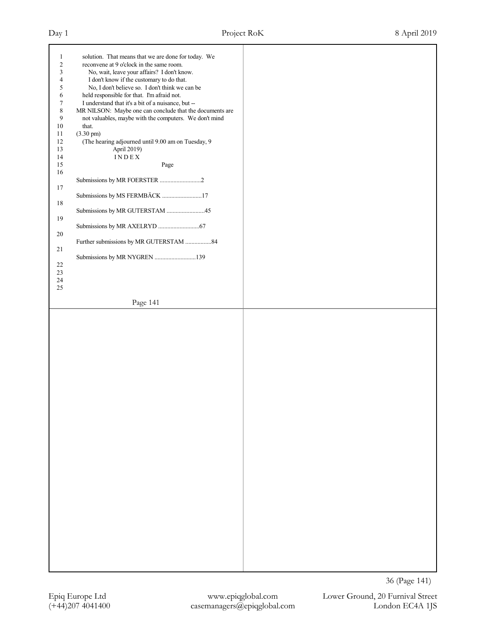| $\mathbf{1}$     | solution. That means that we are done for today. We      |  |
|------------------|----------------------------------------------------------|--|
|                  |                                                          |  |
| $\boldsymbol{2}$ | reconvene at 9 o'clock in the same room.                 |  |
| $\mathfrak{Z}$   | No, wait, leave your affairs? I don't know.              |  |
| $\overline{4}$   | I don't know if the customary to do that.                |  |
|                  |                                                          |  |
| 5                | No, I don't believe so. I don't think we can be          |  |
| 6                | held responsible for that. I'm afraid not.               |  |
| $\tau$           | I understand that it's a bit of a nuisance, but --       |  |
|                  |                                                          |  |
| $\,$ 8 $\,$      | MR NILSON: Maybe one can conclude that the documents are |  |
| 9                | not valuables, maybe with the computers. We don't mind   |  |
| $10\,$           | that.                                                    |  |
|                  |                                                          |  |
| 11               | $(3.30 \text{ pm})$                                      |  |
| $12\,$           | (The hearing adjourned until 9.00 am on Tuesday, 9       |  |
| 13               | April 2019)                                              |  |
|                  |                                                          |  |
| 14               | INDEX                                                    |  |
| 15               | Page                                                     |  |
|                  |                                                          |  |
| $16\,$           |                                                          |  |
|                  | Submissions by MR FOERSTER 2                             |  |
| $17\,$           |                                                          |  |
|                  |                                                          |  |
|                  | Submissions by MS FERMBÄCK 17                            |  |
| $18\,$           |                                                          |  |
|                  | Submissions by MR GUTERSTAM 45                           |  |
|                  |                                                          |  |
| 19               |                                                          |  |
|                  |                                                          |  |
| $20\,$           |                                                          |  |
|                  |                                                          |  |
|                  | Further submissions by MR GUTERSTAM 84                   |  |
| 21               |                                                          |  |
|                  | Submissions by MR NYGREN 139                             |  |
|                  |                                                          |  |
| $22\,$           |                                                          |  |
| 23               |                                                          |  |
| 24               |                                                          |  |
|                  |                                                          |  |
| $25\,$           |                                                          |  |
|                  |                                                          |  |
|                  | Page 141                                                 |  |
|                  |                                                          |  |
|                  |                                                          |  |
|                  |                                                          |  |
|                  |                                                          |  |
|                  |                                                          |  |
|                  |                                                          |  |
|                  |                                                          |  |
|                  |                                                          |  |
|                  |                                                          |  |
|                  |                                                          |  |
|                  |                                                          |  |
|                  |                                                          |  |
|                  |                                                          |  |
|                  |                                                          |  |
|                  |                                                          |  |
|                  |                                                          |  |
|                  |                                                          |  |
|                  |                                                          |  |
|                  |                                                          |  |
|                  |                                                          |  |
|                  |                                                          |  |
|                  |                                                          |  |
|                  |                                                          |  |
|                  |                                                          |  |
|                  |                                                          |  |
|                  |                                                          |  |
|                  |                                                          |  |
|                  |                                                          |  |
|                  |                                                          |  |
|                  |                                                          |  |
|                  |                                                          |  |
|                  |                                                          |  |
|                  |                                                          |  |
|                  |                                                          |  |
|                  |                                                          |  |
|                  |                                                          |  |
|                  |                                                          |  |
|                  |                                                          |  |
|                  |                                                          |  |
|                  |                                                          |  |
|                  |                                                          |  |
|                  |                                                          |  |
|                  |                                                          |  |
|                  |                                                          |  |
|                  |                                                          |  |
|                  |                                                          |  |
|                  |                                                          |  |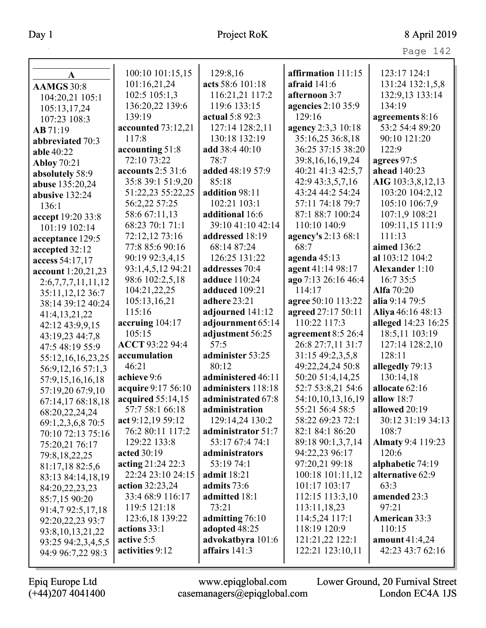| aс<br>⊂ |  |
|---------|--|
|         |  |

| $\mathbf{A}$         | 100:10 101:15,15       | 129:8,16             | affirmation 111:15   | 123:17 124:1             |
|----------------------|------------------------|----------------------|----------------------|--------------------------|
| <b>AAMGS</b> 30:8    | 101:16,21,24           | acts 58:6 101:18     | afraid $141:6$       | 131:24 132:1,5,8         |
| 104:20,21 105:1      | 102:5 105:1,3          | 116:21,21 117:2      | afternoon 3:7        | 132:9,13 133:14          |
| 105:13,17,24         | 136:20,22 139:6        | 119:6 133:15         | agencies 2:10 35:9   | 134:19                   |
| 107:23 108:3         | 139:19                 | actual 5:8 92:3      | 129:16               | agreements 8:16          |
| AB 71:19             | accounted 73:12,21     | 127:14 128:2,11      | agency 2:3,3 10:18   | 53:2 54:4 89:20          |
| abbreviated 70:3     | 117:8                  | 130:18 132:19        | 35:16,25 36:8,18     | 90:10 121:20             |
| able 40:22           | accounting 51:8        | add 38:4 40:10       | 36:25 37:15 38:20    | 122:9                    |
| <b>Abloy 70:21</b>   | 72:10 73:22            | 78:7                 | 39:8, 16, 16, 19, 24 | agrees 97:5              |
| absolutely 58:9      | accounts 2:5 31:6      | added 48:19 57:9     | 40:21 41:3 42:5,7    | ahead 140:23             |
| abuse 135:20,24      | 35:8 39:1 51:9,20      | 85:18                | 42:9 43:3,5,7,16     | AIG 103:3,8,12,13        |
| abusive 132:24       | 51:22,23 55:22,25      | addition 98:11       | 43:24 44:2 54:24     | 103:20 104:2,12          |
| 136:1                | 56:2,22 57:25          | 102:21 103:1         | 57:11 74:18 79:7     | 105:10 106:7,9           |
| accept 19:20 33:8    | 58:6 67:11,13          | additional 16:6      | 87:1 88:7 100:24     | 107:1,9 108:21           |
| 101:19 102:14        | 68:23 70:1 71:1        | 39:10 41:10 42:14    | 110:10 140:9         | 109:11,15 111:9          |
| acceptance 129:5     | 72:12,12 73:16         | addressed 18:19      | agency's 2:13 68:1   | 111:13                   |
| accepted 32:12       | 77:8 85:6 90:16        | 68:14 87:24          | 68:7                 | aimed 136:2              |
| access 54:17,17      | 90:19 92:3,4,15        | 126:25 131:22        | agenda $45:13$       | al 103:12 104:2          |
| account 1:20,21,23   | 93:1,4,5,12 94:21      | addresses 70:4       | agent 41:14 98:17    | <b>Alexander</b> 1:10    |
| 2:6,7,7,7,11,11,12   | 98:6 102:2,5,18        | <b>adduce</b> 110:24 | ago 7:13 26:16 46:4  | 16:7 35:5                |
| 35:11, 12, 12 36:7   | 104:21,22,25           | adduced 109:21       | 114:17               | <b>Alfa</b> 70:20        |
| 38:14 39:12 40:24    | 105:13,16,21           | adhere 23:21         | agree 50:10 113:22   | alia 9:14 79:5           |
| 41:4,13,21,22        | 115:16                 | adjourned 141:12     | agreed 27:17 50:11   | Aliya 46:16 48:13        |
| 42:12 43:9,9,15      | accruing 104:17        | adjournment 65:14    | 110:22 117:3         | alleged 14:23 16:25      |
| 43:19,23 44:7,8      | 105:15                 | adjustment 56:25     | agreement 8:5 26:4   | 18:5,11 103:19           |
| 47:5 48:19 55:9      | ACCT 93:22 94:4        | 57:5                 | 26:8 27:7,11 31:7    | 127:14 128:2,10          |
| 55:12,16,16,23,25    | accumulation           | administer 53:25     | 31:15 49:2,3,5,8     | 128:11                   |
| 56:9,12,16 57:1,3    | 46:21                  | 80:12                | 49:22,24,24 50:8     | allegedly 79:13          |
| 57:9,15,16,16,18     | achieve 9:6            | administered 46:11   | 50:20 51:4,14,25     | 130:14,18                |
| 57:19,20 67:9,10     | acquire 9:17 56:10     | administers 118:18   | 52:7 53:8,21 54:6    | allocate 62:16           |
| 67:14,17 68:18,18    | acquired 55:14,15      | administrated 67:8   | 54:10,10,13,16,19    | allow $18:7$             |
| 68:20,22,24,24       | 57:7 58:1 66:18        | administration       | 55:21 56:4 58:5      | allowed 20:19            |
| 69:1,2,3,6,8 70:5    | act 9:12,19 59:12      | 129:14,24 130:2      | 58:22 69:23 72:1     | 30:12 31:19 34:13        |
| 70:10 72:13 75:16    | 76:2 80:11 117:2       | administrator 51:7   | 82:1 84:1 86:20      | 108:7                    |
| 75:20,21 76:17       | 129:22 133:8           | 53:17 67:4 74:1      | 89:18 90:1,3,7,14    | <b>Almaty</b> 9:4 119:23 |
| 79:8, 18, 22, 25     | acted 30:19            | administrators       | 94:22,23 96:17       | 120:6                    |
| 81:17,18 82:5,6      | acting 21:24 22:3      | 53:19 74:1           | 97:20,21 99:18       | alphabetic 74:19         |
| 83:13 84:14,18,19    | 22:24 23:10 24:15      | <b>admit</b> 18:21   | 100:18 101:11,12     | alternative 62:9         |
| 84:20,22,23,23       | <b>action</b> 32:23,24 | admits 73:6          | 101:17 103:17        | 63:3                     |
| 85:7,15 90:20        | 33:4 68:9 116:17       | admitted 18:1        | 112:15 113:3,10      | amended 23:3             |
| 91:4,7 92:5,17,18    | 119:5 121:18           | 73:21                | 113:11,18,23         | 97:21                    |
| 92:20,22,23 93:7     | 123:6,18 139:22        | admitting 76:10      | 114:5,24 117:1       | <b>American 33:3</b>     |
| 93:8, 10, 13, 21, 22 | actions 33:1           | adopted 48:25        | 118:19 120:9         | 110:15                   |
| 93:25 94:2,3,4,5,5   | active 5:5             | advokatbyra 101:6    | 121:21,22 122:1      | amount $41:4,24$         |
| 94:9 96:7,22 98:3    | activities 9:12        | affairs $141:3$      | 122:21 123:10,11     | 42:23 43:7 62:16         |
|                      |                        |                      |                      |                          |

 $\mathbf{I}$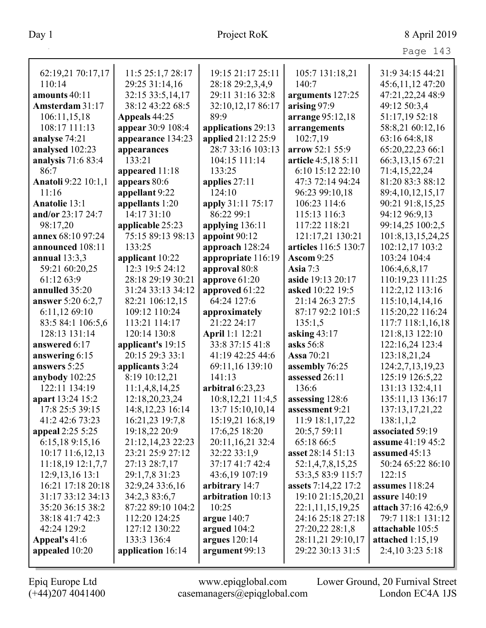|                            |                    |                    |                      | Page 143                 |
|----------------------------|--------------------|--------------------|----------------------|--------------------------|
| 62:19,21 70:17,17          | 11:5 25:1,7 28:17  | 19:15 21:17 25:11  | 105:7 131:18,21      | 31:9 34:15 44:21         |
| 110:14                     | 29:25 31:14,16     | 28:18 29:2,3,4,9   | 140:7                | 45:6,11,12 47:20         |
| amounts 40:11              | 32:15 33:5,14,17   | 29:11 31:16 32:8   | arguments 127:25     | 47:21,22,24 48:9         |
| Amsterdam 31:17            | 38:12 43:22 68:5   | 32:10,12,17 86:17  | arising 97:9         | 49:12 50:3,4             |
| 106:11,15,18               | Appeals 44:25      | 89:9               | arrange 95:12,18     | 51:17,19 52:18           |
| 108:17 111:13              | appear 30:9 108:4  | applications 29:13 | arrangements         | 58:8,21 60:12,16         |
| analyse 74:21              | appearance 134:23  | applied 21:12 25:9 | 102:7,19             | 63:16 64:8,18            |
| analysed 102:23            | appearances        | 28:7 33:16 103:13  | arrow 52:1 55:9      | 65:20,22,23 66:1         |
| analysis 71:6 83:4         | 133:21             | 104:15 111:14      | article 4:5,18 5:11  | 66:3,13,15 67:21         |
| 86:7                       | appeared 11:18     | 133:25             | 6:10 15:12 22:10     | 71:4,15,22,24            |
| <b>Anatoli</b> 9:22 10:1,1 | appears 80:6       | applies $27:11$    | 47:3 72:14 94:24     | 81:20 83:3 88:12         |
| 11:16                      | appellant 9:22     | 124:10             | 96:23 99:10,18       | 89:4, 10, 12, 15, 17     |
| <b>Anatolie 13:1</b>       | appellants 1:20    | apply 31:11 75:17  | 106:23 114:6         | 90:21 91:8,15,25         |
| and/or 23:17 24:7          | 14:17 31:10        | 86:22 99:1         | 115:13 116:3         | 94:12 96:9,13            |
| 98:17,20                   | applicable 25:23   | applying 136:11    | 117:22 118:21        | 99:14,25 100:2,5         |
| annex 68:10 97:24          | 75:15 89:13 98:13  | appoint 90:12      | 121:17,21 130:21     | 101:8, 13, 15, 24, 25    |
| announced 108:11           | 133:25             | approach 128:24    | articles 116:5 130:7 | 102:12,17 103:2          |
| annual $13:3,3$            | applicant 10:22    | appropriate 116:19 | <b>Ascom 9:25</b>    | 103:24 104:4             |
| 59:21 60:20,25             | 12:3 19:5 24:12    | approval 80:8      | <b>Asia</b> 7:3      | 106:4,6,8,17             |
| 61:12 63:9                 | 28:18 29:19 30:21  | approve $61:20$    | aside 19:13 20:17    | 110:19,23 111:25         |
| annulled 35:20             | 31:24 33:13 34:12  | approved 61:22     | asked 10:22 19:5     | 112:2,12 113:16          |
| answer 5:20 6:2,7          | 82:21 106:12,15    | 64:24 127:6        | 21:14 26:3 27:5      | 115:10,14,14,16          |
| 6:11,12 69:10              | 109:12 110:24      | approximately      | 87:17 92:2 101:5     | 115:20,22 116:24         |
| 83:5 84:1 106:5,6          | 113:21 114:17      | 21:22 24:17        | 135:1,5              | 117:7 118:1,16,18        |
| 128:13 131:14              | 120:14 130:8       | April 1:1 12:21    | asking $43:17$       | 121:8,13 122:10          |
| answered 6:17              | applicant's 19:15  | 33:8 37:15 41:8    | asks 56:8            | 122:16,24 123:4          |
| answering 6:15             | 20:15 29:3 33:1    | 41:19 42:25 44:6   | <b>Assa</b> 70:21    | 123:18,21,24             |
| answers 5:25               | applicants 3:24    | 69:11,16 139:10    | assembly 76:25       | 124:2,7,13,19,23         |
| anybody 102:25             | 8:19 10:12,21      | 141:13             | assessed 26:11       | 125:19 126:5,22          |
| 122:11 134:19              | 11:1,4,8,14,25     | arbitral $6:23,23$ | 136:6                | 131:13 132:4,11          |
| apart 13:24 15:2           | 12:18,20,23,24     | 10:8,12,21 11:4,5  | assessing 128:6      | 135:11,13 136:17         |
| 17:8 25:5 39:15            | 14:8, 12, 23 16:14 | 13:7 15:10,10,14   | assessment 9:21      | 137:13,17,21,22          |
| 41:2 42:6 73:23            | 16:21,23 19:7,8    | 15:19,21 16:8,19   | 11:9 18:1,17,22      | 138:1,1,2                |
| appeal 2:25 5:25           | 19:18,22 20:9      | 17:6,25 18:20      | 20:5,7 59:11         | associated 59:19         |
| 6:15,18 9:15,16            | 21:12,14,23 22:23  | 20:11,16,21 32:4   | 65:18 66:5           | <b>assume</b> 41:19 45:2 |
| 10:17 11:6,12,13           | 23:21 25:9 27:12   | 32:22 33:1,9       | asset 28:14 51:13    | assumed $45:13$          |
| 11:18,19 12:1,7,7          | 27:13 28:7,17      | 37:17 41:7 42:4    | 52:1,4,7,8,15,25     | 50:24 65:22 86:10        |
| 12:9, 13, 16 13:1          | 29:1,7,8 31:23     | 43:6,19 107:19     | 53:3,5 83:9 115:7    | 122:15                   |
| 16:21 17:18 20:18          | 32:9,24 33:6,16    | arbitrary 14:7     | assets 7:14,22 17:2  | assumes $118:24$         |
| 31:17 33:12 34:13          | 34:2,3 83:6,7      | arbitration 10:13  | 19:10 21:15,20,21    | <b>assure</b> 140:19     |
| 35:20 36:15 38:2           | 87:22 89:10 104:2  | 10:25              | 22:1,11,15,19,25     | attach 37:16 42:6,9      |
| 38:18 41:7 42:3            | 112:20 124:25      | argue $140:7$      | 24:16 25:18 27:18    | 79:7 118:1 131:12        |
| 42:24 129:2                | 127:12 130:22      | argued $104:2$     | 27:20,22 28:1,8      | attachable 105:5         |
| Appeal's 41:6              | 133:3 136:4        | argues 120:14      | 28:11,21 29:10,17    | attached $1:15,19$       |
| appealed 10:20             | application 16:14  | argument 99:13     | 29:22 30:13 31:5     | 2:4,10 3:23 5:18         |
|                            |                    |                    |                      |                          |

L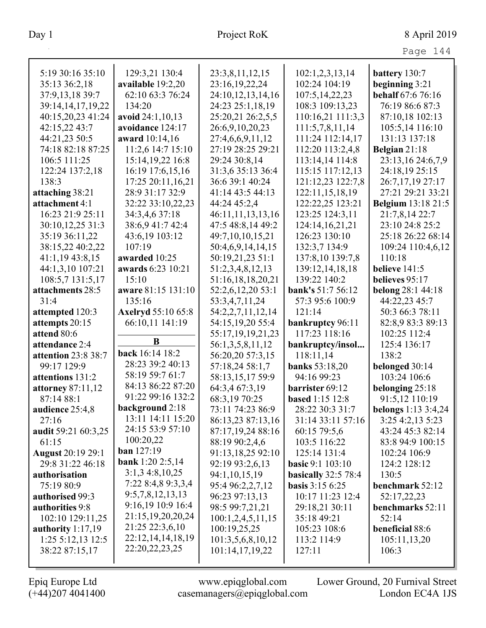Page 144

| 5:19 30:16 35:10        | 129:3,21 130:4              | 23:3,8,11,12,15   | 102:1,2,3,13,14         | battery 130:7             |
|-------------------------|-----------------------------|-------------------|-------------------------|---------------------------|
| 35:13 36:2,18           | available 19:2,20           | 23:16,19,22,24    | 102:24 104:19           | beginning 3:21            |
| 37:9,13,18 39:7         | 62:10 63:3 76:24            | 24:10,12,13,14,16 | 107:5, 14, 22, 23       | behalf 67:6 76:16         |
| 39:14,14,17,19,22       | 134:20                      | 24:23 25:1,18,19  | 108:3 109:13,23         | 76:19 86:6 87:3           |
| 40:15,20,23 41:24       | avoid 24:1,10,13            | 25:20,21 26:2,5,5 | 110:16,21 111:3,3       | 87:10,18 102:13           |
| 42:15,22 43:7           | avoidance 124:17            | 26:6,9,10,20,23   | 111:5,7,8,11,14         | 105:5,14 116:10           |
| 44:21,23 50:5           | award 10:14,16              | 27:4,6,6,9,11,12  | 111:24 112:14,17        | 131:13 137:18             |
| 74:18 82:18 87:25       | 11:2,6 14:7 15:10           | 27:19 28:25 29:21 | 112:20 113:2,4,8        | Belgian 21:18             |
| 106:5 111:25            | 15:14, 19, 22 16:8          | 29:24 30:8,14     | 113:14,14 114:8         | 23:13,16 24:6,7,9         |
| 122:24 137:2,18         | 16:19 17:6,15,16            | 31:3,6 35:13 36:4 | 115:15 117:12,13        | 24:18,19 25:15            |
| 138:3                   | 17:25 20:11,16,21           | 36:6 39:1 40:24   | 121:12,23 122:7,8       | 26:7,17,19 27:17          |
| attaching 38:21         | 28:9 31:17 32:9             | 41:14 43:5 44:13  | 122:11,15,18,19         | 27:21 29:21 33:21         |
| attachment 4:1          | 32:22 33:10,22,23           | 44:24 45:2,4      | 122:22,25 123:21        | <b>Belgium</b> 13:18 21:5 |
| 16:23 21:9 25:11        | 34:3,4,6 37:18              | 46:11,11,13,13,16 | 123:25 124:3,11         | 21:7,8,14 22:7            |
| 30:10,12,25 31:3        | 38:6,9 41:7 42:4            | 47:5 48:8,14 49:2 | 124:14,16,21,21         | 23:10 24:8 25:2           |
| 35:19 36:11,22          | 43:6,19 103:12              | 49:7,10,10,15,21  | 126:23 130:10           | 25:18 26:22 68:14         |
| 38:15,22 40:2,22        | 107:19                      | 50:4,6,9,14,14,15 | 132:3,7 134:9           | 109:24 110:4,6,12         |
| 41:1,19 43:8,15         | awarded 10:25               | 50:19,21,23 51:1  | 137:8,10 139:7,8        | 110:18                    |
| 44:1,3,10 107:21        | awards 6:23 10:21           | 51:2,3,4,8,12,13  | 139:12,14,18,18         | believe 141:5             |
| 108:5,7 131:5,17        | 15:10                       | 51:16,18,18,20,21 | 139:22 140:2            | believes 95:17            |
| attachments 28:5        | aware 81:15 131:10          | 52:2,6,12,20 53:1 | bank's 51:7 56:12       | belong 28:1 44:18         |
| 31:4                    | 135:16                      | 53:3,4,7,11,24    | 57:3 95:6 100:9         | 44:22,23 45:7             |
| attempted 120:3         | <b>Axelryd</b> 55:10 65:8   | 54:2,2,7,11,12,14 | 121:14                  | 50:3 66:3 78:11           |
| attempts 20:15          | 66:10,11 141:19             | 54:15,19,20 55:4  | bankruptcy 96:11        | 82:8,9 83:3 89:13         |
| attend 80:6             |                             | 55:17,19,19,21,23 | 117:23 118:16           | 102:25 112:4              |
| attendance 2:4          | B                           | 56:1,3,5,8,11,12  | bankruptcy/insol        | 125:4 136:17              |
| attention 23:8 38:7     | back 16:14 18:2             | 56:20,20 57:3,15  | 118:11,14               | 138:2                     |
| 99:17 129:9             | 28:23 39:2 40:13            | 57:18,24 58:1,7   | <b>banks</b> 53:18,20   | belonged 30:14            |
| attentions 131:2        | 58:19 59:7 61:7             | 58:13,15,17 59:9  | 94:16 99:23             | 103:24 106:6              |
| attorney 87:11,12       | 84:13 86:22 87:20           | 64:3,4 67:3,19    | barrister 69:12         | belonging 25:18           |
| 87:14 88:1              | 91:22 99:16 132:2           | 68:3,19 70:25     | <b>based</b> 1:15 12:8  | 91:5,12 110:19            |
| audience 25:4,8         | background 2:18             | 73:11 74:23 86:9  | 28:22 30:3 31:7         | belongs 1:13 3:4,24       |
| 27:16                   | 13:11 14:11 15:20           | 86:13,23 87:13,16 | 31:14 33:11 57:16       | 3:25 4:2,13 5:23          |
| audit 59:21 60:3,25     | 24:15 53:9 57:10            | 87:17,19,24 88:16 | 60:15 79:5,6            | 43:24 45:3 82:14          |
| 61:15                   | 100:20,22                   | 88:19 90:2,4,6    | 103:5 116:22            | 83:8 94:9 100:15          |
| August 20:19 29:1       | <b>ban</b> $127:19$         | 91:13,18,25 92:10 | 125:14 131:4            | 102:24 106:9              |
| 29:8 31:22 46:18        | <b>bank</b> $1:20$ $2:5,14$ | 92:19 93:2,6,13   | <b>basic 9:1 103:10</b> | 124:2 128:12              |
| authorisation           | 3:1,34:8,10,25              | 94:1,10,15,19     | basically $32:578:4$    | 130:5                     |
| 75:19 80:9              | 7:22 8:4,8 9:3,3,4          | 95:4 96:2,2,7,12  | <b>basis</b> $3:156:25$ | benchmark 52:12           |
| authorised 99:3         | 9:5,7,8,12,13,13            | 96:23 97:13,13    | 10:17 11:23 12:4        | 52:17,22,23               |
| authorities 9:8         | 9:16,19 10:9 16:4           | 98:5 99:7,21,21   | 29:18,21 30:11          | benchmarks 52:11          |
| 102:10 129:11,25        | 21:15, 19, 20, 20, 24       | 100:1,2,4,5,11,15 | 35:18 49:21             | 52:14                     |
| authority $1:17,19$     | 21:25 22:3,6,10             | 100:19,25,25      | 105:23 108:6            | beneficial 88:6           |
| $1:25 \t5:12,13 \t12:5$ | 22:12, 14, 14, 18, 19       | 101:3,5,6,8,10,12 | 113:2 114:9             | 105:11,13,20              |
| 38:22 87:15,17          | 22:20, 22, 23, 25           | 101:14,17,19,22   | 127:11                  | 106:3                     |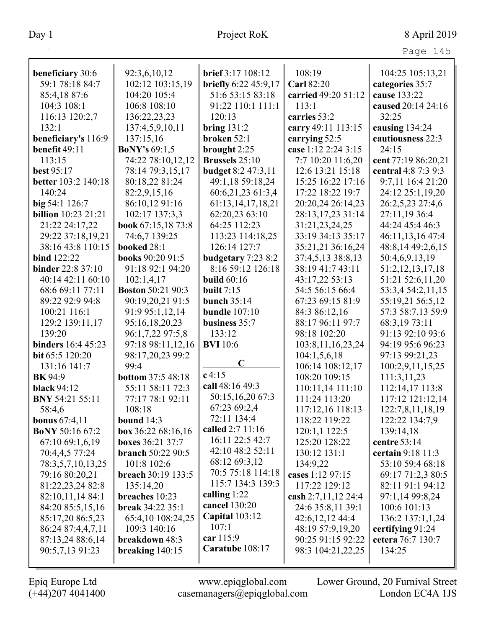| beneficiary 30:6           | 92:3,6,10,12              | brief 3:17 108:12         | 108:19                | 104:25 105:13,21     |
|----------------------------|---------------------------|---------------------------|-----------------------|----------------------|
| 59:1 78:18 84:7            | 102:12 103:15,19          | briefly 6:22 45:9,17      | <b>Carl 82:20</b>     | categories 35:7      |
| 85:4,1887:6                | 104:20 105:4              | 51:6 53:15 83:18          | carried 49:20 51:12   | cause 133:22         |
| 104:3 108:1                | 106:8 108:10              | 91:22 110:1 111:1         | 113:1                 | caused 20:14 24:16   |
| 116:13 120:2,7             | 136:22,23,23              | 120:13                    | carries 53:2          | 32:25                |
| 132:1                      | 137:4,5,9,10,11           | bring $131:2$             | carry 49:11 113:15    | causing 134:24       |
| beneficiary's 116:9        | 137:15,16                 | broken 52:1               | carrying 52:5         | cautiousness 22:3    |
| benefit 49:11              | <b>BoNY's 69:1,5</b>      | brought 2:25              | case 1:12 2:24 3:15   | 24:15                |
| 113:15                     | 74:22 78:10,12,12         | <b>Brussels</b> 25:10     | 7:7 10:20 11:6,20     | cent 77:19 86:20,21  |
| best 95:17                 | 78:14 79:3,15,17          | <b>budget 8:2 47:3,11</b> | 12:6 13:21 15:18      | central 4:8 7:3 9:3  |
| better 103:2 140:18        | 80:18,22 81:24            | 49:1,18 59:18,24          | 15:25 16:22 17:16     | 9:7,11 16:4 21:20    |
| 140:24                     | 82:2,9,15,16              | 60:6,21,23 61:3,4         | 17:22 18:22 19:7      | 24:12 25:1,19,20     |
| big 54:1 126:7             | 86:10,12 91:16            | 61:13, 14, 17, 18, 21     | 20:20,24 26:14,23     | 26:2,5,23 27:4,6     |
| <b>billion</b> 10:23 21:21 | 102:17 137:3,3            | 62:20,23 63:10            | 28:13,17,23 31:14     | 27:11,19 36:4        |
| 21:22 24:17,22             | book 67:15,18 73:8        | 64:25 112:23              | 31:21,23,24,25        | 44:24 45:4 46:3      |
| 29:22 37:18,19,21          | 74:6,7 139:25             | 113:23 114:18,25          | 33:19 34:13 35:17     | 46:11,13,16 47:4     |
| 38:16 43:8 110:15          | booked 28:1               | 126:14 127:7              | 35:21,21 36:16,24     | 48:8,14 49:2,6,15    |
| <b>bind</b> 122:22         | <b>books</b> 90:20 91:5   | budgetary 7:23 8:2        | 37:4,5,13 38:8,13     | 50:4,6,9,13,19       |
| <b>binder</b> 22:8 37:10   | 91:18 92:1 94:20          | 8:16 59:12 126:18         | 38:19 41:7 43:11      | 51:2, 12, 13, 17, 18 |
| 40:14 42:11 60:10          | 102:1,4,17                | <b>build</b> 60:16        | 43:17,22 53:13        | 51:21 52:6,11,20     |
| 68:6 69:11 77:11           | <b>Boston 50:21 90:3</b>  | built $7:15$              | 54:5 56:15 66:4       | 53:3,4 54:2,11,15    |
| 89:22 92:9 94:8            | 90:19,20,21 91:5          | <b>bunch</b> 35:14        | 67:23 69:15 81:9      | 55:19,21 56:5,12     |
| 100:21 116:1               | 91:9 95:1,12,14           | <b>bundle</b> 107:10      | 84:3 86:12,16         | 57:3 58:7,13 59:9    |
| 129:2 139:11,17            | 95:16,18,20,23            | business 35:7             | 88:17 96:11 97:7      | 68:3,1973:11         |
| 139:20                     | 96:1,7,22 97:5,8          | 133:12                    | 98:18 102:20          | 91:13 92:10 93:6     |
| binders 16:4 45:23         | 97:18 98:11,12,16         | <b>BVI</b> 10:6           | 103:8, 11, 16, 23, 24 | 94:19 95:6 96:23     |
| bit 65:5 120:20            | 98:17,20,23 99:2          |                           | 104:1,5,6,18          | 97:13 99:21,23       |
| 131:16 141:7               | 99:4                      | $\mathbf C$               | 106:14 108:12,17      | 100:2,9,11,15,25     |
| <b>BK</b> 94:9             | <b>bottom 37:5 48:18</b>  | $c$ 4:15                  | 108:20 109:15         | 111:3,11,23          |
| <b>black 94:12</b>         | 55:11 58:11 72:3          | call 48:16 49:3           | 110:11,14 111:10      | 112:14,17 113:8      |
| <b>BNY 54:21 55:11</b>     | 77:17 78:1 92:11          | 50:15,16,20 67:3          | 111:24 113:20         | 117:12 121:12,14     |
| 58:4,6                     | 108:18                    | 67:23 69:2,4              | 117:12,16 118:13      | 122:7,8,11,18,19     |
| <b>bonus</b> $67:4,11$     | bound $14:3$              | 72:11 134:4               | 118:22 119:22         | 122:22 134:7,9       |
| <b>BoNY 50:16 67:2</b>     | box 36:22 68:16,16        | called 2:7 11:16          | 120:1,1 122:5         | 139:14,18            |
| 67:10 69:1,6,19            | <b>boxes</b> 36:21 37:7   | 16:11 22:5 42:7           | 125:20 128:22         | centre 53:14         |
| 70:4,4,5 77:24             | <b>branch</b> 50:22 90:5  | 42:10 48:2 52:11          | 130:12 131:1          | certain 9:18 11:3    |
| 78:3,5,7,10,13,25          | 101:8 102:6               | 68:12 69:3,12             | 134:9,22              | 53:10 59:4 68:18     |
| 79:16 80:20,21             | <b>breach</b> 30:19 133:5 | 70:5 75:18 114:18         | cases 1:12 97:15      | 69:17 71:2,3 80:5    |
| 81:22,23,24 82:8           | 135:14,20                 | 115:7 134:3 139:3         | 117:22 129:12         | 82:11 91:1 94:12     |
| 82:10,11,14 84:1           | breaches 10:23            | calling $1:22$            | cash 2:7,11,12 24:4   | 97:1,14 99:8,24      |
| 84:20 85:5,15,16           | <b>break 34:22 35:1</b>   | cancel 130:20             | 24:6 35:8,11 39:1     | 100:6 101:13         |
| 85:17,20 86:5,23           | 65:4,10 108:24,25         | <b>Capital</b> 103:12     | 42:6,12,12,44:4       | 136:2 137:1,1,24     |
| 86:24 87:4,4,7,11          | 109:3 140:16              | 107:1                     | 48:19 57:9,19,20      | certifying 91:24     |
| 87:13,24 88:6,14           | breakdown 48:3            | car 115:9                 | 90:25 91:15 92:22     | cetera 76:7 130:7    |
| 90:5,7,13 91:23            | breaking $140:15$         | Caratube 108:17           | 98:3 104:21,22,25     | 134:25               |
|                            |                           |                           |                       |                      |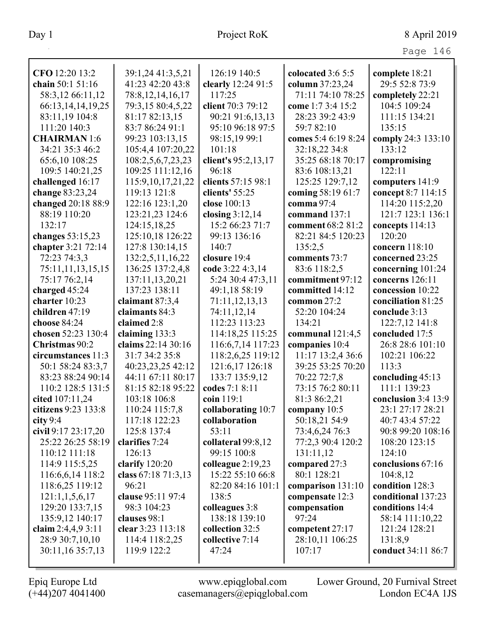|                       |                       |                     |                     | Page 146              |
|-----------------------|-----------------------|---------------------|---------------------|-----------------------|
| CFO 12:20 13:2        | 39:1,24 41:3,5,21     | 126:19 140:5        | colocated 3:6 5:5   | complete 18:21        |
| chain 50:1 51:16      | 41:23 42:20 43:8      | clearly 12:24 91:5  | column 37:23,24     | 29:5 52:8 73:9        |
| 58:3,12 66:11,12      | 78:8, 12, 14, 16, 17  | 117:25              | 71:11 74:10 78:25   | completely 22:21      |
| 66:13, 14, 14, 19, 25 | 79:3,15 80:4,5,22     | client 70:3 79:12   | come 1:7 3:4 15:2   | 104:5 109:24          |
| 83:11,19 104:8        | 81:17 82:13,15        | 90:21 91:6,13,13    | 28:23 39:2 43:9     | 111:15 134:21         |
| 111:20 140:3          | 83:7 86:24 91:1       | 95:10 96:18 97:5    | 59:7 82:10          | 135:15                |
| <b>CHAIRMAN</b> 1:6   | 99:23 103:13,15       | 98:15,19 99:1       | comes 5:4 6:19 8:24 | comply 24:3 133:10    |
| 34:21 35:3 46:2       | 105:4,4 107:20,22     | 101:18              | 32:18,22 34:8       | 133:12                |
| 65:6,10 108:25        | 108:2,5,6,7,23,23     | client's 95:2,13,17 | 35:25 68:18 70:17   | compromising          |
| 109:5 140:21,25       | 109:25 111:12,16      | 96:18               | 83:6 108:13,21      | 122:11                |
| challenged 16:17      | 115:9, 10, 17, 21, 22 | clients 57:15 98:1  | 125:25 129:7,12     | computers 141:9       |
| change 83:23,24       | 119:13 121:8          | clients' 55:25      | coming 58:19 61:7   | concept 8:7 114:15    |
| changed 20:18 88:9    | 122:16 123:1,20       | close 100:13        | comma 97:4          | 114:20 115:2,20       |
| 88:19 110:20          | 123:21,23 124:6       | closing $3:12,14$   | command 137:1       | 121:7 123:1 136:1     |
| 132:17                | 124:15,18,25          | 15:2 66:23 71:7     | comment 68:2 81:2   | concepts 114:13       |
| changes 53:15,23      | 125:10,18 126:22      | 99:13 136:16        | 82:21 84:5 120:23   | 120:20                |
| chapter 3:21 72:14    | 127:8 130:14,15       | 140:7               | 135:2,5             | concern 118:10        |
| 72:23 74:3,3          | 132:2,5,11,16,22      | closure 19:4        | comments 73:7       | concerned 23:25       |
| 75:11,11,13,15,15     | 136:25 137:2,4,8      | code 3:22 4:3,14    | 83:6 118:2,5        | concerning 101:24     |
| 75:17 76:2,14         | 137:11,13,20,21       | 5:24 30:4 47:3,11   | commitment 97:12    | concerns $126:11$     |
| charged $45:24$       | 137:23 138:11         | 49:1,18 58:19       | committed 14:12     | concession 10:22      |
| charter 10:23         | claimant $87:3,4$     | 71:11,12,13,13      | common 27:2         | conciliation 81:25    |
| children 47:19        | claimants 84:3        | 74:11,12,14         | 52:20 104:24        | conclude 3:13         |
| choose 84:24          | claimed 2:8           | 112:23 113:23       | 134:21              | 122:7,12 141:8        |
| chosen 52:23 130:4    | claiming 133:3        | 114:18,25 115:25    | communal $121:4,5$  | concluded 17:5        |
| Christmas 90:2        | claims 22:14 30:16    | 116:6,7,14 117:23   | companies 10:4      | 26:8 28:6 101:10      |
| circumstances 11:3    | 31:7 34:2 35:8        | 118:2,6,25 119:12   | 11:17 13:2,4 36:6   | 102:21 106:22         |
| 50:1 58:24 83:3,7     | 40:23,23,25 42:12     | 121:6,17 126:18     | 39:25 53:25 70:20   | 113:3                 |
| 83:23 88:24 90:14     | 44:11 67:11 80:17     | 133:7 135:9,12      | 70:22 72:7,8        | concluding $45:13$    |
| 110:2 128:5 131:5     | 81:15 82:18 95:22     | codes 7:1 8:11      | 73:15 76:2 80:11    | 111:1 139:23          |
| cited $107:11,24$     | 103:18 106:8          | coin $119:1$        | 81:3 86:2,21        | conclusion $3:4$ 13:9 |
| citizens 9:23 133:8   | 110:24 115:7,8        | collaborating 10:7  | company $10:5$      | 23:1 27:17 28:21      |
| city 9:4              | 117:18 122:23         | collaboration       | 50:18,21 54:9       | 40:7 43:4 57:22       |
| civil 9:17 23:17,20   | 125:8 137:4           | 53:11               | 73:4,6,24 76:3      | 90:8 99:20 108:16     |
| 25:22 26:25 58:19     | clarifies 7:24        | collateral 99:8,12  | 77:2,3 90:4 120:2   | 108:20 123:15         |
| 110:12 111:18         | 126:13                | 99:15 100:8         | 131:11,12           | 124:10                |
| 114:9 115:5,25        | clarify $120:20$      | colleague $2:19,23$ | compared 27:3       | conclusions 67:16     |
| 116:6,6,14 118:2      | class 67:18 71:3,13   | 15:22 55:10 66:8    | 80:1 128:21         | 104:8,12              |
| 118:6,25 119:12       | 96:21                 | 82:20 84:16 101:1   | comparison 131:10   | condition 128:3       |
| 121:1,1,5,6,17        | clause 95:11 97:4     | 138:5               | compensate 12:3     | conditional 137:23    |
| 129:20 133:7,15       | 98:3 104:23           | colleagues 3:8      | compensation        | conditions 14:4       |
| 135:9,12 140:17       | clauses 98:1          | 138:18 139:10       | 97:24               | 58:14 111:10,22       |
| claim $2:4,4,9,3:11$  | clear 3:23 113:18     | collection 32:5     | competent 27:17     | 121:24 128:21         |
| 28:9 30:7,10,10       | 114:4 118:2,25        | collective 7:14     | 28:10,11 106:25     | 131:8,9               |
| 30:11,16 35:7,13      | 119:9 122:2           | 47:24               | 107:17              | conduct 34:11 86:7    |
|                       |                       |                     |                     |                       |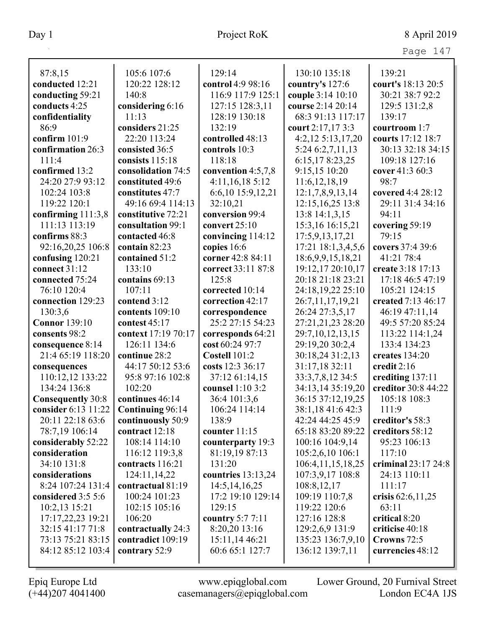| – |  |
|---|--|
|---|--|

| 87:8,15                                         | 105:6 107:6                | 129:14                        | 130:10 135:18                          | 139:21                |
|-------------------------------------------------|----------------------------|-------------------------------|----------------------------------------|-----------------------|
| conducted 12:21                                 | 120:22 128:12              | control 4:9 98:16             | country's 127:6                        | court's 18:13 20:5    |
| conducting 59:21                                | 140:8                      | 116:9 117:9 125:1             | couple 3:14 10:10                      | 30:21 38:7 92:2       |
| conducts 4:25                                   | considering 6:16           | 127:15 128:3,11               | course 2:14 20:14                      | 129:5 131:2,8         |
| confidentiality                                 | 11:13                      | 128:19 130:18                 | 68:3 91:13 117:17                      | 139:17                |
| 86:9                                            | considers 21:25            | 132:19                        | court 2:17,17 3:3                      | courtroom 1:7         |
| confirm $101:9$                                 | 22:20 113:24               | controlled 48:13              | $4:2,12\ 5:13,17,20$                   | courts 17:12 18:7     |
| confirmation 26:3                               | consisted 36:5             | controls 10:3                 | 5:24 6:2,7,11,13                       | 30:13 32:18 34:15     |
| 111:4                                           | consists 115:18            | 118:18                        | 6:15,178:23,25                         | 109:18 127:16         |
| confirmed 13:2                                  | consolidation 74:5         | convention 4:5,7,8            | 9:15,15 10:20                          | cover 41:3 60:3       |
| 24:20 27:9 93:12                                | constituted 49:6           | 4:11,16,18 5:12               | 11:6, 12, 18, 19                       | 98:7                  |
| 102:24 103:8                                    | constitutes 47:7           | 6:6,10 15:9,12,21             | 12:1,7,8,9,13,14                       | covered 4:4 28:12     |
| 119:22 120:1                                    | 49:16 69:4 114:13          | 32:10,21                      | 12:15, 16, 25 13:8                     | 29:11 31:4 34:16      |
| confirming 111:3,8                              | constitutive 72:21         | conversion 99:4               | 13:8 14:1,3,15                         | 94:11                 |
| 111:13 113:19                                   | consultation 99:1          | convert $25:10$               | 15:3,16 16:15,21                       | covering 59:19        |
| confirms 88:3                                   | contacted 46:8             | convincing 114:12             | 17:5,9,13,17,21                        | 79:15                 |
| 92:16,20,25 106:8                               | contain 82:23              | copies 16:6                   | 17:21 18:1,3,4,5,6                     | covers 37:4 39:6      |
| confusing 120:21                                | contained 51:2             | corner 42:8 84:11             | 18:6,9,9,15,18,21                      | 41:21 78:4            |
| connect 31:12                                   | 133:10                     | correct 33:11 87:8            | 19:12,17 20:10,17                      | create 3:18 17:13     |
| connected 75:24                                 | contains 69:13             | 125:8                         | 20:18 21:18 23:21                      | 17:18 46:5 47:19      |
| 76:10 120:4                                     | 107:11                     | corrected 10:14               | 24:18,19,22 25:10                      | 105:21 124:15         |
| connection 129:23                               | contend 3:12               | correction 42:17              | 26:7,11,17,19,21                       | created 7:13 46:17    |
| 130:3,6                                         | contents 109:10            | correspondence                | 26:24 27:3,5,17                        | 46:19 47:11,14        |
| <b>Connor</b> 139:10                            | contest 45:17              | 25:2 27:15 54:23              | 27:21,21,23 28:20                      | 49:5 57:20 85:24      |
| consents 98:2                                   | context 17:19 70:17        | corresponds 64:21             | 29:7,10,12,13,15                       | 113:22 114:1,24       |
| consequence 8:14                                | 126:11 134:6               | cost 60:24 97:7               | 29:19,20 30:2,4                        | 133:4 134:23          |
| 21:4 65:19 118:20                               | continue 28:2              | Costell 101:2                 | 30:18,24 31:2,13                       | creates 134:20        |
| consequences                                    | 44:17 50:12 53:6           | costs 12:3 36:17              | 31:17,18 32:11                         | credit 2:16           |
| 110:12,12 133:22<br>134:24 136:8                | 95:8 97:16 102:8<br>102:20 | 37:12 61:14,15                | 33:3,7,8,12 34:5                       | crediting 137:11      |
|                                                 | continues 46:14            | counsel 1:10 3:2              | 34:13,14 35:19,20<br>36:15 37:12,19,25 | creditor 30:8 44:22   |
| <b>Consequently 30:8</b><br>consider 6:13 11:22 | Continuing 96:14           | 36:4 101:3,6<br>106:24 114:14 | 38:1,18 41:6 42:3                      | 105:18 108:3<br>111:9 |
| 20:11 22:18 63:6                                | continuously 50:9          | 138:9                         | 42:24 44:25 45:9                       | creditor's 58:3       |
| 78:7,19 106:14                                  | contract 12:18             | counter 11:15                 | 65:18 83:20 89:22                      | creditors 58:12       |
| considerably 52:22                              | 108:14 114:10              | counterparty 19:3             | 100:16 104:9,14                        | 95:23 106:13          |
| consideration                                   | 116:12 119:3,8             | 81:19,19 87:13                | 105:2,6,10 106:1                       | 117:10                |
| 34:10 131:8                                     | contracts 116:21           | 131:20                        | 106:4, 11, 15, 18, 25                  | criminal 23:17 24:8   |
| considerations                                  | 124:11,14,22               | countries $13:13,24$          | 107:3,9,17 108:8                       | 24:13 110:11          |
| 8:24 107:24 131:4                               | contractual 81:19          | 14:5, 14, 16, 25              | 108:8,12,17                            | 111:17                |
| considered 3:5 5:6                              | 100:24 101:23              | 17:2 19:10 129:14             | 109:19 110:7,8                         | crisis $62:6,11,25$   |
| 10:2,13 15:21                                   | 102:15 105:16              | 129:15                        | 119:22 120:6                           | 63:11                 |
| 17:17,22,23 19:21                               | 106:20                     | country 5:7 7:11              | 127:16 128:8                           | critical 8:20         |
| 32:15 41:17 71:8                                | contractually 24:3         | 8:20,20 13:16                 | 129:2,6,9 131:9                        | criticise 40:18       |
| 73:13 75:21 83:15                               | contradict 109:19          | 15:11,14 46:21                | 135:23 136:7,9,10                      | Crowns 72:5           |
| 84:12 85:12 103:4                               | contrary 52:9              | 60:6 65:1 127:7               | 136:12 139:7,11                        | currencies 48:12      |
|                                                 |                            |                               |                                        |                       |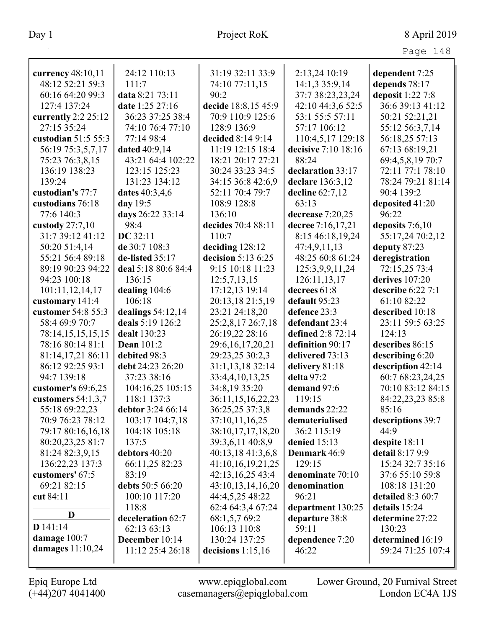| ลα<br>≏ | 8 |
|---------|---|
|---------|---|

| currency 48:10,11                   | 24:12 110:13            | 31:19 32:11 33:9                      | 2:13,24 10:19                  | dependent 7:25                   |
|-------------------------------------|-------------------------|---------------------------------------|--------------------------------|----------------------------------|
| 48:12 52:21 59:3                    | 111:7                   | 74:10 77:11,15                        | 14:1,3 35:9,14                 | depends 78:17                    |
| 60:16 64:20 99:3                    | data 8:21 73:11         | 90:2                                  | 37:7 38:23,23,24               | deposit 1:22 7:8                 |
| 127:4 137:24                        | date 1:25 27:16         | decide 18:8,15 45:9                   | 42:10 44:3,6 52:5              | 36:6 39:13 41:12                 |
| currently $2:2 25:12$               | 36:23 37:25 38:4        | 70:9 110:9 125:6                      | 53:1 55:5 57:11                | 50:21 52:21,21                   |
| 27:15 35:24                         | 74:10 76:4 77:10        | 128:9 136:9                           | 57:17 106:12                   | 55:12 56:3,7,14                  |
| custodian 51:5 55:3                 | 77:14 98:4              | decided 8:14 9:14                     | 110:4,5,17 129:18              | 56:18,25 57:13                   |
| 56:19 75:3,5,7,17                   | <b>dated</b> 40:9,14    | 11:19 12:15 18:4                      | decisive 7:10 18:16            | 67:13 68:19,21                   |
| 75:23 76:3,8,15                     | 43:21 64:4 102:22       | 18:21 20:17 27:21                     | 88:24                          | 69:4,5,8,19 70:7                 |
| 136:19 138:23                       | 123:15 125:23           | 30:24 33:23 34:5                      | declaration 33:17              | 72:11 77:1 78:10                 |
| 139:24                              | 131:23 134:12           | 34:15 36:8 42:6,9                     | declare 136:3,12               | 78:24 79:21 81:14                |
| custodian's 77:7                    | dates 40:3,4,6          | 52:11 70:4 79:7                       | decline $62:7,12$              | 90:4 139:2                       |
| custodians 76:18                    | day 19:5                | 108:9 128:8                           | 63:13                          | deposited 41:20                  |
| 77:6 140:3                          | days 26:22 33:14        | 136:10                                | decrease 7:20,25               | 96:22                            |
| custody $27:7,10$                   | 98:4                    | decides 70:4 88:11                    | decree 7:16,17,21              | deposits 7:6,10                  |
| 31:7 39:12 41:12                    | DC 32:11                | 110:7                                 | 8:15 46:18,19,24               | 55:17,24 70:2,12                 |
| 50:20 51:4,14                       | de 30:7 108:3           | deciding 128:12                       | 47:4,9,11,13                   | deputy 87:23                     |
| 55:21 56:4 89:18                    | de-listed 35:17         | decision 5:13 6:25                    | 48:25 60:8 61:24               | deregistration                   |
| 89:19 90:23 94:22                   | deal 5:18 80:6 84:4     | 9:15 10:18 11:23                      | 125:3,9,9,11,24                | 72:15,25 73:4                    |
| 94:23 100:18                        | 136:15                  | 12:5,7,13,15                          | 126:11,13,17                   | derives 107:20                   |
| 101:11,12,14,17                     | dealing $104:6$         | 17:12,13 19:14                        | decrees 61:8                   | describe 6:22 7:1                |
| customary 141:4                     | 106:18                  | 20:13,18 21:5,19                      | default 95:23                  | 61:10 82:22                      |
| customer 54:8 55:3                  | dealings $54:12,14$     | 23:21 24:18,20                        | defence 23:3                   | described 10:18                  |
| 58:4 69:9 70:7                      | deals 5:19 126:2        | 25:2,8,17 26:7,18                     | defendant 23:4                 | 23:11 59:5 63:25                 |
| 78:14,15,15,15,15                   | dealt 130:23            | 26:19,22 28:16                        | defined 2:8 72:14              | 124:13                           |
| 78:16 80:14 81:1                    | <b>Dean 101:2</b>       | 29:6, 16, 17, 20, 21                  | definition 90:17               | describes 86:15                  |
| 81:14,17,21 86:11                   | debited 98:3            | 29:23,25 30:2,3                       | delivered 73:13                | describing 6:20                  |
| 86:12 92:25 93:1                    | debt 24:23 26:20        | 31:1,13,18 32:14                      | delivery 81:18                 | description 42:14                |
| 94:7 139:18                         | 37:23 38:16             | 33:4,4,10,13,25                       | delta 97:2                     | 60:7 68:23,24,25                 |
| customer's $69:6,25$                | 104:16,25 105:15        | 34:8,19 35:20                         | demand 97:6                    | 70:10 83:12 84:15                |
| customers $54:1,3,7$                | 118:1 137:3             | 36:11,15,16,22,23                     | 119:15                         | 84:22,23,23 85:8                 |
| 55:18 69:22,23                      | debtor 3:24 66:14       | 36:25,25 37:3,8                       | demands 22:22                  | 85:16                            |
| 70:9 76:23 78:12                    | 103:17 104:7,18         | 37:10,11,16,25                        | dematerialised                 | descriptions 39:7                |
| 79:17 80:16,16,18                   | 104:18 105:18           | 38:10,17,17,18,20                     | 36:2 115:19                    | 44:9                             |
| 80:20,23,25 81:7<br>81:24 82:3,9,15 | 137:5<br>debtors 40:20  | 39:3,6,11 40:8,9                      | denied $15:13$<br>Denmark 46:9 | despite 18:11<br>detail 8:17 9:9 |
|                                     |                         | 40:13,18 41:3,6,8                     | 129:15                         | 15:24 32:7 35:16                 |
| 136:22,23 137:3<br>customers' 67:5  | 66:11,25 82:23<br>83:19 | 41:10,16,19,21,25<br>42:13,16,25 43:4 | denominate 70:10               | 37:6 55:10 59:8                  |
| 69:21 82:15                         | debts 50:5 66:20        | 43:10,13,14,16,20                     | denomination                   | 108:18 131:20                    |
| cut 84:11                           | 100:10 117:20           | 44:4,5,25 48:22                       | 96:21                          | detailed 8:3 60:7                |
|                                     | 118:8                   | 62:4 64:3,4 67:24                     | department 130:25              | details 15:24                    |
| D                                   | deceleration 62:7       | 68:1,5,7 69:2                         | departure 38:8                 | determine 27:22                  |
| $D$ 141:14                          | 62:13 63:13             | 106:13 110:8                          | 59:11                          | 130:23                           |
| damage $100:7$                      | December 10:14          | 130:24 137:25                         | dependence 7:20                | determined 16:19                 |
| damages $11:10,24$                  | 11:12 25:4 26:18        | decisions $1:15,16$                   | 46:22                          | 59:24 71:25 107:4                |
|                                     |                         |                                       |                                |                                  |

Epiq Europe Ltd www.epiqglobal.com Lower Ground, 20 Furnival Street<br>
(+44)207 4041400 casemanagers@epiqglobal.com London EC4A 1JS www.epiqglobal.com Lower Ground, 20 Furnival Street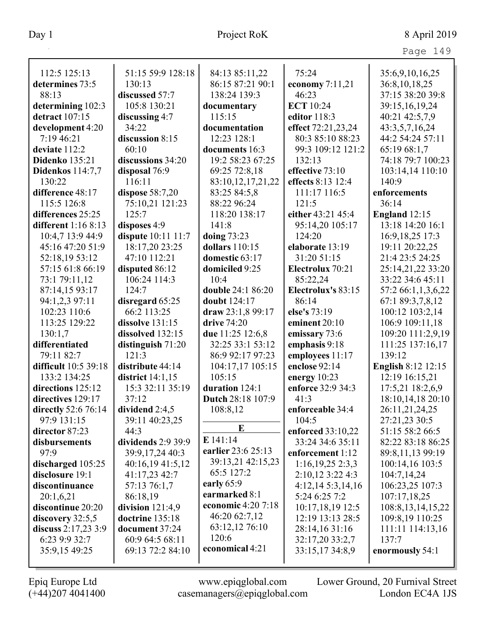| 112:5 125:13          | 51:15 59:9 128:18         | 84:13 85:11,22          | 75:24              | 35:6,9,10,16,25           |
|-----------------------|---------------------------|-------------------------|--------------------|---------------------------|
| determines 73:5       | 130:13                    | 86:15 87:21 90:1        | economy 7:11,21    | 36:8, 10, 18, 25          |
| 88:13                 | discussed 57:7            | 138:24 139:3            | 46:23              | 37:15 38:20 39:8          |
| determining 102:3     | 105:8 130:21              | documentary             | <b>ECT</b> 10:24   | 39:15,16,19,24            |
| detract 107:15        | discussing 4:7            | 115:15                  | editor 118:3       | 40:21 42:5,7,9            |
| development 4:20      | 34:22                     | documentation           | effect 72:21,23,24 | 43:3,5,7,16,24            |
| 7:19 46:21            | discussion 8:15           | 12:23 128:1             | 80:3 85:10 88:23   | 44:2 54:24 57:11          |
| deviate 112:2         | 60:10                     | documents 16:3          | 99:3 109:12 121:2  | 65:19 68:1,7              |
| <b>Didenko</b> 135:21 | discussions 34:20         | 19:2 58:23 67:25        | 132:13             | 74:18 79:7 100:23         |
| Didenkos 114:7,7      | disposal 76:9             | 69:25 72:8,18           | effective 73:10    | 103:14,14 110:10          |
| 130:22                | 116:11                    | 83:10,12,17,21,22       | effects 8:13 12:4  | 140:9                     |
| difference 48:17      | dispose 58:7,20           | 83:25 84:5,8            | 111:17 116:5       | enforcements              |
| 115:5 126:8           | 75:10,21 121:23           | 88:22 96:24             | 121:5              | 36:14                     |
| differences 25:25     | 125:7                     | 118:20 138:17           | either 43:21 45:4  | England 12:15             |
| different $1:168:13$  | disposes 4:9              | 141:8                   | 95:14,20 105:17    | 13:18 14:20 16:1          |
| 10:4,7 13:9 44:9      | <b>dispute</b> 10:11 11:7 | doing 73:23             | 124:20             | 16:9, 18, 25 17:3         |
| 45:16 47:20 51:9      | 18:17,20 23:25            | dollars 110:15          | elaborate 13:19    | 19:11 20:22,25            |
| 52:18,19 53:12        | 47:10 112:21              | domestic 63:17          | 31:20 51:15        | 21:4 23:5 24:25           |
| 57:15 61:8 66:19      | disputed 86:12            | domiciled 9:25          | Electrolux 70:21   | 25:14,21,22 33:20         |
| 73:1 79:11,12         | 106:24 114:3              | 10:4                    | 85:22,24           | 33:22 34:6 45:11          |
| 87:14,15 93:17        | 124:7                     | double 24:1 86:20       | Electrolux's 83:15 | 57:2 66:1,1,3,6,22        |
| 94:1,2,3 97:11        | disregard 65:25           | doubt 124:17            | 86:14              | 67:1 89:3,7,8,12          |
| 102:23 110:6          | 66:2 113:25               | draw 23:1,8 99:17       | else's 73:19       | 100:12 103:2,14           |
| 113:25 129:22         | dissolve 131:15           | drive 74:20             | eminent 20:10      | 106:9 109:11,18           |
| 130:1,7               | dissolved 132:15          | due 11:25 12:6,8        | emissary 73:6      | 109:20 111:2,9,19         |
| differentiated        | distinguish 71:20         | 32:25 33:1 53:12        | emphasis 9:18      | 111:25 137:16,17          |
| 79:11 82:7            | 121:3                     | 86:9 92:17 97:23        | employees 11:17    | 139:12                    |
| difficult 10:5 39:18  | distribute 44:14          | 104:17,17 105:15        | enclose 92:14      | <b>English 8:12 12:15</b> |
| 133:2 134:25          | district 14:1,15          | 105:15                  | energy $10:23$     | 12:19 16:15,21            |
| directions 125:12     | 15:3 32:11 35:19          | duration 124:1          | enforce 32:9 34:3  | 17:5,21 18:2,6,9          |
| directives 129:17     | 37:12                     | Dutch 28:18 107:9       | 41:3               | 18:10,14,18 20:10         |
| directly 52:6 76:14   | dividend $2:4,5$          | 108:8,12                | enforceable 34:4   | 26:11,21,24,25            |
| 97:9 131:15           | 39:11 40:23,25            | E                       | 104:5              | 27:21,23 30:5             |
| director 87:23        | 44:3                      |                         | enforced 33:10,22  | 51:15 58:2 66:5           |
| disbursements         | dividends 2:9 39:9        | E 141:14                | 33:24 34:6 35:11   | 82:22 83:18 86:25         |
| 97:9                  | 39:9,17,24 40:3           | earlier 23:6 25:13      | enforcement 1:12   | 89:8,11,13 99:19          |
| discharged 105:25     | 40:16,19 41:5,12          | 39:13,21 42:15,23       | 1:16,19,252:3,3    | 100:14,16 103:5           |
| disclosure 19:1       | 41:17,23 42:7             | 65:5 127:2              | 2:10,12 3:22 4:3   | 104:7,14,24               |
| discontinuance        | 57:13 76:1,7              | early $65:9$            | 4:12,145:3,14,16   | 106:23,25 107:3           |
| 20:1,6,21             | 86:18,19                  | earmarked 8:1           | 5:24 6:25 7:2      | 107:17,18,25              |
| discontinue 20:20     | division $121:4,9$        | economic 4:20 7:18      | 10:17,18,19 12:5   | 108:8, 13, 14, 15, 22     |
| discovery 32:5,5      | doctrine 135:18           | 46:20 62:7,12           | 12:19 13:13 28:5   | 109:8,19 110:25           |
| discuss 2:17,23 3:9   | document 37:24            | 63:12,12 76:10<br>120:6 | 28:14,16 31:16     | 111:11 114:13,16          |
| 6:23 9:9 32:7         | 60:9 64:5 68:11           | economical 4:21         | 32:17,20 33:2,7    | 137:7                     |
| 35:9,15 49:25         | 69:13 72:2 84:10          |                         | 33:15,17 34:8,9    | enormously 54:1           |
|                       |                           |                         |                    |                           |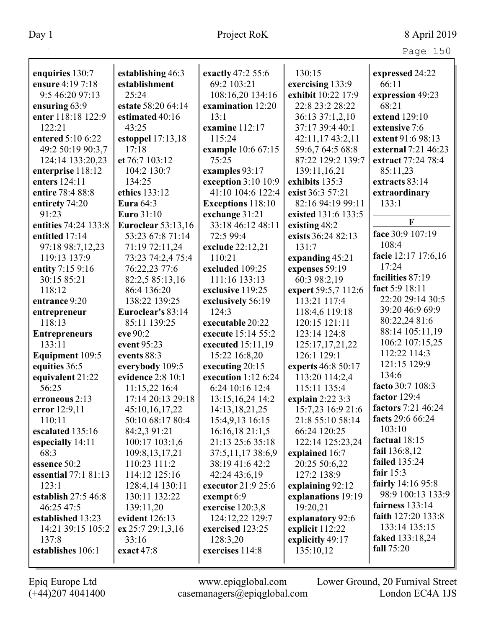| enquiries 130:7      | establishing 46:3         | exactly 47:2 55:6        | 130:15              | expressed 24:22      |
|----------------------|---------------------------|--------------------------|---------------------|----------------------|
| ensure 4:19 7:18     | establishment             | 69:2 103:21              | exercising 133:9    | 66:11                |
| 9:5 46:20 97:13      | 25:24                     | 108:16,20 134:16         | exhibit 10:22 17:9  | expression 49:23     |
| ensuring 63:9        | estate 58:20 64:14        | examination 12:20        | 22:8 23:2 28:22     | 68:21                |
| enter 118:18 122:9   | estimated 40:16           | 13:1                     | 36:13 37:1,2,10     | extend 129:10        |
| 122:21               | 43:25                     | examine 112:17           | 37:17 39:4 40:1     | extensive 7:6        |
| entered 5:10 6:22    | estoppel $17:13,18$       | 115:24                   | 42:11,17 43:2,11    | extent 91:6 98:13    |
| 49:2 50:19 90:3,7    | 17:18                     | example 10:6 67:15       | 59:6,7 64:5 68:8    | external 7:21 46:23  |
| 124:14 133:20,23     | et 76:7 103:12            | 75:25                    | 87:22 129:2 139:7   | extract 77:24 78:4   |
| enterprise 118:12    | 104:2 130:7               | examples 93:17           | 139:11,16,21        | 85:11,23             |
| enters 124:11        | 134:25                    | exception 3:10 10:9      | exhibits 135:3      | extracts 83:14       |
| entire 78:4 88:8     | ethics 133:12             | 41:10 104:6 122:4        | exist 36:3 57:21    | extraordinary        |
| entirety 74:20       | <b>Eura</b> 64:3          | <b>Exceptions</b> 118:10 | 82:16 94:19 99:11   | 133:1                |
| 91:23                | Euro 31:10                | exchange 31:21           | existed 131:6 133:5 | F                    |
| entities 74:24 133:8 | <b>Euroclear</b> 53:13,16 | 33:18 46:12 48:11        | existing 48:2       |                      |
| entitled 17:14       | 53:23 67:8 71:14          | 72:5 99:4                | exists 36:24 82:13  | face 30:9 107:19     |
| 97:18 98:7,12,23     | 71:19 72:11,24            | exclude 22:12,21         | 131:7               | 108:4                |
| 119:13 137:9         | 73:23 74:2,4 75:4         | 110:21                   | expanding 45:21     | facie 12:17 17:6,16  |
| entity 7:15 9:16     | 76:22,23 77:6             | excluded 109:25          | expenses 59:19      | 17:24                |
| 30:15 85:21          | 82:2,5 85:13,16           | 111:16 133:13            | 60:3 98:2,19        | facilities 87:19     |
| 118:12               | 86:4 136:20               | exclusive 119:25         | expert 59:5,7 112:6 | fact 5:9 18:11       |
| entrance 9:20        | 138:22 139:25             | exclusively 56:19        | 113:21 117:4        | 22:20 29:14 30:5     |
| entrepreneur         | Euroclear's 83:14         | 124:3                    | 118:4,6 119:18      | 39:20 46:9 69:9      |
| 118:13               | 85:11 139:25              | executable 20:22         | 120:15 121:11       | 80:22,24 81:6        |
| <b>Entrepreneurs</b> | eve 90:2                  | execute 15:14 55:2       | 123:14 124:8        | 88:14 105:11,19      |
| 133:11               | event 95:23               | executed 15:11,19        | 125:17,17,21,22     | 106:2 107:15,25      |
| Equipment 109:5      | events 88:3               | 15:22 16:8,20            | 126:1 129:1         | 112:22 114:3         |
| equities 36:5        | everybody 109:5           | executing 20:15          | experts 46:8 50:17  | 121:15 129:9         |
| equivalent 21:22     | evidence 2:8 10:1         | execution $1:126:24$     | 113:20 114:2,4      | 134:6                |
| 56:25                | 11:15,22 16:4             | 6:24 10:16 12:4          | 115:11 135:4        | facto 30:7 108:3     |
| erroneous 2:13       | 17:14 20:13 29:18         | 13:15,16,24 14:2         | explain $2:223:3$   | factor $129:4$       |
| error 12:9,11        | 45:10,16,17,22            | 14:13,18,21,25           | 15:7,23 16:9 21:6   | factors 7:21 46:24   |
| 110:11               | 50:10 68:17 80:4          | 15:4,9,13 16:15          | 21:8 55:10 58:14    | facts 29:6 66:24     |
| escalated 135:16     | 84:2,3 91:21              | 16:16,1821:1,5           | 66:24 120:25        | 103:10               |
| especially 14:11     | 100:17 103:1,6            | 21:13 25:6 35:18         | 122:14 125:23,24    | factual 18:15        |
| 68:3                 | 109:8, 13, 17, 21         | 37:5,11,1738:6,9         | explained 16:7      | fail $136:8,12$      |
| essence 50:2         | 110:23 111:2              | 38:19 41:6 42:2          | 20:25 50:6,22       | <b>failed</b> 135:24 |
| essential 77:1 81:13 | 114:12 125:16             | 42:24 43:6,19            | 127:2 138:9         | fair $15:3$          |
| 123:1                | 128:4,14 130:11           | executor 21:9 25:6       | explaining 92:12    | fairly 14:16 95:8    |
| establish $27:546:8$ | 130:11 132:22             | exempt $6:9$             | explanations 19:19  | 98:9 100:13 133:9    |
| 46:25 47:5           | 139:11,20                 | exercise 120:3,8         | 19:20,21            | fairness $133:14$    |
| established 13:23    | evident 126:13            | 124:12,22 129:7          | explanatory 92:6    | faith 127:20 133:8   |
| 14:21 39:15 105:2    | ex 25:7 29:1,3,16         | exercised 123:25         | explicit 112:22     | 133:14 135:15        |
| 137:8                | 33:16                     | 128:3,20                 | explicitly 49:17    | faked 133:18,24      |
| establishes 106:1    | exact 47:8                | exercises 114:8          | 135:10,12           | fall 75:20           |
|                      |                           |                          |                     |                      |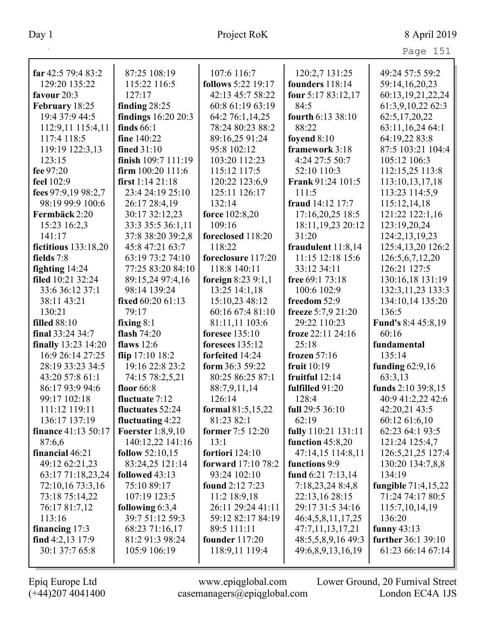| far $42:5$ 79:4 83:2 | 87:25 108:19             | 107:6 116:7           | 120:2,7 131:25           | 49:24 57:5 59:2      |
|----------------------|--------------------------|-----------------------|--------------------------|----------------------|
| 129:20 135:22        | 115:22 116:5             | follows 5:22 19:17    | founders 118:14          | 59:14,16,20,23       |
| favour 20:3          | 127:17                   | 42:13 45:7 58:22      | four 5:17 83:12,17       | 60:13,19,21,22,24    |
| February 18:25       | finding $28:25$          | 60:8 61:19 63:19      | 84:5                     | 61:3,9,10,22 62:3    |
| 19:4 37:9 44:5       | findings 16:20 20:3      | 64:2 76:1,14,25       | fourth 6:13 38:10        | 62:5,17,20,22        |
| 112:9,11 115:4,11    | finds $66:1$             | 78:24 80:23 88:2      | 88:22                    | 63:11,16,24 64:1     |
| 117:4 118:5          | fine 140:22              | 89:16,25 91:24        | foyend 8:10              | 64:19,22 83:8        |
| 119:19 122:3,13      | <b>fined 31:10</b>       | 95:8 102:12           | framework 3:18           | 87:5 103:21 104:4    |
| 123:15               | finish 109:7 111:19      | 103:20 112:23         | 4:24 27:5 50:7           | 105:12 106:3         |
| fee 97:20            | firm $100:20$ $111:6$    | 115:12 117:5          | 52:10 110:3              | 112:15,25 113:8      |
| feel 102:9           | first $1:1421:18$        | 120:22 123:6,9        | <b>Frank 91:24 101:5</b> | 113:10,13,17,18      |
| fees 97:9,19 98:2,7  | 23:4 24:19 25:10         | 125:11 126:17         | 111:5                    | 113:23 114:5,9       |
| 98:19 99:9 100:6     | 26:17 28:4,19            | 132:14                | fraud 14:12 17:7         | 115:12,14,18         |
| Fermbäck 2:20        | 30:17 32:12,23           | force 102:8,20        | 17:16,20,25 18:5         | 121:22 122:1,16      |
| 15:23 16:2,3         | 33:3 35:5 36:1,11        | 109:16                | 18:11, 19, 23 20:12      | 123:19,20,24         |
| 141:17               | 37:8 38:20 39:2,8        | foreclosed 118:20     | 31:20                    | 124:2, 13, 19, 23    |
| fictitious 133:18,20 | 45:8 47:21 63:7          | 118:22                | fraudulent $11:8,14$     | 125:4, 13, 20 126: 2 |
| fields 7:8           | 63:19 73:2 74:10         | foreclosure 117:20    | 11:15 12:18 15:6         | 126:5,6,7,12,20      |
| fighting $14:24$     | 77:25 83:20 84:10        | 118:8 140:11          | 33:12 34:11              | 126:21 127:5         |
| filed 10:21 32:24    | 89:15,24 97:4,16         | foreign $8:239:1,1$   | free $69:173:18$         | 130:16,18 131:19     |
| 33:6 36:12 37:1      | 98:14 139:24             | 13:25 14:1,18         | 100:6 102:9              | 132:3, 11, 23 133:3  |
| 38:11 43:21          | fixed 60:20 61:13        | 15:10,23 48:12        | freedom 52:9             | 134:10,14 135:20     |
| 130:21               | 79:17                    | 60:16 67:4 81:10      | freeze 5:7,9 21:20       | 136:5                |
| <b>filled</b> 88:10  | fixing $8:1$             | 81:11,11 103:6        | 29:22 110:23             | Fund's 8:4 45:8,19   |
| final 33:24 34:7     | flash $74:20$            | <b>foresee</b> 135:10 | froze 22:11 24:16        | 60:16                |
| finally 13:23 14:20  | flaws $12:6$             | foresees 135:12       | 25:18                    | fundamental          |
| 16:9 26:14 27:25     | flip 17:10 18:2          | forfeited 14:24       | frozen 57:16             | 135:14               |
| 28:19 33:23 34:5     | 19:16 22:8 23:2          | form 36:3 59:22       | fruit 10:19              | funding $62:9,16$    |
| 43:20 57:8 61:1      | 74:15 78:2,5,21          | 80:25 86:25 87:1      | fruitful $12:14$         | 63:3,13              |
| 86:17 93:9 94:6      | floor $66:8$             | 88:7,9,11,14          | fulfilled 91:20          | funds 2:10 39:8,15   |
| 99:17 102:18         | fluctuate 7:12           | 126:14                | 128:4                    | 40:9 41:2,22 42:6    |
| 111:12 119:11        | fluctuates 52:24         | formal 81:5,15,22     | full 29:5 36:10          | 42:20,21 43:5        |
| 136:17 137:19        | fluctuating $4:22$       | 81:23 82:1            | 62:19                    | 60:12 61:6,10        |
| finance 41:13 50:17  | <b>Foerster</b> 1:8,9,10 | former 7:5 12:20      | fully 110:21 131:11      | 62:23 64:1 93:5      |
| 87:6,6               | 140:12,22 141:16         | 13:1                  | function $45:8,20$       | 121:24 125:4,7       |
| financial 46:21      | <b>follow</b> $52:10,15$ | fortiori 124:10       | 47:14,15 114:8,11        | 126:5,21,25 127:4    |
| 49:12 62:21,23       | 83:24,25 121:14          | forward 17:10 78:2    | functions 9:9            | 130:20 134:7,8,8     |
| 63:17 71:18,23,24    | followed 43:13           | 93:24 102:10          | fund $6:21$ $7:13,14$    | 134:19               |
| 72:10,16 73:3,16     | 75:10 89:17              | found 2:12 7:23       | 7:18,23,24 8:4,8         | fungible 71:4,15,22  |
| 73:18 75:14,22       | 107:19 123:5             | $11:2$ 18:9,18        | 22:13,16 28:15           | 71:24 74:17 80:5     |
| 76:17 81:7,12        | following $6:3,4$        | 26:11 29:24 41:11     | 29:17 31:5 34:16         | 115:7,10,14,19       |
| 113:16               | 39:7 51:12 59:3          | 59:12 82:17 84:19     | 46:4,5,8,11,17,25        | 136:20               |
| financing $17:3$     | 68:23 71:16,17           | 89:5 111:11           | 47:7,11,13,17,21         | funny $43:13$        |
| find $4:2,13$ 17:9   | 81:2 91:3 98:24          | founder $117:20$      | 48:5,5,8,9,16 49:3       | further 36:1 39:10   |
| 30:1 37:7 65:8       | 105:9 106:19             | 118:9,11 119:4        | 49:6,8,9,13,16,19        | 61:23 66:14 67:14    |
|                      |                          |                       |                          |                      |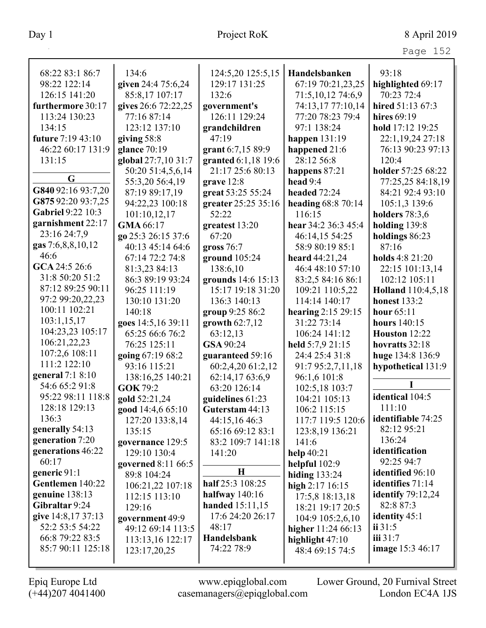| 68:22 83:1 86:7    | 134:6               | 124:5,20 125:5,15   | Handelsbanken         | 93:18                 |
|--------------------|---------------------|---------------------|-----------------------|-----------------------|
| 98:22 122:14       | given 24:4 75:6,24  | 129:17 131:25       | 67:19 70:21,23,25     | highlighted 69:17     |
| 126:15 141:20      | 85:8,17 107:17      | 132:6               | 71:5,10,12 74:6,9     | 70:23 72:4            |
| furthermore 30:17  | gives 26:6 72:22,25 | government's        | 74:13,17 77:10,14     | hired 51:13 67:3      |
| 113:24 130:23      | 77:16 87:14         | 126:11 129:24       | 77:20 78:23 79:4      | hires 69:19           |
| 134:15             | 123:12 137:10       | grandchildren       | 97:1 138:24           | hold 17:12 19:25      |
| future 7:19 43:10  | giving $58:8$       | 47:19               | happen $131:19$       | 22:1,19,24 27:18      |
| 46:22 60:17 131:9  | glance 70:19        | grant 6:7,15 89:9   | happened 21:6         | 76:13 90:23 97:13     |
| 131:15             | global 27:7,10 31:7 | granted 6:1,18 19:6 | 28:12 56:8            | 120:4                 |
|                    | 50:20 51:4,5,6,14   | 21:17 25:6 80:13    | happens 87:21         | holder 57:25 68:22    |
| G                  | 55:3,20 56:4,19     | grave 12:8          | head $9:4$            | 77:25,25 84:18,19     |
| G840 92:16 93:7,20 | 87:19 89:17,19      | great 53:25 55:24   | headed $72:24$        | 84:21 92:4 93:10      |
| G875 92:20 93:7,25 | 94:22,23 100:18     | greater 25:25 35:16 | heading 68:8 70:14    | 105:1,3 139:6         |
| Gabriel 9:22 10:3  | 101:10,12,17        | 52:22               | 116:15                | <b>holders</b> 78:3,6 |
| garnishment 22:17  | GMA 66:17           | greatest 13:20      | hear 34:2 36:3 45:4   | holding $139:8$       |
| 23:16 24:7,9       | go 25:3 26:15 37:6  | 67:20               | 46:14,15 54:25        | holdings 86:23        |
| gas 7:6,8,8,10,12  | 40:13 45:14 64:6    | gross $76:7$        | 58:9 80:19 85:1       | 87:16                 |
| 46:6               | 67:14 72:2 74:8     | ground $105:24$     | heard 44:21,24        | holds 4:8 21:20       |
| GCA 24:5 26:6      | 81:3,23 84:13       | 138:6,10            | 46:4 48:10 57:10      | 22:15 101:13,14       |
| 31:8 50:20 51:2    | 86:3 89:19 93:24    | grounds 14:6 15:13  | 83:2,5 84:16 86:1     | 102:12 105:11         |
| 87:12 89:25 90:11  | 96:25 111:19        | 15:17 19:18 31:20   | 109:21 110:5,22       | Holland 110:4,5,18    |
| 97:2 99:20,22,23   | 130:10 131:20       | 136:3 140:13        | 114:14 140:17         | <b>honest</b> 133:2   |
| 100:11 102:21      | 140:18              | group 9:25 86:2     | hearing $2:15\,29:15$ | hour $65:11$          |
| 103:1,15,17        | goes 14:5,16 39:11  | growth $62:7,12$    | 31:22 73:14           | hours 140:15          |
| 104:23,23 105:17   | 65:25 66:6 76:2     | 63:12,13            | 106:24 141:12         | Houston 12:22         |
| 106:21,22,23       | 76:25 125:11        | GSA 90:24           | held 5:7,9 21:15      | hovratts 32:18        |
| 107:2,6 108:11     | going 67:19 68:2    | guaranteed 59:16    | 24:4 25:4 31:8        | huge 134:8 136:9      |
| 111:2 122:10       | 93:16 115:21        | 60:2,4,20 61:2,12   | 91:7 95:2,7,11,18     | hypothetical 131:9    |
| general 7:1 8:10   | 138:16,25 140:21    | 62:14,17 63:6,9     | 96:1,6 101:8          |                       |
| 54:6 65:2 91:8     | <b>GOK 79:2</b>     | 63:20 126:14        | 102:5,18 103:7        |                       |
| 95:22 98:11 118:8  | gold 52:21,24       | guidelines 61:23    | 104:21 105:13         | identical 104:5       |
| 128:18 129:13      | good 14:4,6 65:10   | Guterstam 44:13     | 106:2 115:15          | 111:10                |
| 136:3              | 127:20 133:8,14     | 44:15,16 46:3       | 117:7 119:5 120:6     | identifiable 74:25    |
| generally 54:13    | 135:15              | 65:16 69:12 83:1    | 123:8,19 136:21       | 82:12 95:21           |
| generation 7:20    | governance 129:5    | 83:2 109:7 141:18   | 141:6                 | 136:24                |
| generations 46:22  | 129:10 130:4        | 141:20              | help $40:21$          | identification        |
| 60:17              | governed 8:11 66:5  |                     | helpful $102:9$       | 92:25 94:7            |
| generic 91:1       | 89:8 104:24         | $\mathbf H$         | hiding $133:24$       | identified 96:10      |
| Gentlemen 140:22   | 106:21,22 107:18    | half 25:3 108:25    | high $2:17$ 16:15     | identifies 71:14      |
| genuine 138:13     | 112:15 113:10       | halfway 140:16      | 17:5,8 18:13,18       | identify $79:12,24$   |
| Gibraltar 9:24     | 129:16              | handed 15:11,15     | 18:21 19:17 20:5      | 82:8 87:3             |
| give 14:8,17 37:13 | government 49:9     | 17:6 24:20 26:17    | 104:9 105:2,6,10      | identity 45:1         |
| 52:2 53:5 54:22    | 49:12 69:14 113:5   | 48:17               | higher 11:24 66:13    | ii 31:5               |
| 66:8 79:22 83:5    | 113:13,16 122:17    | Handelsbank         | highlight 47:10       | iii 31:7              |
| 85:7 90:11 125:18  | 123:17,20,25        | 74:22 78:9          | 48:4 69:15 74:5       | image 15:3 46:17      |
|                    |                     |                     |                       |                       |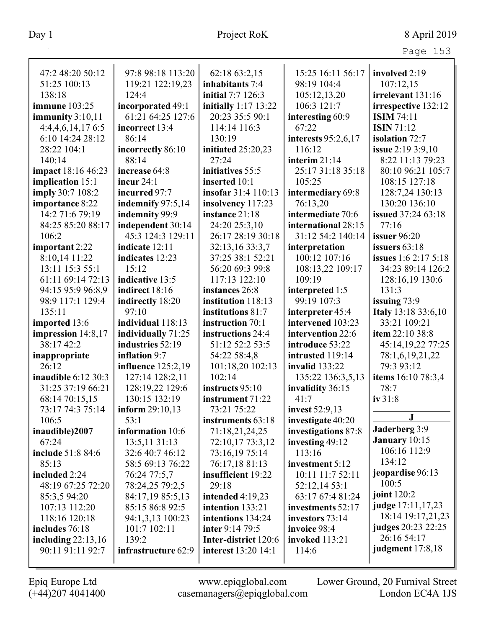| aо<br>┍ |  |
|---------|--|
|         |  |

| 47:2 48:20 50:12           | 97:8 98:18 113:20         | 62:18 63:2,15              | 15:25 16:11 56:17     | involved 2:19               |
|----------------------------|---------------------------|----------------------------|-----------------------|-----------------------------|
| 51:25 100:13               | 119:21 122:19,23          | inhabitants 7:4            | 98:19 104:4           | 107:12,15                   |
| 138:18                     | 124:4                     | initial 7:7 126:3          | 105:12,13,20          | irrelevant 131:16           |
| <b>immune</b> 103:25       | incorporated 49:1         | initially 1:17 13:22       | 106:3 121:7           | irrespective 132:12         |
| immunity $3:10,11$         | 61:21 64:25 127:6         | 20:23 35:5 90:1            | interesting 60:9      | <b>ISIM 74:11</b>           |
| 4:4,4,6,14,176:5           | incorrect 13:4            | 114:14 116:3               | 67:22                 | <b>ISIN 71:12</b>           |
| 6:10 14:24 28:12           | 86:14                     | 130:19                     | interests $95:2,6,17$ | isolation 72:7              |
| 28:22 104:1                | incorrectly 86:10         | initiated 25:20,23         | 116:12                | issue 2:19 3:9,10           |
| 140:14                     | 88:14                     | 27:24                      | interim $21:14$       | 8:22 11:13 79:23            |
| impact 18:16 46:23         | increase 64:8             | initiatives 55:5           | 25:17 31:18 35:18     | 80:10 96:21 105:7           |
| implication 15:1           | incur $24:1$              | inserted 10:1              | 105:25                | 108:15 127:18               |
| imply 30:7 108:2           | incurred 97:7             | insofar 31:4 110:13        | intermediary 69:8     | 128:7,24 130:13             |
| importance 8:22            | indemnify $97:5,14$       | insolvency 117:23          | 76:13,20              | 130:20 136:10               |
| 14:2 71:6 79:19            | indemnity 99:9            | instance 21:18             | intermediate 70:6     | issued 37:24 63:18          |
| 84:25 85:20 88:17          | independent 30:14         | 24:20 25:3,10              | international 28:15   | 77:16                       |
| 106:2                      | 45:3 124:3 129:11         | 26:17 28:19 30:18          | 31:12 54:2 140:14     | <b>issuer</b> 96:20         |
| important 2:22             | indicate 12:11            | 32:13,16 33:3,7            | interpretation        | issuers $63:18$             |
| 8:10,14 11:22              | indicates 12:23           | 37:25 38:1 52:21           | 100:12 107:16         | <b>issues</b> 1:6 2:17 5:18 |
| 13:11 15:3 55:1            | 15:12                     | 56:20 69:3 99:8            | 108:13,22 109:17      | 34:23 89:14 126:2           |
| 61:11 69:14 72:13          | indicative 13:5           | 117:13 122:10              | 109:19                | 128:16,19 130:6             |
| 94:15 95:9 96:8,9          | indirect 18:16            | instances 26:8             | interpreted 1:5       | 131:3                       |
| 98:9 117:1 129:4           | indirectly 18:20          | institution 118:13         | 99:19 107:3           | issuing $73:9$              |
| 135:11                     | 97:10                     | institutions 81:7          | interpreter 45:4      | Italy 13:18 33:6,10         |
| imported 13:6              | individual 118:13         | instruction 70:1           | intervened 103:23     | 33:21 109:21                |
| impression 14:8,17         | individually 71:25        | instructions 24:4          | intervention 22:6     | item 22:10 38:8             |
| 38:17 42:2                 | industries 52:19          | 51:12 52:2 53:5            | introduce 53:22       | 45:14, 19, 22 77:25         |
| inappropriate              | inflation 9:7             | 54:22 58:4,8               | intrusted 119:14      | 78:1,6,19,21,22             |
| 26:12                      | <b>influence</b> 125:2,19 | 101:18,20 102:13           | <b>invalid</b> 133:22 | 79:3 93:12                  |
| <b>inaudible</b> 6:12 30:3 | 127:14 128:2,11           | 102:14                     | 135:22 136:3,5,13     | items 16:10 78:3,4          |
| 31:25 37:19 66:21          | 128:19,22 129:6           | instructs 95:10            | invalidity 36:15      | 78:7                        |
| 68:14 70:15,15             | 130:15 132:19             | instrument 71:22           | 41:7                  | iv 31:8                     |
| 73:17 74:3 75:14           | inform $29:10,13$         | 73:21 75:22                | <b>invest</b> 52:9,13 |                             |
| 106:5                      | 53:1                      | instruments 63:18          | investigate 40:20     | J                           |
| inaudible)2007             | information 10:6          | 71:18,21,24,25             | investigations 87:8   | Jaderberg 3:9               |
| 67:24                      | 13:5,11 31:13             | 72:10,17 73:3,12           | investing 49:12       | January 10:15               |
| include 51:8 84:6          | 32:6 40:7 46:12           | 73:16,19 75:14             | 113:16                | 106:16 112:9                |
| 85:13                      | 58:5 69:13 76:22          | 76:17,18 81:13             | investment 5:12       | 134:12                      |
| included 2:24              | 76:24 77:5,7              | insufficient 19:22         | 10:11 11:7 52:11      | jeopardise 96:13            |
| 48:19 67:25 72:20          | 78:24,25 79:2,5           | 29:18                      | 52:12,1453:1          | 100:5                       |
| 85:3,5 94:20               | 84:17,19 85:5,13          | intended $4:19,23$         | 63:17 67:4 81:24      | joint 120:2                 |
| 107:13 112:20              | 85:15 86:8 92:5           | intention 133:21           | investments 52:17     | judge 17:11,17,23           |
| 118:16 120:18              | 94:1,3,13 100:23          | intentions 134:24          | investors 73:14       | 18:14 19:17,21,23           |
| includes 76:18             | 101:7 102:11              | inter 9:14 79:5            | invoice 98:4          | judges 20:23 22:25          |
| including $22:13,16$       | 139:2                     | Inter-district 120:6       | <b>invoked</b> 113:21 | 26:16 54:17                 |
| 90:11 91:11 92:7           | infrastructure 62:9       | <b>interest</b> 13:20 14:1 | 114:6                 | judgment 17:8,18            |
|                            |                           |                            |                       |                             |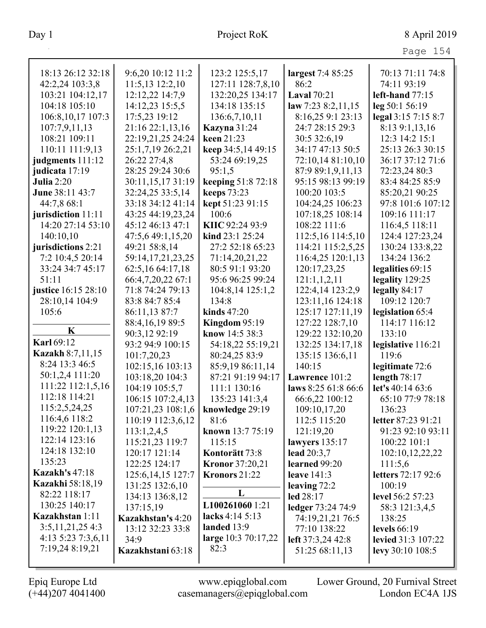|                                       |                          |                                |                      | Page 154                  |
|---------------------------------------|--------------------------|--------------------------------|----------------------|---------------------------|
| 18:13 26:12 32:18                     | 9:6,20 10:12 11:2        | 123:2 125:5,17                 | largest 7:4 85:25    | 70:13 71:11 74:8          |
| 42:2,24 103:3,8                       | 11:5,13 12:2,10          | 127:11 128:7,8,10              | 86:2                 | 74:11 93:19               |
| 103:21 104:12,17                      | 12:12,22 14:7,9          | 132:20,25 134:17               | <b>Laval</b> 70:21   | left-hand $77:15$         |
| 104:18 105:10                         | 14:12,23 15:5,5          | 134:18 135:15                  | law 7:23 $8:2,11,15$ | leg 50:1 56:19            |
| 106:8, 10, 17 107:3                   | 17:5,23 19:12            | 136:6,7,10,11                  | 8:16,25 9:1 23:13    | legal 3:15 7:15 8:7       |
| 107:7,9,11,13                         | 21:16 22:1,13,16         | <b>Kazyna</b> 31:24            | 24:7 28:15 29:3      | 8:13 9:1,13,16            |
| 108:21 109:11                         | 22:19,21,25 24:24        | keen 21:23                     | 30:5 32:6,19         | 12:3 14:2 15:1            |
| 110:11 111:9,13                       | 25:1,7,19 26:2,21        | keep 34:5,14 49:15             | 34:17 47:13 50:5     | 25:13 26:3 30:15          |
| judgments 111:12                      | 26:22 27:4,8             | 53:24 69:19,25                 | 72:10,14 81:10,10    | 36:17 37:12 71:6          |
| judicata 17:19                        | 28:25 29:24 30:6         | 95:1,5                         | 87:9 89:1,9,11,13    | 72:23,24 80:3             |
| <b>Julia</b> 2:20                     | 30:11,15,1731:19         | keeping 51:8 72:18             | 95:15 98:13 99:19    | 83:4 84:25 85:9           |
| June 38:11 43:7                       | 32:24,25 33:5,14         | <b>keeps</b> 73:23             | 100:20 103:5         | 85:20,21 90:25            |
| 44:7,8 68:1                           | 33:18 34:12 41:14        | kept 51:23 91:15               | 104:24,25 106:23     | 97:8 101:6 107:12         |
| jurisdiction 11:11                    | 43:25 44:19,23,24        | 100:6                          | 107:18,25 108:14     | 109:16 111:17             |
| 14:20 27:14 53:10                     | 45:12 46:13 47:1         | KIIC 92:24 93:9                | 108:22 111:6         | 116:4,5 118:11            |
| 140:10,10                             | 47:5,6 49:1,15,20        | kind 23:1 25:24                | 112:5,16 114:5,10    | 124:4 127:23,24           |
| jurisdictions 2:21                    | 49:21 58:8,14            | 27:2 52:18 65:23               | 114:21 115:2,5,25    | 130:24 133:8,22           |
| 7:2 10:4,5 20:14                      | 59:14, 17, 21, 23, 25    | 71:14,20,21,22                 | 116:4,25 120:1,13    | 134:24 136:2              |
| 33:24 34:7 45:17                      | 62:5,16 64:17,18         | 80:5 91:1 93:20                | 120:17,23,25         | legalities 69:15          |
| 51:11                                 | 66:4,7,20,22 67:1        | 95:6 96:25 99:24               | 121:1,1,2,11         | legality 129:25           |
| justice 16:15 28:10                   | 71:8 74:24 79:13         | 104:8,14 125:1,2               | 122:4,14 123:2,9     | legally $84:17$           |
| 28:10,14 104:9                        | 83:8 84:7 85:4           | 134:8                          | 123:11,16 124:18     | 109:12 120:7              |
| 105:6                                 | 86:11,13 87:7            | kinds $47:20$                  | 125:17 127:11,19     | legislation 65:4          |
|                                       | 88:4, 16, 19 89:5        | Kingdom $95:19$                | 127:22 128:7,10      | 114:17 116:12             |
| K                                     | 90:3,12 92:19            | know 14:5 38:3                 | 129:22 132:10,20     | 133:10                    |
| <b>Karl 69:12</b>                     | 93:2 94:9 100:15         | 54:18,22 55:19,21              | 132:25 134:17,18     | legislative 116:21        |
| <b>Kazakh 8:7,11,15</b>               | 101:7,20,23              | 80:24,25 83:9                  | 135:15 136:6,11      | 119:6                     |
| 8:24 13:3 46:5                        | 102:15,16 103:13         | 85:9,19 86:11,14               | 140:15               | legitimate 72:6           |
| 50:1,2,4 111:20                       | 103:18,20 104:3          | 87:21 91:19 94:17              | Lawrence 101:2       | length $78:17$            |
| 111:22 112:1,5,16                     | 104:19 105:5,7           | 111:1 130:16                   | laws 8:25 61:8 66:6  | let's 40:14 63:6          |
| 112:18 114:21                         | 106:15 107:2,4,13        | 135:23 141:3,4                 | 66:6,22 100:12       | 65:10 77:9 78:18          |
| 115:2,5,24,25                         | 107:21,23 108:1,6        | knowledge 29:19                | 109:10,17,20         | 136:23                    |
| 116:4,6 118:2                         | 110:19 112:3,6,12        | 81:6                           | 112:5 115:20         | letter 87:23 91:21        |
| 119:22 120:1,13                       | 113:1,2,4,5              | known 13:7 75:19               | 121:19,20            | 91:23 92:10 93:11         |
| 122:14 123:16                         | 115:21,23 119:7          | 115:15                         | lawyers $135:17$     | 100:22 101:1              |
| 124:18 132:10                         | 120:17 121:14            | Kontorätt 73:8                 | lead $20:3,7$        | 102:10,12,22,22           |
| 135:23                                | 122:25 124:17            | <b>Kronor</b> 37:20,21         | learned 99:20        | 111:5,6                   |
| <b>Kazakh's 47:18</b>                 | 125:6, 14, 15 127:7      | Kronors 21:22                  | leave $141:3$        | <b>letters</b> 72:17 92:6 |
| <b>Kazakhi</b> 58:18,19               | 131:25 132:6,10          | L                              | leaving $72:2$       | 100:19                    |
| 82:22 118:17                          | 134:13 136:8,12          |                                | led 28:17            | <b>level</b> 56:2 57:23   |
| 130:25 140:17                         | 137:15,19                | L100261060 1:21                | ledger 73:24 74:9    | 58:3 121:3,4,5            |
| Kazakhstan 1:11                       | <b>Kazakhstan's 4:20</b> | lacks 4:14 5:13<br>landed 13:9 | 74:19,21,21 76:5     | 138:25                    |
| 3:5,11,21,254:3<br>4:13 5:23 7:3,6,11 | 13:12 32:23 33:8         | large 10:3 70:17,22            | 77:10 138:22         | levels $66:19$            |
| 7:19,24 8:19,21                       | 34:9                     | 82:3                           | left 37:3,24 42:8    | <b>levied</b> 31:3 107:22 |
|                                       | Kazakhstani 63:18        |                                | 51:25 68:11,13       | levy $30:10$ $108:5$      |
|                                       |                          |                                |                      |                           |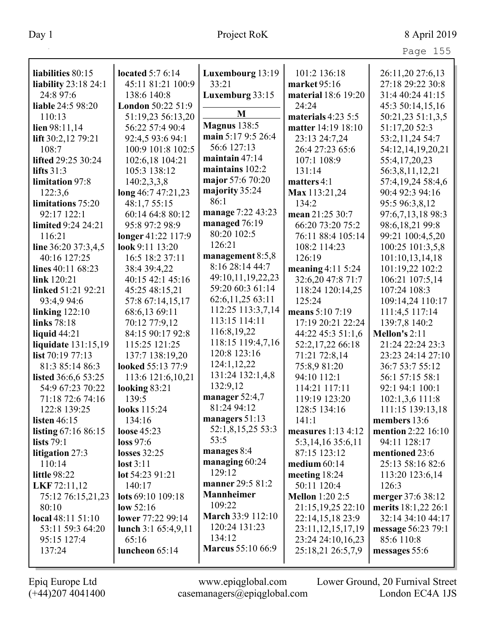| аa<br>. |  |
|---------|--|
|---------|--|

| liabilities 80:15             | located $5:76:14$                    | Luxembourg 13:19         | 101:2 136:18                     | 26:11,20 27:6,13                      |
|-------------------------------|--------------------------------------|--------------------------|----------------------------------|---------------------------------------|
| <b>liability</b> 23:18 24:1   | 45:11 81:21 100:9                    | 33:21                    | market 95:16                     | 27:18 29:22 30:8                      |
| 24:8 97:6                     | 138:6 140:8                          | Luxemburg 33:15          | material 18:6 19:20              | 31:4 40:24 41:15                      |
| <b>liable 24:5 98:20</b>      | London 50:22 51:9                    |                          | 24:24                            |                                       |
| 110:13                        |                                      | M                        | materials $4:23\,5:5$            | 45:3 50:14,15,16<br>50:21,23 51:1,3,5 |
|                               | 51:19,23 56:13,20<br>56:22 57:4 90:4 | <b>Magnus</b> 138:5      | matter 14:19 18:10               | 51:17,20 52:3                         |
| lien $98:11,14$               | 92:4,5 93:6 94:1                     | main 5:17 9:5 26:4       |                                  |                                       |
| lift $30:2,12$ 79:21<br>108:7 | 100:9 101:8 102:5                    | 56:6 127:13              | 23:13 24:7,24<br>26:4 27:23 65:6 | 53:2,11,24 54:7                       |
| lifted 29:25 30:24            | 102:6,18 104:21                      | maintain 47:14           | 107:1 108:9                      | 54:12,14,19,20,21<br>55:4,17,20,23    |
| lifts $31:3$                  | 105:3 138:12                         | maintains 102:2          | 131:14                           |                                       |
| <b>limitation</b> 97:8        | 140:2,3,3,8                          | major 57:6 70:20         | matters $4:1$                    | 56:3,8,11,12,21<br>57:4,19,24 58:4,6  |
| 122:3,6                       | long 46:7 47:21,23                   | majority 35:24           | Max 113:21,24                    | 90:4 92:3 94:16                       |
| limitations 75:20             | 48:1,7 55:15                         | 86:1                     | 134:2                            | 95:5 96:3,8,12                        |
| 92:17 122:1                   | 60:14 64:8 80:12                     | manage 7:22 43:23        | mean 21:25 30:7                  | 97:6,7,13,18 98:3                     |
| limited 9:24 24:21            | 95:8 97:2 98:9                       | managed 76:19            | 66:20 73:20 75:2                 | 98:6,18,21 99:8                       |
| 116:21                        | longer 41:22 117:9                   | 80:20 102:5              | 76:11 88:4 105:14                | 99:21 100:4,5,20                      |
| line $36:20$ 37:3,4,5         | look 9:11 13:20                      | 126:21                   | 108:2 114:23                     | 100:25 101:3,5,8                      |
| 40:16 127:25                  | 16:5 18:2 37:11                      | management 8:5,8         | 126:19                           | 101:10,13,14,18                       |
| lines 40:11 68:23             | 38:4 39:4,22                         | 8:16 28:14 44:7          | meaning $4:115:24$               | 101:19,22 102:2                       |
| link 120:21                   | 40:15 42:1 45:16                     | 49:10,11,19,22,23        | 32:6,20 47:8 71:7                | 106:21 107:5,14                       |
| linked 51:21 92:21            | 45:25 48:15,21                       | 59:20 60:3 61:14         | 118:24 120:14,25                 | 107:24 108:3                          |
| 93:4,9 94:6                   | 57:8 67:14,15,17                     | 62:6,11,25 63:11         | 125:24                           | 109:14,24 110:17                      |
| linking $122:10$              | 68:6,13 69:11                        | 112:25 113:3,7,14        | means 5:10 7:19                  | 111:4,5 117:14                        |
| links 78:18                   | 70:12 77:9,12                        | 113:15 114:11            | 17:19 20:21 22:24                | 139:7,8 140:2                         |
| liquid $44:21$                | 84:15 90:17 92:8                     | 116:8, 19, 22            | 44:22 45:3 51:1,6                | Mellon's 2:11                         |
| liquidate 131:15,19           | 115:25 121:25                        | 118:15 119:4,7,16        | 52:2,17,22 66:18                 | 21:24 22:24 23:3                      |
| list $70:197:13$              | 137:7 138:19,20                      | 120:8 123:16             | 71:21 72:8,14                    | 23:23 24:14 27:10                     |
| 81:3 85:14 86:3               | looked 55:13 77:9                    | 124:1,12,22              | 75:8,9 81:20                     | 36:7 53:7 55:12                       |
| listed 36:6,6 53:25           | 113:6 121:6,10,21                    | 131:24 132:1,4,8         | 94:10 112:1                      | 56:1 57:15 58:1                       |
| 54:9 67:23 70:22              | looking $83:21$                      | 132:9,12                 | 114:21 117:11                    | 92:1 94:1 100:1                       |
| 71:18 72:6 74:16              | 139:5                                | manager $52:4,7$         | 119:19 123:20                    | 102:1,3,6 111:8                       |
| 122:8 139:25                  | looks 115:24                         | 81:24 94:12              | 128:5 134:16                     | 111:15 139:13,18                      |
| listen $46:15$                | 134:16                               | managers 51:13           | 141:1                            | members 13:6                          |
| listing 67:16 86:15           | loose $45:23$                        | 52:1,8,15,25 53:3        | measures $1:134:12$              | <b>mention</b> 2:22 16:10             |
| <b>lists</b> 79:1             | loss 97:6                            | 53:5                     | 5:3,14,16 35:6,11                | 94:11 128:17                          |
| litigation 27:3               | losses $32:25$                       | manages 8:4              | 87:15 123:12                     | mentioned 23:6                        |
| 110:14                        | $\mathbf{lost} 3:11$                 | managing $60:24$         | medium $60:14$                   | 25:13 58:16 82:6                      |
| <b>little 98:22</b>           | lot $54:2391:21$                     | 129:12                   | meeting $18:24$                  | 113:20 123:6,14                       |
| LKF 72:11,12                  | 140:17                               | manner 29:5 81:2         | 50:11 120:4                      | 126:3                                 |
| 75:12 76:15,21,23             | lots 69:10 109:18                    | <b>Mannheimer</b>        | <b>Mellon</b> 1:20 2:5           | merger 37:6 38:12                     |
| 80:10                         | low $52:16$                          | 109:22                   | 21:15, 19, 25 22:10              | merits 18:1,22 26:1                   |
| local 48:11 51:10             | lower 77:22 99:14                    | <b>March 33:9 112:10</b> | 22:14,15,18 23:9                 | 32:14 34:10 44:17                     |
| 53:11 59:3 64:20              | lunch $3:1\,65:4,9,11$               | 120:24 131:23            | 23:11, 12, 15, 17, 19            | message 56:23 79:1                    |
| 95:15 127:4                   | 65:16                                | 134:12                   | 23:24 24:10,16,23                | 85:6 110:8                            |
| 137:24                        | luncheon 65:14                       | <b>Marcus</b> 55:10 66:9 | 25:18,21 26:5,7,9                | messages 55:6                         |
|                               |                                      |                          |                                  |                                       |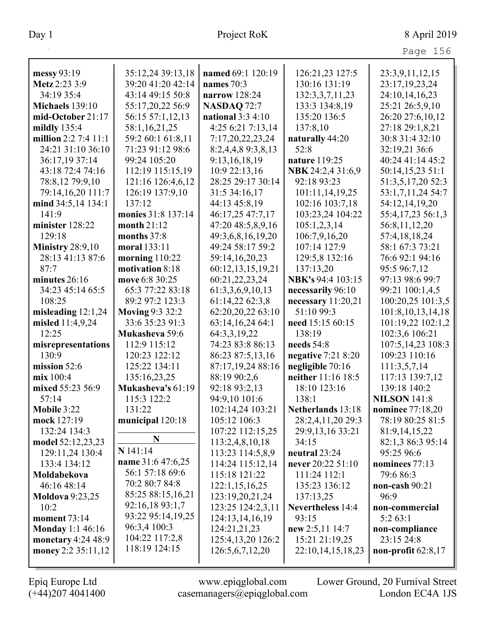| Page 156 |  |
|----------|--|

| messy 93:19             | 35:12,24 39:13,18      | named 69:1 120:19  | 126:21,23 127:5          | 23:3,9,11,12,15       |
|-------------------------|------------------------|--------------------|--------------------------|-----------------------|
| Metz 2:23 3:9           | 39:20 41:20 42:14      | names $70:3$       | 130:16 131:19            | 23:17,19,23,24        |
| 34:19 35:4              | 43:14 49:15 50:8       | narrow 128:24      | 132:3,3,7,11,23          | 24:10,14,16,23        |
| <b>Michaels</b> 139:10  | 55:17,20,22 56:9       | <b>NASDAQ 72:7</b> | 133:3 134:8,19           | 25:21 26:5,9,10       |
| mid-October 21:17       | 56:15 57:1,12,13       | national $3:34:10$ | 135:20 136:5             | 26:20 27:6,10,12      |
| mildly $135:4$          | 58:1,16,21,25          | 4:25 6:21 7:13,14  | 137:8,10                 | 27:18 29:1,8,21       |
| million 2:2 7:4 11:1    | 59:2 60:1 61:8,11      | 7:17,20,22,23,24   | naturally 44:20          | 30:8 31:4 32:10       |
| 24:21 31:10 36:10       | 71:23 91:12 98:6       | 8:2,4,4,8 9:3,8,13 | 52:8                     | 32:19,21 36:6         |
| 36:17,19 37:14          | 99:24 105:20           | 9:13,16,18,19      | nature 119:25            | 40:24 41:14 45:2      |
| 43:18 72:4 74:16        | 112:19 115:15,19       | 10:9 22:13,16      | NBK 24:2,4 31:6,9        | 50:14,15,23 51:1      |
| 78:8,12 79:9,10         | 121:16 126:4,6,12      | 28:25 29:17 30:14  | 92:18 93:23              | 51:3,5,17,20 52:3     |
| 79:14,16,20 111:7       | 126:19 137:9,10        | 31:5 34:16,17      | 101:11,14,19,25          | 53:1,7,11,24 54:7     |
| mind 34:5,14 134:1      | 137:12                 | 44:13 45:8,19      | 102:16 103:7,18          | 54:12,14,19,20        |
| 141:9                   | monies 31:8 137:14     | 46:17,25 47:7,17   | 103:23,24 104:22         | 55:4,17,23 56:1,3     |
| minister 128:22         | month 21:12            | 47:20 48:5,8,9,16  | 105:1,2,3,14             | 56:8,11,12,20         |
| 129:18                  | months 37:8            | 49:3,6,8,16,19,20  | 106:7,9,16,20            | 57:4,18,18,24         |
| <b>Ministry 28:9,10</b> | moral 133:11           | 49:24 58:17 59:2   | 107:14 127:9             | 58:1 67:3 73:21       |
| 28:13 41:13 87:6        | morning $110:22$       | 59:14,16,20,23     | 129:5,8 132:16           | 76:6 92:1 94:16       |
| 87:7                    | motivation 8:18        | 60:12,13,15,19,21  | 137:13,20                | 95:5 96:7,12          |
| minutes $26:16$         | move 6:8 30:25         | 60:21,22,23,24     | NBK's 94:4 103:15        | 97:13 98:6 99:7       |
| 34:23 45:14 65:5        | 65:3 77:22 83:18       | 61:3,3,6,9,10,13   | necessarily 96:10        | 99:21 100:1,4,5       |
| 108:25                  | 89:2 97:2 123:3        | 61:14,22 62:3,8    | necessary 11:20,21       | 100:20,25 101:3,5     |
| misleading $12:1,24$    | <b>Moving 9:3 32:2</b> | 62:20,20,22 63:10  | 51:10 99:3               | 101:8, 10, 13, 14, 18 |
| misled 11:4,9,24        | 33:6 35:23 91:3        | 63:14,16,24 64:1   | need 15:15 60:15         | 101:19,22 102:1,2     |
| 12:25                   | Mukasheva 59:6         | 64:3,3,19,22       | 138:19                   | 102:3,6 106:21        |
| misrepresentations      | 112:9 115:12           | 74:23 83:8 86:13   | needs 54:8               | 107:5,14,23 108:3     |
| 130:9                   | 120:23 122:12          | 86:23 87:5,13,16   | negative $7:218:20$      | 109:23 110:16         |
| mission $52:6$          | 125:22 134:11          | 87:17,19,24 88:16  | negligible 70:16         | 111:3,5,7,14          |
| mix 100:4               | 135:16,23,25           | 88:19 90:2,6       | neither 11:16 18:5       | 117:13 139:7,12       |
| mixed 55:23 56:9        | Mukasheva's 61:19      | 92:18 93:2,13      | 18:10 123:16             | 139:18 140:2          |
| 57:14                   | 115:3 122:2            | 94:9,10 101:6      | 138:1                    | <b>NILSON 141:8</b>   |
| Mobile 3:22             | 131:22                 | 102:14,24 103:21   | Netherlands 13:18        | nominee 77:18,20      |
| mock 127:19             | municipal 120:18       | 105:12 106:3       | 28:2,4,11,20 29:3        | 78:19 80:25 81:5      |
| 132:24 134:3            |                        | 107:22 112:15,25   | 29:9, 13, 16 33: 21      | 81:9, 14, 15, 22      |
| model 52:12,23,23       | N                      | 113:2,4,8,10,18    | 34:15                    | 82:1,3 86:3 95:14     |
| 129:11,24 130:4         | N 141:14               | 113:23 114:5,8,9   | neutral 23:24            | 95:25 96:6            |
| 133:4 134:12            | name 31:6 47:6,25      | 114:24 115:12,14   | never 20:22 51:10        | nominees 77:13        |
| Moldabekova             | 56:1 57:18 69:6        | 115:18 121:22      | 111:24 112:1             | 79:6 86:3             |
| 46:16 48:14             | 70:2 80:7 84:8         | 122:1,15,16,25     | 135:23 136:12            | non-cash $90:21$      |
| <b>Moldova</b> 9:23,25  | 85:25 88:15,16,21      | 123:19,20,21,24    | 137:13,25                | 96:9                  |
| 10:2                    | 92:16,18 93:1,7        | 123:25 124:2,3,11  | <b>Nevertheless</b> 14:4 | non-commercial        |
| <b>moment</b> 73:14     | 93:22 95:14,19,25      | 124:13,14,16,19    | 93:15                    | 5:263:1               |
| <b>Monday</b> 1:1 46:16 | 96:3,4 100:3           | 124:21,21,23       | new $2:5,11$ 14:7        | non-compliance        |
| monetary $4:24\,48:9$   | 104:22 117:2,8         | 125:4,13,20 126:2  | 15:21 21:19,25           | 23:15 24:8            |
| money 2:2 35:11,12      | 118:19 124:15          | 126:5,6,7,12,20    | 22:10,14,15,18,23        | non-profit $62:8,17$  |
|                         |                        |                    |                          |                       |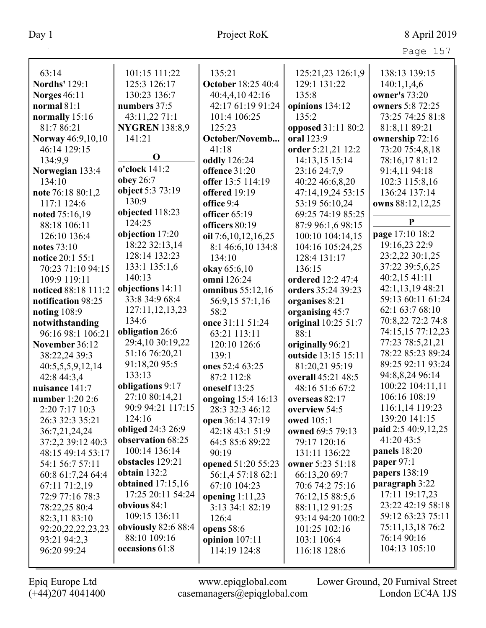| 63:14                    | 101:15 111:22         | 135:21                    | 125:21,23 126:1,9   | 138:13 139:15       |
|--------------------------|-----------------------|---------------------------|---------------------|---------------------|
| <b>Nordhs' 129:1</b>     | 125:3 126:17          | <b>October 18:25 40:4</b> | 129:1 131:22        | 140:1,1,4,6         |
| <b>Norges 46:11</b>      | 130:23 136:7          | 40:4,4,10 42:16           | 135:8               | owner's 73:20       |
| normal $81:1$            | numbers 37:5          | 42:17 61:19 91:24         | opinions 134:12     | owners 5:8 72:25    |
| normally 15:16           | 43:11,22 71:1         | 101:4 106:25              | 135:2               | 73:25 74:25 81:8    |
| 81:7 86:21               | <b>NYGREN</b> 138:8,9 | 125:23                    | opposed 31:11 80:2  | 81:8,11 89:21       |
| <b>Norway</b> 46:9,10,10 | 141:21                | October/Novemb            | oral 123:9          | ownership 72:16     |
| 46:14 129:15             |                       | 41:18                     | order 5:21,21 12:2  | 73:20 75:4,8,18     |
| 134:9,9                  | $\mathbf 0$           | <b>oddly</b> 126:24       | 14:13,15 15:14      | 78:16,17 81:12      |
| Norwegian 133:4          | o'clock 141:2         | offence 31:20             | 23:16 24:7,9        | 91:4,11 94:18       |
| 134:10                   | obey 26:7             | offer 13:5 114:19         | 40:22 46:6,8,20     | 102:3 115:8,16      |
| note 76:18 80:1,2        | object 5:3 73:19      | offered 19:19             | 47:14,19,24 53:15   | 136:24 137:14       |
| 117:1 124:6              | 130:9                 | office 9:4                | 53:19 56:10,24      | owns 88:12,12,25    |
| noted 75:16,19           | objected 118:23       | officer 65:19             | 69:25 74:19 85:25   |                     |
| 88:18 106:11             | 124:25                | officers 80:19            | 87:9 96:1,6 98:15   | P                   |
| 126:10 136:4             | objection 17:20       | oil 7:6,10,12,16,25       | 100:10 104:14,15    | page 17:10 18:2     |
| <b>notes</b> 73:10       | 18:22 32:13,14        | 8:1 46:6,10 134:8         | 104:16 105:24,25    | 19:16,23 22:9       |
| notice 20:1 55:1         | 128:14 132:23         | 134:10                    | 128:4 131:17        | 23:2,22 30:1,25     |
| 70:23 71:10 94:15        | 133:1 135:1,6         | okay 65:6,10              | 136:15              | 37:22 39:5,6,25     |
| 109:9 119:11             | 140:13                | omni 126:24               | ordered 12:2 47:4   | 40:2,15 41:11       |
| noticed 88:18 111:2      | objections 14:11      | omnibus $55:12,16$        | orders 35:24 39:23  | 42:1,13,19 48:21    |
| notification 98:25       | 33:8 34:9 68:4        | 56:9,15 57:1,16           | organises 8:21      | 59:13 60:11 61:24   |
| noting $108:9$           | 127:11,12,13,23       | 58:2                      | organising 45:7     | 62:1 63:7 68:10     |
| notwithstanding          | 134:6                 | once 31:11 51:24          | original 10:25 51:7 | 70:8,22 72:2 74:8   |
| 96:16 98:1 106:21        | obligation 26:6       | 63:21 113:11              | 88:1                | 74:15,15 77:12,23   |
| November 36:12           | 29:4,10 30:19,22      | 120:10 126:6              | originally 96:21    | 77:23 78:5,21,21    |
| 38:22,24 39:3            | 51:16 76:20,21        | 139:1                     | outside 13:15 15:11 | 78:22 85:23 89:24   |
| 40:5,5,5,9,12,14         | 91:18,20 95:5         | ones 52:4 63:25           | 81:20,21 95:19      | 89:25 92:11 93:24   |
| 42:8 44:3,4              | 133:13                | 87:2 112:8                | overall 45:21 48:5  | 94:8,8,24 96:14     |
| nuisance 141:7           | obligations 9:17      | oneself 13:25             | 48:16 51:6 67:2     | 100:22 104:11,11    |
| number 1:20 2:6          | 27:10 80:14,21        | ongoing 15:4 16:13        | overseas 82:17      | 106:16 108:19       |
| 2:20 7:17 10:3           | 90:9 94:21 117:15     | 28:3 32:3 46:12           | overview 54:5       | 116:1,14 119:23     |
| 26:3 32:3 35:21          | 124:16                | open 36:14 37:19          | owed 105:1          | 139:20 141:15       |
| 36:7,21,24,24            | obliged 24:3 26:9     | 42:18 43:1 51:9           | owned 69:5 79:13    | paid 2:5 40:9,12,25 |
| 37:2,2 39:12 40:3        | observation 68:25     | 64:5 85:6 89:22           | 79:17 120:16        | 41:20 43:5          |
| 48:15 49:14 53:17        | 100:14 136:14         | 90:19                     | 131:11 136:22       | panels 18:20        |
| 54:1 56:7 57:11          | obstacles 129:21      | opened 51:20 55:23        | owner 5:23 51:18    | paper 97:1          |
| 60:8 61:7,24 64:4        | obtain $132:2$        | 56:1,4 57:18 62:1         | 66:13,20 69:7       | papers 138:19       |
| 67:11 71:2,19            | obtained $17:15,16$   | 67:10 104:23              | 70:6 74:2 75:16     | paragraph 3:22      |
| 72:9 77:16 78:3          | 17:25 20:11 54:24     | opening $1:11,23$         | 76:12,15 88:5,6     | 17:11 19:17,23      |
| 78:22,25 80:4            | obvious $84:1$        | 3:13 34:1 82:19           | 88:11,12 91:25      | 23:22 42:19 58:18   |
| 82:3,11 83:10            | 109:15 136:11         | 126:4                     | 93:14 94:20 100:2   | 59:12 63:23 75:11   |
| 92:20,22,22,23,23        | obviously 82:6 88:4   | opens $58:6$              | 101:25 102:16       | 75:11,13,18 76:2    |
| 93:21 94:2,3             | 88:10 109:16          | opinion $107:11$          | 103:1 106:4         | 76:14 90:16         |
| 96:20 99:24              | occasions 61:8        | 114:19 124:8              | 116:18 128:6        | 104:13 105:10       |
|                          |                       |                           |                     |                     |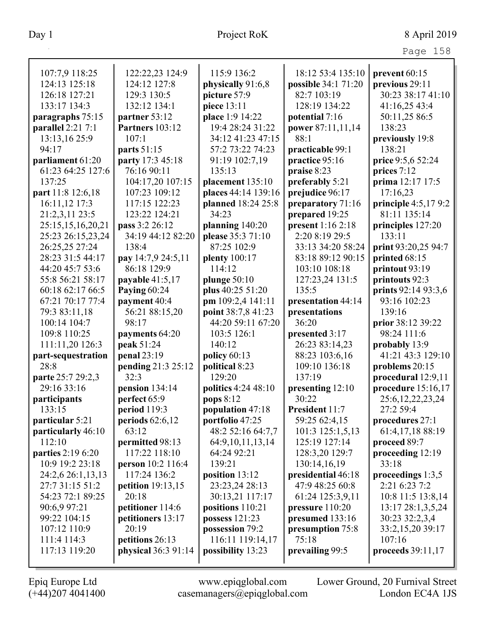|                          |                            |                      |                     | Page 158              |
|--------------------------|----------------------------|----------------------|---------------------|-----------------------|
| 107:7,9 118:25           | 122:22,23 124:9            | 115:9 136:2          | 18:12 53:4 135:10   | prevent 60:15         |
| 124:13 125:18            | 124:12 127:8               | physically 91:6,8    | possible 34:1 71:20 | previous 29:11        |
| 126:18 127:21            | 129:3 130:5                | picture 57:9         | 82:7 103:19         | 30:23 38:17 41:10     |
| 133:17 134:3             | 132:12 134:1               | piece 13:11          | 128:19 134:22       | 41:16,25 43:4         |
| paragraphs 75:15         | partner 53:12              | place 1:9 14:22      | potential 7:16      | 50:11,25 86:5         |
| parallel 2:21 7:1        | <b>Partners</b> 103:12     | 19:4 28:24 31:22     | power 87:11,11,14   | 138:23                |
| 13:13,16 25:9            | 107:1                      | 34:12 41:23 47:15    | 88:1                | previously 19:8       |
| 94:17                    | parts 51:15                | 57:2 73:22 74:23     | practicable 99:1    | 138:21                |
| parliament 61:20         | party 17:3 45:18           | 91:19 102:7,19       | practice 95:16      | price 9:5,6 52:24     |
| 61:23 64:25 127:6        | 76:16 90:11                | 135:13               | praise 8:23         | prices 7:12           |
| 137:25                   | 104:17,20 107:15           | placement 135:10     | preferably 5:21     | prima 12:17 17:5      |
| part 11:8 12:6,18        | 107:23 109:12              | places 44:14 139:16  | prejudice 96:17     | 17:16,23              |
| 16:11,12 17:3            | 117:15 122:23              | planned 18:24 25:8   | preparatory 71:16   | principle $4:5,179:2$ |
| 21:2,3,11 23:5           | 123:22 124:21              | 34:23                | prepared 19:25      | 81:11 135:14          |
| 25:15,15,16,20,21        | pass 3:2 26:12             | planning 140:20      | present 1:16 2:18   | principles 127:20     |
| 25:23 26:15,23,24        | 34:19 44:12 82:20          | please 35:3 71:10    | 2:20 8:19 29:5      | 133:11                |
| 26:25,25 27:24           | 138:4                      | 87:25 102:9          | 33:13 34:20 58:24   | print 93:20,25 94:7   |
| 28:23 31:5 44:17         | pay 14:7,9 24:5,11         | plenty 100:17        | 83:18 89:12 90:15   | printed 68:15         |
| 44:20 45:7 53:6          | 86:18 129:9                | 114:12               | 103:10 108:18       | printout 93:19        |
| 55:8 56:21 58:17         | payable $41:5,17$          | plunge $50:10$       | 127:23,24 131:5     | printouts 92:3        |
| 60:18 62:17 66:5         | Paying 60:24               | plus 40:25 51:20     | 135:5               | prints 92:14 93:3,6   |
| 67:21 70:17 77:4         | payment 40:4               | pm 109:2,4 141:11    | presentation 44:14  | 93:16 102:23          |
| 79:3 83:11,18            | 56:21 88:15,20             | point 38:7,8 41:23   | presentations       | 139:16                |
| 100:14 104:7             | 98:17                      | 44:20 59:11 67:20    | 36:20               | prior 38:12 39:22     |
| 109:8 110:25             | payments 64:20             | 103:5 126:1          | presented 3:17      | 98:24 111:6           |
| 111:11,20 126:3          | peak 51:24                 | 140:12               | 26:23 83:14,23      | probably 13:9         |
| part-sequestration       | penal 23:19                | policy $60:13$       | 88:23 103:6,16      | 41:21 43:3 129:10     |
| 28:8                     | pending 21:3 25:12         | political 8:23       | 109:10 136:18       | problems 20:15        |
| parte 25:7 29:2,3        | 32:3                       | 129:20               | 137:19              | procedural 12:9,11    |
| 29:16 33:16              | pension $134:14$           | politics 4:24 48:10  | presenting 12:10    | procedure $15:16,17$  |
| participants             | perfect 65:9               | pops 8:12            | 30:22               | 25:6, 12, 22, 23, 24  |
| 133:15                   | period $119:3$             | population 47:18     | President 11:7      | 27:2 59:4             |
| particular 5:21          | periods $62:6,12$          | portfolio 47:25      | 59:25 62:4,15       | procedures 27:1       |
| particularly 46:10       | 63:12                      | 48:2 52:16 64:7,7    | 101:3 125:1,5,13    | 61:4,17,18 88:19      |
| 112:10                   | permitted 98:13            | 64:9, 10, 11, 13, 14 | 125:19 127:14       | proceed 89:7          |
| <b>parties</b> 2:19 6:20 | 117:22 118:10              | 64:24 92:21          | 128:3,20 129:7      | proceeding 12:19      |
| 10:9 19:2 23:18          | person 10:2 116:4          | 139:21               | 130:14,16,19        | 33:18                 |
| 24:2,6 26:1,13,13        | 117:24 136:2               | position 13:12       | presidential 46:18  | proceedings $1:3,5$   |
| 27:7 31:15 51:2          | <b>petition</b> 19:13,15   | 23:23,24 28:13       | 47:9 48:25 60:8     | 2:21 6:23 7:2         |
| 54:23 72:1 89:25         | 20:18                      | 30:13,21 117:17      | 61:24 125:3,9,11    | 10:8 11:5 13:8,14     |
| 90:6,9 97:21             | petitioner 114:6           | positions 110:21     | pressure $110:20$   | 13:17 28:1,3,5,24     |
| 99:22 104:15             | petitioners 13:17          | possess $121:23$     | presumed 133:16     | 30:23 32:2,3,4        |
| 107:12 110:9             | 20:19                      | possession 79:2      | presumption 75:8    | 33:2,15,20 39:17      |
| 111:4 114:3              | petitions 26:13            | 116:11 119:14,17     | 75:18               | 107:16                |
| 117:13 119:20            | <b>physical</b> 36:3 91:14 | possibility 13:23    | prevailing 99:5     | proceeds 39:11,17     |
|                          |                            |                      |                     |                       |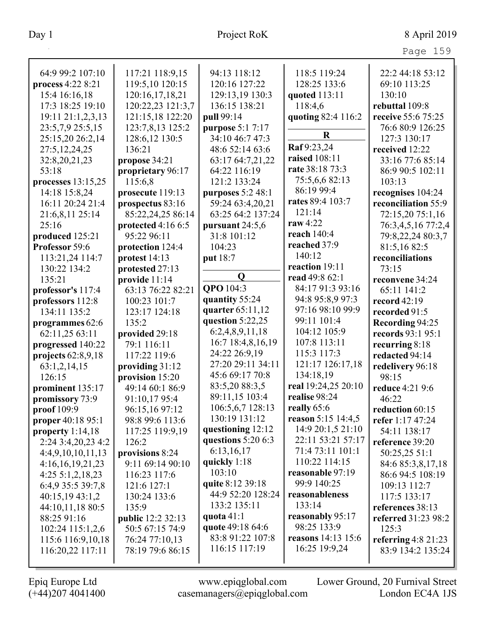| 64:9 99:2 107:10     | 117:21 118:9,15          | 94:13 118:12                        | 118:5 119:24              | 22:2 44:18 53:12      |
|----------------------|--------------------------|-------------------------------------|---------------------------|-----------------------|
| process 4:22 8:21    | 119:5,10 120:15          | 120:16 127:22                       | 128:25 133:6              | 69:10 113:25          |
| 15:4 16:16,18        | 120:16,17,18,21          | 129:13,19 130:3                     | quoted 113:11             | 130:10                |
| 17:3 18:25 19:10     | 120:22,23 121:3,7        | 136:15 138:21                       | 118:4,6                   | rebuttal 109:8        |
| 19:11 21:1,2,3,13    | 121:15,18 122:20         | pull 99:14                          | quoting 82:4 116:2        | receive 55:6 75:25    |
| 23:5,7,9 25:5,15     | 123:7,8,13 125:2         |                                     |                           | 76:6 80:9 126:25      |
|                      |                          | purpose 5:1 7:17<br>34:10 46:7 47:3 | $\mathbf R$               |                       |
| 25:15,20 26:2,14     | 128:6,12 130:5           |                                     | Raf 9:23,24               | 127:3 130:17          |
| 27:5, 12, 24, 25     | 136:21                   | 48:6 52:14 63:6                     | raised 108:11             | received 12:22        |
| 32:8,20,21,23        | propose 34:21            | 63:17 64:7,21,22                    | rate 38:18 73:3           | 33:16 77:6 85:14      |
| 53:18                | proprietary 96:17        | 64:22 116:19                        | 75:5,6,6 82:13            | 86:9 90:5 102:11      |
| processes $13:15,25$ | 115:6,8                  | 121:2 133:24                        | 86:19 99:4                | 103:13                |
| 14:18 15:8,24        | prosecute 119:13         | purposes 5:2 48:1                   |                           | recognises 104:24     |
| 16:11 20:24 21:4     | prospectus 83:16         | 59:24 63:4,20,21                    | rates 89:4 103:7          | reconciliation 55:9   |
| 21:6,8,11 25:14      | 85:22,24,25 86:14        | 63:25 64:2 137:24                   | 121:14                    | 72:15,20 75:1,16      |
| 25:16                | protected $4:166:5$      | pursuant 24:5,6                     | raw 4:22                  | 76:3,4,5,16 77:2,4    |
| produced 125:21      | 95:22 96:11              | 31:8 101:12                         | reach 140:4               | 79:8,22,24 80:3,7     |
| Professor 59:6       | protection 124:4         | 104:23                              | reached 37:9              | 81:5,1682:5           |
| 113:21,24 114:7      | protest 14:13            | put 18:7                            | 140:12                    | reconciliations       |
| 130:22 134:2         | protested 27:13          |                                     | reaction 19:11            | 73:15                 |
| 135:21               | provide 11:14            | $\mathbf 0$                         | read 49:8 62:1            | reconvene 34:24       |
| professor's 117:4    | 63:13 76:22 82:21        | QPO 104:3                           | 84:17 91:3 93:16          | 65:11 141:2           |
| professors 112:8     | 100:23 101:7             | quantity 55:24                      | 94:8 95:8,9 97:3          | record $42:19$        |
| 134:11 135:2         | 123:17 124:18            | quarter 65:11,12                    | 97:16 98:10 99:9          | recorded 91:5         |
| programmes 62:6      | 135:2                    | question $5:22,25$                  | 99:11 101:4               | Recording 94:25       |
| 62:11,25 63:11       | provided 29:18           | 6:2,4,8,9,11,18                     | 104:12 105:9              | records 93:1 95:1     |
| progressed 140:22    | 79:1 116:11              | 16:7 18:4,8,16,19                   | 107:8 113:11              | recurring $8:18$      |
| projects $62:8,9,18$ | 117:22 119:6             | 24:22 26:9,19                       | 115:3 117:3               | redacted 94:14        |
| 63:1,2,14,15         | providing 31:12          | 27:20 29:11 34:11                   | 121:17 126:17,18          | redelivery 96:18      |
| 126:15               | provision 15:20          | 45:6 69:17 70:8                     | 134:18,19                 | 98:15                 |
| prominent 135:17     | 49:14 60:1 86:9          | 83:5,20 88:3,5                      | real 19:24,25 20:10       | reduce 4:21 9:6       |
| promissory 73:9      | 91:10,17 95:4            | 89:11,15 103:4                      | realise 98:24             | 46:22                 |
| proof 109:9          | 96:15,16 97:12           | 106:5,6,7 128:13                    | really 65:6               | reduction 60:15       |
| proper 40:18 95:1    | 98:8 99:6 113:6          | 130:19 131:12                       | reason 5:15 14:4,5        | refer 1:17 47:24      |
| property $1:14,18$   | 117:25 119:9,19          | questioning 12:12                   | 14:9 20:1,5 21:10         | 54:11 138:17          |
| 2:24 3:4,20,23 4:2   | 126:2                    | questions $5:206:3$                 | 22:11 53:21 57:17         | reference 39:20       |
| 4:4,9,10,10,11,13    | provisions 8:24          | 6:13,16,17                          | 71:4 73:11 101:1          | 50:25,25 51:1         |
| 4:16,16,19,21,23     | 9:11 69:14 90:10         | quickly $1:18$                      | 110:22 114:15             | 84:6 85:3,8,17,18     |
| $4:25\;5:1,2,18,23$  | 116:23 117:6             | 103:10                              | reasonable 97:19          | 86:6 94:5 108:19      |
| 6:4,9 35:5 39:7,8    | 121:6 127:1              | quite 8:12 39:18                    | 99:9 140:25               |                       |
|                      |                          | 44:9 52:20 128:24                   | reasonableness            | 109:13 112:7          |
| 40:15,19 43:1,2      | 130:24 133:6             | 133:2 135:11                        | 133:14                    | 117:5 133:17          |
| 44:10,11,18 80:5     | 135:9                    | quota 41:1                          | reasonably 95:17          | references 38:13      |
| 88:25 91:16          | <b>public</b> 12:2 32:13 | quote 49:18 64:6                    | 98:25 133:9               | referred 31:23 98:2   |
| 102:24 115:1,2,6     | 50:5 67:15 74:9          | 83:8 91:22 107:8                    | <b>reasons</b> 14:13 15:6 | 125:3                 |
| 115:6 116:9,10,18    | 76:24 77:10,13           | 116:15 117:19                       |                           | referring $4:8$ 21:23 |
| 116:20,22 117:11     | 78:19 79:6 86:15         |                                     | 16:25 19:9,24             | 83:9 134:2 135:24     |
|                      |                          |                                     |                           |                       |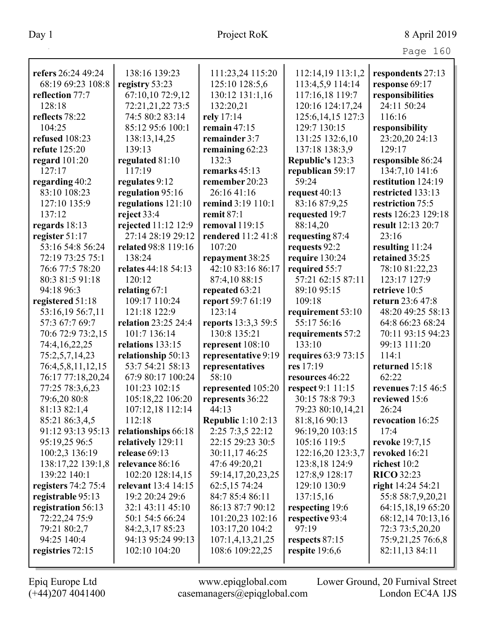|                           |                           |                            |                                    | Page 160                  |
|---------------------------|---------------------------|----------------------------|------------------------------------|---------------------------|
| refers 26:24 49:24        | 138:16 139:23             | 111:23,24 115:20           | 112:14,19 113:1,2                  | respondents 27:13         |
| 68:19 69:23 108:8         | registry 53:23            | 125:10 128:5,6             | 113:4,5,9 114:14                   | response 69:17            |
| reflection 77:7           | 67:10,10 72:9,12          | 130:12 131:1,16            | 117:16,18 119:7                    | responsibilities          |
| 128:18                    | 72:21,21,22 73:5          | 132:20,21                  | 120:16 124:17,24                   | 24:11 50:24               |
| reflects 78:22            | 74:5 80:2 83:14           | rely 17:14                 | 125:6, 14, 15 127:3                | 116:16                    |
| 104:25                    | 85:12 95:6 100:1          | remain $47:15$             | 129:7 130:15                       | responsibility            |
| refused 108:23            |                           | remainder 3:7              | 131:25 132:6,10                    | 23:20,20 24:13            |
| refute 125:20             | 138:13,14,25<br>139:13    |                            |                                    | 129:17                    |
|                           |                           | remaining 62:23<br>132:3   | 137:18 138:3,9<br>Republic's 123:3 | responsible 86:24         |
| regard $101:20$<br>127:17 | regulated 81:10<br>117:19 | remarks $45:13$            |                                    | 134:7,10 141:6            |
|                           |                           |                            | republican 59:17<br>59:24          |                           |
| regarding 40:2            | regulates 9:12            | remember 20:23             |                                    | restitution 124:19        |
| 83:10 108:23              | regulation 95:16          | 26:16 41:16                | request 40:13                      | restricted 133:13         |
| 127:10 135:9              | regulations 121:10        | remind 3:19 110:1          | 83:16 87:9,25                      | restriction 75:5          |
| 137:12                    | reject $33:4$             | remit $87:1$               | requested 19:7                     | rests 126:23 129:18       |
| regards 18:13             | rejected 11:12 12:9       | removal 119:15             | 88:14,20                           | result 12:13 20:7         |
| register 51:17            | 27:14 28:19 29:12         | rendered 11:2 41:8         | requesting 87:4                    | 23:16                     |
| 53:16 54:8 56:24          | related 98:8 119:16       | 107:20                     | requests 92:2                      | resulting 11:24           |
| 72:19 73:25 75:1          | 138:24                    | repayment 38:25            | require 130:24                     | retained 35:25            |
| 76:6 77:5 78:20           | relates 44:18 54:13       | 42:10 83:16 86:17          | required 55:7                      | 78:10 81:22,23            |
| 80:3 81:5 91:18           | 120:12                    | 87:4,10 88:15              | 57:21 62:15 87:11                  | 123:17 127:9              |
| 94:18 96:3                | relating $67:1$           | repeated 63:21             | 89:10 95:15                        | retrieve 10:5             |
| registered 51:18          | 109:17 110:24             | report 59:7 61:19          | 109:18                             | return 23:6 47:8          |
| 53:16,19 56:7,11          | 121:18 122:9              | 123:14                     | requirement 53:10                  | 48:20 49:25 58:13         |
| 57:3 67:7 69:7            | relation 23:25 24:4       | <b>reports</b> 13:3,3 59:5 | 55:17 56:16                        | 64:8 66:23 68:24          |
| 70:6 72:9 73:2,15         | 101:7 136:14              | 130:8 135:21               | requirements 57:2                  | 70:11 93:15 94:23         |
| 74:4,16,22,25             | relations 133:15          | represent 108:10           | 133:10                             | 99:13 111:20              |
| 75:2,5,7,14,23            | relationship 50:13        | representative 9:19        | requires 63:9 73:15                | 114:1                     |
| 76:4,5,8,11,12,15         | 53:7 54:21 58:13          | representatives            | res 17:19                          | returned 15:18            |
| 76:17 77:18,20,24         | 67:9 80:17 100:24         | 58:10                      | resources 46:22                    | 62:22                     |
| 77:25 78:3,6,23           | 101:23 102:15             | represented 105:20         | respect 9:1 11:15                  | <b>revenues</b> 7:15 46:5 |
| 79:6,20 80:8              | 105:18,22 106:20          | represents 36:22           | 30:15 78:8 79:3                    | reviewed 15:6             |
| 81:13 82:1,4              | 107:12,18 112:14          | 44:13                      | 79:23 80:10,14,21                  | 26:24                     |
| 85:21 86:3,4,5            | 112:18                    | <b>Republic 1:10 2:13</b>  | 81:8,16 90:13                      | revocation 16:25          |
| 91:12 93:13 95:13         | relationships 66:18       | 2:25 7:3,5 22:12           | 96:19,20 103:15                    | 17:4                      |
| 95:19,25 96:5             | relatively 129:11         | 22:15 29:23 30:5           | 105:16 119:5                       | <b>revoke</b> 19:7,15     |
| 100:2,3 136:19            | release 69:13             | 30:11,17 46:25             | 122:16,20 123:3,7                  | revoked 16:21             |
| 138:17,22 139:1,8         | relevance 86:16           | 47:6 49:20,21              | 123:8,18 124:9                     | richest 10:2              |
| 139:22 140:1              | 102:20 128:14,15          | 59:14,17,20,23,25          | 127:8,9 128:17                     | <b>RICO</b> 32:23         |
| registers 74:2 75:4       | relevant 13:4 14:15       | 62:5,15 74:24              | 129:10 130:9                       | right $14:2454:21$        |
| registrable 95:13         | 19:2 20:24 29:6           | 84:7 85:4 86:11            | 137:15,16                          | 55:8 58:7,9,20,21         |
| registration 56:13        | 32:1 43:11 45:10          | 86:13 87:7 90:12           | respecting 19:6                    | 64:15,18,19 65:20         |
| 72:22,24 75:9             | 50:1 54:5 66:24           | 101:20,23 102:16           | respective 93:4                    | 68:12,14 70:13,16         |
| 79:21 80:2,7              | 84:2,3,17 85:23           | 103:17,20 104:2            | 97:19                              | 72:3 73:5,20,20           |
| 94:25 140:4               | 94:13 95:24 99:13         | 107:1,4,13,21,25           | respects 87:15                     | 75:9,21,25 76:6,8         |
| registries 72:15          | 102:10 104:20             | 108:6 109:22,25            | respite $19:6,6$                   | 82:11,13 84:11            |
|                           |                           |                            |                                    |                           |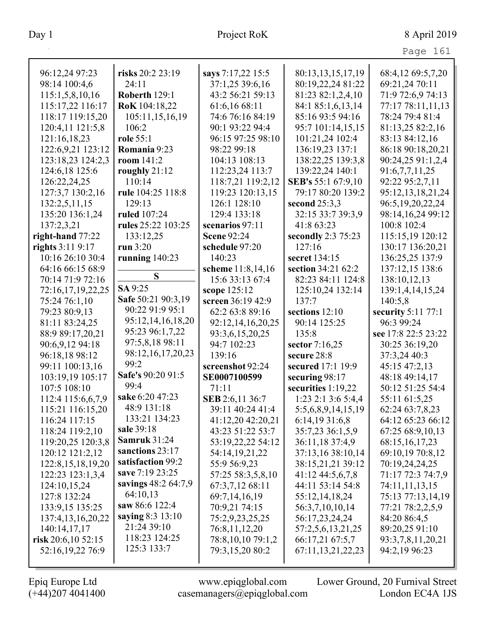| 96:12,24 97:23        | risks 20:2 23:19      | says 7:17,22 15:5  | 80:13,13,15,17,19  | 68:4,12 69:5,7,20    |
|-----------------------|-----------------------|--------------------|--------------------|----------------------|
| 98:14 100:4,6         | 24:11                 | 37:1,25 39:6,16    | 80:19,22,24 81:22  | 69:21,24 70:11       |
| 115:1,5,8,10,16       | Roberth 129:1         | 43:2 56:21 59:13   | 81:23 82:1,2,4,10  | 71:9 72:6,9 74:13    |
| 115:17,22 116:17      | RoK 104:18,22         | 61:6,16 68:11      | 84:1 85:1,6,13,14  | 77:17 78:11,11,13    |
| 118:17 119:15,20      | 105:11,15,16,19       | 74:6 76:16 84:19   | 85:16 93:5 94:16   | 78:24 79:4 81:4      |
| 120:4,11 121:5,8      | 106:2                 | 90:1 93:22 94:4    | 95:7 101:14,15,15  | 81:13,25 82:2,16     |
| 121:16,18,23          | role 55:1             | 96:15 97:25 98:10  | 101:21,24 102:4    | 83:13 84:12,16       |
| 122:6,9,21 123:12     | Romania 9:23          | 98:22 99:18        | 136:19,23 137:1    | 86:18 90:18,20,21    |
| 123:18,23 124:2,3     | room $141:2$          | 104:13 108:13      | 138:22,25 139:3,8  | 90:24,25 91:1,2,4    |
| 124:6,18 125:6        | roughly $21:12$       | 112:23,24 113:7    | 139:22,24 140:1    | 91:6,7,7,11,25       |
| 126:22,24,25          | 110:14                | 118:7,21 119:2,12  | SEB's 55:1 67:9,10 | 92:22 95:2,7,11      |
| 127:3,7 130:2,16      | rule 104:25 118:8     | 119:23 120:13,15   | 79:17 80:20 139:2  | 95:12,13,18,21,24    |
| 132:2,5,11,15         | 129:13                | 126:1 128:10       | second $25:3,3$    | 96:5, 19, 20, 22, 24 |
| 135:20 136:1,24       | ruled 107:24          | 129:4 133:18       | 32:15 33:7 39:3,9  | 98:14,16,24 99:12    |
| 137:2,3,21            | rules 25:22 103:25    | scenarios 97:11    | 41:8 63:23         | 100:8 102:4          |
| right-hand 77:22      | 133:12,25             | <b>Scene 92:24</b> | secondly 2:3 75:23 | 115:15,19 120:12     |
| rights 3:11 9:17      | run 3:20              | schedule 97:20     | 127:16             | 130:17 136:20,21     |
| 10:16 26:10 30:4      | running $140:23$      | 140:23             | secret 134:15      | 136:25,25 137:9      |
| 64:16 66:15 68:9      |                       | scheme 11:8,14,16  | section 34:21 62:2 | 137:12,15 138:6      |
| 70:14 71:9 72:16      | S                     | 15:6 33:13 67:4    | 82:23 84:11 124:8  | 138:10,12,13         |
| 72:16,17,19,22,25     | SA 9:25               | scope 125:12       | 125:10,24 132:14   | 139:1,4,14,15,24     |
| 75:24 76:1,10         | Safe 50:21 90:3,19    | screen 36:19 42:9  | 137:7              | 140:5,8              |
|                       |                       |                    |                    |                      |
| 79:23 80:9,13         | 90:22 91:9 95:1       | 62:2 63:8 89:16    | sections 12:10     | security $5:11$ 77:1 |
| 81:11 83:24,25        | 95:12,14,16,18,20     | 92:12,14,16,20,25  | 90:14 125:25       | 96:3 99:24           |
| 88:9 89:17,20,21      | 95:23 96:1,7,22       | 93:3,6,15,20,25    | 135:8              | see 17:8 22:5 23:22  |
| 90:6,9,12 94:18       | 97:5,8,18 98:11       | 94:7 102:23        | sector $7:16,25$   | 30:25 36:19,20       |
| 96:18,18 98:12        | 98:12, 16, 17, 20, 23 | 139:16             | secure 28:8        | 37:3,24 40:3         |
| 99:11 100:13,16       | 99:2                  | screenshot 92:24   | secured 17:1 19:9  | 45:15 47:2,13        |
| 103:19,19 105:17      | Safe's 90:20 91:5     | SE0007100599       | securing 98:17     | 48:18 49:14,17       |
| 107:5 108:10          | 99:4                  | 71:11              | securities 1:19,22 | 50:12 51:25 54:4     |
| 112:4 115:6,6,7,9     | sake 6:20 47:23       | SEB 2:6,11 36:7    | 1:23 2:1 3:6 5:4,4 | 55:11 61:5,25        |
| 115:21 116:15,20      | 48:9 131:18           | 39:11 40:24 41:4   | 5:5,6,8,9,14,15,19 | 62:24 63:7,8,23      |
| 116:24 117:15         | 133:21 134:23         | 41:12,20 42:20,21  | 6:14,19 31:6,8     | 64:12 65:23 66:12    |
| 118:24 119:2,10       | sale 39:18            | 43:23 51:22 53:7   | 35:7,23 36:1,5,9   | 67:25 68:9,10,13     |
| 119:20,25 120:3,8     | <b>Samruk</b> 31:24   | 53:19,22,22 54:12  | 36:11,18 37:4,9    | 68:15,16,17,23       |
| 120:12 121:2,12       | sanctions 23:17       | 54:14,19,21,22     | 37:13,16 38:10,14  | 69:10,19 70:8,12     |
| 122:8, 15, 18, 19, 20 | satisfaction 99:2     | 55:9 56:9,23       | 38:15,21,21 39:12  | 70:19,24,24,25       |
| 122:23 123:1,3,4      | save 7:19 23:25       | 57:25 58:3,5,8,10  | 41:12 44:5,6,7,8   | 71:17 72:3 74:7,9    |
| 124:10,15,24          | savings 48:2 64:7,9   | 67:3,7,12 68:11    | 44:11 53:14 54:8   | 74:11,11,13,15       |
| 127:8 132:24          | 64:10,13              | 69:7,14,16,19      | 55:12,14,18,24     | 75:13 77:13,14,19    |
| 133:9,15 135:25       | saw 86:6 122:4        | 70:9,21 74:15      | 56:3,7,10,10,14    | 77:21 78:2,2,5,9     |
| 137:4,13,16,20,22     | saying 8:3 13:10      | 75:2,9,23,25,25    | 56:17,23,24,24     | 84:20 86:4,5         |
| 140:14,17,17          | 21:24 39:10           | 76:8,11,12,20      | 57:2,5,6,13,21,25  | 89:20,25 91:10       |
| risk $20:6,1052:15$   | 118:23 124:25         | 78:8,10,10 79:1,2  | 66:17,21 67:5,7    | 93:3,7,8,11,20,21    |
| 52:16,19,22 76:9      | 125:3 133:7           | 79:3,15,20 80:2    | 67:11,13,21,22,23  | 94:2,19 96:23        |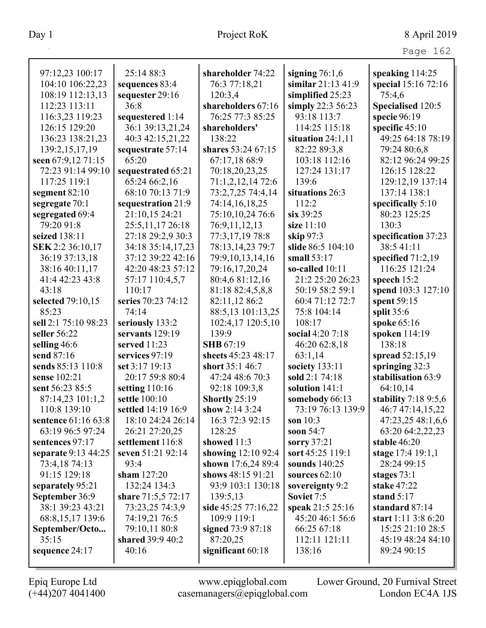|                                    | 25:14 88:3          |                      |                                        |                       |
|------------------------------------|---------------------|----------------------|----------------------------------------|-----------------------|
| 97:12,23 100:17                    |                     | shareholder 74:22    | signing $76:1,6$<br>similar 21:13 41:9 | speaking 114:25       |
| 104:10 106:22,23                   | sequences 83:4      | 76:3 77:18,21        |                                        | special 15:16 72:16   |
| 108:19 112:13,13                   | sequester 29:16     | 120:3,4              | simplified 25:23                       | 75:4,6                |
| 112:23 113:11                      | 36:8                | shareholders 67:16   | simply 22:3 56:23                      | Specialised 120:5     |
| 116:3,23 119:23                    | sequestered 1:14    | 76:25 77:3 85:25     | 93:18 113:7                            | specie 96:19          |
| 126:15 129:20                      | 36:1 39:13,21,24    | shareholders'        | 114:25 115:18                          | specific $45:10$      |
| 136:23 138:21,23                   | 40:3 42:15,21,22    | 138:22               | situation $24:1,11$                    | 49:25 64:18 78:19     |
| 139:2,15,17,19                     | sequestrate 57:14   | shares 53:24 67:15   | 82:22 89:3,8                           | 79:24 80:6,8          |
| seen 67:9,12 71:15                 | 65:20               | 67:17,18 68:9        | 103:18 112:16                          | 82:12 96:24 99:25     |
| 72:23 91:14 99:10                  | sequestrated 65:21  | 70:18,20,23,25       | 127:24 131:17                          | 126:15 128:22         |
| 117:25 119:1                       | 65:24 66:2,16       | 71:1,2,12,14 72:6    | 139:6                                  | 129:12,19 137:14      |
| segment $82:10$                    | 68:10 70:13 71:9    | 73:2,7,25 74:4,14    | situations 26:3                        | 137:14 138:1          |
| segregate 70:1                     | sequestration 21:9  | 74:14,16,18,25       | 112:2                                  | specifically $5:10$   |
| segregated 69:4                    | 21:10,15 24:21      | 75:10,10,24 76:6     | six 39:25                              | 80:23 125:25          |
| 79:20 91:8                         | 25:5,11,17 26:18    | 76:9,11,12,13        | size 11:10                             | 130:3                 |
| seized 138:11                      | 27:18 29:2,9 30:3   | 77:3,17,19 78:8      | skip 97:3                              | specification 37:23   |
| SEK 2:2 36:10,17                   | 34:18 35:14,17,23   | 78:13,14,23 79:7     | slide 86:5 104:10                      | 38:5 41:11            |
| 36:19 37:13,18                     | 37:12 39:22 42:16   | 79:9,10,13,14,16     | small 53:17                            | specified $71:2,19$   |
| 38:16 40:11,17                     | 42:20 48:23 57:12   | 79:16,17,20,24       | so-called $10:11$                      | 116:25 121:24         |
| 41:4 42:23 43:8                    | 57:17 110:4,5,7     | 80:4,6 81:12,16      | 21:2 25:20 26:23                       | speech $15:2$         |
| 43:18                              | 110:17              | 81:18 82:4,5,8,8     | 50:19 58:2 59:1                        | spend 103:3 127:10    |
| selected 79:10,15                  | series 70:23 74:12  | 82:11,12 86:2        | 60:4 71:12 72:7                        | spent 59:15           |
| 85:23                              | 74:14               | 88:5,13 101:13,25    | 75:8 104:14                            | split $35:6$          |
| sell 2:1 75:10 98:23               | seriously 133:2     | 102:4,17 120:5,10    | 108:17                                 | spoke 65:16           |
| seller 56:22                       | servants 129:19     | 139:9                | social 4:20 7:18                       | spoken 114:19         |
| selling 46:6                       | served 11:23        | <b>SHB</b> 67:19     | 46:20 62:8,18                          | 138:18                |
| send 87:16                         | services 97:19      | sheets 45:23 48:17   | 63:1,14                                | spread 52:15,19       |
| sends 85:13 110:8                  | set 3:17 19:13      | short 35:1 46:7      | society 133:11                         | springing 32:3        |
| sense 102:21                       | 20:17 59:8 80:4     | 47:24 48:6 70:3      | sold 2:1 74:18                         | stabilisation 63:9    |
| sent 56:23 85:5                    | setting $110:16$    | 92:18 109:3,8        | solution 141:1                         | 64:10,14              |
| 87:14,23 101:1,2                   | settle 100:10       | <b>Shortly 25:19</b> | somebody 66:13                         | stability $7:189:5,6$ |
| 110:8 139:10                       | settled 14:19 16:9  | show $2:143:24$      | 73:19 76:13 139:9                      | 46:7 47:14,15,22      |
| sentence 61:16 63:8                | 18:10 24:24 26:14   | 16:3 72:3 92:15      | son $10:3$                             | 47:23,25 48:1,6,6     |
| 63:19 96:5 97:24                   | 26:21 27:20,25      | 128:25               | soon 54:7                              | 63:20 64:2,22,23      |
| sentences 97:17                    | settlement 116:8    | showed 11:3          | sorry $37:21$                          | stable 46:20          |
| separate 9:13 44:25                | seven 51:21 92:14   | showing 12:10 92:4   | sort 45:25 119:1                       | stage 17:4 19:1,1     |
| 73:4,18 74:13                      | 93:4                | shown 17:6,24 89:4   | sounds 140:25                          | 28:24 99:15           |
| 91:15 129:18                       | sham $127:20$       | shows 48:15 91:21    | sources $62:10$                        | stages $73:1$         |
|                                    | 132:24 134:3        | 93:9 103:1 130:18    | sovereignty 9:2                        | <b>stake 47:22</b>    |
| separately 95:21<br>September 36:9 |                     | 139:5,13             | Soviet 7:5                             | stand $5:17$          |
|                                    | share $71:5,572:17$ |                      |                                        | standard 87:14        |
| 38:1 39:23 43:21                   | 73:23,25 74:3,9     | side 45:25 77:16,22  | speak 21:5 25:16                       |                       |
| 68:8, 15, 17 139:6                 | 74:19,21 76:5       | 109:9 119:1          | 45:20 46:1 56:6                        | start $1:11$ 3:8 6:20 |
| September/Octo                     | 79:10,11 80:8       | signed 73:9 87:18    | 66:25 67:18                            | 15:25 21:10 28:5      |
| 35:15                              | shared 39:9 40:2    | 87:20,25             | 112:11 121:11                          | 45:19 48:24 84:10     |
| sequence 24:17                     | 40:16               | significant 60:18    | 138:16                                 | 89:24 90:15           |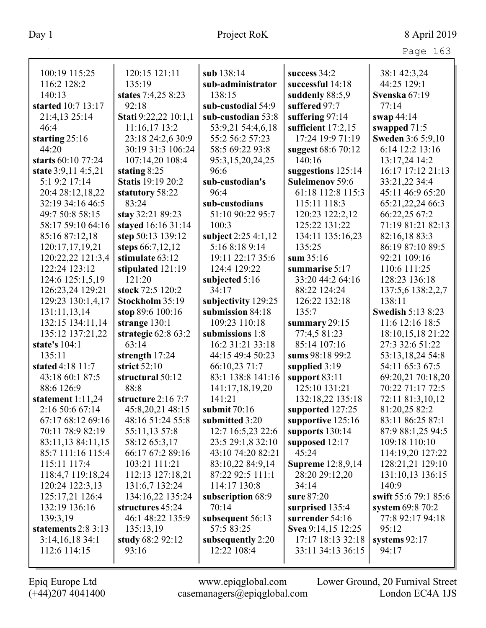| Page 163 |  |
|----------|--|

| 100:19 115:25                        | 120:15 121:11                              | sub 138:14               | success 34:2                 | 38:1 42:3,24             |
|--------------------------------------|--------------------------------------------|--------------------------|------------------------------|--------------------------|
| 116:2 128:2                          | 135:19                                     | sub-administrator        | successful 14:18             | 44:25 129:1              |
| 140:13                               | states 7:4,25 8:23                         | 138:15                   | suddenly 88:5,9              | Svenska 67:19            |
| started 10:7 13:17                   | 92:18                                      | sub-custodial 54:9       | suffered 97:7                | 77:14                    |
| 21:4,13 25:14                        | Stati 9:22,22 10:1,1                       | sub-custodian 53:8       | suffering 97:14              | swap $44:14$             |
| 46:4                                 | 11:16,17 13:2                              | 53:9,21 54:4,6,18        | sufficient $17:2,15$         | swapped $71:5$           |
| starting 25:16                       | 23:18 24:2,6 30:9                          | 55:2 56:2 57:23          | 17:24 19:9 71:19             | <b>Sweden 3:6 5:9,10</b> |
| 44:20                                | 30:19 31:3 106:24                          | 58:5 69:22 93:8          |                              | 6:14 12:2 13:16          |
| starts 60:10 77:24                   | 107:14,20 108:4                            |                          | suggest 68:6 70:12<br>140:16 | 13:17,24 14:2            |
|                                      |                                            | 95:3,15,20,24,25<br>96:6 | suggestions $125:14$         | 16:17 17:12 21:13        |
| state 3:9,11 4:5,21<br>5:1 9:2 17:14 | stating $8:25$<br><b>Statis</b> 19:19 20:2 | sub-custodian's          | <b>Suleimenov 59:6</b>       |                          |
|                                      |                                            |                          |                              | 33:21,22 34:4            |
| 20:4 28:12,18,22                     | statutory 58:22                            | 96:4                     | 61:18 112:8 115:3            | 45:11 46:9 65:20         |
| 32:19 34:16 46:5                     | 83:24                                      | sub-custodians           | 115:11 118:3                 | 65:21,22,24 66:3         |
| 49:7 50:8 58:15                      | stay 32:21 89:23                           | 51:10 90:22 95:7         | 120:23 122:2,12              | 66:22,25 67:2            |
| 58:17 59:10 64:16                    | stayed 16:16 31:14                         | 100:3                    | 125:22 131:22                | 71:19 81:21 82:13        |
| 85:16 87:12,18                       | step 50:13 139:12                          | subject 2:25 4:1,12      | 134:11 135:16,23             | 82:16,18 83:3            |
| 120:17,17,19,21                      | steps 66:7,12,12                           | 5:16 8:18 9:14           | 135:25                       | 86:19 87:10 89:5         |
| 120:22,22 121:3,4                    | stimulate 63:12                            | 19:11 22:17 35:6         | sum $35:16$                  | 92:21 109:16             |
| 122:24 123:12                        | stipulated 121:19                          | 124:4 129:22             | summarise 5:17               | 110:6 111:25             |
| 124:6 125:1,5,19                     | 121:20                                     | subjected 5:16           | 33:20 44:2 64:16             | 128:23 136:18            |
| 126:23,24 129:21                     | stock 72:5 120:2                           | 34:17                    | 88:22 124:24                 | 137:5,6 138:2,2,7        |
| 129:23 130:1,4,17                    | Stockholm 35:19                            | subjectivity 129:25      | 126:22 132:18                | 138:11                   |
| 131:11,13,14                         | stop 89:6 100:16                           | submission 84:18         | 135:7                        | <b>Swedish 5:13 8:23</b> |
| 132:15 134:11,14                     | strange 130:1                              | 109:23 110:18            | summary $29:15$              | 11:6 12:16 18:5          |
| 135:12 137:21,22                     | strategic $62:863:2$                       | submissions 1:8          | 77:4,5 81:23                 | 18:10,15,18 21:22        |
| state's 104:1                        | 63:14                                      | 16:2 31:21 33:18         | 85:14 107:16                 | 27:3 32:6 51:22          |
| 135:11                               | strength 17:24                             | 44:15 49:4 50:23         | sums 98:18 99:2              | 53:13,18,24 54:8         |
| stated 4:18 11:7                     | strict $52:10$                             | 66:10,23 71:7            | supplied 3:19                | 54:11 65:3 67:5          |
| 43:18 60:1 87:5                      | structural 50:12                           | 83:1 138:8 141:16        | support $83:11$              | 69:20,21 70:18,20        |
| 88:6 126:9                           | 88:8                                       | 141:17,18,19,20          | 125:10 131:21                | 70:22 71:17 72:5         |
| statement $1:11,24$                  | structure $2:167:7$                        | 141:21                   | 132:18,22 135:18             | 72:11 81:3,10,12         |
| 2:16 50:6 67:14                      | 45:8,20,21 48:15                           | submit $70:16$           | supported 127:25             | 81:20,25 82:2            |
| 67:17 68:12 69:16                    | 48:16 51:24 55:8                           | submitted 3:20           | supportive 125:16            | 83:11 86:25 87:1         |
| 70:11 78:9 82:19                     | 55:11,13 57:8                              | 12:7 16:5,23 22:6        | supports 130:14              | 87:9 88:1,25 94:5        |
| 83:11,13 84:11,15                    | 58:12 65:3,17                              | 23:5 29:1,8 32:10        | supposed 12:17               | 109:18 110:10            |
| 85:7 111:16 115:4                    | 66:17 67:2 89:16                           | 43:10 74:20 82:21        | 45:24                        | 114:19,20 127:22         |
| 115:11 117:4                         | 103:21 111:21                              | 83:10,22 84:9,14         | <b>Supreme</b> 12:8,9,14     | 128:21,21 129:10         |
| 118:4,7 119:18,24                    | 112:13 127:18,21                           | 87:22 92:5 111:1         | 28:20 29:12,20               | 131:10,13 136:15         |
| 120:24 122:3,13                      | 131:6,7 132:24                             | 114:17 130:8             | 34:14                        | 140:9                    |
| 125:17,21 126:4                      | 134:16,22 135:24                           | subscription 68:9        | sure 87:20                   | swift 55:6 79:1 85:6     |
| 132:19 136:16                        | structures 45:24                           | 70:14                    | surprised 135:4              | system 69:8 70:2         |
| 139:3,19                             | 46:1 48:22 135:9                           | subsequent 56:13         | surrender 54:16              | 77:8 92:17 94:18         |
| statements $2:83:13$                 | 135:13,19                                  | 57:5 83:25               | Svea 9:14,15 12:25           | 95:12                    |
| $3:14,16,18$ 34:1                    | study $68:292:12$                          | subsequently 2:20        | 17:17 18:13 32:18            | systems $92:17$          |
| 112:6 114:15                         | 93:16                                      | 12:22 108:4              | 33:11 34:13 36:15            | 94:17                    |
|                                      |                                            |                          |                              |                          |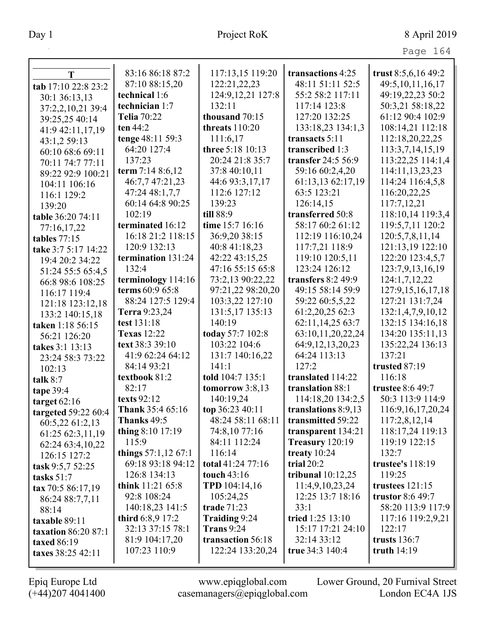|                                      |                         |                     |                      | Page 164              |
|--------------------------------------|-------------------------|---------------------|----------------------|-----------------------|
|                                      | 83:16 86:18 87:2        | 117:13,15 119:20    | transactions 4:25    | trust 8:5,6,16 49:2   |
| T                                    | 87:10 88:15,20          | 122:21,22,23        | 48:11 51:11 52:5     | 49:5, 10, 11, 16, 17  |
| tab 17:10 22:8 23:2                  | technical 1:6           | 124:9, 12, 21 127:8 | 55:2 58:2 117:11     | 49:19,22,23 50:2      |
| 30:1 36:13,13                        | technician 1:7          | 132:11              | 117:14 123:8         | 50:3,21 58:18,22      |
| 37:2,2,10,21 39:4                    | <b>Telia 70:22</b>      | thousand 70:15      | 127:20 132:25        | 61:12 90:4 102:9      |
| 39:25,25 40:14                       | ten 44:2                | threats $110:20$    | 133:18,23 134:1,3    | 108:14,21 112:18      |
| 41:9 42:11,17,19                     | tenge 48:11 59:3        | 111:6,17            | transacts $5:11$     | 112:18,20,22,25       |
| 43:1,2 59:13                         | 64:20 127:4             | three 5:18 10:13    | transcribed 1:3      | 113:3,7,14,15,19      |
| 60:10 68:6 69:11                     | 137:23                  | 20:24 21:8 35:7     | transfer $24:556:9$  | 113:22,25 114:1,4     |
| 70:11 74:7 77:11                     | term $7:148:6,12$       | 37:8 40:10,11       | 59:16 60:2,4,20      | 114:11, 13, 23, 23    |
| 89:22 92:9 100:21                    | 46:7,7 47:21,23         | 44:6 93:3,17,17     | 61:13,13 62:17,19    | 114:24 116:4,5,8      |
| 104:11 106:16                        | 47:24 48:1,7,7          | 112:6 127:12        | 63:5 123:21          | 116:20,22,25          |
| 116:1 129:2                          | 60:14 64:8 90:25        | 139:23              | 126:14,15            | 117:7,12,21           |
| 139:20                               | 102:19                  | till 88:9           | transferred 50:8     | 118:10,14 119:3,4     |
| table 36:20 74:11                    | terminated 16:12        | time 15:7 16:16     | 58:17 60:2 61:12     | 119:5,7,11 120:2      |
| 77:16,17,22                          | 16:18 21:2 118:15       | 36:9,20 38:15       | 112:19 116:10,24     | 120:5,7,8,11,14       |
| tables 77:15                         | 120:9 132:13            | 40:8 41:18,23       | 117:7,21 118:9       | 121:13,19 122:10      |
| take 3:7 5:17 14:22                  | termination 131:24      | 42:22 43:15,25      | 119:10 120:5,11      | 122:20 123:4,5,7      |
| 19:4 20:2 34:22                      | 132:4                   | 47:16 55:15 65:8    | 123:24 126:12        | 123:7,9,13,16,19      |
| 51:24 55:5 65:4,5                    | terminology 114:16      | 73:2,13 90:22,22    | transfers $8:249:9$  | 124:1,7,12,22         |
| 66:8 98:6 108:25                     | terms 60:9 65:8         | 97:21,22 98:20,20   | 49:15 58:14 59:9     | 127:9, 15, 16, 17, 18 |
| 116:17 119:4                         | 88:24 127:5 129:4       | 103:3,22 127:10     | 59:22 60:5,5,22      | 127:21 131:7,24       |
| 121:18 123:12,18                     | Terra 9:23,24           | 131:5,17 135:13     | 61:2,20,25 62:3      | 132:1,4,7,9,10,12     |
| 133:2 140:15,18                      | test 131:18             | 140:19              | 62:11,14,25 63:7     | 132:15 134:16,18      |
| taken 1:18 56:15                     | <b>Texas</b> 12:22      | today 57:7 102:8    | 63:10,11,20,22,24    | 134:20 135:11,13      |
| 56:21 126:20                         | text 38:3 39:10         | 103:22 104:6        | 64:9, 12, 13, 20, 23 | 135:22,24 136:13      |
| takes 3:1 13:13                      | 41:9 62:24 64:12        | 131:7 140:16,22     | 64:24 113:13         | 137:21                |
| 23:24 58:3 73:22                     | 84:14 93:21             | 141:1               | 127:2                | trusted 87:19         |
| 102:13                               | textbook 81:2           | told 104:7 135:1    | translated 114:22    | 116:18                |
| talk $8:7$                           | 82:17                   | tomorrow $3:8,13$   | translation 88:1     | trustee 8:6 49:7      |
| tape 39:4                            | texts $92:12$           | 140:19,24           | 114:18,20 134:2,5    | 50:3 113:9 114:9      |
| target $62:16$                       | <b>Thank</b> 35:4 65:16 | top 36:23 40:11     | translations 8:9,13  | 116:9, 16, 17, 20, 24 |
| targeted 59:22 60:4                  | Thanks 49:5             | 48:24 58:11 68:11   | transmitted 59:22    | 117:2,8,12,14         |
| 60:5,22 61:2,13                      | thing $8:10$ 17:19      | 74:8,10 77:16       | transparent 134:21   | 118:17,24 119:13      |
| 61:25 62:3,11,19                     | 115:9                   | 84:11 112:24        | Treasury 120:19      | 119:19 122:15         |
| 62:24 63:4,10,22                     | things $57:1,1267:1$    | 116:14              | treaty $10:24$       | 132:7                 |
| 126:15 127:2                         | 69:18 93:18 94:12       | total 41:24 77:16   | trial $20:2$         | trustee's 118:19      |
| task 9:5,7 52:25                     | 126:8 134:13            | touch $43:16$       | tribunal $10:12,25$  | 119:25                |
| tasks $51:7$                         | think $11:21\,65:8$     | TPD 104:14,16       | 11:4,9,10,23,24      | trustees $121:15$     |
| tax 70:5 86:17,19<br>86:24 88:7,7,11 | 92:8 108:24             | 105:24,25           | 12:25 13:7 18:16     | trustor 8:6 49:7      |
| 88:14                                | 140:18,23 141:5         | trade 71:23         | 33:1                 | 58:20 113:9 117:9     |
|                                      | third $6:8,9$ 17:2      | Traiding 9:24       | tried 1:25 13:10     | 117:16 119:2,9,21     |
| taxable 89:11<br>taxation 86:20 87:1 | 32:13 37:15 78:1        | <b>Trans</b> 9:24   | 15:17 17:21 24:10    | 122:17                |
| taxed 86:19                          | 81:9 104:17,20          | transaction 56:18   | 32:14 33:12          | trusts 136:7          |
| taxes 38:25 42:11                    | 107:23 110:9            | 122:24 133:20,24    | true 34:3 140:4      | truth $14:19$         |
|                                      |                         |                     |                      |                       |

 $\mathbf{I}$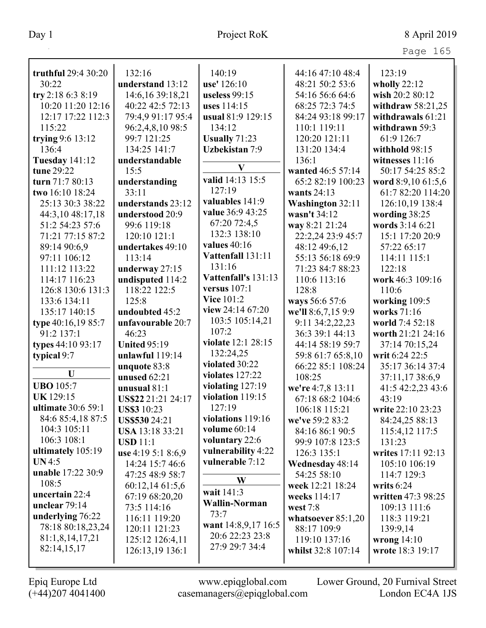| truthful 29:4 30:20       | 132:16                 | 140:19                | 44:16 47:10 48:4     | 123:19              |
|---------------------------|------------------------|-----------------------|----------------------|---------------------|
| 30:22                     | understand 13:12       | use' 126:10           | 48:21 50:2 53:6      | wholly 22:12        |
| try 2:18 6:3 8:19         | 14:6, 16 39:18, 21     | useless 99:15         | 54:16 56:6 64:6      | wish 20:2 80:12     |
| 10:20 11:20 12:16         | 40:22 42:5 72:13       | uses 114:15           | 68:25 72:3 74:5      | withdraw $58:21,25$ |
| 12:17 17:22 112:3         | 79:4,9 91:17 95:4      | usual 81:9 129:15     | 84:24 93:18 99:17    | withdrawals 61:21   |
| 115:22                    | 96:2,4,8,10 98:5       | 134:12                | 110:1 119:11         | withdrawn 59:3      |
| trying $9:6$ 13:12        | 99:7 121:25            | <b>Usually 71:23</b>  | 120:20 121:11        | 61:9 126:7          |
| 136:4                     | 134:25 141:7           | <b>Uzbekistan 7:9</b> | 131:20 134:4         | withhold 98:15      |
| <b>Tuesday 141:12</b>     | understandable         |                       | 136:1                | witnesses $11:16$   |
| tune 29:22                | 15:5                   | $\bf{V}$              | wanted 46:5 57:14    | 50:17 54:25 85:2    |
| turn 71:7 80:13           | understanding          | valid 14:13 15:5      | 65:2 82:19 100:23    | word 8:9,10 61:5,6  |
| two 16:10 18:24           | 33:11                  | 127:19                | wants $24:13$        | 61:7 82:20 114:20   |
| 25:13 30:3 38:22          | understands 23:12      | valuables 141:9       | Washington 32:11     | 126:10,19 138:4     |
| 44:3,10 48:17,18          | understood 20:9        | value 36:9 43:25      | wasn't 34:12         | wording 38:25       |
| 51:2 54:23 57:6           | 99:6 119:18            | 67:20 72:4,5          | way 8:21 21:24       | words 3:14 6:21     |
| 71:21 77:15 87:2          | 120:10 121:1           | 132:3 138:10          | 22:2,24 23:9 45:7    | 15:1 17:20 20:9     |
| 89:14 90:6.9              | undertakes 49:10       | values $40:16$        | 48:12 49:6,12        | 57:22 65:17         |
| 97:11 106:12              | 113:14                 | Vattenfall 131:11     | 55:13 56:18 69:9     | 114:11 115:1        |
| 111:12 113:22             | underway 27:15         | 131:16                | 71:23 84:7 88:23     | 122:18              |
| 114:17 116:23             | undisputed 114:2       | Vattenfall's 131:13   | 110:6 113:16         | work 46:3 109:16    |
| 126:8 130:6 131:3         | 118:22 122:5           | versus $107:1$        | 128:8                | 110:6               |
| 133:6 134:11              | 125:8                  | <b>Vice 101:2</b>     | ways 56:6 57:6       | working 109:5       |
| 135:17 140:15             | undoubted 45:2         | view 24:14 67:20      | we'll 8:6,7,15 9:9   | works 71:16         |
| type 40:16,19 85:7        | unfavourable 20:7      | 103:5 105:14,21       | 9:11 34:2,22,23      | world 7:4 52:18     |
| 91:2 137:1                | 46:23                  | 107:2                 | 36:3 39:1 44:13      | worth 21:21 24:16   |
| types 44:10 93:17         | <b>United 95:19</b>    | violate 12:1 28:15    | 44:14 58:19 59:7     | 37:14 70:15,24      |
| typical 9:7               | unlawful 119:14        | 132:24,25             | 59:8 61:7 65:8,10    | writ 6:24 22:5      |
|                           | unquote 83:8           | violated 30:22        | 66:22 85:1 108:24    | 35:17 36:14 37:4    |
| U                         | unused $62:21$         | violates $127:22$     | 108:25               | 37:11,1738:6,9      |
| <b>UBO</b> 105:7          | unusual $81:1$         | violating 127:19      | we're 4:7,8 13:11    | 41:5 42:2,23 43:6   |
| <b>UK129:15</b>           | US\$22 21:21 24:17     | violation 119:15      | 67:18 68:2 104:6     | 43:19               |
| <b>ultimate</b> 30:6 59:1 | <b>US\$3</b> 10:23     | 127:19                | 106:18 115:21        | write 22:10 23:23   |
| 84:6 85:4,18 87:5         | <b>US\$53024:21</b>    | violations 119:16     | we've 59:2 83:2      | 84:24,25 88:13      |
| 104:3 105:11              | <b>USA 13:18 33:21</b> | volume 60:14          | 84:16 86:1 90:5      | 115:4,12 117:5      |
| 106:3 108:1               | <b>USD</b> 11:1        | voluntary 22:6        | 99:9 107:8 123:5     | 131:23              |
| ultimately 105:19         | use 4:19 5:1 8:6,9     | vulnerability 4:22    | 126:3 135:1          | writes 17:11 92:13  |
| UN4:5                     | 14:24 15:7 46:6        | vulnerable 7:12       | Wednesday 48:14      | 105:10 106:19       |
| unable 17:22 30:9         | 47:25 48:9 58:7        |                       | 54:25 58:10          | 114:7 129:3         |
| 108:5                     | 60:12,14 61:5,6        | W                     | week 12:21 18:24     | writs $6:24$        |
| uncertain 22:4            | 67:19 68:20,20         | wait 141:3            | weeks 114:17         | written 47:3 98:25  |
| unclear $79:14$           | 73:5 114:16            | <b>Wallin-Norman</b>  | west 7:8             | 109:13 111:6        |
| underlying 76:22          | 116:11 119:20          | 73:7                  | whatsoever $85:1,20$ | 118:3 119:21        |
| 78:18 80:18,23,24         | 120:11 121:23          | want 14:8,9,17 16:5   | 88:17 109:9          | 139:9,14            |
| 81:1,8,14,17,21           | 125:12 126:4,11        | 20:6 22:23 23:8       | 119:10 137:16        | wrong $14:10$       |
| 82:14,15,17               | 126:13,19 136:1        | 27:9 29:7 34:4        | whilst 32:8 107:14   | wrote 18:3 19:17    |
|                           |                        |                       |                      |                     |
|                           |                        |                       |                      |                     |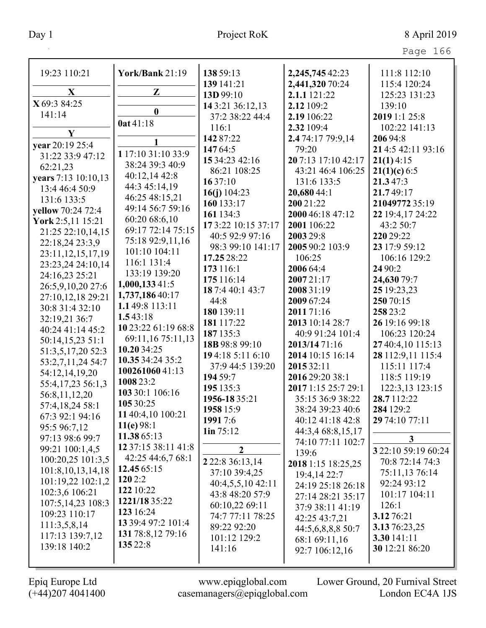| 19:23 110:21          | York/Bank 21:19     | 138 59:13               | 2,245,745 42:23                | 111:8 112:10                      |
|-----------------------|---------------------|-------------------------|--------------------------------|-----------------------------------|
|                       |                     | 139 141:21              | 2,441,320 70:24                | 115:4 120:24                      |
| X                     | Z                   | 13D 99:10               | 2.1.1 121:22                   | 125:23 131:23                     |
| X 69:3 84:25          |                     | 14 3:21 36:12,13        | 2.12 109:2                     | 139:10                            |
| 141:14                | $\boldsymbol{0}$    | 37:2 38:22 44:4         | 2.19 106:22                    | 2019 1:1 25:8                     |
|                       | 0at 41:18           | 116:1                   | 2.32 109:4                     | 102:22 141:13                     |
| $\mathbf{Y}$          | 1                   | 142 87:22               | 2.4 74:17 79:9,14              | 206 94:8                          |
| vear 20:19 25:4       |                     | 147 64:5                | 79:20                          | 214:5 42:11 93:16                 |
| 31:22 33:9 47:12      | 1 17:10 31:10 33:9  | 15 34:23 42:16          | 20 7:13 17:10 42:17            | 21(1)4:15                         |
| 62:21,23              | 38:24 39:3 40:9     | 86:21 108:25            | 43:21 46:4 106:25              | 21(1)(c) 6:5                      |
| years 7:13 10:10,13   | 40:12,14 42:8       | 1637:10                 | 131:6 133:5                    | 21.347:3                          |
| 13:4 46:4 50:9        | 44:3 45:14,19       | 16(j) $104:23$          | 20,680 44:1                    | 21.749:17                         |
| 131:6 133:5           | 46:25 48:15,21      | 160 133:17              | 200 21:22                      | 21049772 35:19                    |
| yellow 70:24 72:4     | 49:14 56:7 59:16    | 161 134:3               | 2000 46:18 47:12               | 22 19:4,17 24:22                  |
| York 2:5,11 15:21     | 60:20 68:6,10       | 17 3:22 10:15 37:17     | 2001 106:22                    | 43:2 50:7                         |
| 21:25 22:10,14,15     | 69:17 72:14 75:15   | 40:5 92:9 97:16         | 2003 29:8                      | 220 29:22                         |
| 22:18,24 23:3,9       | 75:18 92:9,11,16    | 98:3 99:10 141:17       | 2005 90:2 103:9                | 23 17:9 59:12                     |
| 23:11, 12, 15, 17, 19 | 101:10 104:11       | 17.25 28:22             | 106:25                         | 106:16 129:2                      |
| 23:23,24 24:10,14     | 116:1 131:4         | 173 116:1               | 2006 64:4                      | 24 90:2                           |
| 24:16,23 25:21        | 133:19 139:20       | 175 116:14              | 200721:17                      | 24,630 79:7                       |
| 26:5,9,10,20 27:6     | 1,000,13341:5       | 18 7:4 40:1 43:7        | 2008 31:19                     | 25 19:23,23                       |
| 27:10,12,18 29:21     | 1,737,186 40:17     | 44:8                    | 2009 67:24                     | 250 70:15                         |
| 30:8 31:4 32:10       | 1.149:8 113:11      | 180 139:11              | 2011 71:16                     | 258 23:2                          |
| 32:19,21 36:7         | 1.543:18            | 181 117:22              | 2013 10:14 28:7                | 26 19:16 99:18                    |
| 40:24 41:14 45:2      | 10 23:22 61:19 68:8 | 187 135:3               | 40:9 91:24 101:4               | 106:23 120:24                     |
| 50:14,15,23 51:1      | 69:11,16 75:11,13   | 18B 98:8 99:10          | 2013/14 71:16                  | 27 40:4,10 115:13                 |
| 51:3,5,17,20 52:3     | 10.20 34:25         | 194:18 5:11 6:10        |                                |                                   |
| 53:2,7,11,24 54:7     | 10.35 34:24 35:2    |                         | 2014 10:15 16:14<br>2015 32:11 | 28 112:9,11 115:4<br>115:11 117:4 |
| 54:12,14,19,20        | 10026106041:13      | 37:9 44:5 139:20        |                                |                                   |
| 55:4,17,23 56:1,3     | 1008 23:2           | 194 59:7                | 2016 29:20 38:1                | 118:5 119:19                      |
| 56:8,11,12,20         | 103 30:1 106:16     | 195 135:3               | 2017 1:15 25:7 29:1            | 122:3,13 123:15<br>28.7112:22     |
| 57:4,18,24 58:1       | 105 30:25           | 1956-18 35:21           | 35:15 36:9 38:22               |                                   |
| 67:3 92:1 94:16       | 11 40:4,10 100:21   | 1958 15:9               | 38:24 39:23 40:6               | 284 129:2                         |
| 95:5 96:7,12          | 11(e) 98:1          | 1991 7:6                | 40:12 41:18 42:8               | 29 74:10 77:11                    |
| 97:13 98:6 99:7       | 11.38 65:13         | 1in 75:12               | 44:3,4 68:8,15,17              | 3 <sup>1</sup>                    |
| 99:21 100:1,4,5       | 12 37:15 38:11 41:8 | $\boldsymbol{2}$        | 74:10 77:11 102:7              | 3 22:10 59:19 60:24               |
| 100:20,25 101:3,5     | 42:25 44:6,7 68:1   | 2 2 2 : 8 3 6 : 13 , 14 | 139:6                          | 70:8 72:14 74:3                   |
| 101:8, 10, 13, 14, 18 | 12.45 65:15         | 37:10 39:4,25           | 2018 1:15 18:25,25             | 75:11,13 76:14                    |
| 101:19,22 102:1,2     | 120 2:2             | 40:4,5,5,10 42:11       | 19:4,14 22:7                   | 92:24 93:12                       |
| 102:3,6 106:21        | 122 10:22           | 43:8 48:20 57:9         | 24:19 25:18 26:18              | 101:17 104:11                     |
| 107:5, 14, 23 108:3   | 1221/18 35:22       | 60:10,22 69:11          | 27:14 28:21 35:17              | 126:1                             |
| 109:23 110:17         | 123 16:24           | 74:7 77:11 78:25        | 37:9 38:11 41:19               | 3.1276:21                         |
| 111:3,5,8,14          | 13 39:4 97:2 101:4  | 89:22 92:20             | 42:25 43:7,21                  | 3.13 76:23,25                     |
| 117:13 139:7,12       | 131 78:8,12 79:16   | 101:12 129:2            | 44:5,6,8,8,8 50:7              | 3.30 141:11                       |
| 139:18 140:2          | 135 22:8            | 141:16                  | 68:1 69:11,16                  | 30 12:21 86:20                    |
|                       |                     |                         | 92:7 106:12,16                 |                                   |
|                       |                     |                         |                                |                                   |